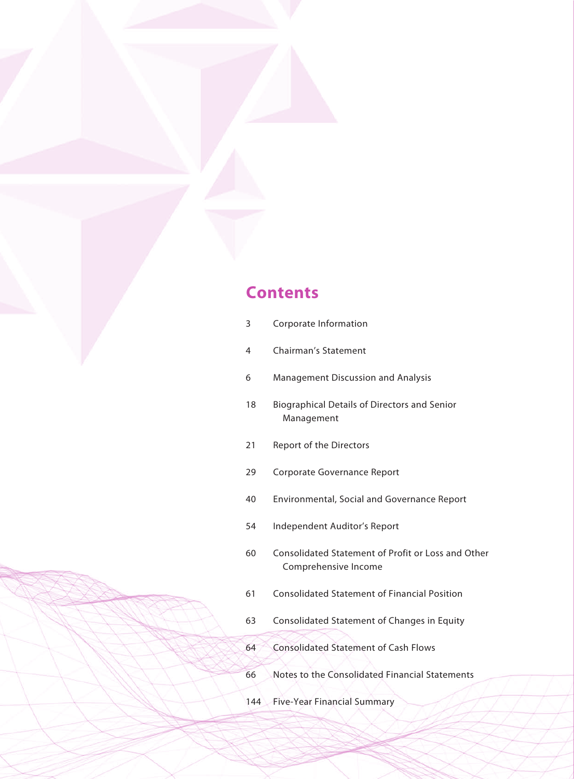# **Contents**

| 3   | Corporate Information                                                      |
|-----|----------------------------------------------------------------------------|
| 4   | Chairman's Statement                                                       |
| 6   | <b>Management Discussion and Analysis</b>                                  |
| 18  | Biographical Details of Directors and Senior<br>Management                 |
| 21  | Report of the Directors                                                    |
| 29  | Corporate Governance Report                                                |
| 40  | Environmental, Social and Governance Report                                |
| 54  | Independent Auditor's Report                                               |
| 60  | Consolidated Statement of Profit or Loss and Other<br>Comprehensive Income |
| 61  | <b>Consolidated Statement of Financial Position</b>                        |
| 63  | Consolidated Statement of Changes in Equity                                |
| 64  | <b>Consolidated Statement of Cash Flows</b>                                |
| 66  | Notes to the Consolidated Financial Statements                             |
| 144 | <b>Five-Year Financial Summary</b>                                         |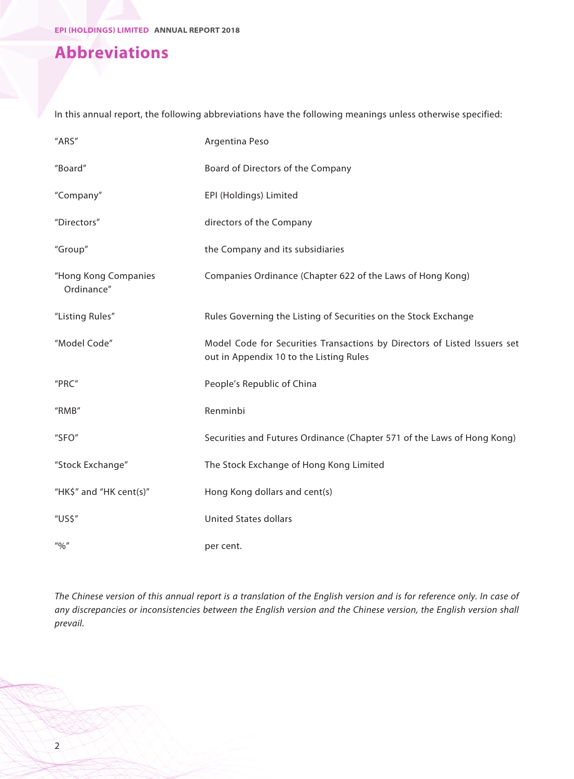**EPI (HOLDINGS) LIMITED ANNUAL REPORT 2018**

## **Abbreviations**

In this annual report, the following abbreviations have the following meanings unless otherwise specified:

| "ARS"                              | Argentina Peso                                                                                                       |
|------------------------------------|----------------------------------------------------------------------------------------------------------------------|
| "Board"                            | Board of Directors of the Company                                                                                    |
| "Company"                          | EPI (Holdings) Limited                                                                                               |
| "Directors"                        | directors of the Company                                                                                             |
| "Group"                            | the Company and its subsidiaries                                                                                     |
| "Hong Kong Companies<br>Ordinance" | Companies Ordinance (Chapter 622 of the Laws of Hong Kong)                                                           |
| "Listing Rules"                    | Rules Governing the Listing of Securities on the Stock Exchange                                                      |
| "Model Code"                       | Model Code for Securities Transactions by Directors of Listed Issuers set<br>out in Appendix 10 to the Listing Rules |
| "PRC"                              | People's Republic of China                                                                                           |
| "RMB"                              | Renminbi                                                                                                             |
| "SFO"                              | Securities and Futures Ordinance (Chapter 571 of the Laws of Hong Kong)                                              |
| "Stock Exchange"                   | The Stock Exchange of Hong Kong Limited                                                                              |
| "HK\$" and "HK cent(s)"            | Hong Kong dollars and cent(s)                                                                                        |
| "US\$"                             | <b>United States dollars</b>                                                                                         |
| 10/0''                             | per cent.                                                                                                            |

*The Chinese version of this annual report is a translation of the English version and is for reference only. In case of any discrepancies or inconsistencies between the English version and the Chinese version, the English version shall prevail.*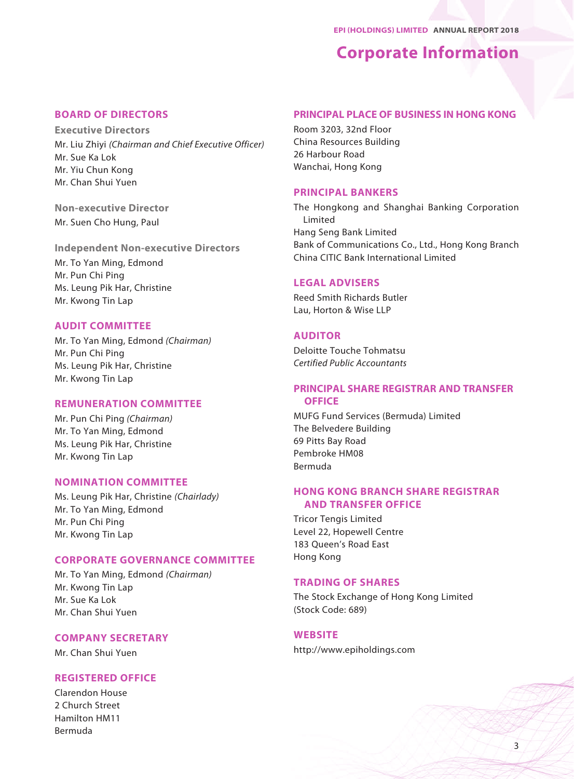## **Corporate Information**

### **BOARD OF DIRECTORS**

**Executive Directors**

Mr. Liu Zhiyi *(Chairman and Chief Executive Officer)* Mr. Sue Ka Lok Mr. Yiu Chun Kong Mr. Chan Shui Yuen

**Non-executive Director** Mr. Suen Cho Hung, Paul

**Independent Non-executive Directors**

Mr. To Yan Ming, Edmond Mr. Pun Chi Ping Ms. Leung Pik Har, Christine Mr. Kwong Tin Lap

### **AUDIT COMMITTEE**

Mr. To Yan Ming, Edmond *(Chairman)* Mr. Pun Chi Ping Ms. Leung Pik Har, Christine Mr. Kwong Tin Lap

### **REMUNERATION COMMITTEE**

Mr. Pun Chi Ping *(Chairman)* Mr. To Yan Ming, Edmond Ms. Leung Pik Har, Christine Mr. Kwong Tin Lap

### **NOMINATION COMMITTEE**

Ms. Leung Pik Har, Christine *(Chairlady)* Mr. To Yan Ming, Edmond Mr. Pun Chi Ping Mr. Kwong Tin Lap

### **CORPORATE GOVERNANCE COMMITTEE**

Mr. To Yan Ming, Edmond *(Chairman)* Mr. Kwong Tin Lap Mr. Sue Ka Lok Mr. Chan Shui Yuen

### **COMPANY SECRETARY**

Mr. Chan Shui Yuen

### **REGISTERED OFFICE**

Clarendon House 2 Church Street Hamilton HM11 Bermuda

### **PRINCIPAL PLACE OF BUSINESS IN HONG KONG**

Room 3203, 32nd Floor China Resources Building 26 Harbour Road Wanchai, Hong Kong

### **PRINCIPAL BANKERS**

The Hongkong and Shanghai Banking Corporation Limited Hang Seng Bank Limited Bank of Communications Co., Ltd., Hong Kong Branch China CITIC Bank International Limited

### **LEGAL ADVISERS**

Reed Smith Richards Butler Lau, Horton & Wise LLP

### **AUDITOR**

Deloitte Touche Tohmatsu *Certified Public Accountants*

### **PRINCIPAL SHARE REGISTRAR AND TRANSFER OFFICE**

MUFG Fund Services (Bermuda) Limited The Belvedere Building 69 Pitts Bay Road Pembroke HM08 Bermuda

### **HONG KONG BRANCH SHARE REGISTRAR AND TRANSFER OFFICE**

Tricor Tengis Limited Level 22, Hopewell Centre 183 Queen's Road East Hong Kong

### **TRADING OF SHARES**

The Stock Exchange of Hong Kong Limited (Stock Code: 689)

### **WEBSITE**

http://www.epiholdings.com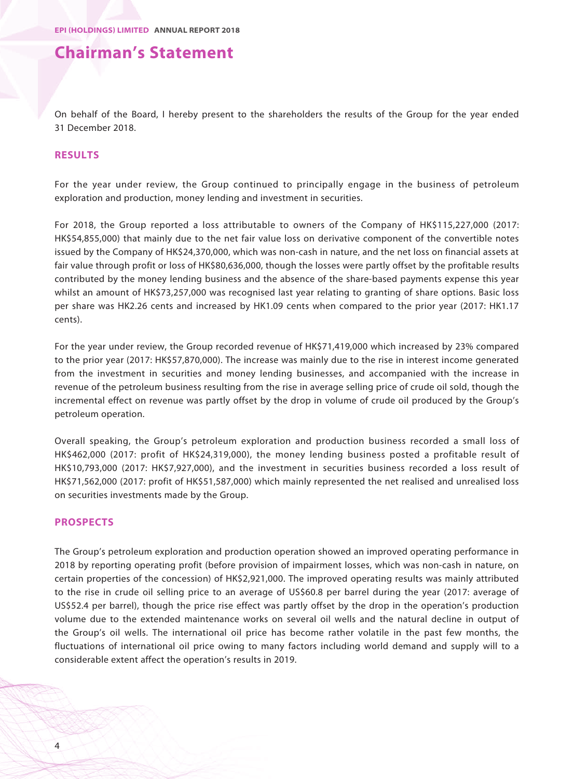## **Chairman's Statement**

On behalf of the Board, I hereby present to the shareholders the results of the Group for the year ended 31 December 2018.

#### **RESULTS**

For the year under review, the Group continued to principally engage in the business of petroleum exploration and production, money lending and investment in securities.

For 2018, the Group reported a loss attributable to owners of the Company of HK\$115,227,000 (2017: HK\$54,855,000) that mainly due to the net fair value loss on derivative component of the convertible notes issued by the Company of HK\$24,370,000, which was non-cash in nature, and the net loss on financial assets at fair value through profit or loss of HK\$80,636,000, though the losses were partly offset by the profitable results contributed by the money lending business and the absence of the share-based payments expense this year whilst an amount of HK\$73,257,000 was recognised last year relating to granting of share options. Basic loss per share was HK2.26 cents and increased by HK1.09 cents when compared to the prior year (2017: HK1.17 cents).

For the year under review, the Group recorded revenue of HK\$71,419,000 which increased by 23% compared to the prior year (2017: HK\$57,870,000). The increase was mainly due to the rise in interest income generated from the investment in securities and money lending businesses, and accompanied with the increase in revenue of the petroleum business resulting from the rise in average selling price of crude oil sold, though the incremental effect on revenue was partly offset by the drop in volume of crude oil produced by the Group's petroleum operation.

Overall speaking, the Group's petroleum exploration and production business recorded a small loss of HK\$462,000 (2017: profit of HK\$24,319,000), the money lending business posted a profitable result of HK\$10,793,000 (2017: HK\$7,927,000), and the investment in securities business recorded a loss result of HK\$71,562,000 (2017: profit of HK\$51,587,000) which mainly represented the net realised and unrealised loss on securities investments made by the Group.

### **PROSPECTS**

The Group's petroleum exploration and production operation showed an improved operating performance in 2018 by reporting operating profit (before provision of impairment losses, which was non-cash in nature, on certain properties of the concession) of HK\$2,921,000. The improved operating results was mainly attributed to the rise in crude oil selling price to an average of US\$60.8 per barrel during the year (2017: average of US\$52.4 per barrel), though the price rise effect was partly offset by the drop in the operation's production volume due to the extended maintenance works on several oil wells and the natural decline in output of the Group's oil wells. The international oil price has become rather volatile in the past few months, the fluctuations of international oil price owing to many factors including world demand and supply will to a considerable extent affect the operation's results in 2019.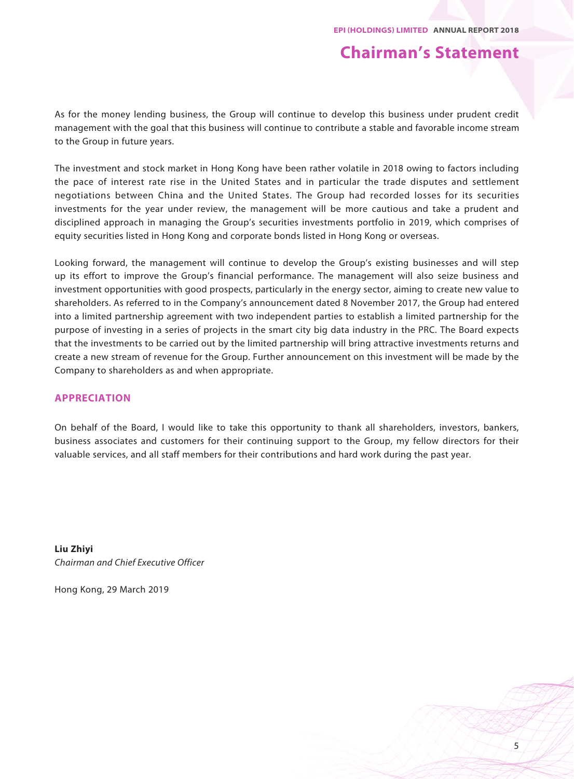### **Chairman's Statement**

As for the money lending business, the Group will continue to develop this business under prudent credit management with the goal that this business will continue to contribute a stable and favorable income stream to the Group in future years.

The investment and stock market in Hong Kong have been rather volatile in 2018 owing to factors including the pace of interest rate rise in the United States and in particular the trade disputes and settlement negotiations between China and the United States. The Group had recorded losses for its securities investments for the year under review, the management will be more cautious and take a prudent and disciplined approach in managing the Group's securities investments portfolio in 2019, which comprises of equity securities listed in Hong Kong and corporate bonds listed in Hong Kong or overseas.

Looking forward, the management will continue to develop the Group's existing businesses and will step up its effort to improve the Group's financial performance. The management will also seize business and investment opportunities with good prospects, particularly in the energy sector, aiming to create new value to shareholders. As referred to in the Company's announcement dated 8 November 2017, the Group had entered into a limited partnership agreement with two independent parties to establish a limited partnership for the purpose of investing in a series of projects in the smart city big data industry in the PRC. The Board expects that the investments to be carried out by the limited partnership will bring attractive investments returns and create a new stream of revenue for the Group. Further announcement on this investment will be made by the Company to shareholders as and when appropriate.

### **APPRECIATION**

On behalf of the Board, I would like to take this opportunity to thank all shareholders, investors, bankers, business associates and customers for their continuing support to the Group, my fellow directors for their valuable services, and all staff members for their contributions and hard work during the past year.

**Liu Zhiyi** *Chairman and Chief Executive Officer*

Hong Kong, 29 March 2019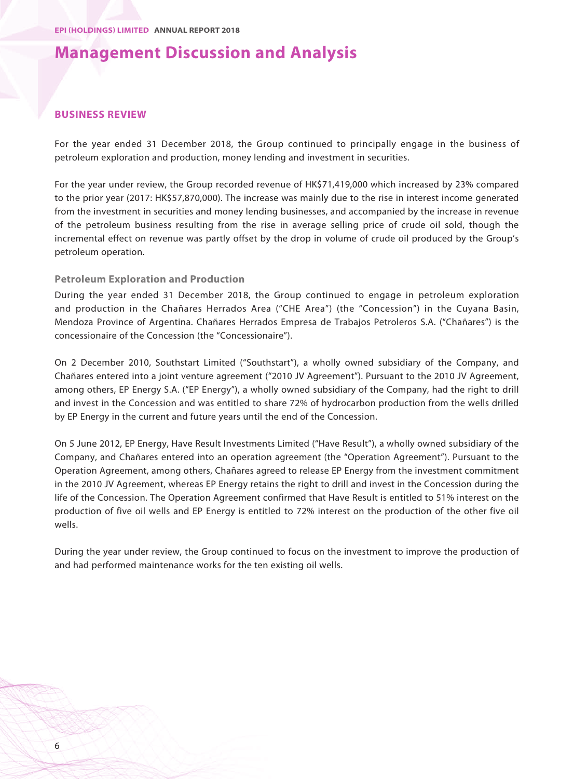### **BUSINESS REVIEW**

For the year ended 31 December 2018, the Group continued to principally engage in the business of petroleum exploration and production, money lending and investment in securities.

For the year under review, the Group recorded revenue of HK\$71,419,000 which increased by 23% compared to the prior year (2017: HK\$57,870,000). The increase was mainly due to the rise in interest income generated from the investment in securities and money lending businesses, and accompanied by the increase in revenue of the petroleum business resulting from the rise in average selling price of crude oil sold, though the incremental effect on revenue was partly offset by the drop in volume of crude oil produced by the Group's petroleum operation.

### **Petroleum Exploration and Production**

During the year ended 31 December 2018, the Group continued to engage in petroleum exploration and production in the Chañares Herrados Area ("CHE Area") (the "Concession") in the Cuyana Basin, Mendoza Province of Argentina. Chañares Herrados Empresa de Trabajos Petroleros S.A. ("Chañares") is the concessionaire of the Concession (the "Concessionaire").

On 2 December 2010, Southstart Limited ("Southstart"), a wholly owned subsidiary of the Company, and Chañares entered into a joint venture agreement ("2010 JV Agreement"). Pursuant to the 2010 JV Agreement, among others, EP Energy S.A. ("EP Energy"), a wholly owned subsidiary of the Company, had the right to drill and invest in the Concession and was entitled to share 72% of hydrocarbon production from the wells drilled by EP Energy in the current and future years until the end of the Concession.

On 5 June 2012, EP Energy, Have Result Investments Limited ("Have Result"), a wholly owned subsidiary of the Company, and Chañares entered into an operation agreement (the "Operation Agreement"). Pursuant to the Operation Agreement, among others, Chañares agreed to release EP Energy from the investment commitment in the 2010 JV Agreement, whereas EP Energy retains the right to drill and invest in the Concession during the life of the Concession. The Operation Agreement confirmed that Have Result is entitled to 51% interest on the production of five oil wells and EP Energy is entitled to 72% interest on the production of the other five oil wells.

During the year under review, the Group continued to focus on the investment to improve the production of and had performed maintenance works for the ten existing oil wells.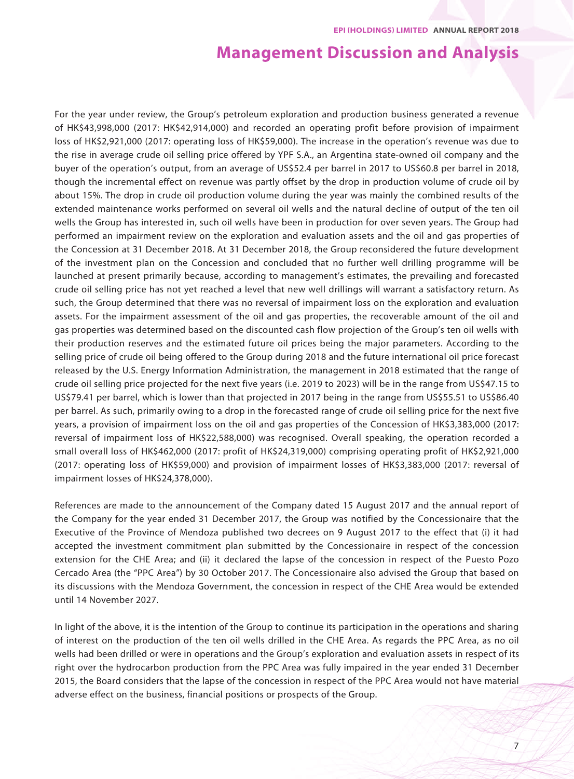For the year under review, the Group's petroleum exploration and production business generated a revenue of HK\$43,998,000 (2017: HK\$42,914,000) and recorded an operating profit before provision of impairment loss of HK\$2,921,000 (2017: operating loss of HK\$59,000). The increase in the operation's revenue was due to the rise in average crude oil selling price offered by YPF S.A., an Argentina state-owned oil company and the buyer of the operation's output, from an average of US\$52.4 per barrel in 2017 to US\$60.8 per barrel in 2018, though the incremental effect on revenue was partly offset by the drop in production volume of crude oil by about 15%. The drop in crude oil production volume during the year was mainly the combined results of the extended maintenance works performed on several oil wells and the natural decline of output of the ten oil wells the Group has interested in, such oil wells have been in production for over seven years. The Group had performed an impairment review on the exploration and evaluation assets and the oil and gas properties of the Concession at 31 December 2018. At 31 December 2018, the Group reconsidered the future development of the investment plan on the Concession and concluded that no further well drilling programme will be launched at present primarily because, according to management's estimates, the prevailing and forecasted crude oil selling price has not yet reached a level that new well drillings will warrant a satisfactory return. As such, the Group determined that there was no reversal of impairment loss on the exploration and evaluation assets. For the impairment assessment of the oil and gas properties, the recoverable amount of the oil and gas properties was determined based on the discounted cash flow projection of the Group's ten oil wells with their production reserves and the estimated future oil prices being the major parameters. According to the selling price of crude oil being offered to the Group during 2018 and the future international oil price forecast released by the U.S. Energy Information Administration, the management in 2018 estimated that the range of crude oil selling price projected for the next five years (i.e. 2019 to 2023) will be in the range from US\$47.15 to US\$79.41 per barrel, which is lower than that projected in 2017 being in the range from US\$55.51 to US\$86.40 per barrel. As such, primarily owing to a drop in the forecasted range of crude oil selling price for the next five years, a provision of impairment loss on the oil and gas properties of the Concession of HK\$3,383,000 (2017: reversal of impairment loss of HK\$22,588,000) was recognised. Overall speaking, the operation recorded a small overall loss of HK\$462,000 (2017: profit of HK\$24,319,000) comprising operating profit of HK\$2,921,000 (2017: operating loss of HK\$59,000) and provision of impairment losses of HK\$3,383,000 (2017: reversal of impairment losses of HK\$24,378,000).

References are made to the announcement of the Company dated 15 August 2017 and the annual report of the Company for the year ended 31 December 2017, the Group was notified by the Concessionaire that the Executive of the Province of Mendoza published two decrees on 9 August 2017 to the effect that (i) it had accepted the investment commitment plan submitted by the Concessionaire in respect of the concession extension for the CHE Area; and (ii) it declared the lapse of the concession in respect of the Puesto Pozo Cercado Area (the "PPC Area") by 30 October 2017. The Concessionaire also advised the Group that based on its discussions with the Mendoza Government, the concession in respect of the CHE Area would be extended until 14 November 2027.

In light of the above, it is the intention of the Group to continue its participation in the operations and sharing of interest on the production of the ten oil wells drilled in the CHE Area. As regards the PPC Area, as no oil wells had been drilled or were in operations and the Group's exploration and evaluation assets in respect of its right over the hydrocarbon production from the PPC Area was fully impaired in the year ended 31 December 2015, the Board considers that the lapse of the concession in respect of the PPC Area would not have material adverse effect on the business, financial positions or prospects of the Group.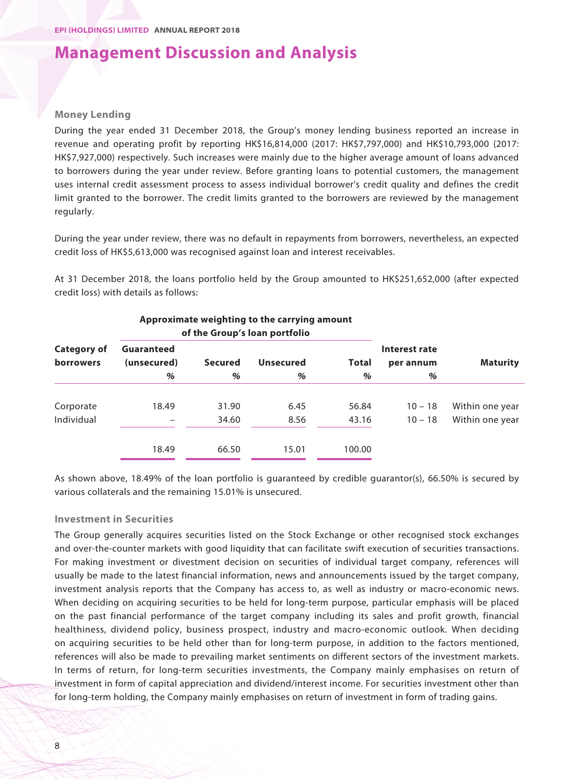### **Money Lending**

During the year ended 31 December 2018, the Group's money lending business reported an increase in revenue and operating profit by reporting HK\$16,814,000 (2017: HK\$7,797,000) and HK\$10,793,000 (2017: HK\$7,927,000) respectively. Such increases were mainly due to the higher average amount of loans advanced to borrowers during the year under review. Before granting loans to potential customers, the management uses internal credit assessment process to assess individual borrower's credit quality and defines the credit limit granted to the borrower. The credit limits granted to the borrowers are reviewed by the management regularly.

During the year under review, there was no default in repayments from borrowers, nevertheless, an expected credit loss of HK\$5,613,000 was recognised against loan and interest receivables.

At 31 December 2018, the loans portfolio held by the Group amounted to HK\$251,652,000 (after expected credit loss) with details as follows:

|                                        |                                          | The community of the community of the call find announce<br>of the Group's loan portfolio |                       |                   |                                 |                 |
|----------------------------------------|------------------------------------------|-------------------------------------------------------------------------------------------|-----------------------|-------------------|---------------------------------|-----------------|
| <b>Category of</b><br><b>borrowers</b> | <b>Guaranteed</b><br>(unsecured)<br>$\%$ | <b>Secured</b><br>%                                                                       | <b>Unsecured</b><br>% | <b>Total</b><br>% | Interest rate<br>per annum<br>% | <b>Maturity</b> |
| Corporate                              | 18.49                                    | 31.90                                                                                     | 6.45                  | 56.84             | $10 - 18$                       | Within one year |
| Individual                             | 18.49                                    | 34.60<br>66.50                                                                            | 8.56<br>15.01         | 43.16<br>100.00   | $10 - 18$                       | Within one year |

## **Approximate weighting to the carrying amount**

As shown above, 18.49% of the loan portfolio is guaranteed by credible guarantor(s), 66.50% is secured by various collaterals and the remaining 15.01% is unsecured.

### **Investment in Securities**

The Group generally acquires securities listed on the Stock Exchange or other recognised stock exchanges and over-the-counter markets with good liquidity that can facilitate swift execution of securities transactions. For making investment or divestment decision on securities of individual target company, references will usually be made to the latest financial information, news and announcements issued by the target company, investment analysis reports that the Company has access to, as well as industry or macro-economic news. When deciding on acquiring securities to be held for long-term purpose, particular emphasis will be placed on the past financial performance of the target company including its sales and profit growth, financial healthiness, dividend policy, business prospect, industry and macro-economic outlook. When deciding on acquiring securities to be held other than for long-term purpose, in addition to the factors mentioned, references will also be made to prevailing market sentiments on different sectors of the investment markets. In terms of return, for long-term securities investments, the Company mainly emphasises on return of investment in form of capital appreciation and dividend/interest income. For securities investment other than for long-term holding, the Company mainly emphasises on return of investment in form of trading gains.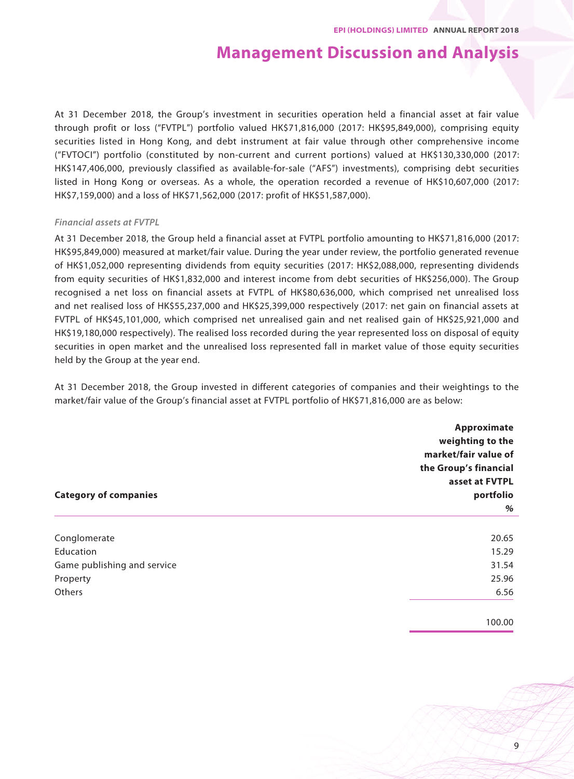At 31 December 2018, the Group's investment in securities operation held a financial asset at fair value through profit or loss ("FVTPL") portfolio valued HK\$71,816,000 (2017: HK\$95,849,000), comprising equity securities listed in Hong Kong, and debt instrument at fair value through other comprehensive income ("FVTOCI") portfolio (constituted by non-current and current portions) valued at HK\$130,330,000 (2017: HK\$147,406,000, previously classified as available-for-sale ("AFS") investments), comprising debt securities listed in Hong Kong or overseas. As a whole, the operation recorded a revenue of HK\$10,607,000 (2017: HK\$7,159,000) and a loss of HK\$71,562,000 (2017: profit of HK\$51,587,000).

### *Financial assets at FVTPL*

At 31 December 2018, the Group held a financial asset at FVTPL portfolio amounting to HK\$71,816,000 (2017: HK\$95,849,000) measured at market/fair value. During the year under review, the portfolio generated revenue of HK\$1,052,000 representing dividends from equity securities (2017: HK\$2,088,000, representing dividends from equity securities of HK\$1,832,000 and interest income from debt securities of HK\$256,000). The Group recognised a net loss on financial assets at FVTPL of HK\$80,636,000, which comprised net unrealised loss and net realised loss of HK\$55,237,000 and HK\$25,399,000 respectively (2017: net gain on financial assets at FVTPL of HK\$45,101,000, which comprised net unrealised gain and net realised gain of HK\$25,921,000 and HK\$19,180,000 respectively). The realised loss recorded during the year represented loss on disposal of equity securities in open market and the unrealised loss represented fall in market value of those equity securities held by the Group at the year end.

At 31 December 2018, the Group invested in different categories of companies and their weightings to the market/fair value of the Group's financial asset at FVTPL portfolio of HK\$71,816,000 are as below:

| <b>Category of companies</b> | Approximate<br>weighting to the<br>market/fair value of<br>the Group's financial<br>asset at FVTPL<br>portfolio<br>% |
|------------------------------|----------------------------------------------------------------------------------------------------------------------|
|                              |                                                                                                                      |
| Conglomerate                 | 20.65                                                                                                                |
| Education                    | 15.29                                                                                                                |
| Game publishing and service  | 31.54                                                                                                                |
| Property                     | 25.96                                                                                                                |
| Others                       | 6.56                                                                                                                 |
|                              | 100.00                                                                                                               |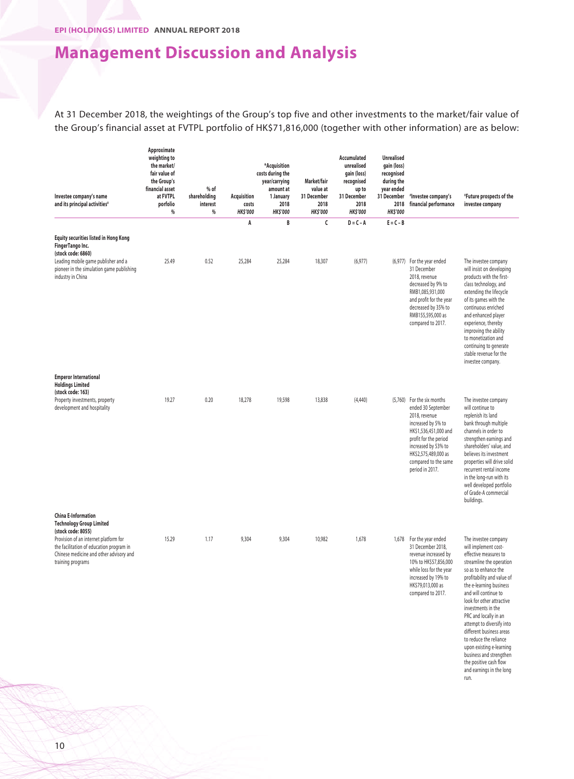At 31 December 2018, the weightings of the Group's top five and other investments to the market/fair value of the Group's financial asset at FVTPL portfolio of HK\$71,816,000 (together with other information) are as below:

| Investee company's name<br>and its principal activities <sup>®</sup>                                                                                                                                                                     | Approximate<br>weighting to<br>the market/<br>fair value of<br>the Group's<br>financial asset<br>at FVTPL<br>porfolio<br>% | % of<br>shareholding<br>interest<br>% | Acquisition<br>costs<br><b>HK\$'000</b> | *Acquisition<br>costs during the<br>year/carrying<br>amount at<br>1 January<br>2018<br><b>HK\$'000</b> | Market/fair<br>value at<br>31 December<br>2018<br><b>HK\$'000</b> | Accumulated<br>unrealised<br>gain (loss)<br>recognised<br>up to<br>31 December<br>2018<br><b>HK\$'000</b> | <b>Unrealised</b><br>gain (loss)<br>recognised<br>during the<br>year ended<br>31 December<br>2018<br><b>HK\$'000</b> | *Investee company's<br>financial performance                                                                                                                                                                                        | <sup>*</sup> Future prospects of the<br>investee company                                                                                                                                                                                                                                                                                                                                                                                                                                       |
|------------------------------------------------------------------------------------------------------------------------------------------------------------------------------------------------------------------------------------------|----------------------------------------------------------------------------------------------------------------------------|---------------------------------------|-----------------------------------------|--------------------------------------------------------------------------------------------------------|-------------------------------------------------------------------|-----------------------------------------------------------------------------------------------------------|----------------------------------------------------------------------------------------------------------------------|-------------------------------------------------------------------------------------------------------------------------------------------------------------------------------------------------------------------------------------|------------------------------------------------------------------------------------------------------------------------------------------------------------------------------------------------------------------------------------------------------------------------------------------------------------------------------------------------------------------------------------------------------------------------------------------------------------------------------------------------|
|                                                                                                                                                                                                                                          |                                                                                                                            |                                       | A                                       | B                                                                                                      | C                                                                 | $D = C - A$                                                                                               | $E = C - B$                                                                                                          |                                                                                                                                                                                                                                     |                                                                                                                                                                                                                                                                                                                                                                                                                                                                                                |
| <b>Equity securities listed in Hong Kong</b><br>FingerTango Inc.<br>(stock code: 6860)<br>Leading mobile game publisher and a<br>pioneer in the simulation game publishing<br>industry in China                                          | 25.49                                                                                                                      | 0.52                                  | 25,284                                  | 25,284                                                                                                 | 18,307                                                            | (6, 977)                                                                                                  |                                                                                                                      | (6,977) For the year ended<br>31 December<br>2018, revenue<br>decreased by 9% to<br>RMB1,085,931,000<br>and profit for the year<br>decreased by 35% to<br>RMB155,595,000 as<br>compared to 2017.                                    | The investee company<br>will insist on developing<br>products with the first-<br>class technology, and<br>extending the lifecycle<br>of its games with the<br>continuous enriched<br>and enhanced player<br>experience, thereby<br>improving the ability<br>to monetization and<br>continuing to generate<br>stable revenue for the<br>investee company.                                                                                                                                       |
| <b>Emperor International</b>                                                                                                                                                                                                             |                                                                                                                            |                                       |                                         |                                                                                                        |                                                                   |                                                                                                           |                                                                                                                      |                                                                                                                                                                                                                                     |                                                                                                                                                                                                                                                                                                                                                                                                                                                                                                |
| <b>Holdings Limited</b><br>(stock code: 163)<br>Property investments, property<br>development and hospitality                                                                                                                            | 19.27                                                                                                                      | 0.20                                  | 18,278                                  | 19,598                                                                                                 | 13,838                                                            | (4, 440)                                                                                                  |                                                                                                                      | (5,760) For the six months<br>ended 30 September<br>2018, revenue<br>increased by 5% to<br>HK\$1,536,451,000 and<br>profit for the period<br>increased by 53% to<br>HK\$2,575,489,000 as<br>compared to the same<br>period in 2017. | The investee company<br>will continue to<br>replenish its land<br>bank through multiple<br>channels in order to<br>strengthen earnings and<br>shareholders' value, and<br>believes its investment<br>properties will drive solid<br>recurrent rental income<br>in the long-run with its<br>well developed portfolio<br>of Grade-A commercial<br>buildings.                                                                                                                                     |
| <b>China E-Information</b><br><b>Technology Group Limited</b><br>(stock code: 8055)<br>Provision of an internet platform for<br>the facilitation of education program in<br>Chinese medicine and other advisory and<br>training programs | 15.29                                                                                                                      | 1.17                                  | 9,304                                   | 9,304                                                                                                  | 10,982                                                            | 1,678                                                                                                     | 1,678                                                                                                                | For the year ended<br>31 December 2018,<br>revenue increased by<br>10% to HK\$57,856,000<br>while loss for the year<br>increased by 19% to<br>HK\$79,013,000 as<br>compared to 2017.                                                | The investee company<br>will implement cost-<br>effective measures to<br>streamline the operation<br>so as to enhance the<br>profitability and value of<br>the e-learning business<br>and will continue to<br>look for other attractive<br>investments in the<br>PRC and locally in an<br>attempt to diversify into<br>different business areas<br>to reduce the reliance<br>upon existing e-learning<br>business and strengthen<br>the positive cash flow<br>and earnings in the long<br>run. |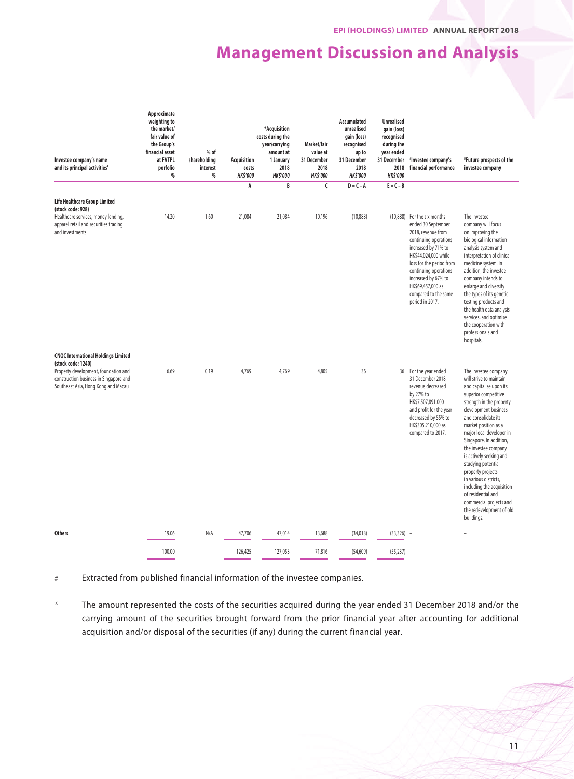| Investee company's name<br>and its principal activities <sup>#</sup>                                                                                                                      | Approximate<br>weighting to<br>the market/<br>fair value of<br>the Group's<br>financial asset<br>at FVTPL<br>porfolio<br>% | $%$ of<br>shareholding<br>interest<br>% | Acquisition<br>costs<br><b>HK\$'000</b> | *Acquisition<br>costs during the<br>year/carrying<br>amount at<br>1 January<br>2018<br><b>HK\$'000</b> | Market/fair<br>value at<br>31 December<br>2018<br><b>HK\$'000</b> | <b>Accumulated</b><br>unrealised<br>gain (loss)<br>recognised<br>up to<br>31 December<br>2018<br><b>HK\$'000</b> | <b>Unrealised</b><br>gain (loss)<br>recognised<br>during the<br>year ended<br>31 December<br>2018<br><b>HK\$'000</b> | *Investee company's<br>financial performance                                                                                                                                                                                                                                                | <sup>*</sup> Future prospects of the<br>investee company                                                                                                                                                                                                                                                                                                                                                                                                                                                    |
|-------------------------------------------------------------------------------------------------------------------------------------------------------------------------------------------|----------------------------------------------------------------------------------------------------------------------------|-----------------------------------------|-----------------------------------------|--------------------------------------------------------------------------------------------------------|-------------------------------------------------------------------|------------------------------------------------------------------------------------------------------------------|----------------------------------------------------------------------------------------------------------------------|---------------------------------------------------------------------------------------------------------------------------------------------------------------------------------------------------------------------------------------------------------------------------------------------|-------------------------------------------------------------------------------------------------------------------------------------------------------------------------------------------------------------------------------------------------------------------------------------------------------------------------------------------------------------------------------------------------------------------------------------------------------------------------------------------------------------|
|                                                                                                                                                                                           |                                                                                                                            |                                         | A                                       | B                                                                                                      | $\mathsf{C}$                                                      | $D = C - A$                                                                                                      | $E = C - B$                                                                                                          |                                                                                                                                                                                                                                                                                             |                                                                                                                                                                                                                                                                                                                                                                                                                                                                                                             |
| Life Healthcare Group Limited<br>(stock code: 928)<br>Healthcare services, money lending,<br>apparel retail and securities trading<br>and investments                                     | 14.20                                                                                                                      | 1.60                                    | 21,084                                  | 21,084                                                                                                 | 10,196                                                            | (10, 888)                                                                                                        |                                                                                                                      | (10,888) For the six months<br>ended 30 September<br>2018, revenue from<br>continuing operations<br>increased by 71% to<br>HK\$44,024,000 while<br>loss for the period from<br>continuing operations<br>increased by 67% to<br>HK\$69,457,000 as<br>compared to the same<br>period in 2017. | The investee<br>company will focus<br>on improving the<br>biological information<br>analysis system and<br>interpretation of clinical<br>medicine system. In<br>addition, the investee<br>company intends to<br>enlarge and diversify<br>the types of its genetic<br>testing products and<br>the health data analysis<br>services, and optimise<br>the cooperation with<br>professionals and<br>hospitals.                                                                                                  |
| <b>CNQC International Holdings Limited</b><br>(stock code: 1240)<br>Property development, foundation and<br>construction business in Singapore and<br>Southeast Asia, Hong Kong and Macau | 6.69                                                                                                                       | 0.19                                    | 4,769                                   | 4,769                                                                                                  | 4.805                                                             | 36                                                                                                               |                                                                                                                      | 36 For the year ended<br>31 December 2018,<br>revenue decreased<br>by 27% to<br>HK\$7,507,891,000<br>and profit for the year<br>decreased by 55% to<br>HK\$305,210,000 as<br>compared to 2017.                                                                                              | The investee company<br>will strive to maintain<br>and capitalise upon its<br>superior competitive<br>strength in the property<br>development business<br>and consolidate its<br>market position as a<br>major local developer in<br>Singapore. In addition,<br>the investee company<br>is actively seeking and<br>studying potential<br>property projects<br>in various districts,<br>including the acquisition<br>of residential and<br>commercial projects and<br>the redevelopment of old<br>buildings. |
| <b>Others</b>                                                                                                                                                                             | 19.06                                                                                                                      | N/A                                     | 47,706                                  | 47,014                                                                                                 | 13,688                                                            | (34, 018)                                                                                                        | $(33,326) -$                                                                                                         |                                                                                                                                                                                                                                                                                             |                                                                                                                                                                                                                                                                                                                                                                                                                                                                                                             |
|                                                                                                                                                                                           | 100.00                                                                                                                     |                                         | 126,425                                 | 127,053                                                                                                | 71,816                                                            | (54, 609)                                                                                                        | (55, 237)                                                                                                            |                                                                                                                                                                                                                                                                                             |                                                                                                                                                                                                                                                                                                                                                                                                                                                                                                             |

# Extracted from published financial information of the investee companies.

The amount represented the costs of the securities acquired during the year ended 31 December 2018 and/or the carrying amount of the securities brought forward from the prior financial year after accounting for additional acquisition and/or disposal of the securities (if any) during the current financial year.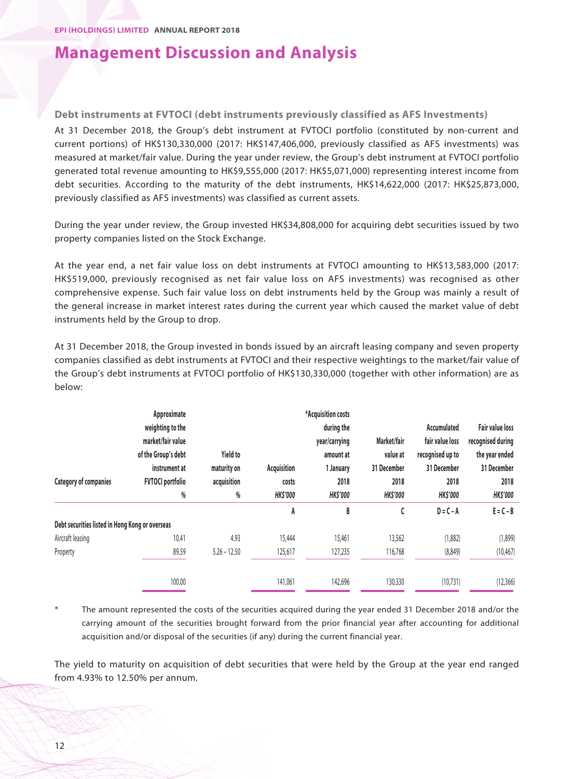### **Debt instruments at FVTOCI (debt instruments previously classified as AFS Investments)**

At 31 December 2018, the Group's debt instrument at FVTOCI portfolio (constituted by non-current and current portions) of HK\$130,330,000 (2017: HK\$147,406,000, previously classified as AFS investments) was measured at market/fair value. During the year under review, the Group's debt instrument at FVTOCI portfolio generated total revenue amounting to HK\$9,555,000 (2017: HK\$5,071,000) representing interest income from debt securities. According to the maturity of the debt instruments, HK\$14,622,000 (2017: HK\$25,873,000, previously classified as AFS investments) was classified as current assets.

During the year under review, the Group invested HK\$34,808,000 for acquiring debt securities issued by two property companies listed on the Stock Exchange.

At the year end, a net fair value loss on debt instruments at FVTOCI amounting to HK\$13,583,000 (2017: HK\$519,000, previously recognised as net fair value loss on AFS investments) was recognised as other comprehensive expense. Such fair value loss on debt instruments held by the Group was mainly a result of the general increase in market interest rates during the current year which caused the market value of debt instruments held by the Group to drop.

At 31 December 2018, the Group invested in bonds issued by an aircraft leasing company and seven property companies classified as debt instruments at FVTOCI and their respective weightings to the market/fair value of the Group's debt instruments at FVTOCI portfolio of HK\$130,330,000 (together with other information) are as below:

| <b>Category of companies</b>                    | Approximate<br>weighting to the<br>market/fair value<br>of the Group's debt<br>instrument at<br><b>FVTOCI portfolio</b><br>$\%$ | <b>Yield to</b><br>maturity on<br>acquisition<br>$\%$ | Acquisition<br>costs<br><b>HK\$'000</b> | *Acquisition costs<br>during the<br>year/carrying<br>amount at<br>1 January<br>2018<br><b>HK\$'000</b> | Market/fair<br>value at<br>31 December<br>2018<br><b>HK\$'000</b> | Accumulated<br>fair value loss<br>recognised up to<br>31 December<br>2018<br><b>HK\$'000</b> | <b>Fair value loss</b><br>recognised during<br>the year ended<br>31 December<br>2018<br><b>HK\$'000</b> |
|-------------------------------------------------|---------------------------------------------------------------------------------------------------------------------------------|-------------------------------------------------------|-----------------------------------------|--------------------------------------------------------------------------------------------------------|-------------------------------------------------------------------|----------------------------------------------------------------------------------------------|---------------------------------------------------------------------------------------------------------|
|                                                 |                                                                                                                                 |                                                       | A                                       | B                                                                                                      | L                                                                 | $D = C - A$                                                                                  | $E = C - B$                                                                                             |
| Debt securities listed in Hong Kong or overseas |                                                                                                                                 |                                                       |                                         |                                                                                                        |                                                                   |                                                                                              |                                                                                                         |
| Aircraft leasing                                | 10.41                                                                                                                           | 4.93                                                  | 15,444                                  | 15,461                                                                                                 | 13,562                                                            | (1.882)                                                                                      | (1,899)                                                                                                 |
| Property                                        | 89.59                                                                                                                           | $5.26 - 12.50$                                        | 125,617                                 | 127,235                                                                                                | 116,768                                                           | (8,849)                                                                                      | (10, 467)                                                                                               |
|                                                 | 100.00                                                                                                                          |                                                       | 141,061                                 | 142,696                                                                                                | 130,330                                                           | (10,731)                                                                                     | (12, 366)                                                                                               |

The amount represented the costs of the securities acquired during the year ended 31 December 2018 and/or the carrying amount of the securities brought forward from the prior financial year after accounting for additional acquisition and/or disposal of the securities (if any) during the current financial year.

The yield to maturity on acquisition of debt securities that were held by the Group at the year end ranged from 4.93% to 12.50% per annum.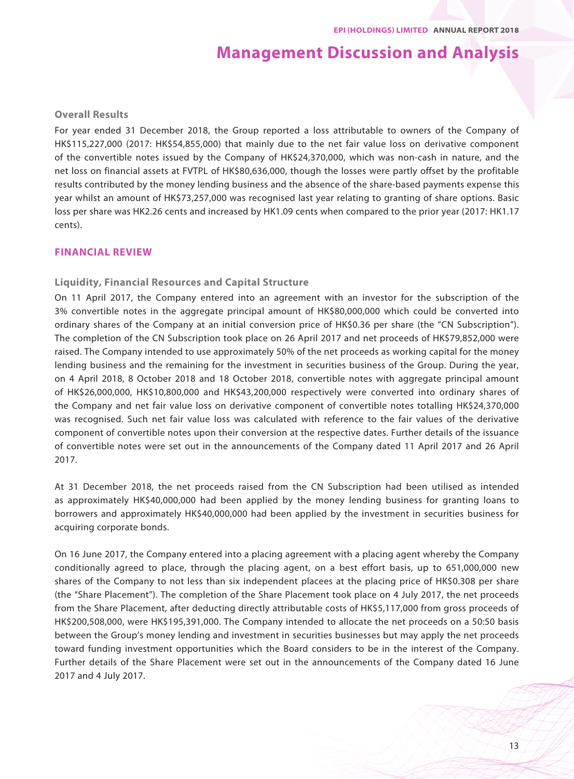### **Overall Results**

For year ended 31 December 2018, the Group reported a loss attributable to owners of the Company of HK\$115,227,000 (2017: HK\$54,855,000) that mainly due to the net fair value loss on derivative component of the convertible notes issued by the Company of HK\$24,370,000, which was non-cash in nature, and the net loss on financial assets at FVTPL of HK\$80,636,000, though the losses were partly offset by the profitable results contributed by the money lending business and the absence of the share-based payments expense this year whilst an amount of HK\$73,257,000 was recognised last year relating to granting of share options. Basic loss per share was HK2.26 cents and increased by HK1.09 cents when compared to the prior year (2017: HK1.17 cents).

### **FINANCIAL REVIEW**

#### **Liquidity, Financial Resources and Capital Structure**

On 11 April 2017, the Company entered into an agreement with an investor for the subscription of the 3% convertible notes in the aggregate principal amount of HK\$80,000,000 which could be converted into ordinary shares of the Company at an initial conversion price of HK\$0.36 per share (the "CN Subscription"). The completion of the CN Subscription took place on 26 April 2017 and net proceeds of HK\$79,852,000 were raised. The Company intended to use approximately 50% of the net proceeds as working capital for the money lending business and the remaining for the investment in securities business of the Group. During the year, on 4 April 2018, 8 October 2018 and 18 October 2018, convertible notes with aggregate principal amount of HK\$26,000,000, HK\$10,800,000 and HK\$43,200,000 respectively were converted into ordinary shares of the Company and net fair value loss on derivative component of convertible notes totalling HK\$24,370,000 was recognised. Such net fair value loss was calculated with reference to the fair values of the derivative component of convertible notes upon their conversion at the respective dates. Further details of the issuance of convertible notes were set out in the announcements of the Company dated 11 April 2017 and 26 April 2017.

At 31 December 2018, the net proceeds raised from the CN Subscription had been utilised as intended as approximately HK\$40,000,000 had been applied by the money lending business for granting loans to borrowers and approximately HK\$40,000,000 had been applied by the investment in securities business for acquiring corporate bonds.

On 16 June 2017, the Company entered into a placing agreement with a placing agent whereby the Company conditionally agreed to place, through the placing agent, on a best effort basis, up to 651,000,000 new shares of the Company to not less than six independent placees at the placing price of HK\$0.308 per share (the "Share Placement"). The completion of the Share Placement took place on 4 July 2017, the net proceeds from the Share Placement, after deducting directly attributable costs of HK\$5,117,000 from gross proceeds of HK\$200,508,000, were HK\$195,391,000. The Company intended to allocate the net proceeds on a 50:50 basis between the Group's money lending and investment in securities businesses but may apply the net proceeds toward funding investment opportunities which the Board considers to be in the interest of the Company. Further details of the Share Placement were set out in the announcements of the Company dated 16 June 2017 and 4 July 2017.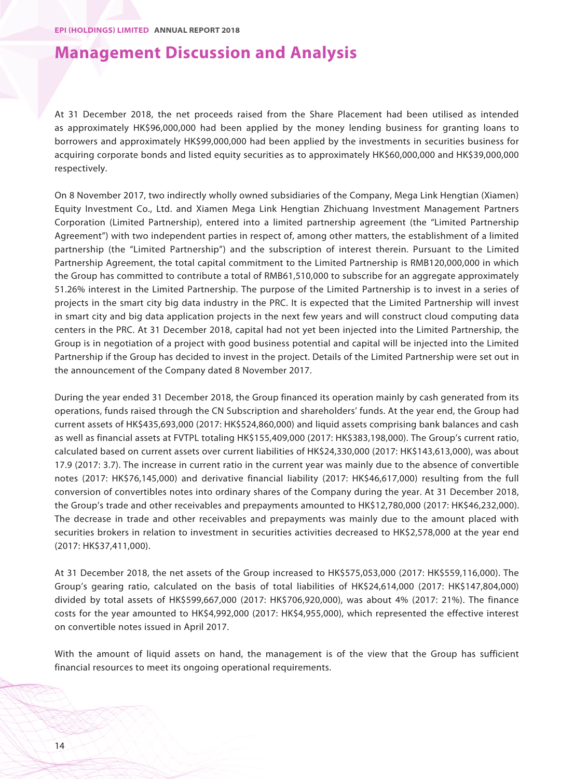At 31 December 2018, the net proceeds raised from the Share Placement had been utilised as intended as approximately HK\$96,000,000 had been applied by the money lending business for granting loans to borrowers and approximately HK\$99,000,000 had been applied by the investments in securities business for acquiring corporate bonds and listed equity securities as to approximately HK\$60,000,000 and HK\$39,000,000 respectively.

On 8 November 2017, two indirectly wholly owned subsidiaries of the Company, Mega Link Hengtian (Xiamen) Equity Investment Co., Ltd. and Xiamen Mega Link Hengtian Zhichuang Investment Management Partners Corporation (Limited Partnership), entered into a limited partnership agreement (the "Limited Partnership Agreement") with two independent parties in respect of, among other matters, the establishment of a limited partnership (the "Limited Partnership") and the subscription of interest therein. Pursuant to the Limited Partnership Agreement, the total capital commitment to the Limited Partnership is RMB120,000,000 in which the Group has committed to contribute a total of RMB61,510,000 to subscribe for an aggregate approximately 51.26% interest in the Limited Partnership. The purpose of the Limited Partnership is to invest in a series of projects in the smart city big data industry in the PRC. It is expected that the Limited Partnership will invest in smart city and big data application projects in the next few years and will construct cloud computing data centers in the PRC. At 31 December 2018, capital had not yet been injected into the Limited Partnership, the Group is in negotiation of a project with good business potential and capital will be injected into the Limited Partnership if the Group has decided to invest in the project. Details of the Limited Partnership were set out in the announcement of the Company dated 8 November 2017.

During the year ended 31 December 2018, the Group financed its operation mainly by cash generated from its operations, funds raised through the CN Subscription and shareholders' funds. At the year end, the Group had current assets of HK\$435,693,000 (2017: HK\$524,860,000) and liquid assets comprising bank balances and cash as well as financial assets at FVTPL totaling HK\$155,409,000 (2017: HK\$383,198,000). The Group's current ratio, calculated based on current assets over current liabilities of HK\$24,330,000 (2017: HK\$143,613,000), was about 17.9 (2017: 3.7). The increase in current ratio in the current year was mainly due to the absence of convertible notes (2017: HK\$76,145,000) and derivative financial liability (2017: HK\$46,617,000) resulting from the full conversion of convertibles notes into ordinary shares of the Company during the year. At 31 December 2018, the Group's trade and other receivables and prepayments amounted to HK\$12,780,000 (2017: HK\$46,232,000). The decrease in trade and other receivables and prepayments was mainly due to the amount placed with securities brokers in relation to investment in securities activities decreased to HK\$2,578,000 at the year end (2017: HK\$37,411,000).

At 31 December 2018, the net assets of the Group increased to HK\$575,053,000 (2017: HK\$559,116,000). The Group's gearing ratio, calculated on the basis of total liabilities of HK\$24,614,000 (2017: HK\$147,804,000) divided by total assets of HK\$599,667,000 (2017: HK\$706,920,000), was about 4% (2017: 21%). The finance costs for the year amounted to HK\$4,992,000 (2017: HK\$4,955,000), which represented the effective interest on convertible notes issued in April 2017.

With the amount of liquid assets on hand, the management is of the view that the Group has sufficient financial resources to meet its ongoing operational requirements.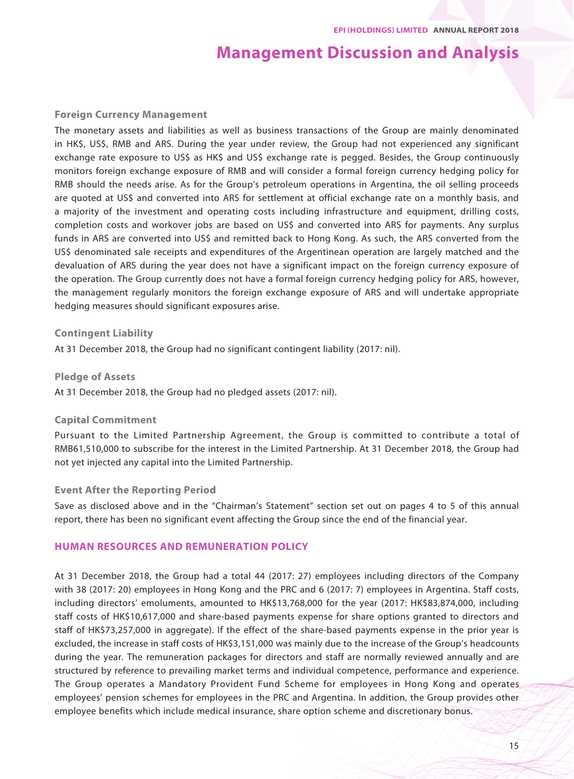### **Foreign Currency Management**

The monetary assets and liabilities as well as business transactions of the Group are mainly denominated in HK\$, US\$, RMB and ARS. During the year under review, the Group had not experienced any significant exchange rate exposure to US\$ as HK\$ and US\$ exchange rate is pegged. Besides, the Group continuously monitors foreign exchange exposure of RMB and will consider a formal foreign currency hedging policy for RMB should the needs arise. As for the Group's petroleum operations in Argentina, the oil selling proceeds are quoted at US\$ and converted into ARS for settlement at official exchange rate on a monthly basis, and a majority of the investment and operating costs including infrastructure and equipment, drilling costs, completion costs and workover jobs are based on US\$ and converted into ARS for payments. Any surplus funds in ARS are converted into US\$ and remitted back to Hong Kong. As such, the ARS converted from the US\$ denominated sale receipts and expenditures of the Argentinean operation are largely matched and the devaluation of ARS during the year does not have a significant impact on the foreign currency exposure of the operation. The Group currently does not have a formal foreign currency hedging policy for ARS, however, the management regularly monitors the foreign exchange exposure of ARS and will undertake appropriate hedging measures should significant exposures arise.

### **Contingent Liability**

At 31 December 2018, the Group had no significant contingent liability (2017: nil).

**Pledge of Assets**

At 31 December 2018, the Group had no pledged assets (2017: nil).

#### **Capital Commitment**

Pursuant to the Limited Partnership Agreement, the Group is committed to contribute a total of RMB61,510,000 to subscribe for the interest in the Limited Partnership. At 31 December 2018, the Group had not yet injected any capital into the Limited Partnership.

### **Event After the Reporting Period**

Save as disclosed above and in the "Chairman's Statement" section set out on pages 4 to 5 of this annual report, there has been no significant event affecting the Group since the end of the financial year.

### **HUMAN RESOURCES AND REMUNERATION POLICY**

At 31 December 2018, the Group had a total 44 (2017: 27) employees including directors of the Company with 38 (2017: 20) employees in Hong Kong and the PRC and 6 (2017: 7) employees in Argentina. Staff costs, including directors' emoluments, amounted to HK\$13,768,000 for the year (2017: HK\$83,874,000, including staff costs of HK\$10,617,000 and share-based payments expense for share options granted to directors and staff of HK\$73,257,000 in aggregate). If the effect of the share-based payments expense in the prior year is excluded, the increase in staff costs of HK\$3,151,000 was mainly due to the increase of the Group's headcounts during the year. The remuneration packages for directors and staff are normally reviewed annually and are structured by reference to prevailing market terms and individual competence, performance and experience. The Group operates a Mandatory Provident Fund Scheme for employees in Hong Kong and operates employees' pension schemes for employees in the PRC and Argentina. In addition, the Group provides other employee benefits which include medical insurance, share option scheme and discretionary bonus.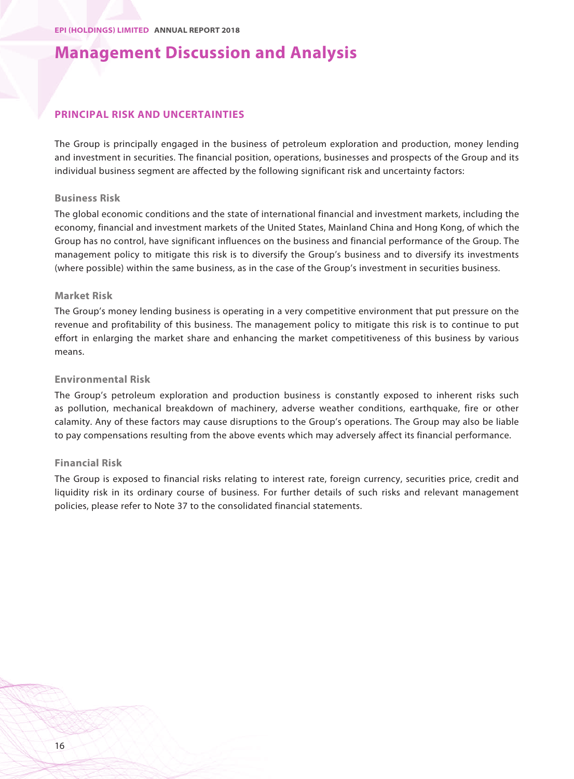### **PRINCIPAL RISK AND UNCERTAINTIES**

The Group is principally engaged in the business of petroleum exploration and production, money lending and investment in securities. The financial position, operations, businesses and prospects of the Group and its individual business segment are affected by the following significant risk and uncertainty factors:

### **Business Risk**

The global economic conditions and the state of international financial and investment markets, including the economy, financial and investment markets of the United States, Mainland China and Hong Kong, of which the Group has no control, have significant influences on the business and financial performance of the Group. The management policy to mitigate this risk is to diversify the Group's business and to diversify its investments (where possible) within the same business, as in the case of the Group's investment in securities business.

### **Market Risk**

The Group's money lending business is operating in a very competitive environment that put pressure on the revenue and profitability of this business. The management policy to mitigate this risk is to continue to put effort in enlarging the market share and enhancing the market competitiveness of this business by various means.

### **Environmental Risk**

The Group's petroleum exploration and production business is constantly exposed to inherent risks such as pollution, mechanical breakdown of machinery, adverse weather conditions, earthquake, fire or other calamity. Any of these factors may cause disruptions to the Group's operations. The Group may also be liable to pay compensations resulting from the above events which may adversely affect its financial performance.

### **Financial Risk**

The Group is exposed to financial risks relating to interest rate, foreign currency, securities price, credit and liquidity risk in its ordinary course of business. For further details of such risks and relevant management policies, please refer to Note 37 to the consolidated financial statements.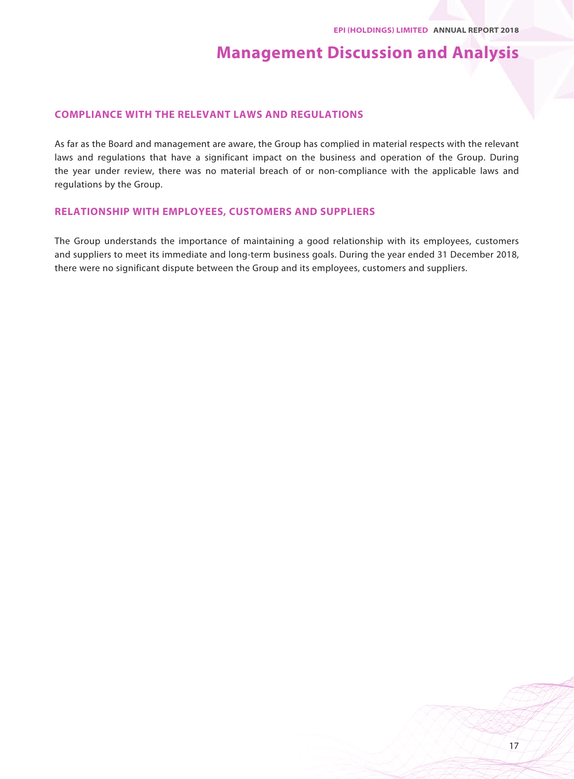### **COMPLIANCE WITH THE RELEVANT LAWS AND REGULATIONS**

As far as the Board and management are aware, the Group has complied in material respects with the relevant laws and regulations that have a significant impact on the business and operation of the Group. During the year under review, there was no material breach of or non-compliance with the applicable laws and regulations by the Group.

### **RELATIONSHIP WITH EMPLOYEES, CUSTOMERS AND SUPPLIERS**

The Group understands the importance of maintaining a good relationship with its employees, customers and suppliers to meet its immediate and long-term business goals. During the year ended 31 December 2018, there were no significant dispute between the Group and its employees, customers and suppliers.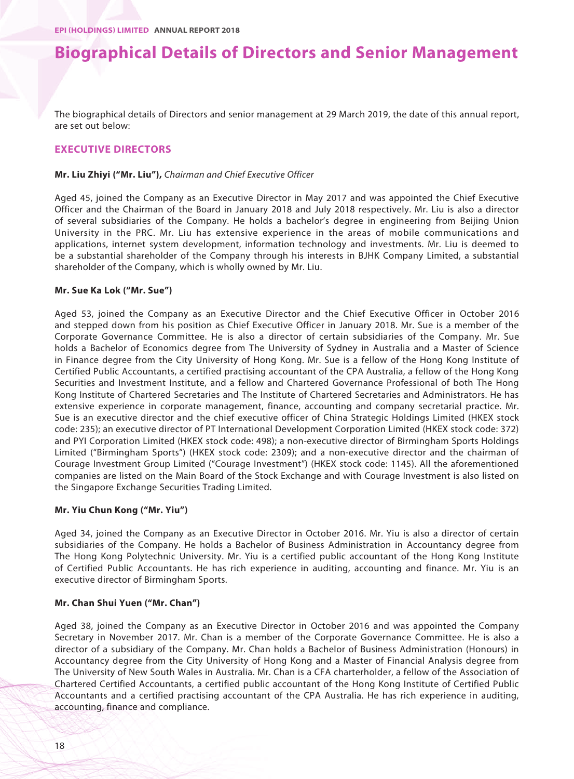## **Biographical Details of Directors and Senior Management**

The biographical details of Directors and senior management at 29 March 2019, the date of this annual report, are set out below:

### **EXECUTIVE DIRECTORS**

### **Mr. Liu Zhiyi ("Mr. Liu"),** *Chairman and Chief Executive Officer*

Aged 45, joined the Company as an Executive Director in May 2017 and was appointed the Chief Executive Officer and the Chairman of the Board in January 2018 and July 2018 respectively. Mr. Liu is also a director of several subsidiaries of the Company. He holds a bachelor's degree in engineering from Beijing Union University in the PRC. Mr. Liu has extensive experience in the areas of mobile communications and applications, internet system development, information technology and investments. Mr. Liu is deemed to be a substantial shareholder of the Company through his interests in BJHK Company Limited, a substantial shareholder of the Company, which is wholly owned by Mr. Liu.

### **Mr. Sue Ka Lok ("Mr. Sue")**

Aged 53, joined the Company as an Executive Director and the Chief Executive Officer in October 2016 and stepped down from his position as Chief Executive Officer in January 2018. Mr. Sue is a member of the Corporate Governance Committee. He is also a director of certain subsidiaries of the Company. Mr. Sue holds a Bachelor of Economics degree from The University of Sydney in Australia and a Master of Science in Finance degree from the City University of Hong Kong. Mr. Sue is a fellow of the Hong Kong Institute of Certified Public Accountants, a certified practising accountant of the CPA Australia, a fellow of the Hong Kong Securities and Investment Institute, and a fellow and Chartered Governance Professional of both The Hong Kong Institute of Chartered Secretaries and The Institute of Chartered Secretaries and Administrators. He has extensive experience in corporate management, finance, accounting and company secretarial practice. Mr. Sue is an executive director and the chief executive officer of China Strategic Holdings Limited (HKEX stock code: 235); an executive director of PT International Development Corporation Limited (HKEX stock code: 372) and PYI Corporation Limited (HKEX stock code: 498); a non-executive director of Birmingham Sports Holdings Limited ("Birmingham Sports") (HKEX stock code: 2309); and a non-executive director and the chairman of Courage Investment Group Limited ("Courage Investment") (HKEX stock code: 1145). All the aforementioned companies are listed on the Main Board of the Stock Exchange and with Courage Investment is also listed on the Singapore Exchange Securities Trading Limited.

### **Mr. Yiu Chun Kong ("Mr. Yiu")**

Aged 34, joined the Company as an Executive Director in October 2016. Mr. Yiu is also a director of certain subsidiaries of the Company. He holds a Bachelor of Business Administration in Accountancy degree from The Hong Kong Polytechnic University. Mr. Yiu is a certified public accountant of the Hong Kong Institute of Certified Public Accountants. He has rich experience in auditing, accounting and finance. Mr. Yiu is an executive director of Birmingham Sports.

### **Mr. Chan Shui Yuen ("Mr. Chan")**

Aged 38, joined the Company as an Executive Director in October 2016 and was appointed the Company Secretary in November 2017. Mr. Chan is a member of the Corporate Governance Committee. He is also a director of a subsidiary of the Company. Mr. Chan holds a Bachelor of Business Administration (Honours) in Accountancy degree from the City University of Hong Kong and a Master of Financial Analysis degree from The University of New South Wales in Australia. Mr. Chan is a CFA charterholder, a fellow of the Association of Chartered Certified Accountants, a certified public accountant of the Hong Kong Institute of Certified Public Accountants and a certified practising accountant of the CPA Australia. He has rich experience in auditing, accounting, finance and compliance.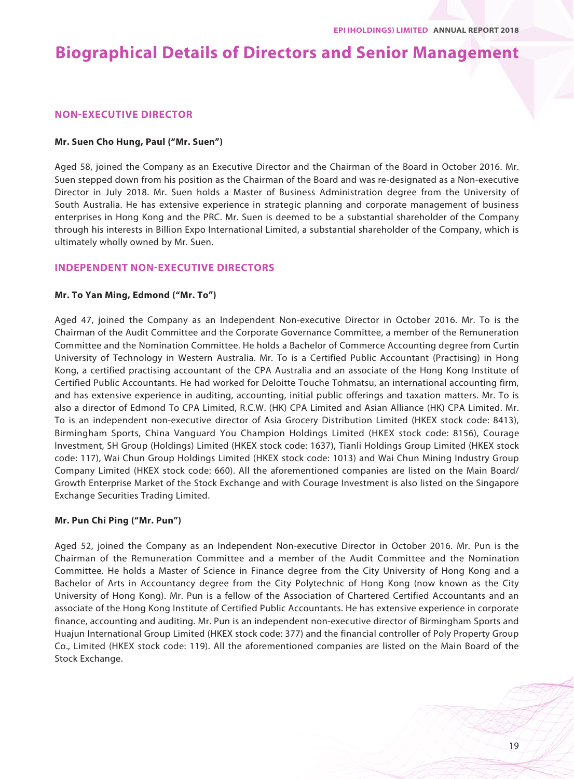## **Biographical Details of Directors and Senior Management**

### **NON-EXECUTIVE DIRECTOR**

#### **Mr. Suen Cho Hung, Paul ("Mr. Suen")**

Aged 58, joined the Company as an Executive Director and the Chairman of the Board in October 2016. Mr. Suen stepped down from his position as the Chairman of the Board and was re-designated as a Non-executive Director in July 2018. Mr. Suen holds a Master of Business Administration degree from the University of South Australia. He has extensive experience in strategic planning and corporate management of business enterprises in Hong Kong and the PRC. Mr. Suen is deemed to be a substantial shareholder of the Company through his interests in Billion Expo International Limited, a substantial shareholder of the Company, which is ultimately wholly owned by Mr. Suen.

### **INDEPENDENT NON-EXECUTIVE DIRECTORS**

### **Mr. To Yan Ming, Edmond ("Mr. To")**

Aged 47, joined the Company as an Independent Non-executive Director in October 2016. Mr. To is the Chairman of the Audit Committee and the Corporate Governance Committee, a member of the Remuneration Committee and the Nomination Committee. He holds a Bachelor of Commerce Accounting degree from Curtin University of Technology in Western Australia. Mr. To is a Certified Public Accountant (Practising) in Hong Kong, a certified practising accountant of the CPA Australia and an associate of the Hong Kong Institute of Certified Public Accountants. He had worked for Deloitte Touche Tohmatsu, an international accounting firm, and has extensive experience in auditing, accounting, initial public offerings and taxation matters. Mr. To is also a director of Edmond To CPA Limited, R.C.W. (HK) CPA Limited and Asian Alliance (HK) CPA Limited. Mr. To is an independent non-executive director of Asia Grocery Distribution Limited (HKEX stock code: 8413), Birmingham Sports, China Vanguard You Champion Holdings Limited (HKEX stock code: 8156), Courage Investment, SH Group (Holdings) Limited (HKEX stock code: 1637), Tianli Holdings Group Limited (HKEX stock code: 117), Wai Chun Group Holdings Limited (HKEX stock code: 1013) and Wai Chun Mining Industry Group Company Limited (HKEX stock code: 660). All the aforementioned companies are listed on the Main Board/ Growth Enterprise Market of the Stock Exchange and with Courage Investment is also listed on the Singapore Exchange Securities Trading Limited.

### **Mr. Pun Chi Ping ("Mr. Pun")**

Aged 52, joined the Company as an Independent Non-executive Director in October 2016. Mr. Pun is the Chairman of the Remuneration Committee and a member of the Audit Committee and the Nomination Committee. He holds a Master of Science in Finance degree from the City University of Hong Kong and a Bachelor of Arts in Accountancy degree from the City Polytechnic of Hong Kong (now known as the City University of Hong Kong). Mr. Pun is a fellow of the Association of Chartered Certified Accountants and an associate of the Hong Kong Institute of Certified Public Accountants. He has extensive experience in corporate finance, accounting and auditing. Mr. Pun is an independent non-executive director of Birmingham Sports and Huajun International Group Limited (HKEX stock code: 377) and the financial controller of Poly Property Group Co., Limited (HKEX stock code: 119). All the aforementioned companies are listed on the Main Board of the Stock Exchange.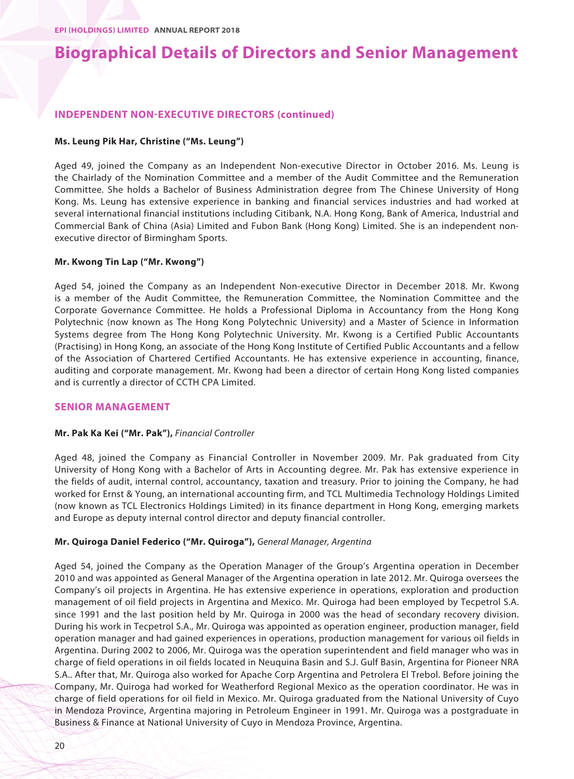## **Biographical Details of Directors and Senior Management**

### **INDEPENDENT NON-EXECUTIVE DIRECTORS (continued)**

### **Ms. Leung Pik Har, Christine ("Ms. Leung")**

Aged 49, joined the Company as an Independent Non-executive Director in October 2016. Ms. Leung is the Chairlady of the Nomination Committee and a member of the Audit Committee and the Remuneration Committee. She holds a Bachelor of Business Administration degree from The Chinese University of Hong Kong. Ms. Leung has extensive experience in banking and financial services industries and had worked at several international financial institutions including Citibank, N.A. Hong Kong, Bank of America, Industrial and Commercial Bank of China (Asia) Limited and Fubon Bank (Hong Kong) Limited. She is an independent nonexecutive director of Birmingham Sports.

### **Mr. Kwong Tin Lap ("Mr. Kwong")**

Aged 54, joined the Company as an Independent Non-executive Director in December 2018. Mr. Kwong is a member of the Audit Committee, the Remuneration Committee, the Nomination Committee and the Corporate Governance Committee. He holds a Professional Diploma in Accountancy from the Hong Kong Polytechnic (now known as The Hong Kong Polytechnic University) and a Master of Science in Information Systems degree from The Hong Kong Polytechnic University. Mr. Kwong is a Certified Public Accountants (Practising) in Hong Kong, an associate of the Hong Kong Institute of Certified Public Accountants and a fellow of the Association of Chartered Certified Accountants. He has extensive experience in accounting, finance, auditing and corporate management. Mr. Kwong had been a director of certain Hong Kong listed companies and is currently a director of CCTH CPA Limited.

### **SENIOR MANAGEMENT**

### **Mr. Pak Ka Kei ("Mr. Pak"),** *Financial Controller*

Aged 48, joined the Company as Financial Controller in November 2009. Mr. Pak graduated from City University of Hong Kong with a Bachelor of Arts in Accounting degree. Mr. Pak has extensive experience in the fields of audit, internal control, accountancy, taxation and treasury. Prior to joining the Company, he had worked for Ernst & Young, an international accounting firm, and TCL Multimedia Technology Holdings Limited (now known as TCL Electronics Holdings Limited) in its finance department in Hong Kong, emerging markets and Europe as deputy internal control director and deputy financial controller.

### **Mr. Quiroga Daniel Federico ("Mr. Quiroga"),** *General Manager, Argentina*

Aged 54, joined the Company as the Operation Manager of the Group's Argentina operation in December 2010 and was appointed as General Manager of the Argentina operation in late 2012. Mr. Quiroga oversees the Company's oil projects in Argentina. He has extensive experience in operations, exploration and production management of oil field projects in Argentina and Mexico. Mr. Quiroga had been employed by Tecpetrol S.A. since 1991 and the last position held by Mr. Quiroga in 2000 was the head of secondary recovery division. During his work in Tecpetrol S.A., Mr. Quiroga was appointed as operation engineer, production manager, field operation manager and had gained experiences in operations, production management for various oil fields in Argentina. During 2002 to 2006, Mr. Quiroga was the operation superintendent and field manager who was in charge of field operations in oil fields located in Neuquina Basin and S.J. Gulf Basin, Argentina for Pioneer NRA S.A.. After that, Mr. Quiroga also worked for Apache Corp Argentina and Petrolera El Trebol. Before joining the Company, Mr. Quiroga had worked for Weatherford Regional Mexico as the operation coordinator. He was in charge of field operations for oil field in Mexico. Mr. Quiroga graduated from the National University of Cuyo in Mendoza Province, Argentina majoring in Petroleum Engineer in 1991. Mr. Quiroga was a postgraduate in Business & Finance at National University of Cuyo in Mendoza Province, Argentina.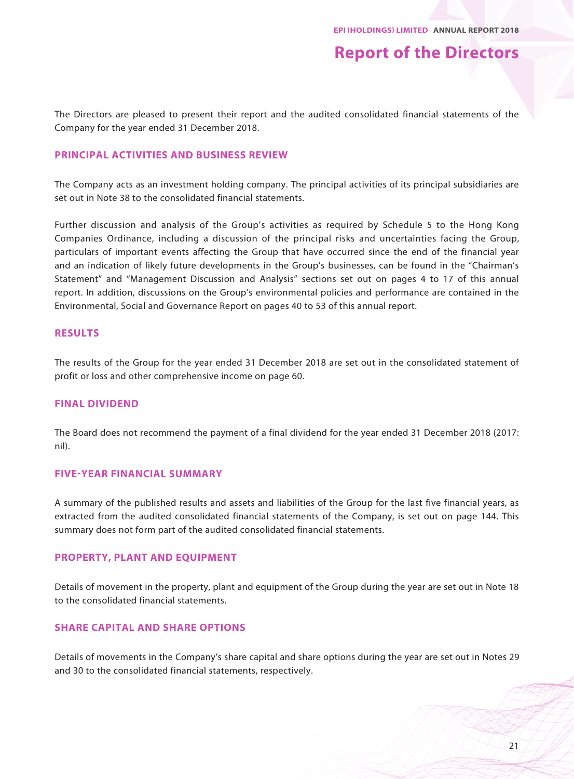The Directors are pleased to present their report and the audited consolidated financial statements of the Company for the year ended 31 December 2018.

### **PRINCIPAL ACTIVITIES AND BUSINESS REVIEW**

The Company acts as an investment holding company. The principal activities of its principal subsidiaries are set out in Note 38 to the consolidated financial statements.

Further discussion and analysis of the Group's activities as required by Schedule 5 to the Hong Kong Companies Ordinance, including a discussion of the principal risks and uncertainties facing the Group, particulars of important events affecting the Group that have occurred since the end of the financial year and an indication of likely future developments in the Group's businesses, can be found in the "Chairman's Statement" and "Management Discussion and Analysis" sections set out on pages 4 to 17 of this annual report. In addition, discussions on the Group's environmental policies and performance are contained in the Environmental, Social and Governance Report on pages 40 to 53 of this annual report.

#### **RESULTS**

The results of the Group for the year ended 31 December 2018 are set out in the consolidated statement of profit or loss and other comprehensive income on page 60.

#### **FINAL DIVIDEND**

The Board does not recommend the payment of a final dividend for the year ended 31 December 2018 (2017: nil).

### **FIVE-YEAR FINANCIAL SUMMARY**

A summary of the published results and assets and liabilities of the Group for the last five financial years, as extracted from the audited consolidated financial statements of the Company, is set out on page 144. This summary does not form part of the audited consolidated financial statements.

#### **PROPERTY, PLANT AND EQUIPMENT**

Details of movement in the property, plant and equipment of the Group during the year are set out in Note 18 to the consolidated financial statements.

### **SHARE CAPITAL AND SHARE OPTIONS**

Details of movements in the Company's share capital and share options during the year are set out in Notes 29 and 30 to the consolidated financial statements, respectively.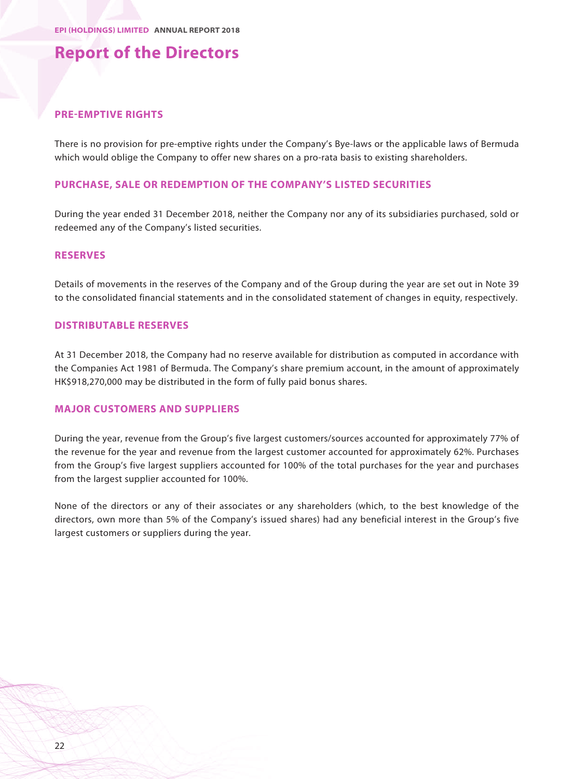### **PRE-EMPTIVE RIGHTS**

There is no provision for pre-emptive rights under the Company's Bye-laws or the applicable laws of Bermuda which would oblige the Company to offer new shares on a pro-rata basis to existing shareholders.

### **PURCHASE, SALE OR REDEMPTION OF THE COMPANY'S LISTED SECURITIES**

During the year ended 31 December 2018, neither the Company nor any of its subsidiaries purchased, sold or redeemed any of the Company's listed securities.

### **RESERVES**

Details of movements in the reserves of the Company and of the Group during the year are set out in Note 39 to the consolidated financial statements and in the consolidated statement of changes in equity, respectively.

### **DISTRIBUTABLE RESERVES**

At 31 December 2018, the Company had no reserve available for distribution as computed in accordance with the Companies Act 1981 of Bermuda. The Company's share premium account, in the amount of approximately HK\$918,270,000 may be distributed in the form of fully paid bonus shares.

### **MAJOR CUSTOMERS AND SUPPLIERS**

During the year, revenue from the Group's five largest customers/sources accounted for approximately 77% of the revenue for the year and revenue from the largest customer accounted for approximately 62%. Purchases from the Group's five largest suppliers accounted for 100% of the total purchases for the year and purchases from the largest supplier accounted for 100%.

None of the directors or any of their associates or any shareholders (which, to the best knowledge of the directors, own more than 5% of the Company's issued shares) had any beneficial interest in the Group's five largest customers or suppliers during the year.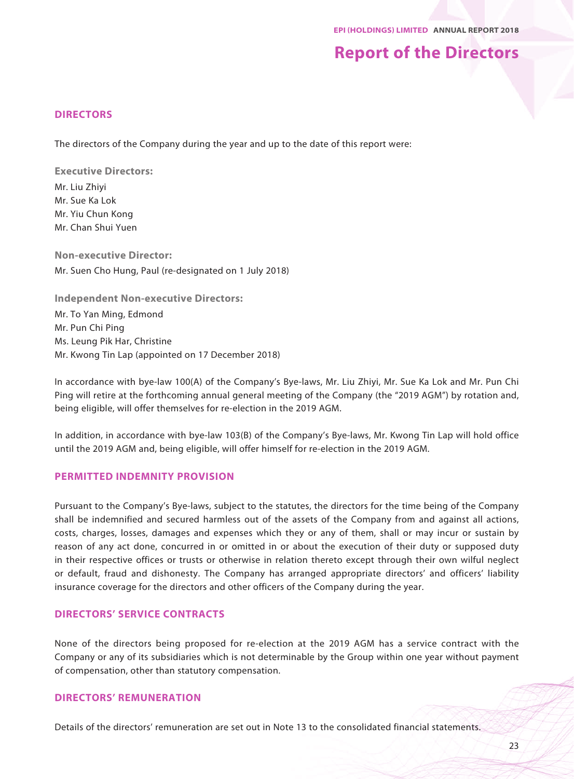### **DIRECTORS**

The directors of the Company during the year and up to the date of this report were:

**Executive Directors:** Mr. Liu Zhiyi Mr. Sue Ka Lok Mr. Yiu Chun Kong Mr. Chan Shui Yuen

**Non-executive Director:** Mr. Suen Cho Hung, Paul (re-designated on 1 July 2018)

**Independent Non-executive Directors:** Mr. To Yan Ming, Edmond Mr. Pun Chi Ping Ms. Leung Pik Har, Christine Mr. Kwong Tin Lap (appointed on 17 December 2018)

In accordance with bye-law 100(A) of the Company's Bye-laws, Mr. Liu Zhiyi, Mr. Sue Ka Lok and Mr. Pun Chi Ping will retire at the forthcoming annual general meeting of the Company (the "2019 AGM") by rotation and, being eligible, will offer themselves for re-election in the 2019 AGM.

In addition, in accordance with bye-law 103(B) of the Company's Bye-laws, Mr. Kwong Tin Lap will hold office until the 2019 AGM and, being eligible, will offer himself for re-election in the 2019 AGM.

### **PERMITTED INDEMNITY PROVISION**

Pursuant to the Company's Bye-laws, subject to the statutes, the directors for the time being of the Company shall be indemnified and secured harmless out of the assets of the Company from and against all actions, costs, charges, losses, damages and expenses which they or any of them, shall or may incur or sustain by reason of any act done, concurred in or omitted in or about the execution of their duty or supposed duty in their respective offices or trusts or otherwise in relation thereto except through their own wilful neglect or default, fraud and dishonesty. The Company has arranged appropriate directors' and officers' liability insurance coverage for the directors and other officers of the Company during the year.

### **DIRECTORS' SERVICE CONTRACTS**

None of the directors being proposed for re-election at the 2019 AGM has a service contract with the Company or any of its subsidiaries which is not determinable by the Group within one year without payment of compensation, other than statutory compensation.

### **DIRECTORS' REMUNERATION**

Details of the directors' remuneration are set out in Note 13 to the consolidated financial statements.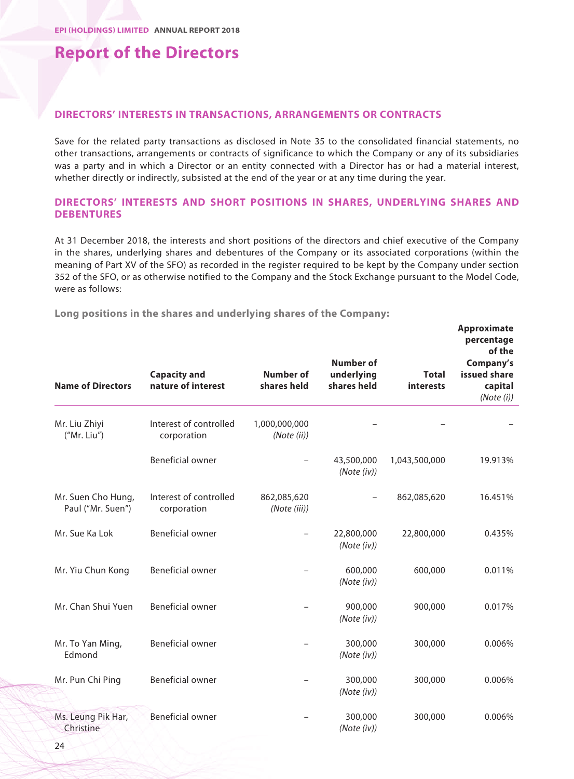### **DIRECTORS' INTERESTS IN TRANSACTIONS, ARRANGEMENTS OR CONTRACTS**

Save for the related party transactions as disclosed in Note 35 to the consolidated financial statements, no other transactions, arrangements or contracts of significance to which the Company or any of its subsidiaries was a party and in which a Director or an entity connected with a Director has or had a material interest, whether directly or indirectly, subsisted at the end of the year or at any time during the year.

### **DIRECTORS' INTERESTS AND SHORT POSITIONS IN SHARES, UNDERLYING SHARES AND DEBENTURES**

At 31 December 2018, the interests and short positions of the directors and chief executive of the Company in the shares, underlying shares and debentures of the Company or its associated corporations (within the meaning of Part XV of the SFO) as recorded in the register required to be kept by the Company under section 352 of the SFO, or as otherwise notified to the Company and the Stock Exchange pursuant to the Model Code, were as follows:

**Long positions in the shares and underlying shares of the Company:**

| <b>Name of Directors</b>                | <b>Capacity and</b><br>nature of interest | <b>Number of</b><br>shares held | <b>Number of</b><br>underlying<br>shares held | <b>Total</b><br>interests | Approximate<br>percentage<br>of the<br>Company's<br>issued share<br>capital<br>(Note (i)) |
|-----------------------------------------|-------------------------------------------|---------------------------------|-----------------------------------------------|---------------------------|-------------------------------------------------------------------------------------------|
| Mr. Liu Zhiyi<br>("Mr. Liu")            | Interest of controlled<br>corporation     | 1,000,000,000<br>(Note (ii))    |                                               |                           |                                                                                           |
|                                         | <b>Beneficial owner</b>                   |                                 | 43,500,000<br>(Note (iv))                     | 1,043,500,000             | 19.913%                                                                                   |
| Mr. Suen Cho Hung,<br>Paul ("Mr. Suen") | Interest of controlled<br>corporation     | 862,085,620<br>(Note (iii))     |                                               | 862,085,620               | 16.451%                                                                                   |
| Mr. Sue Ka Lok                          | <b>Beneficial owner</b>                   |                                 | 22,800,000<br>(Note (iv))                     | 22,800,000                | 0.435%                                                                                    |
| Mr. Yiu Chun Kong                       | <b>Beneficial owner</b>                   |                                 | 600,000<br>(Note (iv))                        | 600,000                   | 0.011%                                                                                    |
| Mr. Chan Shui Yuen                      | <b>Beneficial owner</b>                   |                                 | 900,000<br>(Note (iv))                        | 900,000                   | 0.017%                                                                                    |
| Mr. To Yan Ming,<br>Edmond              | Beneficial owner                          |                                 | 300,000<br>(Note (iv))                        | 300,000                   | 0.006%                                                                                    |
| Mr. Pun Chi Ping                        | <b>Beneficial owner</b>                   |                                 | 300,000<br>(Note (iv))                        | 300,000                   | 0.006%                                                                                    |
| Ms. Leung Pik Har,<br>Christine         | Beneficial owner                          |                                 | 300,000<br>(Note (iv))                        | 300,000                   | 0.006%                                                                                    |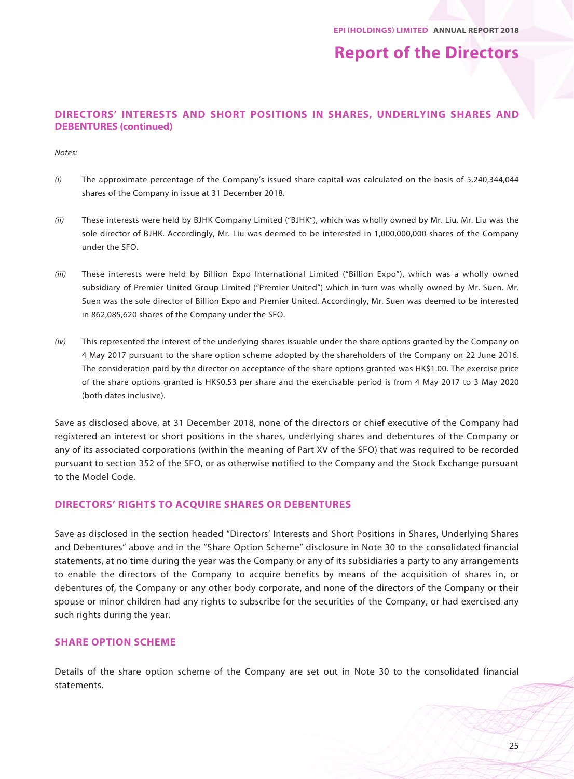### **DIRECTORS' INTERESTS AND SHORT POSITIONS IN SHARES, UNDERLYING SHARES AND DEBENTURES (continued)**

#### *Notes:*

- *(i)* The approximate percentage of the Company's issued share capital was calculated on the basis of 5,240,344,044 shares of the Company in issue at 31 December 2018.
- *(ii)* These interests were held by BJHK Company Limited ("BJHK"), which was wholly owned by Mr. Liu. Mr. Liu was the sole director of BJHK. Accordingly, Mr. Liu was deemed to be interested in 1,000,000,000 shares of the Company under the SFO.
- *(iii)* These interests were held by Billion Expo International Limited ("Billion Expo"), which was a wholly owned subsidiary of Premier United Group Limited ("Premier United") which in turn was wholly owned by Mr. Suen. Mr. Suen was the sole director of Billion Expo and Premier United. Accordingly, Mr. Suen was deemed to be interested in 862,085,620 shares of the Company under the SFO.
- *(iv)* This represented the interest of the underlying shares issuable under the share options granted by the Company on 4 May 2017 pursuant to the share option scheme adopted by the shareholders of the Company on 22 June 2016. The consideration paid by the director on acceptance of the share options granted was HK\$1.00. The exercise price of the share options granted is HK\$0.53 per share and the exercisable period is from 4 May 2017 to 3 May 2020 (both dates inclusive).

Save as disclosed above, at 31 December 2018, none of the directors or chief executive of the Company had registered an interest or short positions in the shares, underlying shares and debentures of the Company or any of its associated corporations (within the meaning of Part XV of the SFO) that was required to be recorded pursuant to section 352 of the SFO, or as otherwise notified to the Company and the Stock Exchange pursuant to the Model Code.

### **DIRECTORS' RIGHTS TO ACQUIRE SHARES OR DEBENTURES**

Save as disclosed in the section headed "Directors' Interests and Short Positions in Shares, Underlying Shares and Debentures" above and in the "Share Option Scheme" disclosure in Note 30 to the consolidated financial statements, at no time during the year was the Company or any of its subsidiaries a party to any arrangements to enable the directors of the Company to acquire benefits by means of the acquisition of shares in, or debentures of, the Company or any other body corporate, and none of the directors of the Company or their spouse or minor children had any rights to subscribe for the securities of the Company, or had exercised any such rights during the year.

### **SHARE OPTION SCHEME**

Details of the share option scheme of the Company are set out in Note 30 to the consolidated financial statements.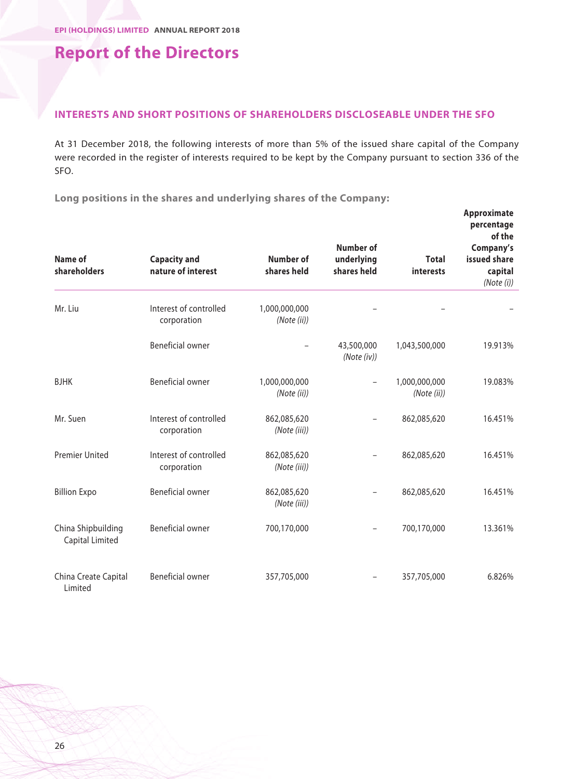### **INTERESTS AND SHORT POSITIONS OF SHAREHOLDERS DISCLOSEABLE UNDER THE SFO**

At 31 December 2018, the following interests of more than 5% of the issued share capital of the Company were recorded in the register of interests required to be kept by the Company pursuant to section 336 of the SFO.

| Name of<br>shareholders               | <b>Capacity and</b><br>nature of interest | <b>Number of</b><br>shares held | <b>Number of</b><br>underlying<br>shares held | <b>Total</b><br>interests    | <b>Approximate</b><br>percentage<br>of the<br>Company's<br>issued share<br>capital<br>(Note (i)) |
|---------------------------------------|-------------------------------------------|---------------------------------|-----------------------------------------------|------------------------------|--------------------------------------------------------------------------------------------------|
| Mr. Liu                               | Interest of controlled<br>corporation     | 1,000,000,000<br>(Note (ii))    |                                               |                              |                                                                                                  |
|                                       | <b>Beneficial owner</b>                   |                                 | 43,500,000<br>(Note (iv))                     | 1,043,500,000                | 19.913%                                                                                          |
| <b>BJHK</b>                           | <b>Beneficial owner</b>                   | 1,000,000,000<br>(Note (ii))    |                                               | 1,000,000,000<br>(Note (ii)) | 19.083%                                                                                          |
| Mr. Suen                              | Interest of controlled<br>corporation     | 862,085,620<br>(Note (iii))     |                                               | 862,085,620                  | 16.451%                                                                                          |
| <b>Premier United</b>                 | Interest of controlled<br>corporation     | 862,085,620<br>(Note (iii))     |                                               | 862,085,620                  | 16.451%                                                                                          |
| <b>Billion Expo</b>                   | <b>Beneficial owner</b>                   | 862,085,620<br>(Note (iii))     |                                               | 862,085,620                  | 16.451%                                                                                          |
| China Shipbuilding<br>Capital Limited | <b>Beneficial owner</b>                   | 700,170,000                     |                                               | 700,170,000                  | 13.361%                                                                                          |
| China Create Capital<br>Limited       | <b>Beneficial owner</b>                   | 357,705,000                     |                                               | 357,705,000                  | 6.826%                                                                                           |

**Long positions in the shares and underlying shares of the Company:**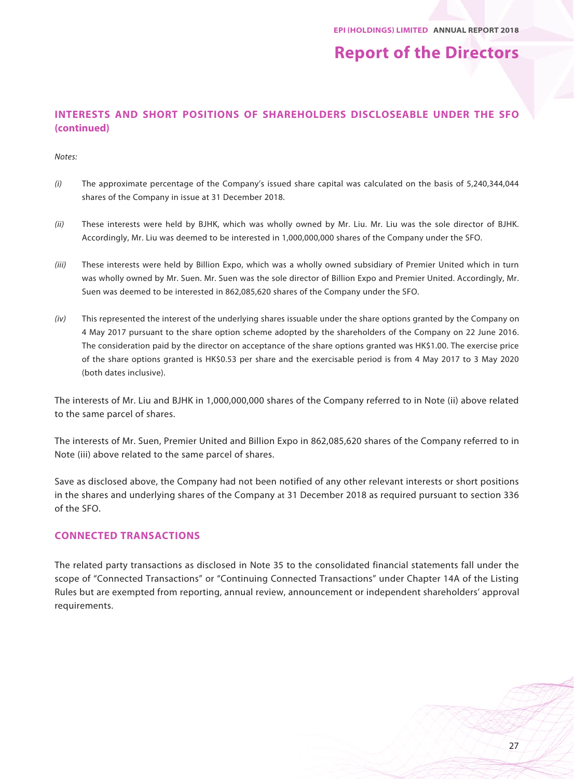### **INTERESTS AND SHORT POSITIONS OF SHAREHOLDERS DISCLOSEABLE UNDER THE SFO (continued)**

#### *Notes:*

- *(i)* The approximate percentage of the Company's issued share capital was calculated on the basis of 5,240,344,044 shares of the Company in issue at 31 December 2018.
- *(ii)* These interests were held by BJHK, which was wholly owned by Mr. Liu. Mr. Liu was the sole director of BJHK. Accordingly, Mr. Liu was deemed to be interested in 1,000,000,000 shares of the Company under the SFO.
- *(iii)* These interests were held by Billion Expo, which was a wholly owned subsidiary of Premier United which in turn was wholly owned by Mr. Suen. Mr. Suen was the sole director of Billion Expo and Premier United. Accordingly, Mr. Suen was deemed to be interested in 862,085,620 shares of the Company under the SFO.
- *(iv)* This represented the interest of the underlying shares issuable under the share options granted by the Company on 4 May 2017 pursuant to the share option scheme adopted by the shareholders of the Company on 22 June 2016. The consideration paid by the director on acceptance of the share options granted was HK\$1.00. The exercise price of the share options granted is HK\$0.53 per share and the exercisable period is from 4 May 2017 to 3 May 2020 (both dates inclusive).

The interests of Mr. Liu and BJHK in 1,000,000,000 shares of the Company referred to in Note (ii) above related to the same parcel of shares.

The interests of Mr. Suen, Premier United and Billion Expo in 862,085,620 shares of the Company referred to in Note (iii) above related to the same parcel of shares.

Save as disclosed above, the Company had not been notified of any other relevant interests or short positions in the shares and underlying shares of the Company at 31 December 2018 as required pursuant to section 336 of the SFO.

### **CONNECTED TRANSACTIONS**

The related party transactions as disclosed in Note 35 to the consolidated financial statements fall under the scope of "Connected Transactions" or "Continuing Connected Transactions" under Chapter 14A of the Listing Rules but are exempted from reporting, annual review, announcement or independent shareholders' approval requirements.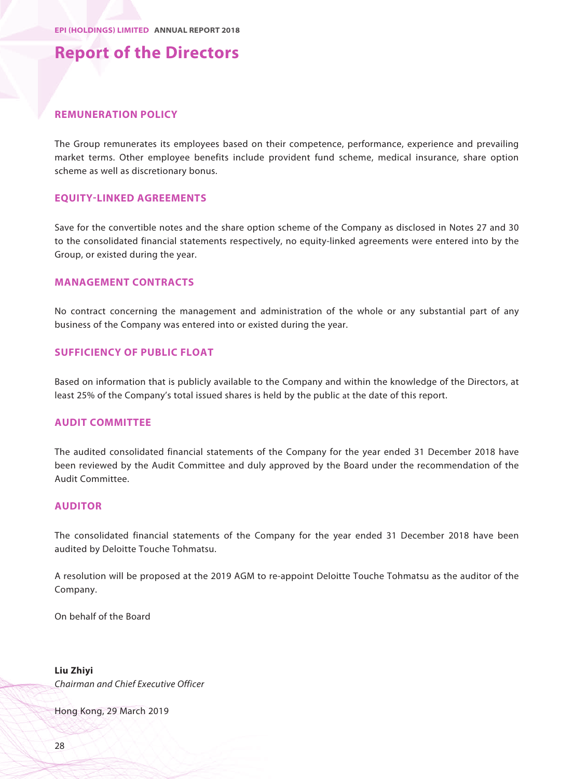### **REMUNERATION POLICY**

The Group remunerates its employees based on their competence, performance, experience and prevailing market terms. Other employee benefits include provident fund scheme, medical insurance, share option scheme as well as discretionary bonus.

### **EQUITY-LINKED AGREEMENTS**

Save for the convertible notes and the share option scheme of the Company as disclosed in Notes 27 and 30 to the consolidated financial statements respectively, no equity-linked agreements were entered into by the Group, or existed during the year.

### **MANAGEMENT CONTRACTS**

No contract concerning the management and administration of the whole or any substantial part of any business of the Company was entered into or existed during the year.

### **SUFFICIENCY OF PUBLIC FLOAT**

Based on information that is publicly available to the Company and within the knowledge of the Directors, at least 25% of the Company's total issued shares is held by the public at the date of this report.

### **AUDIT COMMITTEE**

The audited consolidated financial statements of the Company for the year ended 31 December 2018 have been reviewed by the Audit Committee and duly approved by the Board under the recommendation of the Audit Committee.

### **AUDITOR**

The consolidated financial statements of the Company for the year ended 31 December 2018 have been audited by Deloitte Touche Tohmatsu.

A resolution will be proposed at the 2019 AGM to re-appoint Deloitte Touche Tohmatsu as the auditor of the Company.

On behalf of the Board

**Liu Zhiyi** *Chairman and Chief Executive Officer*

Hong Kong, 29 March 2019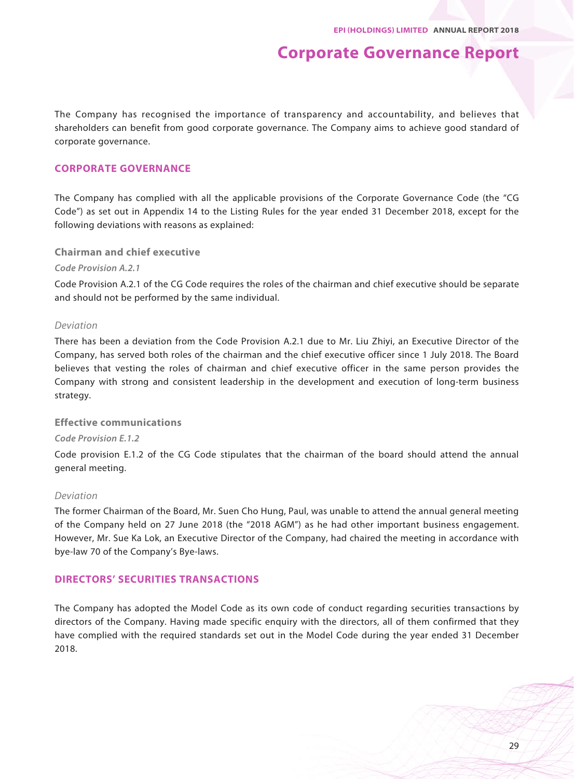The Company has recognised the importance of transparency and accountability, and believes that shareholders can benefit from good corporate governance. The Company aims to achieve good standard of corporate governance.

### **CORPORATE GOVERNANCE**

The Company has complied with all the applicable provisions of the Corporate Governance Code (the "CG Code") as set out in Appendix 14 to the Listing Rules for the year ended 31 December 2018, except for the following deviations with reasons as explained:

**Chairman and chief executive**

### *Code Provision A.2.1*

Code Provision A.2.1 of the CG Code requires the roles of the chairman and chief executive should be separate and should not be performed by the same individual.

### *Deviation*

There has been a deviation from the Code Provision A.2.1 due to Mr. Liu Zhiyi, an Executive Director of the Company, has served both roles of the chairman and the chief executive officer since 1 July 2018. The Board believes that vesting the roles of chairman and chief executive officer in the same person provides the Company with strong and consistent leadership in the development and execution of long-term business strategy.

### **Effective communications**

### *Code Provision E.1.2*

Code provision E.1.2 of the CG Code stipulates that the chairman of the board should attend the annual general meeting.

#### *Deviation*

The former Chairman of the Board, Mr. Suen Cho Hung, Paul, was unable to attend the annual general meeting of the Company held on 27 June 2018 (the "2018 AGM") as he had other important business engagement. However, Mr. Sue Ka Lok, an Executive Director of the Company, had chaired the meeting in accordance with bye-law 70 of the Company's Bye-laws.

### **DIRECTORS' SECURITIES TRANSACTIONS**

The Company has adopted the Model Code as its own code of conduct regarding securities transactions by directors of the Company. Having made specific enquiry with the directors, all of them confirmed that they have complied with the required standards set out in the Model Code during the year ended 31 December 2018.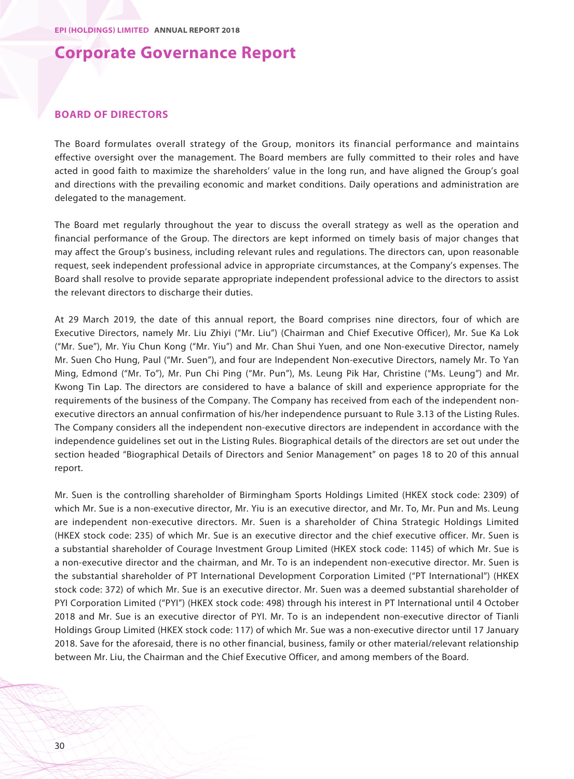### **BOARD OF DIRECTORS**

The Board formulates overall strategy of the Group, monitors its financial performance and maintains effective oversight over the management. The Board members are fully committed to their roles and have acted in good faith to maximize the shareholders' value in the long run, and have aligned the Group's goal and directions with the prevailing economic and market conditions. Daily operations and administration are delegated to the management.

The Board met regularly throughout the year to discuss the overall strategy as well as the operation and financial performance of the Group. The directors are kept informed on timely basis of major changes that may affect the Group's business, including relevant rules and regulations. The directors can, upon reasonable request, seek independent professional advice in appropriate circumstances, at the Company's expenses. The Board shall resolve to provide separate appropriate independent professional advice to the directors to assist the relevant directors to discharge their duties.

At 29 March 2019, the date of this annual report, the Board comprises nine directors, four of which are Executive Directors, namely Mr. Liu Zhiyi ("Mr. Liu") (Chairman and Chief Executive Officer), Mr. Sue Ka Lok ("Mr. Sue"), Mr. Yiu Chun Kong ("Mr. Yiu") and Mr. Chan Shui Yuen, and one Non-executive Director, namely Mr. Suen Cho Hung, Paul ("Mr. Suen"), and four are Independent Non-executive Directors, namely Mr. To Yan Ming, Edmond ("Mr. To"), Mr. Pun Chi Ping ("Mr. Pun"), Ms. Leung Pik Har, Christine ("Ms. Leung") and Mr. Kwong Tin Lap. The directors are considered to have a balance of skill and experience appropriate for the requirements of the business of the Company. The Company has received from each of the independent nonexecutive directors an annual confirmation of his/her independence pursuant to Rule 3.13 of the Listing Rules. The Company considers all the independent non-executive directors are independent in accordance with the independence guidelines set out in the Listing Rules. Biographical details of the directors are set out under the section headed "Biographical Details of Directors and Senior Management" on pages 18 to 20 of this annual report.

Mr. Suen is the controlling shareholder of Birmingham Sports Holdings Limited (HKEX stock code: 2309) of which Mr. Sue is a non-executive director, Mr. Yiu is an executive director, and Mr. To, Mr. Pun and Ms. Leung are independent non-executive directors. Mr. Suen is a shareholder of China Strategic Holdings Limited (HKEX stock code: 235) of which Mr. Sue is an executive director and the chief executive officer. Mr. Suen is a substantial shareholder of Courage Investment Group Limited (HKEX stock code: 1145) of which Mr. Sue is a non-executive director and the chairman, and Mr. To is an independent non-executive director. Mr. Suen is the substantial shareholder of PT International Development Corporation Limited ("PT International") (HKEX stock code: 372) of which Mr. Sue is an executive director. Mr. Suen was a deemed substantial shareholder of PYI Corporation Limited ("PYI") (HKEX stock code: 498) through his interest in PT International until 4 October 2018 and Mr. Sue is an executive director of PYI. Mr. To is an independent non-executive director of Tianli Holdings Group Limited (HKEX stock code: 117) of which Mr. Sue was a non-executive director until 17 January 2018. Save for the aforesaid, there is no other financial, business, family or other material/relevant relationship between Mr. Liu, the Chairman and the Chief Executive Officer, and among members of the Board.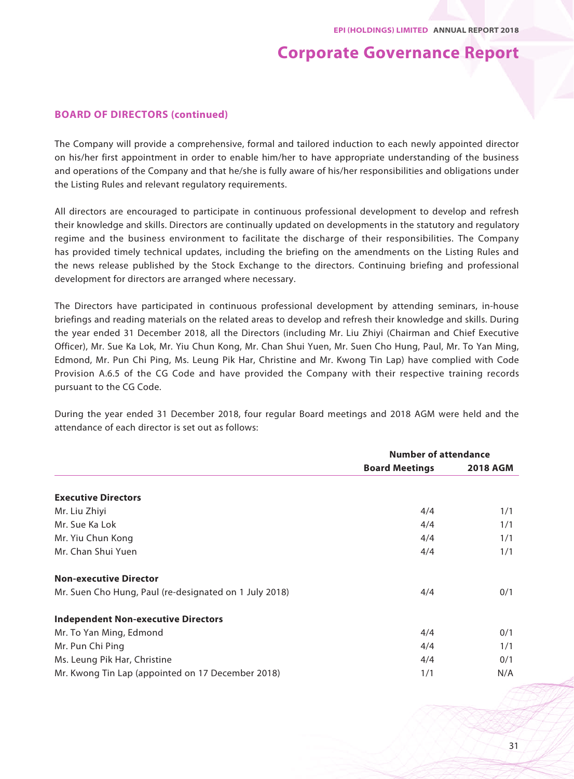### **BOARD OF DIRECTORS (continued)**

The Company will provide a comprehensive, formal and tailored induction to each newly appointed director on his/her first appointment in order to enable him/her to have appropriate understanding of the business and operations of the Company and that he/she is fully aware of his/her responsibilities and obligations under the Listing Rules and relevant regulatory requirements.

All directors are encouraged to participate in continuous professional development to develop and refresh their knowledge and skills. Directors are continually updated on developments in the statutory and regulatory regime and the business environment to facilitate the discharge of their responsibilities. The Company has provided timely technical updates, including the briefing on the amendments on the Listing Rules and the news release published by the Stock Exchange to the directors. Continuing briefing and professional development for directors are arranged where necessary.

The Directors have participated in continuous professional development by attending seminars, in-house briefings and reading materials on the related areas to develop and refresh their knowledge and skills. During the year ended 31 December 2018, all the Directors (including Mr. Liu Zhiyi (Chairman and Chief Executive Officer), Mr. Sue Ka Lok, Mr. Yiu Chun Kong, Mr. Chan Shui Yuen, Mr. Suen Cho Hung, Paul, Mr. To Yan Ming, Edmond, Mr. Pun Chi Ping, Ms. Leung Pik Har, Christine and Mr. Kwong Tin Lap) have complied with Code Provision A.6.5 of the CG Code and have provided the Company with their respective training records pursuant to the CG Code.

During the year ended 31 December 2018, four regular Board meetings and 2018 AGM were held and the attendance of each director is set out as follows:

|                                                        | <b>Number of attendance</b> |                 |  |
|--------------------------------------------------------|-----------------------------|-----------------|--|
|                                                        | <b>Board Meetings</b>       | <b>2018 AGM</b> |  |
| <b>Executive Directors</b>                             |                             |                 |  |
| Mr. Liu Zhiyi                                          | 4/4                         | 1/1             |  |
| Mr. Sue Ka Lok                                         | 4/4                         | 1/1             |  |
| Mr. Yiu Chun Kong                                      | 4/4                         | 1/1             |  |
| Mr. Chan Shui Yuen                                     | 4/4                         | 1/1             |  |
| <b>Non-executive Director</b>                          |                             |                 |  |
| Mr. Suen Cho Hung, Paul (re-designated on 1 July 2018) | 4/4                         | 0/1             |  |
| <b>Independent Non-executive Directors</b>             |                             |                 |  |
| Mr. To Yan Ming, Edmond                                | 4/4                         | 0/1             |  |
| Mr. Pun Chi Ping                                       | 4/4                         | 1/1             |  |
| Ms. Leung Pik Har, Christine                           | 4/4                         | 0/1             |  |
| Mr. Kwong Tin Lap (appointed on 17 December 2018)      | 1/1                         | N/A             |  |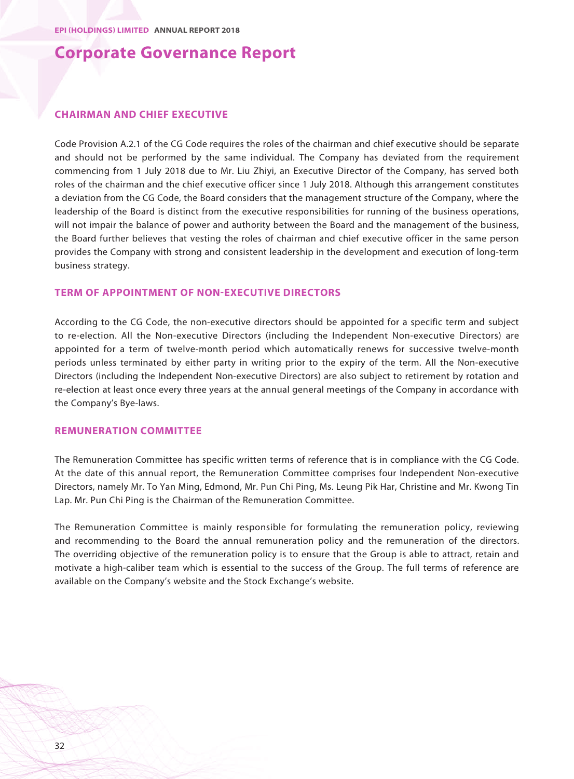### **CHAIRMAN AND CHIEF EXECUTIVE**

Code Provision A.2.1 of the CG Code requires the roles of the chairman and chief executive should be separate and should not be performed by the same individual. The Company has deviated from the requirement commencing from 1 July 2018 due to Mr. Liu Zhiyi, an Executive Director of the Company, has served both roles of the chairman and the chief executive officer since 1 July 2018. Although this arrangement constitutes a deviation from the CG Code, the Board considers that the management structure of the Company, where the leadership of the Board is distinct from the executive responsibilities for running of the business operations, will not impair the balance of power and authority between the Board and the management of the business, the Board further believes that vesting the roles of chairman and chief executive officer in the same person provides the Company with strong and consistent leadership in the development and execution of long-term business strategy.

### **TERM OF APPOINTMENT OF NON-EXECUTIVE DIRECTORS**

According to the CG Code, the non-executive directors should be appointed for a specific term and subject to re-election. All the Non-executive Directors (including the Independent Non-executive Directors) are appointed for a term of twelve-month period which automatically renews for successive twelve-month periods unless terminated by either party in writing prior to the expiry of the term. All the Non-executive Directors (including the Independent Non-executive Directors) are also subject to retirement by rotation and re-election at least once every three years at the annual general meetings of the Company in accordance with the Company's Bye-laws.

### **REMUNERATION COMMITTEE**

The Remuneration Committee has specific written terms of reference that is in compliance with the CG Code. At the date of this annual report, the Remuneration Committee comprises four Independent Non-executive Directors, namely Mr. To Yan Ming, Edmond, Mr. Pun Chi Ping, Ms. Leung Pik Har, Christine and Mr. Kwong Tin Lap. Mr. Pun Chi Ping is the Chairman of the Remuneration Committee.

The Remuneration Committee is mainly responsible for formulating the remuneration policy, reviewing and recommending to the Board the annual remuneration policy and the remuneration of the directors. The overriding objective of the remuneration policy is to ensure that the Group is able to attract, retain and motivate a high-caliber team which is essential to the success of the Group. The full terms of reference are available on the Company's website and the Stock Exchange's website.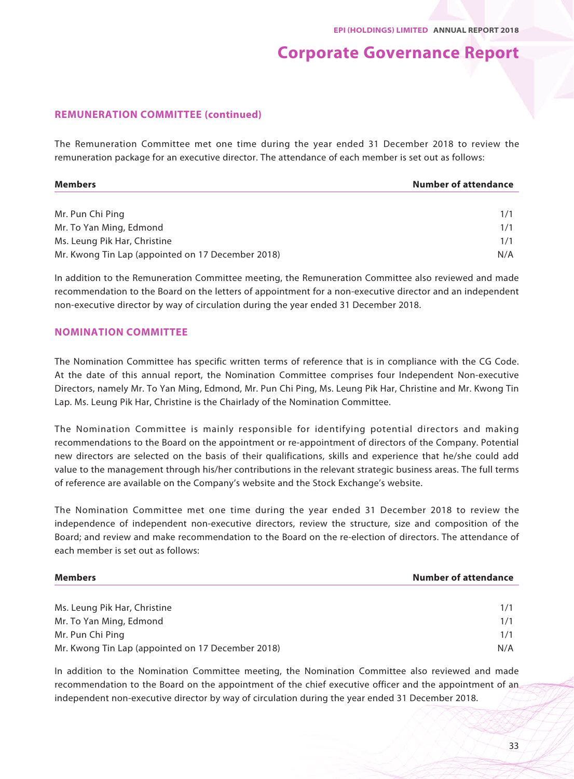### **REMUNERATION COMMITTEE (continued)**

The Remuneration Committee met one time during the year ended 31 December 2018 to review the remuneration package for an executive director. The attendance of each member is set out as follows:

| <b>Members</b>                                    | <b>Number of attendance</b> |
|---------------------------------------------------|-----------------------------|
|                                                   |                             |
| Mr. Pun Chi Ping                                  | 1/1                         |
| Mr. To Yan Ming, Edmond                           | 1/1                         |
| Ms. Leung Pik Har, Christine                      | 1/1                         |
| Mr. Kwong Tin Lap (appointed on 17 December 2018) | N/A                         |

In addition to the Remuneration Committee meeting, the Remuneration Committee also reviewed and made recommendation to the Board on the letters of appointment for a non-executive director and an independent non-executive director by way of circulation during the year ended 31 December 2018.

### **NOMINATION COMMITTEE**

The Nomination Committee has specific written terms of reference that is in compliance with the CG Code. At the date of this annual report, the Nomination Committee comprises four Independent Non-executive Directors, namely Mr. To Yan Ming, Edmond, Mr. Pun Chi Ping, Ms. Leung Pik Har, Christine and Mr. Kwong Tin Lap. Ms. Leung Pik Har, Christine is the Chairlady of the Nomination Committee.

The Nomination Committee is mainly responsible for identifying potential directors and making recommendations to the Board on the appointment or re-appointment of directors of the Company. Potential new directors are selected on the basis of their qualifications, skills and experience that he/she could add value to the management through his/her contributions in the relevant strategic business areas. The full terms of reference are available on the Company's website and the Stock Exchange's website.

The Nomination Committee met one time during the year ended 31 December 2018 to review the independence of independent non-executive directors, review the structure, size and composition of the Board; and review and make recommendation to the Board on the re-election of directors. The attendance of each member is set out as follows:

| <b>Members</b>                                    | <b>Number of attendance</b> |
|---------------------------------------------------|-----------------------------|
|                                                   |                             |
| Ms. Leung Pik Har, Christine                      | 1/1                         |
| Mr. To Yan Ming, Edmond                           | 1/1                         |
| Mr. Pun Chi Ping                                  | 1/1                         |
| Mr. Kwong Tin Lap (appointed on 17 December 2018) | N/A                         |

In addition to the Nomination Committee meeting, the Nomination Committee also reviewed and made recommendation to the Board on the appointment of the chief executive officer and the appointment of an independent non-executive director by way of circulation during the year ended 31 December 2018.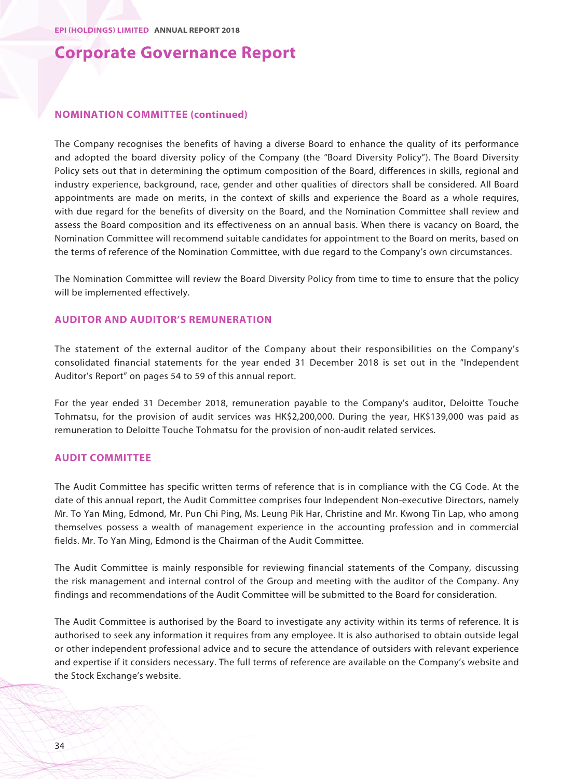### **NOMINATION COMMITTEE (continued)**

The Company recognises the benefits of having a diverse Board to enhance the quality of its performance and adopted the board diversity policy of the Company (the "Board Diversity Policy"). The Board Diversity Policy sets out that in determining the optimum composition of the Board, differences in skills, regional and industry experience, background, race, gender and other qualities of directors shall be considered. All Board appointments are made on merits, in the context of skills and experience the Board as a whole requires, with due regard for the benefits of diversity on the Board, and the Nomination Committee shall review and assess the Board composition and its effectiveness on an annual basis. When there is vacancy on Board, the Nomination Committee will recommend suitable candidates for appointment to the Board on merits, based on the terms of reference of the Nomination Committee, with due regard to the Company's own circumstances.

The Nomination Committee will review the Board Diversity Policy from time to time to ensure that the policy will be implemented effectively.

### **AUDITOR AND AUDITOR'S REMUNERATION**

The statement of the external auditor of the Company about their responsibilities on the Company's consolidated financial statements for the year ended 31 December 2018 is set out in the "Independent Auditor's Report" on pages 54 to 59 of this annual report.

For the year ended 31 December 2018, remuneration payable to the Company's auditor, Deloitte Touche Tohmatsu, for the provision of audit services was HK\$2,200,000. During the year, HK\$139,000 was paid as remuneration to Deloitte Touche Tohmatsu for the provision of non-audit related services.

### **AUDIT COMMITTEE**

The Audit Committee has specific written terms of reference that is in compliance with the CG Code. At the date of this annual report, the Audit Committee comprises four Independent Non-executive Directors, namely Mr. To Yan Ming, Edmond, Mr. Pun Chi Ping, Ms. Leung Pik Har, Christine and Mr. Kwong Tin Lap, who among themselves possess a wealth of management experience in the accounting profession and in commercial fields. Mr. To Yan Ming, Edmond is the Chairman of the Audit Committee.

The Audit Committee is mainly responsible for reviewing financial statements of the Company, discussing the risk management and internal control of the Group and meeting with the auditor of the Company. Any findings and recommendations of the Audit Committee will be submitted to the Board for consideration.

The Audit Committee is authorised by the Board to investigate any activity within its terms of reference. It is authorised to seek any information it requires from any employee. It is also authorised to obtain outside legal or other independent professional advice and to secure the attendance of outsiders with relevant experience and expertise if it considers necessary. The full terms of reference are available on the Company's website and the Stock Exchange's website.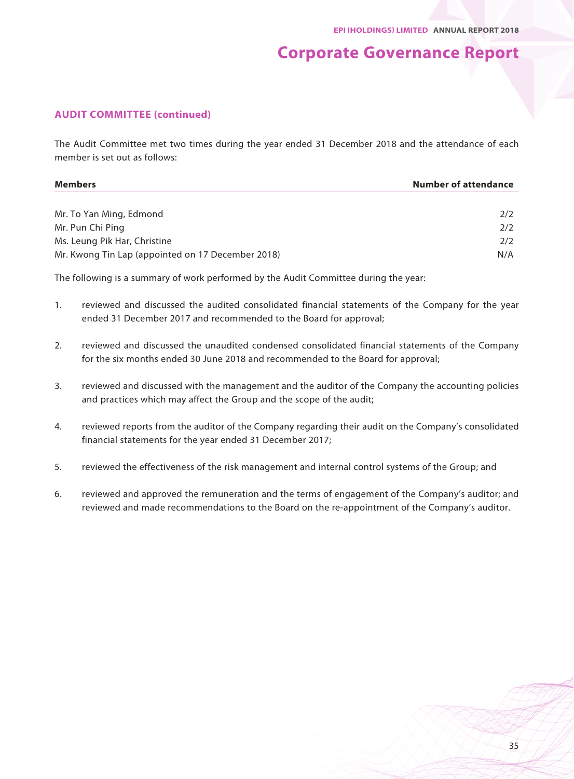### **AUDIT COMMITTEE (continued)**

The Audit Committee met two times during the year ended 31 December 2018 and the attendance of each member is set out as follows:

| <b>Members</b> | <b>Number of attendance</b> |
|----------------|-----------------------------|
|                |                             |

| Mr. To Yan Ming, Edmond                           | 2/2 |
|---------------------------------------------------|-----|
| Mr. Pun Chi Ping                                  | 2/2 |
| Ms. Leung Pik Har, Christine                      | 2/2 |
| Mr. Kwong Tin Lap (appointed on 17 December 2018) | N/A |

The following is a summary of work performed by the Audit Committee during the year:

- 1. reviewed and discussed the audited consolidated financial statements of the Company for the year ended 31 December 2017 and recommended to the Board for approval;
- 2. reviewed and discussed the unaudited condensed consolidated financial statements of the Company for the six months ended 30 June 2018 and recommended to the Board for approval;
- 3. reviewed and discussed with the management and the auditor of the Company the accounting policies and practices which may affect the Group and the scope of the audit;
- 4. reviewed reports from the auditor of the Company regarding their audit on the Company's consolidated financial statements for the year ended 31 December 2017;
- 5. reviewed the effectiveness of the risk management and internal control systems of the Group; and
- 6. reviewed and approved the remuneration and the terms of engagement of the Company's auditor; and reviewed and made recommendations to the Board on the re-appointment of the Company's auditor.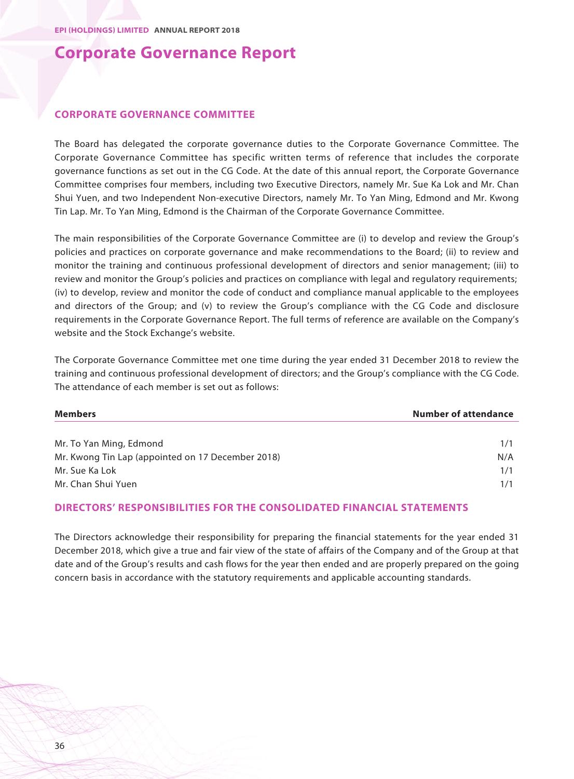### **CORPORATE GOVERNANCE COMMITTEE**

The Board has delegated the corporate governance duties to the Corporate Governance Committee. The Corporate Governance Committee has specific written terms of reference that includes the corporate governance functions as set out in the CG Code. At the date of this annual report, the Corporate Governance Committee comprises four members, including two Executive Directors, namely Mr. Sue Ka Lok and Mr. Chan Shui Yuen, and two Independent Non-executive Directors, namely Mr. To Yan Ming, Edmond and Mr. Kwong Tin Lap. Mr. To Yan Ming, Edmond is the Chairman of the Corporate Governance Committee.

The main responsibilities of the Corporate Governance Committee are (i) to develop and review the Group's policies and practices on corporate governance and make recommendations to the Board; (ii) to review and monitor the training and continuous professional development of directors and senior management; (iii) to review and monitor the Group's policies and practices on compliance with legal and regulatory requirements; (iv) to develop, review and monitor the code of conduct and compliance manual applicable to the employees and directors of the Group; and (v) to review the Group's compliance with the CG Code and disclosure requirements in the Corporate Governance Report. The full terms of reference are available on the Company's website and the Stock Exchange's website.

The Corporate Governance Committee met one time during the year ended 31 December 2018 to review the training and continuous professional development of directors; and the Group's compliance with the CG Code. The attendance of each member is set out as follows:

| <b>Members</b>                                    | <b>Number of attendance</b> |
|---------------------------------------------------|-----------------------------|
|                                                   |                             |
| Mr. To Yan Ming, Edmond                           | 1/1                         |
| Mr. Kwong Tin Lap (appointed on 17 December 2018) | N/A                         |
| Mr. Sue Ka Lok                                    | 1/1                         |
| Mr. Chan Shui Yuen                                | 1/1                         |

#### **DIRECTORS' RESPONSIBILITIES FOR THE CONSOLIDATED FINANCIAL STATEMENTS**

The Directors acknowledge their responsibility for preparing the financial statements for the year ended 31 December 2018, which give a true and fair view of the state of affairs of the Company and of the Group at that date and of the Group's results and cash flows for the year then ended and are properly prepared on the going concern basis in accordance with the statutory requirements and applicable accounting standards.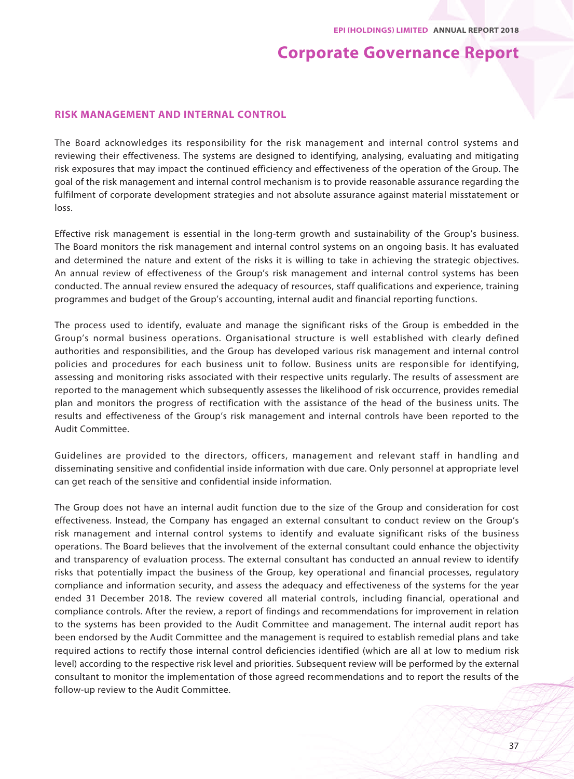### **RISK MANAGEMENT AND INTERNAL CONTROL**

The Board acknowledges its responsibility for the risk management and internal control systems and reviewing their effectiveness. The systems are designed to identifying, analysing, evaluating and mitigating risk exposures that may impact the continued efficiency and effectiveness of the operation of the Group. The goal of the risk management and internal control mechanism is to provide reasonable assurance regarding the fulfilment of corporate development strategies and not absolute assurance against material misstatement or loss.

Effective risk management is essential in the long-term growth and sustainability of the Group's business. The Board monitors the risk management and internal control systems on an ongoing basis. It has evaluated and determined the nature and extent of the risks it is willing to take in achieving the strategic objectives. An annual review of effectiveness of the Group's risk management and internal control systems has been conducted. The annual review ensured the adequacy of resources, staff qualifications and experience, training programmes and budget of the Group's accounting, internal audit and financial reporting functions.

The process used to identify, evaluate and manage the significant risks of the Group is embedded in the Group's normal business operations. Organisational structure is well established with clearly defined authorities and responsibilities, and the Group has developed various risk management and internal control policies and procedures for each business unit to follow. Business units are responsible for identifying, assessing and monitoring risks associated with their respective units regularly. The results of assessment are reported to the management which subsequently assesses the likelihood of risk occurrence, provides remedial plan and monitors the progress of rectification with the assistance of the head of the business units. The results and effectiveness of the Group's risk management and internal controls have been reported to the Audit Committee.

Guidelines are provided to the directors, officers, management and relevant staff in handling and disseminating sensitive and confidential inside information with due care. Only personnel at appropriate level can get reach of the sensitive and confidential inside information.

The Group does not have an internal audit function due to the size of the Group and consideration for cost effectiveness. Instead, the Company has engaged an external consultant to conduct review on the Group's risk management and internal control systems to identify and evaluate significant risks of the business operations. The Board believes that the involvement of the external consultant could enhance the objectivity and transparency of evaluation process. The external consultant has conducted an annual review to identify risks that potentially impact the business of the Group, key operational and financial processes, regulatory compliance and information security, and assess the adequacy and effectiveness of the systems for the year ended 31 December 2018. The review covered all material controls, including financial, operational and compliance controls. After the review, a report of findings and recommendations for improvement in relation to the systems has been provided to the Audit Committee and management. The internal audit report has been endorsed by the Audit Committee and the management is required to establish remedial plans and take required actions to rectify those internal control deficiencies identified (which are all at low to medium risk level) according to the respective risk level and priorities. Subsequent review will be performed by the external consultant to monitor the implementation of those agreed recommendations and to report the results of the follow-up review to the Audit Committee.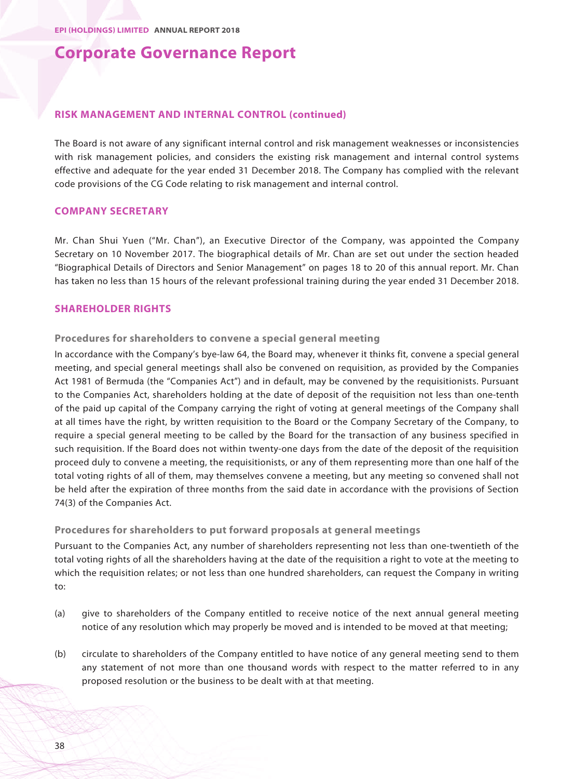#### **RISK MANAGEMENT AND INTERNAL CONTROL (continued)**

The Board is not aware of any significant internal control and risk management weaknesses or inconsistencies with risk management policies, and considers the existing risk management and internal control systems effective and adequate for the year ended 31 December 2018. The Company has complied with the relevant code provisions of the CG Code relating to risk management and internal control.

### **COMPANY SECRETARY**

Mr. Chan Shui Yuen ("Mr. Chan"), an Executive Director of the Company, was appointed the Company Secretary on 10 November 2017. The biographical details of Mr. Chan are set out under the section headed "Biographical Details of Directors and Senior Management" on pages 18 to 20 of this annual report. Mr. Chan has taken no less than 15 hours of the relevant professional training during the year ended 31 December 2018.

#### **SHAREHOLDER RIGHTS**

#### **Procedures for shareholders to convene a special general meeting**

In accordance with the Company's bye-law 64, the Board may, whenever it thinks fit, convene a special general meeting, and special general meetings shall also be convened on requisition, as provided by the Companies Act 1981 of Bermuda (the "Companies Act") and in default, may be convened by the requisitionists. Pursuant to the Companies Act, shareholders holding at the date of deposit of the requisition not less than one-tenth of the paid up capital of the Company carrying the right of voting at general meetings of the Company shall at all times have the right, by written requisition to the Board or the Company Secretary of the Company, to require a special general meeting to be called by the Board for the transaction of any business specified in such requisition. If the Board does not within twenty-one days from the date of the deposit of the requisition proceed duly to convene a meeting, the requisitionists, or any of them representing more than one half of the total voting rights of all of them, may themselves convene a meeting, but any meeting so convened shall not be held after the expiration of three months from the said date in accordance with the provisions of Section 74(3) of the Companies Act.

#### **Procedures for shareholders to put forward proposals at general meetings**

Pursuant to the Companies Act, any number of shareholders representing not less than one-twentieth of the total voting rights of all the shareholders having at the date of the requisition a right to vote at the meeting to which the requisition relates; or not less than one hundred shareholders, can request the Company in writing to:

- (a) give to shareholders of the Company entitled to receive notice of the next annual general meeting notice of any resolution which may properly be moved and is intended to be moved at that meeting;
- (b) circulate to shareholders of the Company entitled to have notice of any general meeting send to them any statement of not more than one thousand words with respect to the matter referred to in any proposed resolution or the business to be dealt with at that meeting.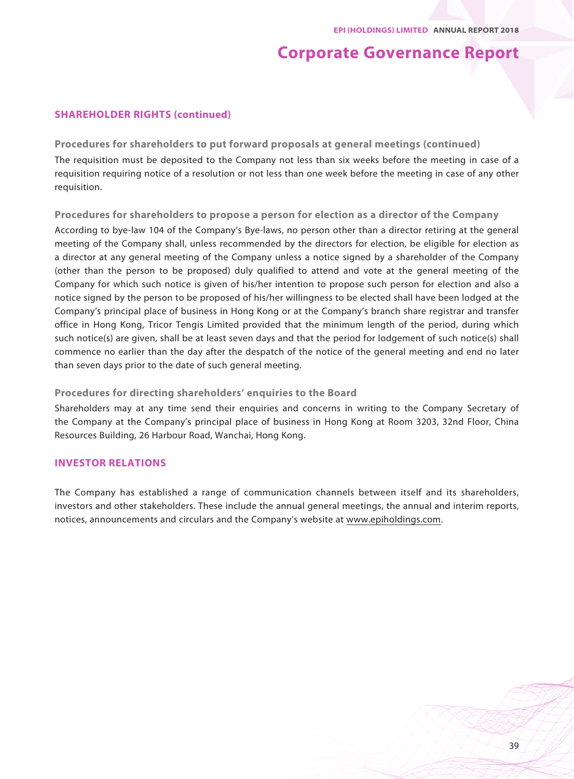#### **SHAREHOLDER RIGHTS (continued)**

**Procedures for shareholders to put forward proposals at general meetings (continued)** The requisition must be deposited to the Company not less than six weeks before the meeting in case of a requisition requiring notice of a resolution or not less than one week before the meeting in case of any other requisition.

#### **Procedures for shareholders to propose a person for election as a director of the Company**

According to bye-law 104 of the Company's Bye-laws, no person other than a director retiring at the general meeting of the Company shall, unless recommended by the directors for election, be eligible for election as a director at any general meeting of the Company unless a notice signed by a shareholder of the Company (other than the person to be proposed) duly qualified to attend and vote at the general meeting of the Company for which such notice is given of his/her intention to propose such person for election and also a notice signed by the person to be proposed of his/her willingness to be elected shall have been lodged at the Company's principal place of business in Hong Kong or at the Company's branch share registrar and transfer office in Hong Kong, Tricor Tengis Limited provided that the minimum length of the period, during which such notice(s) are given, shall be at least seven days and that the period for lodgement of such notice(s) shall commence no earlier than the day after the despatch of the notice of the general meeting and end no later than seven days prior to the date of such general meeting.

#### **Procedures for directing shareholders' enquiries to the Board**

Shareholders may at any time send their enquiries and concerns in writing to the Company Secretary of the Company at the Company's principal place of business in Hong Kong at Room 3203, 32nd Floor, China Resources Building, 26 Harbour Road, Wanchai, Hong Kong.

#### **INVESTOR RELATIONS**

The Company has established a range of communication channels between itself and its shareholders, investors and other stakeholders. These include the annual general meetings, the annual and interim reports, notices, announcements and circulars and the Company's website at www.epiholdings.com.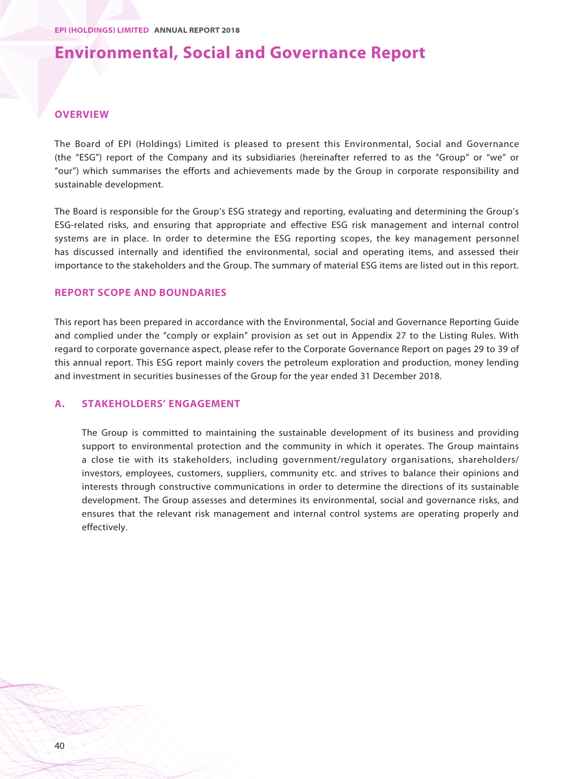### **OVERVIEW**

The Board of EPI (Holdings) Limited is pleased to present this Environmental, Social and Governance (the "ESG") report of the Company and its subsidiaries (hereinafter referred to as the "Group" or "we" or "our") which summarises the efforts and achievements made by the Group in corporate responsibility and sustainable development.

The Board is responsible for the Group's ESG strategy and reporting, evaluating and determining the Group's ESG-related risks, and ensuring that appropriate and effective ESG risk management and internal control systems are in place. In order to determine the ESG reporting scopes, the key management personnel has discussed internally and identified the environmental, social and operating items, and assessed their importance to the stakeholders and the Group. The summary of material ESG items are listed out in this report.

### **REPORT SCOPE AND BOUNDARIES**

This report has been prepared in accordance with the Environmental, Social and Governance Reporting Guide and complied under the "comply or explain" provision as set out in Appendix 27 to the Listing Rules. With regard to corporate governance aspect, please refer to the Corporate Governance Report on pages 29 to 39 of this annual report. This ESG report mainly covers the petroleum exploration and production, money lending and investment in securities businesses of the Group for the year ended 31 December 2018.

#### **A. STAKEHOLDERS' ENGAGEMENT**

The Group is committed to maintaining the sustainable development of its business and providing support to environmental protection and the community in which it operates. The Group maintains a close tie with its stakeholders, including government/regulatory organisations, shareholders/ investors, employees, customers, suppliers, community etc. and strives to balance their opinions and interests through constructive communications in order to determine the directions of its sustainable development. The Group assesses and determines its environmental, social and governance risks, and ensures that the relevant risk management and internal control systems are operating properly and effectively.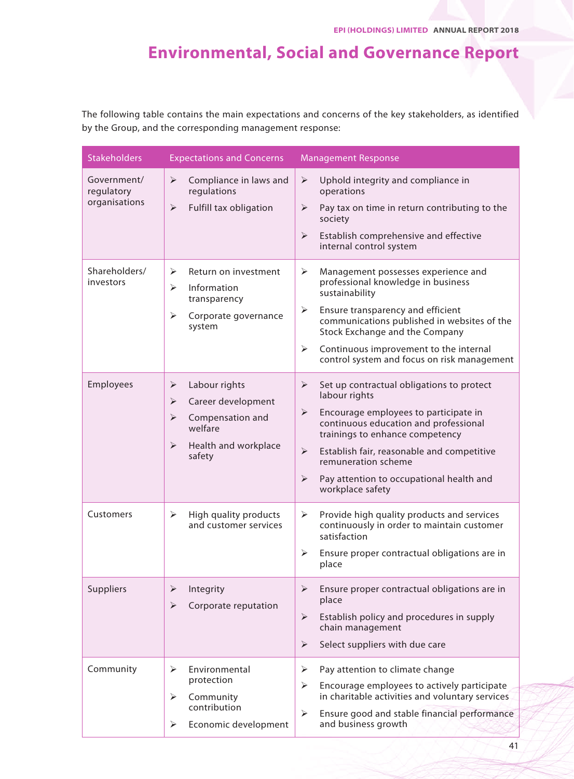The following table contains the main expectations and concerns of the key stakeholders, as identified by the Group, and the corresponding management response:

| <b>Stakeholders</b>                        | <b>Expectations and Concerns</b>                                                                                         | <b>Management Response</b>                                                                                                                                                                                                                                                                                                               |
|--------------------------------------------|--------------------------------------------------------------------------------------------------------------------------|------------------------------------------------------------------------------------------------------------------------------------------------------------------------------------------------------------------------------------------------------------------------------------------------------------------------------------------|
| Government/<br>regulatory<br>organisations | $\blacktriangleright$<br>Compliance in laws and<br>regulations<br>$\blacktriangleright$<br>Fulfill tax obligation        | $\blacktriangleright$<br>Uphold integrity and compliance in<br>operations<br>➤<br>Pay tax on time in return contributing to the<br>society<br>Establish comprehensive and effective<br>➤<br>internal control system                                                                                                                      |
| Shareholders/<br>investors                 | ➤<br>Return on investment<br>Information<br>➤<br>transparency<br>➤<br>Corporate governance<br>system                     | ➤<br>Management possesses experience and<br>professional knowledge in business<br>sustainability<br>➤<br>Ensure transparency and efficient<br>communications published in websites of the<br>Stock Exchange and the Company<br>Continuous improvement to the internal<br>➤<br>control system and focus on risk management                |
| Employees                                  | Labour rights<br>➤<br>➤<br>Career development<br>Compensation and<br>➤<br>welfare<br>➤<br>Health and workplace<br>safety | ➤<br>Set up contractual obligations to protect<br>labour rights<br>Encourage employees to participate in<br>➤<br>continuous education and professional<br>trainings to enhance competency<br>Establish fair, reasonable and competitive<br>➤<br>remuneration scheme<br>➤<br>Pay attention to occupational health and<br>workplace safety |
| Customers                                  | High quality products<br>➤<br>and customer services                                                                      | ➤<br>Provide high quality products and services<br>continuously in order to maintain customer<br>satisfaction<br>➤<br>Ensure proper contractual obligations are in<br>place                                                                                                                                                              |
| Suppliers                                  | Integrity<br>➤<br>Corporate reputation<br>➤                                                                              | ➤<br>Ensure proper contractual obligations are in<br>place<br>➤<br>Establish policy and procedures in supply<br>chain management<br>➤<br>Select suppliers with due care                                                                                                                                                                  |
| Community                                  | ➤<br>Environmental<br>protection<br>Community<br>➤<br>contribution<br>Economic development<br>➤                          | Pay attention to climate change<br>➤<br>Encourage employees to actively participate<br>➤<br>in charitable activities and voluntary services<br>$\blacktriangleright$<br>Ensure good and stable financial performance<br>and business growth                                                                                              |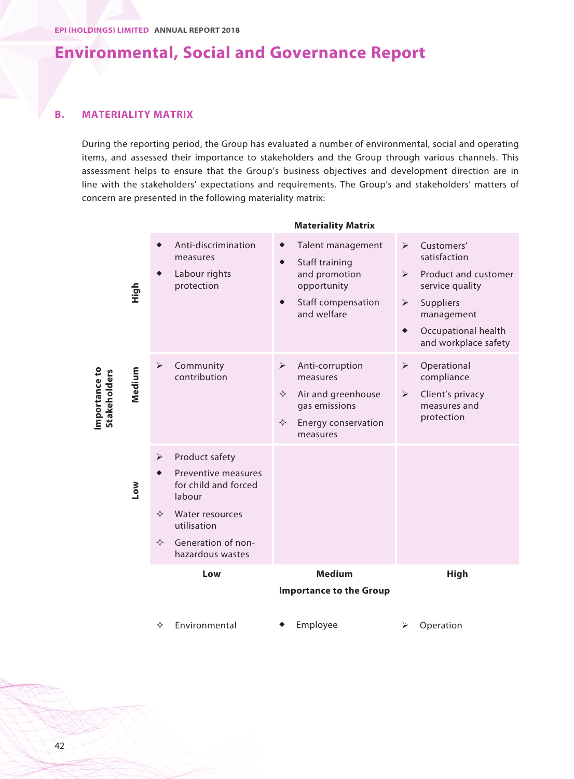### **B. MATERIALITY MATRIX**

During the reporting period, the Group has evaluated a number of environmental, social and operating items, and assessed their importance to stakeholders and the Group through various channels. This assessment helps to ensure that the Group's business objectives and development direction are in line with the stakeholders' expectations and requirements. The Group's and stakeholders' matters of concern are presented in the following materiality matrix:

|                                                |                                      |                                                                                                                                                     |             | <b>Materiality Matrix</b>                                                                                |                                                          |                                                                                                                                                 |
|------------------------------------------------|--------------------------------------|-----------------------------------------------------------------------------------------------------------------------------------------------------|-------------|----------------------------------------------------------------------------------------------------------|----------------------------------------------------------|-------------------------------------------------------------------------------------------------------------------------------------------------|
| High                                           |                                      | Anti-discrimination<br>measures<br>Labour rights<br>protection                                                                                      |             | Talent management<br>Staff training<br>and promotion<br>opportunity<br>Staff compensation<br>and welfare | $\blacktriangleright$<br>$\blacktriangleright$<br>➤<br>٠ | Customers'<br>satisfaction<br>Product and customer<br>service quality<br>Suppliers<br>management<br>Occupational health<br>and workplace safety |
| Importance to<br>Medium<br><b>Stakeholders</b> | $\blacktriangleright$                | Community<br>contribution                                                                                                                           | ➤<br>✧<br>✧ | Anti-corruption<br>measures<br>Air and greenhouse<br>gas emissions<br>Energy conservation<br>measures    | ➤<br>➤                                                   | Operational<br>compliance<br>Client's privacy<br>measures and<br>protection                                                                     |
| Low                                            | $\blacktriangleright$<br>۰<br>✧<br>✧ | Product safety<br>Preventive measures<br>for child and forced<br>labour<br>Water resources<br>utilisation<br>Generation of non-<br>hazardous wastes |             |                                                                                                          |                                                          |                                                                                                                                                 |
|                                                | ✧                                    | Low<br>Environmental                                                                                                                                |             | <b>Medium</b><br><b>Importance to the Group</b><br>Employee                                              | ➤                                                        | High<br>Operation                                                                                                                               |

| ÷.<br>I | ٠ |
|---------|---|
|         |   |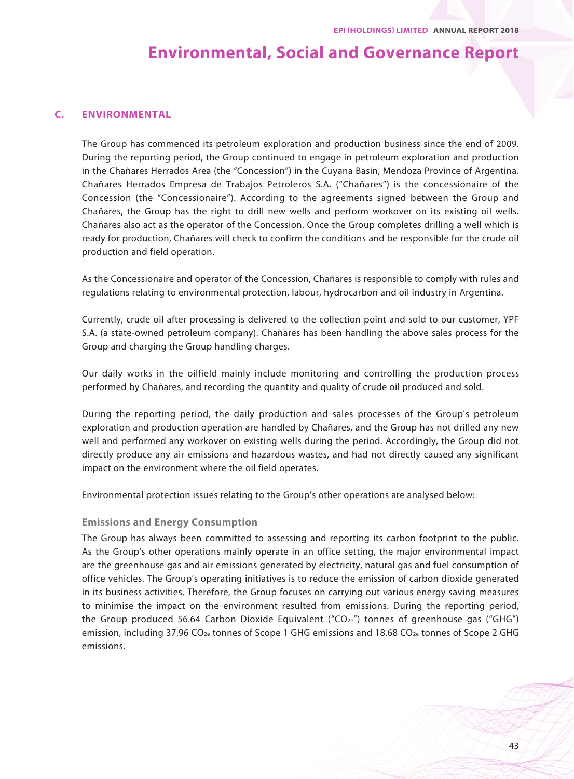### **C. ENVIRONMENTAL**

The Group has commenced its petroleum exploration and production business since the end of 2009. During the reporting period, the Group continued to engage in petroleum exploration and production in the Chañares Herrados Area (the "Concession") in the Cuyana Basin, Mendoza Province of Argentina. Chañares Herrados Empresa de Trabajos Petroleros S.A. ("Chañares") is the concessionaire of the Concession (the "Concessionaire"). According to the agreements signed between the Group and Chañares, the Group has the right to drill new wells and perform workover on its existing oil wells. Chañares also act as the operator of the Concession. Once the Group completes drilling a well which is ready for production, Chañares will check to confirm the conditions and be responsible for the crude oil production and field operation.

As the Concessionaire and operator of the Concession, Chañares is responsible to comply with rules and regulations relating to environmental protection, labour, hydrocarbon and oil industry in Argentina.

Currently, crude oil after processing is delivered to the collection point and sold to our customer, YPF S.A. (a state-owned petroleum company). Chañares has been handling the above sales process for the Group and charging the Group handling charges.

Our daily works in the oilfield mainly include monitoring and controlling the production process performed by Chañares, and recording the quantity and quality of crude oil produced and sold.

During the reporting period, the daily production and sales processes of the Group's petroleum exploration and production operation are handled by Chañares, and the Group has not drilled any new well and performed any workover on existing wells during the period. Accordingly, the Group did not directly produce any air emissions and hazardous wastes, and had not directly caused any significant impact on the environment where the oil field operates.

Environmental protection issues relating to the Group's other operations are analysed below:

### **Emissions and Energy Consumption**

The Group has always been committed to assessing and reporting its carbon footprint to the public. As the Group's other operations mainly operate in an office setting, the major environmental impact are the greenhouse gas and air emissions generated by electricity, natural gas and fuel consumption of office vehicles. The Group's operating initiatives is to reduce the emission of carbon dioxide generated in its business activities. Therefore, the Group focuses on carrying out various energy saving measures to minimise the impact on the environment resulted from emissions. During the reporting period, the Group produced 56.64 Carbon Dioxide Equivalent ("CO<sub>2e</sub>") tonnes of greenhouse gas ("GHG") emission, including 37.96 CO<sub>2e</sub> tonnes of Scope 1 GHG emissions and 18.68 CO<sub>2e</sub> tonnes of Scope 2 GHG emissions.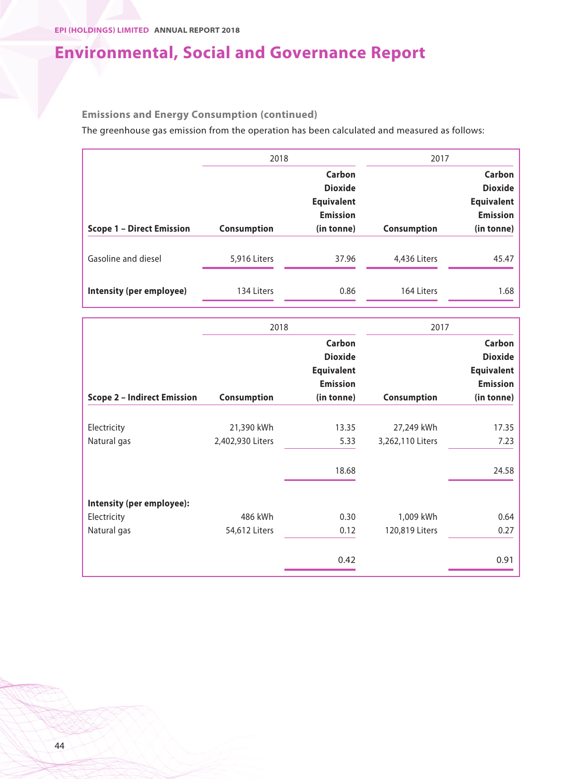**Emissions and Energy Consumption (continued)**

The greenhouse gas emission from the operation has been calculated and measured as follows:

|                                  | 2018         |                                                                  | 2017         |                                                                  |  |
|----------------------------------|--------------|------------------------------------------------------------------|--------------|------------------------------------------------------------------|--|
|                                  |              | Carbon<br><b>Dioxide</b><br><b>Equivalent</b><br><b>Emission</b> |              | Carbon<br><b>Dioxide</b><br><b>Equivalent</b><br><b>Emission</b> |  |
| <b>Scope 1 - Direct Emission</b> | Consumption  | (in tonne)                                                       | Consumption  | (in tonne)                                                       |  |
| Gasoline and diesel              | 5,916 Liters | 37.96                                                            | 4,436 Liters | 45.47                                                            |  |
| Intensity (per employee)         | 134 Liters   | 0.86                                                             | 164 Liters   | 1.68                                                             |  |

|                                    | 2018             |                   | 2017             |                   |
|------------------------------------|------------------|-------------------|------------------|-------------------|
|                                    |                  | Carbon            |                  | Carbon            |
|                                    |                  | <b>Dioxide</b>    |                  | <b>Dioxide</b>    |
|                                    |                  | <b>Equivalent</b> |                  | <b>Equivalent</b> |
|                                    |                  | <b>Emission</b>   |                  | <b>Emission</b>   |
| <b>Scope 2 - Indirect Emission</b> | Consumption      | (in tonne)        | Consumption      | (in tonne)        |
|                                    |                  |                   |                  |                   |
| Electricity                        | 21,390 kWh       | 13.35             | 27,249 kWh       | 17.35             |
| Natural gas                        | 2,402,930 Liters | 5.33              | 3,262,110 Liters | 7.23              |
|                                    |                  |                   |                  |                   |
|                                    |                  | 18.68             |                  | 24.58             |
|                                    |                  |                   |                  |                   |
| Intensity (per employee):          |                  |                   |                  |                   |
| Electricity                        | 486 kWh          | 0.30              | 1,009 kWh        | 0.64              |
| Natural gas                        | 54,612 Liters    | 0.12              | 120,819 Liters   | 0.27              |
|                                    |                  |                   |                  |                   |
|                                    |                  | 0.42              |                  | 0.91              |
|                                    |                  |                   |                  |                   |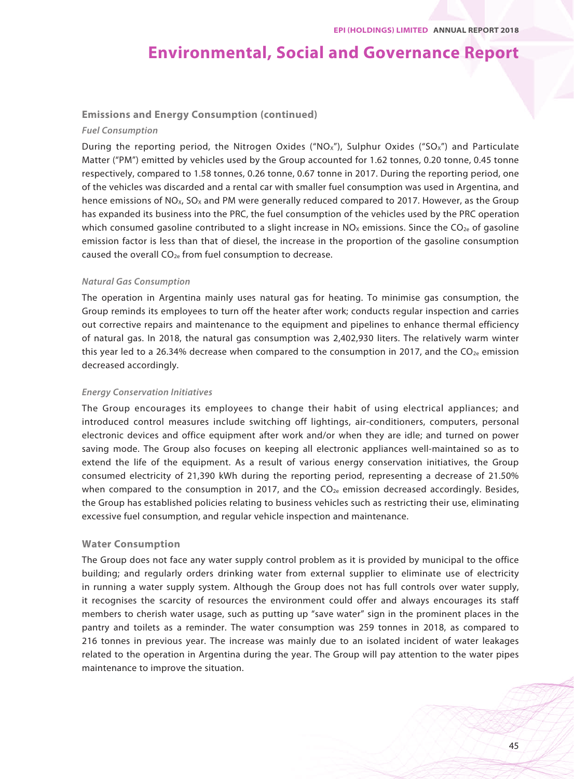#### **Emissions and Energy Consumption (continued)**

#### *Fuel Consumption*

During the reporting period, the Nitrogen Oxides ("NOx"), Sulphur Oxides ("SOx") and Particulate Matter ("PM") emitted by vehicles used by the Group accounted for 1.62 tonnes, 0.20 tonne, 0.45 tonne respectively, compared to 1.58 tonnes, 0.26 tonne, 0.67 tonne in 2017. During the reporting period, one of the vehicles was discarded and a rental car with smaller fuel consumption was used in Argentina, and hence emissions of NO<sub>X</sub>, SO<sub>X</sub> and PM were generally reduced compared to 2017. However, as the Group has expanded its business into the PRC, the fuel consumption of the vehicles used by the PRC operation which consumed gasoline contributed to a slight increase in  $NO<sub>x</sub>$  emissions. Since the  $CO<sub>2e</sub>$  of gasoline emission factor is less than that of diesel, the increase in the proportion of the gasoline consumption caused the overall CO2e from fuel consumption to decrease.

### *Natural Gas Consumption*

The operation in Argentina mainly uses natural gas for heating. To minimise gas consumption, the Group reminds its employees to turn off the heater after work; conducts regular inspection and carries out corrective repairs and maintenance to the equipment and pipelines to enhance thermal efficiency of natural gas. In 2018, the natural gas consumption was 2,402,930 liters. The relatively warm winter this year led to a 26.34% decrease when compared to the consumption in 2017, and the  $CO_{2e}$  emission decreased accordingly.

#### *Energy Conservation Initiatives*

The Group encourages its employees to change their habit of using electrical appliances; and introduced control measures include switching off lightings, air-conditioners, computers, personal electronic devices and office equipment after work and/or when they are idle; and turned on power saving mode. The Group also focuses on keeping all electronic appliances well-maintained so as to extend the life of the equipment. As a result of various energy conservation initiatives, the Group consumed electricity of 21,390 kWh during the reporting period, representing a decrease of 21.50% when compared to the consumption in 2017, and the  $CO<sub>2e</sub>$  emission decreased accordingly. Besides, the Group has established policies relating to business vehicles such as restricting their use, eliminating excessive fuel consumption, and regular vehicle inspection and maintenance.

#### **Water Consumption**

The Group does not face any water supply control problem as it is provided by municipal to the office building; and regularly orders drinking water from external supplier to eliminate use of electricity in running a water supply system. Although the Group does not has full controls over water supply, it recognises the scarcity of resources the environment could offer and always encourages its staff members to cherish water usage, such as putting up "save water" sign in the prominent places in the pantry and toilets as a reminder. The water consumption was 259 tonnes in 2018, as compared to 216 tonnes in previous year. The increase was mainly due to an isolated incident of water leakages related to the operation in Argentina during the year. The Group will pay attention to the water pipes maintenance to improve the situation.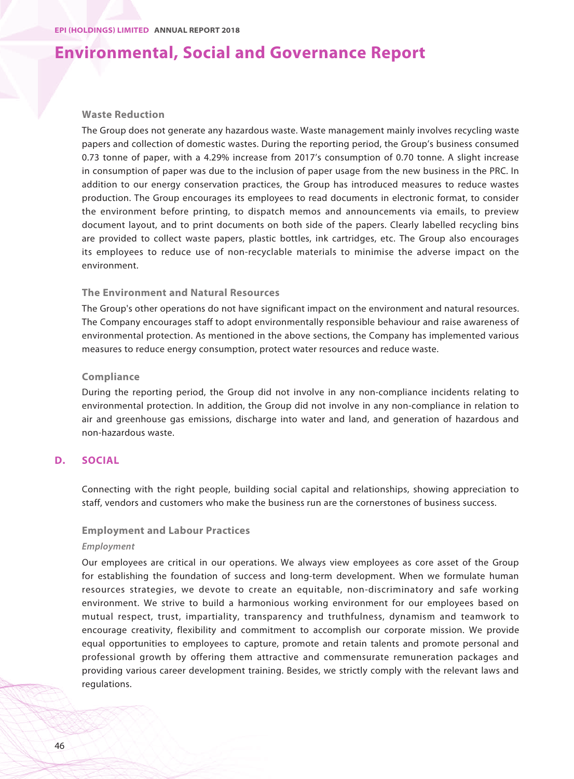### **Waste Reduction**

The Group does not generate any hazardous waste. Waste management mainly involves recycling waste papers and collection of domestic wastes. During the reporting period, the Group's business consumed 0.73 tonne of paper, with a 4.29% increase from 2017's consumption of 0.70 tonne. A slight increase in consumption of paper was due to the inclusion of paper usage from the new business in the PRC. In addition to our energy conservation practices, the Group has introduced measures to reduce wastes production. The Group encourages its employees to read documents in electronic format, to consider the environment before printing, to dispatch memos and announcements via emails, to preview document layout, and to print documents on both side of the papers. Clearly labelled recycling bins are provided to collect waste papers, plastic bottles, ink cartridges, etc. The Group also encourages its employees to reduce use of non-recyclable materials to minimise the adverse impact on the environment.

### **The Environment and Natural Resources**

The Group's other operations do not have significant impact on the environment and natural resources. The Company encourages staff to adopt environmentally responsible behaviour and raise awareness of environmental protection. As mentioned in the above sections, the Company has implemented various measures to reduce energy consumption, protect water resources and reduce waste.

#### **Compliance**

During the reporting period, the Group did not involve in any non-compliance incidents relating to environmental protection. In addition, the Group did not involve in any non-compliance in relation to air and greenhouse gas emissions, discharge into water and land, and generation of hazardous and non-hazardous waste.

### **D. SOCIAL**

Connecting with the right people, building social capital and relationships, showing appreciation to staff, vendors and customers who make the business run are the cornerstones of business success.

#### **Employment and Labour Practices**

#### *Employment*

Our employees are critical in our operations. We always view employees as core asset of the Group for establishing the foundation of success and long-term development. When we formulate human resources strategies, we devote to create an equitable, non-discriminatory and safe working environment. We strive to build a harmonious working environment for our employees based on mutual respect, trust, impartiality, transparency and truthfulness, dynamism and teamwork to encourage creativity, flexibility and commitment to accomplish our corporate mission. We provide equal opportunities to employees to capture, promote and retain talents and promote personal and professional growth by offering them attractive and commensurate remuneration packages and providing various career development training. Besides, we strictly comply with the relevant laws and regulations.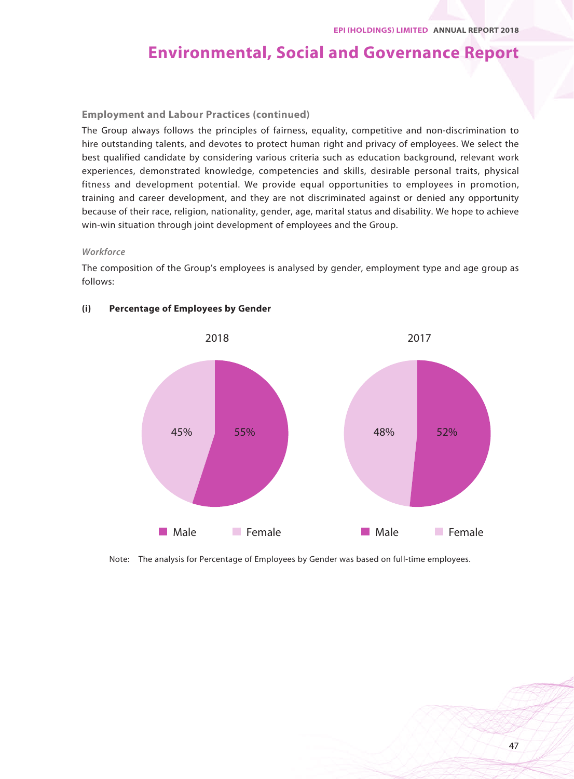#### **Employment and Labour Practices (continued)**

The Group always follows the principles of fairness, equality, competitive and non-discrimination to hire outstanding talents, and devotes to protect human right and privacy of employees. We select the best qualified candidate by considering various criteria such as education background, relevant work experiences, demonstrated knowledge, competencies and skills, desirable personal traits, physical fitness and development potential. We provide equal opportunities to employees in promotion, training and career development, and they are not discriminated against or denied any opportunity because of their race, religion, nationality, gender, age, marital status and disability. We hope to achieve win-win situation through joint development of employees and the Group.

#### *Workforce*

The composition of the Group's employees is analysed by gender, employment type and age group as follows:



#### **(i) Percentage of Employees by Gender**

Note: The analysis for Percentage of Employees by Gender was based on full-time employees.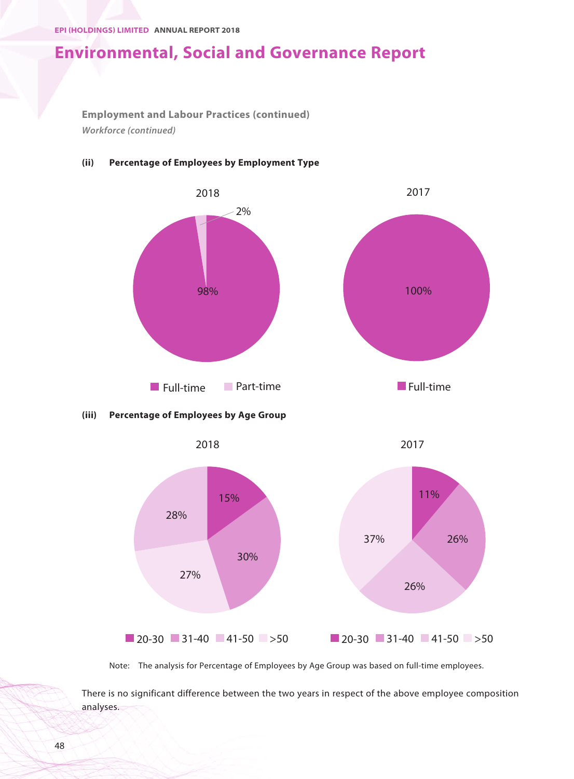**Employment and Labour Practices (continued)** *Workforce (continued)*

### **(ii) Percentage of Employees by Employment Type**



#### **(iii) Percentage of Employees by Age Group**



Note: The analysis for Percentage of Employees by Age Group was based on full-time employees.

There is no significant difference between the two years in respect of the above employee composition analyses.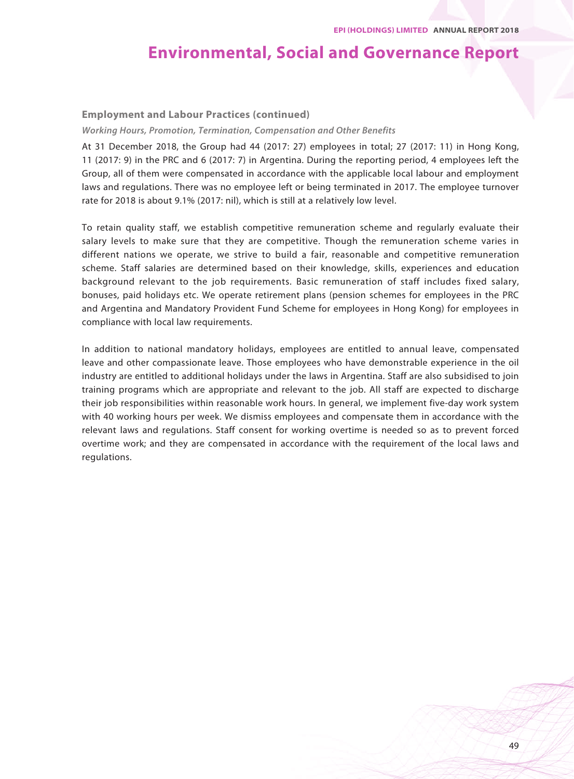#### **Employment and Labour Practices (continued)**

*Working Hours, Promotion, Termination, Compensation and Other Benefits*

At 31 December 2018, the Group had 44 (2017: 27) employees in total; 27 (2017: 11) in Hong Kong, 11 (2017: 9) in the PRC and 6 (2017: 7) in Argentina. During the reporting period, 4 employees left the Group, all of them were compensated in accordance with the applicable local labour and employment laws and regulations. There was no employee left or being terminated in 2017. The employee turnover rate for 2018 is about 9.1% (2017: nil), which is still at a relatively low level.

To retain quality staff, we establish competitive remuneration scheme and regularly evaluate their salary levels to make sure that they are competitive. Though the remuneration scheme varies in different nations we operate, we strive to build a fair, reasonable and competitive remuneration scheme. Staff salaries are determined based on their knowledge, skills, experiences and education background relevant to the job requirements. Basic remuneration of staff includes fixed salary, bonuses, paid holidays etc. We operate retirement plans (pension schemes for employees in the PRC and Argentina and Mandatory Provident Fund Scheme for employees in Hong Kong) for employees in compliance with local law requirements.

In addition to national mandatory holidays, employees are entitled to annual leave, compensated leave and other compassionate leave. Those employees who have demonstrable experience in the oil industry are entitled to additional holidays under the laws in Argentina. Staff are also subsidised to join training programs which are appropriate and relevant to the job. All staff are expected to discharge their job responsibilities within reasonable work hours. In general, we implement five-day work system with 40 working hours per week. We dismiss employees and compensate them in accordance with the relevant laws and regulations. Staff consent for working overtime is needed so as to prevent forced overtime work; and they are compensated in accordance with the requirement of the local laws and regulations.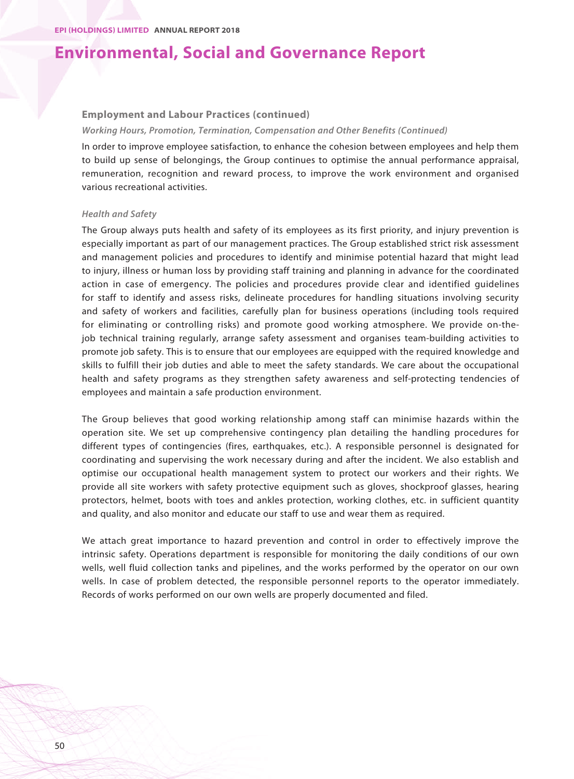#### **Employment and Labour Practices (continued)**

#### *Working Hours, Promotion, Termination, Compensation and Other Benefits (Continued)*

In order to improve employee satisfaction, to enhance the cohesion between employees and help them to build up sense of belongings, the Group continues to optimise the annual performance appraisal, remuneration, recognition and reward process, to improve the work environment and organised various recreational activities.

#### *Health and Safety*

The Group always puts health and safety of its employees as its first priority, and injury prevention is especially important as part of our management practices. The Group established strict risk assessment and management policies and procedures to identify and minimise potential hazard that might lead to injury, illness or human loss by providing staff training and planning in advance for the coordinated action in case of emergency. The policies and procedures provide clear and identified guidelines for staff to identify and assess risks, delineate procedures for handling situations involving security and safety of workers and facilities, carefully plan for business operations (including tools required for eliminating or controlling risks) and promote good working atmosphere. We provide on-thejob technical training regularly, arrange safety assessment and organises team-building activities to promote job safety. This is to ensure that our employees are equipped with the required knowledge and skills to fulfill their job duties and able to meet the safety standards. We care about the occupational health and safety programs as they strengthen safety awareness and self-protecting tendencies of employees and maintain a safe production environment.

The Group believes that good working relationship among staff can minimise hazards within the operation site. We set up comprehensive contingency plan detailing the handling procedures for different types of contingencies (fires, earthquakes, etc.). A responsible personnel is designated for coordinating and supervising the work necessary during and after the incident. We also establish and optimise our occupational health management system to protect our workers and their rights. We provide all site workers with safety protective equipment such as gloves, shockproof glasses, hearing protectors, helmet, boots with toes and ankles protection, working clothes, etc. in sufficient quantity and quality, and also monitor and educate our staff to use and wear them as required.

We attach great importance to hazard prevention and control in order to effectively improve the intrinsic safety. Operations department is responsible for monitoring the daily conditions of our own wells, well fluid collection tanks and pipelines, and the works performed by the operator on our own wells. In case of problem detected, the responsible personnel reports to the operator immediately. Records of works performed on our own wells are properly documented and filed.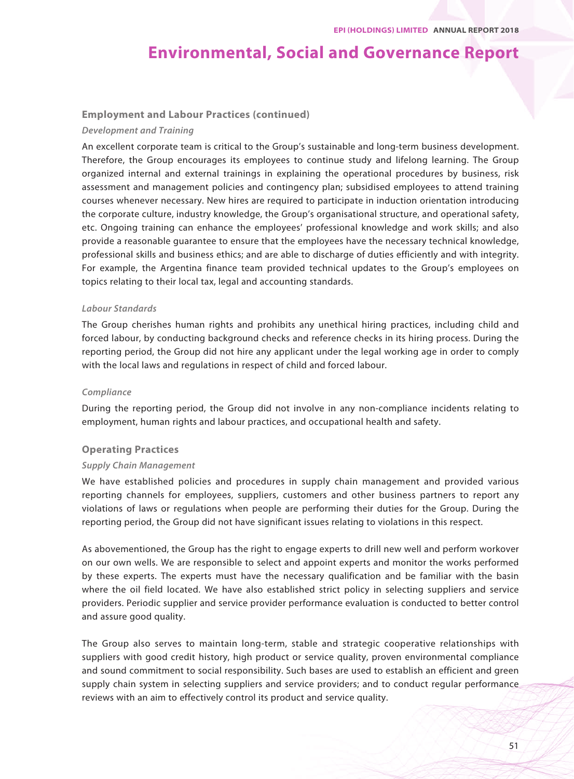#### **Employment and Labour Practices (continued)**

#### *Development and Training*

An excellent corporate team is critical to the Group's sustainable and long-term business development. Therefore, the Group encourages its employees to continue study and lifelong learning. The Group organized internal and external trainings in explaining the operational procedures by business, risk assessment and management policies and contingency plan; subsidised employees to attend training courses whenever necessary. New hires are required to participate in induction orientation introducing the corporate culture, industry knowledge, the Group's organisational structure, and operational safety, etc. Ongoing training can enhance the employees' professional knowledge and work skills; and also provide a reasonable guarantee to ensure that the employees have the necessary technical knowledge, professional skills and business ethics; and are able to discharge of duties efficiently and with integrity. For example, the Argentina finance team provided technical updates to the Group's employees on topics relating to their local tax, legal and accounting standards.

#### *Labour Standards*

The Group cherishes human rights and prohibits any unethical hiring practices, including child and forced labour, by conducting background checks and reference checks in its hiring process. During the reporting period, the Group did not hire any applicant under the legal working age in order to comply with the local laws and regulations in respect of child and forced labour.

#### *Compliance*

During the reporting period, the Group did not involve in any non-compliance incidents relating to employment, human rights and labour practices, and occupational health and safety.

#### **Operating Practices**

#### *Supply Chain Management*

We have established policies and procedures in supply chain management and provided various reporting channels for employees, suppliers, customers and other business partners to report any violations of laws or regulations when people are performing their duties for the Group. During the reporting period, the Group did not have significant issues relating to violations in this respect.

As abovementioned, the Group has the right to engage experts to drill new well and perform workover on our own wells. We are responsible to select and appoint experts and monitor the works performed by these experts. The experts must have the necessary qualification and be familiar with the basin where the oil field located. We have also established strict policy in selecting suppliers and service providers. Periodic supplier and service provider performance evaluation is conducted to better control and assure good quality.

The Group also serves to maintain long-term, stable and strategic cooperative relationships with suppliers with good credit history, high product or service quality, proven environmental compliance and sound commitment to social responsibility. Such bases are used to establish an efficient and green supply chain system in selecting suppliers and service providers; and to conduct regular performance reviews with an aim to effectively control its product and service quality.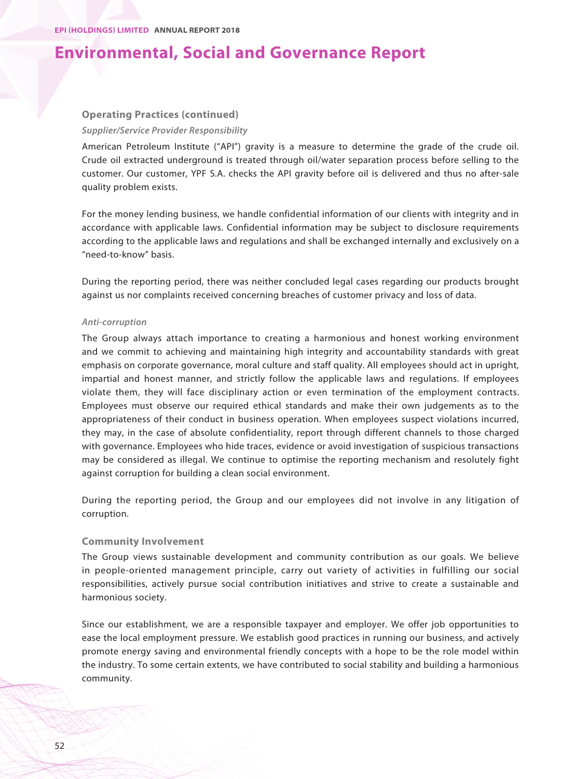### **Operating Practices (continued)** *Supplier/Service Provider Responsibility*

American Petroleum Institute ("API") gravity is a measure to determine the grade of the crude oil. Crude oil extracted underground is treated through oil/water separation process before selling to the customer. Our customer, YPF S.A. checks the API gravity before oil is delivered and thus no after-sale quality problem exists.

For the money lending business, we handle confidential information of our clients with integrity and in accordance with applicable laws. Confidential information may be subject to disclosure requirements according to the applicable laws and regulations and shall be exchanged internally and exclusively on a "need-to-know" basis.

During the reporting period, there was neither concluded legal cases regarding our products brought against us nor complaints received concerning breaches of customer privacy and loss of data.

#### *Anti-corruption*

The Group always attach importance to creating a harmonious and honest working environment and we commit to achieving and maintaining high integrity and accountability standards with great emphasis on corporate governance, moral culture and staff quality. All employees should act in upright, impartial and honest manner, and strictly follow the applicable laws and regulations. If employees violate them, they will face disciplinary action or even termination of the employment contracts. Employees must observe our required ethical standards and make their own judgements as to the appropriateness of their conduct in business operation. When employees suspect violations incurred, they may, in the case of absolute confidentiality, report through different channels to those charged with governance. Employees who hide traces, evidence or avoid investigation of suspicious transactions may be considered as illegal. We continue to optimise the reporting mechanism and resolutely fight against corruption for building a clean social environment.

During the reporting period, the Group and our employees did not involve in any litigation of corruption.

#### **Community Involvement**

The Group views sustainable development and community contribution as our goals. We believe in people-oriented management principle, carry out variety of activities in fulfilling our social responsibilities, actively pursue social contribution initiatives and strive to create a sustainable and harmonious society.

Since our establishment, we are a responsible taxpayer and employer. We offer job opportunities to ease the local employment pressure. We establish good practices in running our business, and actively promote energy saving and environmental friendly concepts with a hope to be the role model within the industry. To some certain extents, we have contributed to social stability and building a harmonious community.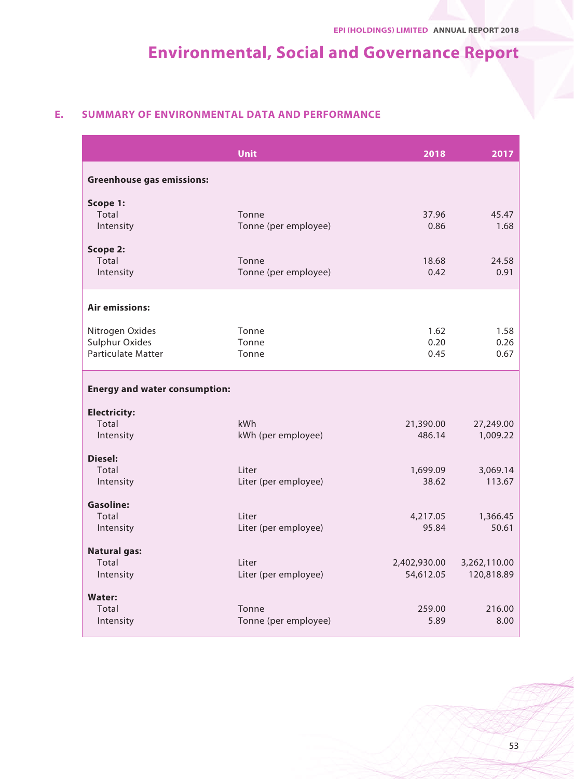### **E. SUMMARY OF ENVIRONMENTAL DATA AND PERFORMANCE**

|                                      | <b>Unit</b>          | 2018         | 2017         |
|--------------------------------------|----------------------|--------------|--------------|
| <b>Greenhouse gas emissions:</b>     |                      |              |              |
| Scope 1:                             |                      |              |              |
| Total                                | Tonne                | 37.96        | 45.47        |
| Intensity                            | Tonne (per employee) | 0.86         | 1.68         |
| Scope 2:                             |                      |              |              |
| Total                                | Tonne                | 18.68        | 24.58        |
| Intensity                            | Tonne (per employee) | 0.42         | 0.91         |
| <b>Air emissions:</b>                |                      |              |              |
|                                      |                      |              |              |
| Nitrogen Oxides                      | Tonne                | 1.62         | 1.58         |
| Sulphur Oxides                       | Tonne                | 0.20         | 0.26         |
| <b>Particulate Matter</b>            | Tonne                | 0.45         | 0.67         |
| <b>Energy and water consumption:</b> |                      |              |              |
| <b>Electricity:</b>                  |                      |              |              |
| Total                                | <b>kWh</b>           | 21,390.00    | 27,249.00    |
| Intensity                            | kWh (per employee)   | 486.14       | 1,009.22     |
| Diesel:                              |                      |              |              |
| Total                                | Liter                | 1,699.09     | 3,069.14     |
| Intensity                            | Liter (per employee) | 38.62        | 113.67       |
| <b>Gasoline:</b>                     |                      |              |              |
| Total                                | Liter                | 4,217.05     | 1,366.45     |
| Intensity                            | Liter (per employee) | 95.84        | 50.61        |
| <b>Natural gas:</b>                  |                      |              |              |
| Total                                | Liter                | 2,402,930.00 | 3,262,110.00 |
| Intensity                            | Liter (per employee) | 54,612.05    | 120,818.89   |
| <b>Water:</b>                        |                      |              |              |
| Total                                | Tonne                | 259.00       | 216.00       |
| Intensity                            | Tonne (per employee) | 5.89         | 8.00         |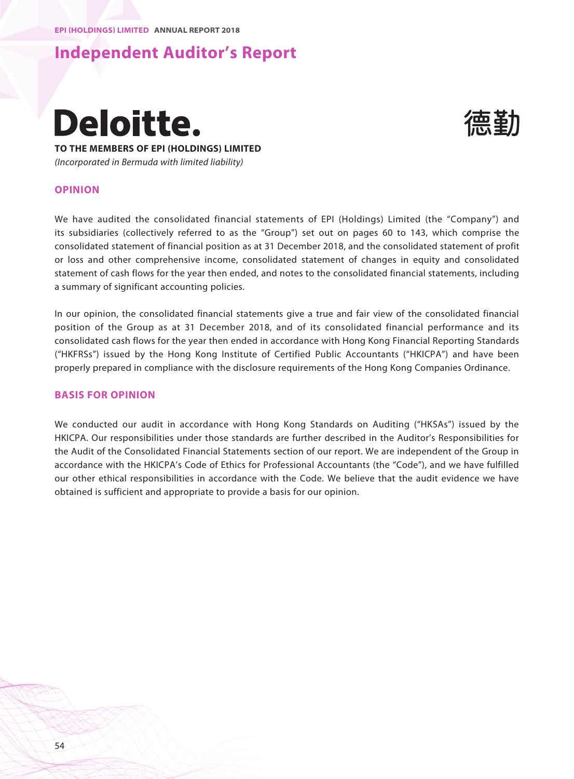



**TO THE MEMBERS OF EPI (HOLDINGS) LIMITED** *(Incorporated in Bermuda with limited liability)*

### **OPINION**

We have audited the consolidated financial statements of EPI (Holdings) Limited (the "Company") and its subsidiaries (collectively referred to as the "Group") set out on pages 60 to 143, which comprise the consolidated statement of financial position as at 31 December 2018, and the consolidated statement of profit or loss and other comprehensive income, consolidated statement of changes in equity and consolidated statement of cash flows for the year then ended, and notes to the consolidated financial statements, including a summary of significant accounting policies.

In our opinion, the consolidated financial statements give a true and fair view of the consolidated financial position of the Group as at 31 December 2018, and of its consolidated financial performance and its consolidated cash flows for the year then ended in accordance with Hong Kong Financial Reporting Standards ("HKFRSs") issued by the Hong Kong Institute of Certified Public Accountants ("HKICPA") and have been properly prepared in compliance with the disclosure requirements of the Hong Kong Companies Ordinance.

### **BASIS FOR OPINION**

We conducted our audit in accordance with Hong Kong Standards on Auditing ("HKSAs") issued by the HKICPA. Our responsibilities under those standards are further described in the Auditor's Responsibilities for the Audit of the Consolidated Financial Statements section of our report. We are independent of the Group in accordance with the HKICPA's Code of Ethics for Professional Accountants (the "Code"), and we have fulfilled our other ethical responsibilities in accordance with the Code. We believe that the audit evidence we have obtained is sufficient and appropriate to provide a basis for our opinion.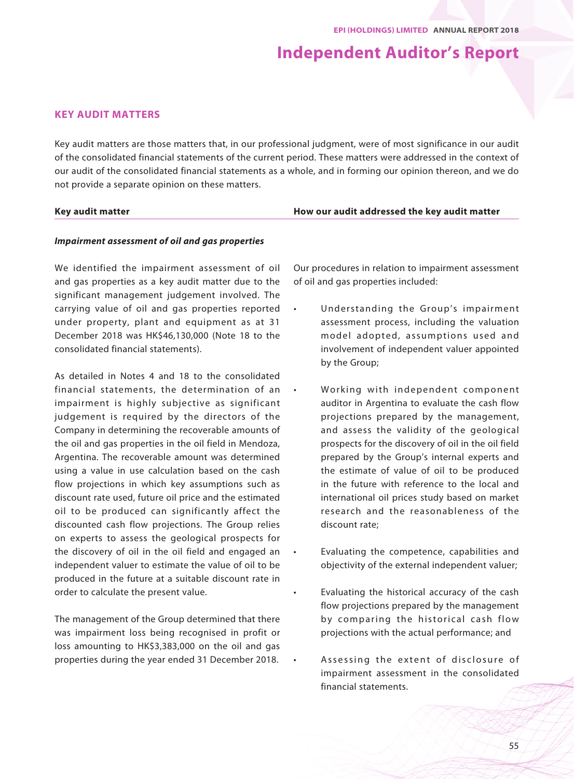### **KEY AUDIT MATTERS**

Key audit matters are those matters that, in our professional judgment, were of most significance in our audit of the consolidated financial statements of the current period. These matters were addressed in the context of our audit of the consolidated financial statements as a whole, and in forming our opinion thereon, and we do not provide a separate opinion on these matters.

#### **Key audit matter How our audit addressed the key audit matter**

#### *Impairment assessment of oil and gas properties*

We identified the impairment assessment of oil and gas properties as a key audit matter due to the significant management judgement involved. The carrying value of oil and gas properties reported under property, plant and equipment as at 31 December 2018 was HK\$46,130,000 (Note 18 to the consolidated financial statements).

As detailed in Notes 4 and 18 to the consolidated financial statements, the determination of an impairment is highly subjective as significant judgement is required by the directors of the Company in determining the recoverable amounts of the oil and gas properties in the oil field in Mendoza, Argentina. The recoverable amount was determined using a value in use calculation based on the cash flow projections in which key assumptions such as discount rate used, future oil price and the estimated oil to be produced can significantly affect the discounted cash flow projections. The Group relies on experts to assess the geological prospects for the discovery of oil in the oil field and engaged an independent valuer to estimate the value of oil to be produced in the future at a suitable discount rate in order to calculate the present value.

The management of the Group determined that there was impairment loss being recognised in profit or loss amounting to HK\$3,383,000 on the oil and gas properties during the year ended 31 December 2018.

Our procedures in relation to impairment assessment of oil and gas properties included:

- Understanding the Group's impairment assessment process, including the valuation model adopted, assumptions used and involvement of independent valuer appointed by the Group;
- Working with independent component auditor in Argentina to evaluate the cash flow projections prepared by the management, and assess the validity of the geological prospects for the discovery of oil in the oil field prepared by the Group's internal experts and the estimate of value of oil to be produced in the future with reference to the local and international oil prices study based on market research and the reasonableness of the discount rate;
- Evaluating the competence, capabilities and objectivity of the external independent valuer;
- Evaluating the historical accuracy of the cash flow projections prepared by the management by comparing the historical cash flow projections with the actual performance; and
- Assessing the extent of disclosure of impairment assessment in the consolidated financial statements.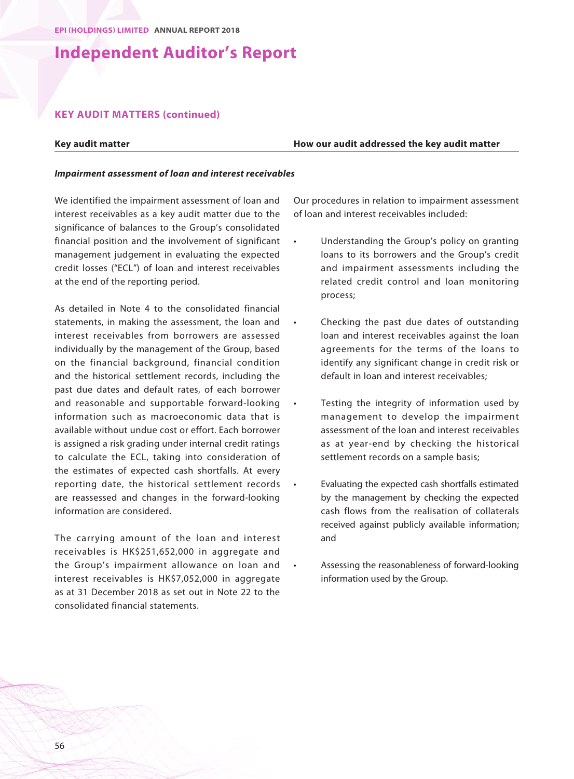### **KEY AUDIT MATTERS (continued)**

**Key audit matter How our audit addressed the key audit matter**

#### *Impairment assessment of loan and interest receivables*

We identified the impairment assessment of loan and interest receivables as a key audit matter due to the significance of balances to the Group's consolidated financial position and the involvement of significant management judgement in evaluating the expected credit losses ("ECL") of loan and interest receivables at the end of the reporting period.

As detailed in Note 4 to the consolidated financial statements, in making the assessment, the loan and interest receivables from borrowers are assessed individually by the management of the Group, based on the financial background, financial condition and the historical settlement records, including the past due dates and default rates, of each borrower and reasonable and supportable forward-looking information such as macroeconomic data that is available without undue cost or effort. Each borrower is assigned a risk grading under internal credit ratings to calculate the ECL, taking into consideration of the estimates of expected cash shortfalls. At every reporting date, the historical settlement records are reassessed and changes in the forward-looking information are considered.

The carrying amount of the loan and interest receivables is HK\$251,652,000 in aggregate and the Group's impairment allowance on loan and interest receivables is HK\$7,052,000 in aggregate as at 31 December 2018 as set out in Note 22 to the consolidated financial statements.

Our procedures in relation to impairment assessment of loan and interest receivables included:

- Understanding the Group's policy on granting loans to its borrowers and the Group's credit and impairment assessments including the related credit control and loan monitoring process;
- Checking the past due dates of outstanding loan and interest receivables against the loan agreements for the terms of the loans to identify any significant change in credit risk or default in loan and interest receivables;
- Testing the integrity of information used by management to develop the impairment assessment of the loan and interest receivables as at year-end by checking the historical settlement records on a sample basis;
- Evaluating the expected cash shortfalls estimated by the management by checking the expected cash flows from the realisation of collaterals received against publicly available information; and
- Assessing the reasonableness of forward-looking information used by the Group.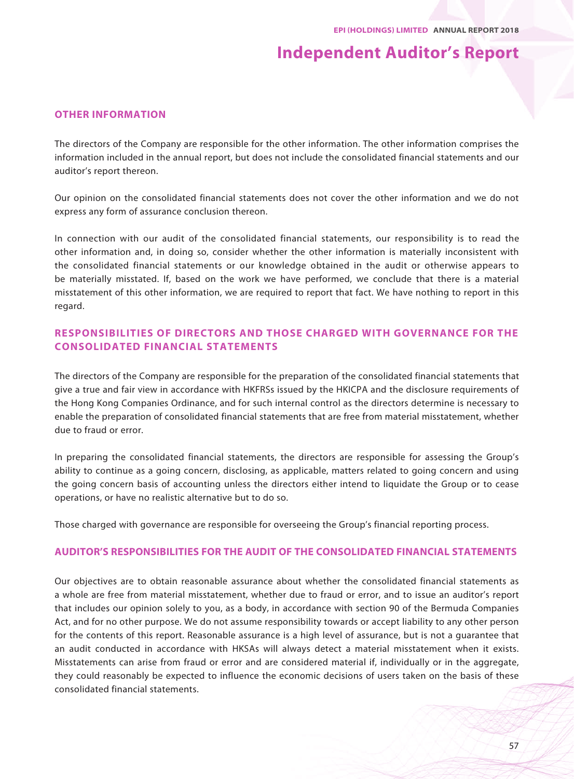### **OTHER INFORMATION**

The directors of the Company are responsible for the other information. The other information comprises the information included in the annual report, but does not include the consolidated financial statements and our auditor's report thereon.

Our opinion on the consolidated financial statements does not cover the other information and we do not express any form of assurance conclusion thereon.

In connection with our audit of the consolidated financial statements, our responsibility is to read the other information and, in doing so, consider whether the other information is materially inconsistent with the consolidated financial statements or our knowledge obtained in the audit or otherwise appears to be materially misstated. If, based on the work we have performed, we conclude that there is a material misstatement of this other information, we are required to report that fact. We have nothing to report in this regard.

### **RESPONSIBILITIES OF DIRECTORS AND THOSE CHARGED WITH GOVERNANCE FOR THE CONSOLIDATED FINANCIAL STATEMENTS**

The directors of the Company are responsible for the preparation of the consolidated financial statements that give a true and fair view in accordance with HKFRSs issued by the HKICPA and the disclosure requirements of the Hong Kong Companies Ordinance, and for such internal control as the directors determine is necessary to enable the preparation of consolidated financial statements that are free from material misstatement, whether due to fraud or error.

In preparing the consolidated financial statements, the directors are responsible for assessing the Group's ability to continue as a going concern, disclosing, as applicable, matters related to going concern and using the going concern basis of accounting unless the directors either intend to liquidate the Group or to cease operations, or have no realistic alternative but to do so.

Those charged with governance are responsible for overseeing the Group's financial reporting process.

### **AUDITOR'S RESPONSIBILITIES FOR THE AUDIT OF THE CONSOLIDATED FINANCIAL STATEMENTS**

Our objectives are to obtain reasonable assurance about whether the consolidated financial statements as a whole are free from material misstatement, whether due to fraud or error, and to issue an auditor's report that includes our opinion solely to you, as a body, in accordance with section 90 of the Bermuda Companies Act, and for no other purpose. We do not assume responsibility towards or accept liability to any other person for the contents of this report. Reasonable assurance is a high level of assurance, but is not a guarantee that an audit conducted in accordance with HKSAs will always detect a material misstatement when it exists. Misstatements can arise from fraud or error and are considered material if, individually or in the aggregate, they could reasonably be expected to influence the economic decisions of users taken on the basis of these consolidated financial statements.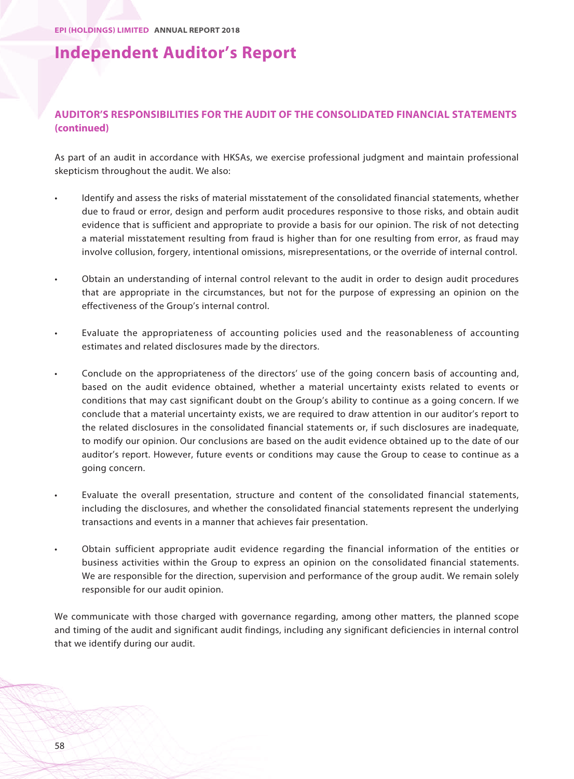### **AUDITOR'S RESPONSIBILITIES FOR THE AUDIT OF THE CONSOLIDATED FINANCIAL STATEMENTS (continued)**

As part of an audit in accordance with HKSAs, we exercise professional judgment and maintain professional skepticism throughout the audit. We also:

- Identify and assess the risks of material misstatement of the consolidated financial statements, whether due to fraud or error, design and perform audit procedures responsive to those risks, and obtain audit evidence that is sufficient and appropriate to provide a basis for our opinion. The risk of not detecting a material misstatement resulting from fraud is higher than for one resulting from error, as fraud may involve collusion, forgery, intentional omissions, misrepresentations, or the override of internal control.
- Obtain an understanding of internal control relevant to the audit in order to design audit procedures that are appropriate in the circumstances, but not for the purpose of expressing an opinion on the effectiveness of the Group's internal control.
- Evaluate the appropriateness of accounting policies used and the reasonableness of accounting estimates and related disclosures made by the directors.
- Conclude on the appropriateness of the directors' use of the going concern basis of accounting and, based on the audit evidence obtained, whether a material uncertainty exists related to events or conditions that may cast significant doubt on the Group's ability to continue as a going concern. If we conclude that a material uncertainty exists, we are required to draw attention in our auditor's report to the related disclosures in the consolidated financial statements or, if such disclosures are inadequate, to modify our opinion. Our conclusions are based on the audit evidence obtained up to the date of our auditor's report. However, future events or conditions may cause the Group to cease to continue as a going concern.
- Evaluate the overall presentation, structure and content of the consolidated financial statements, including the disclosures, and whether the consolidated financial statements represent the underlying transactions and events in a manner that achieves fair presentation.
- Obtain sufficient appropriate audit evidence regarding the financial information of the entities or business activities within the Group to express an opinion on the consolidated financial statements. We are responsible for the direction, supervision and performance of the group audit. We remain solely responsible for our audit opinion.

We communicate with those charged with governance regarding, among other matters, the planned scope and timing of the audit and significant audit findings, including any significant deficiencies in internal control that we identify during our audit.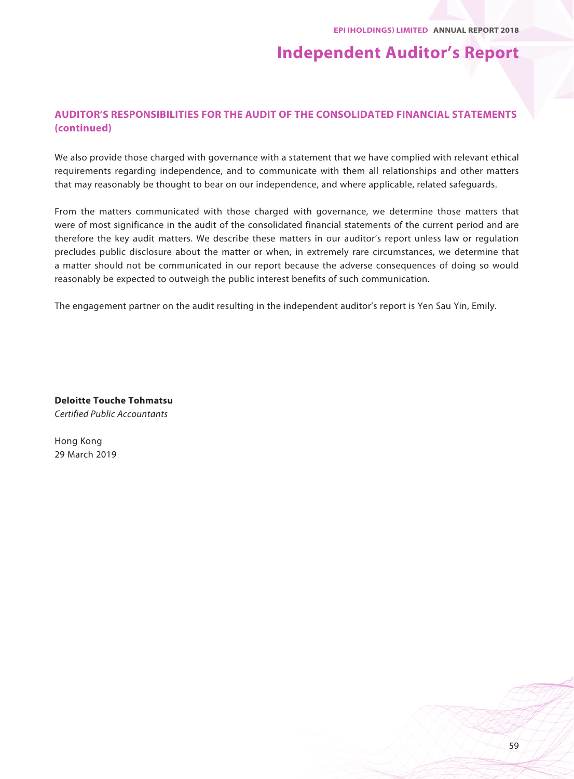### **AUDITOR'S RESPONSIBILITIES FOR THE AUDIT OF THE CONSOLIDATED FINANCIAL STATEMENTS (continued)**

We also provide those charged with governance with a statement that we have complied with relevant ethical requirements regarding independence, and to communicate with them all relationships and other matters that may reasonably be thought to bear on our independence, and where applicable, related safeguards.

From the matters communicated with those charged with governance, we determine those matters that were of most significance in the audit of the consolidated financial statements of the current period and are therefore the key audit matters. We describe these matters in our auditor's report unless law or regulation precludes public disclosure about the matter or when, in extremely rare circumstances, we determine that a matter should not be communicated in our report because the adverse consequences of doing so would reasonably be expected to outweigh the public interest benefits of such communication.

The engagement partner on the audit resulting in the independent auditor's report is Yen Sau Yin, Emily.

**Deloitte Touche Tohmatsu** *Certified Public Accountants*

Hong Kong 29 March 2019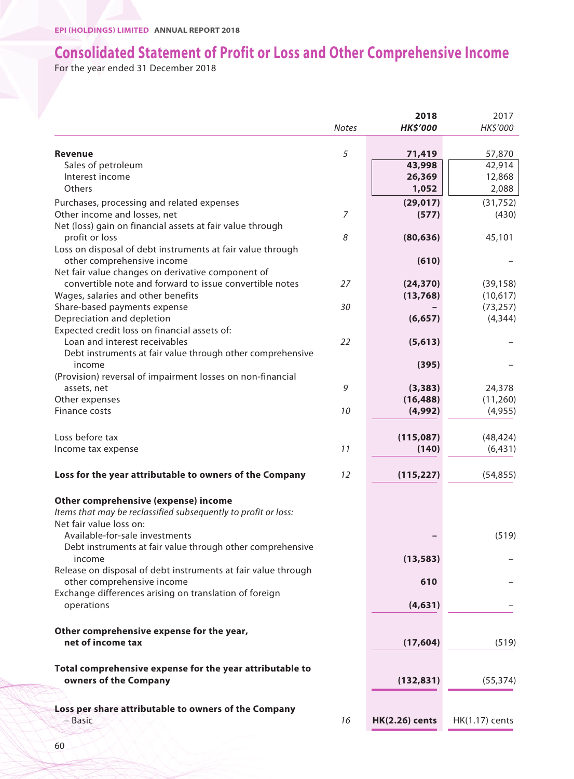# **Consolidated Statement of Profit or Loss and Other Comprehensive Income**

For the year ended 31 December 2018

|                                                                                              |              | 2018                  | 2017                  |
|----------------------------------------------------------------------------------------------|--------------|-----------------------|-----------------------|
|                                                                                              | <b>Notes</b> | <b>HK\$'000</b>       | HK\$'000              |
| <b>Revenue</b>                                                                               | 5            | 71,419                | 57,870                |
| Sales of petroleum                                                                           |              | 43,998                | 42,914                |
| Interest income                                                                              |              | 26,369                | 12,868                |
| Others                                                                                       |              | 1,052                 | 2,088                 |
| Purchases, processing and related expenses                                                   |              | (29, 017)             | (31, 752)             |
| Other income and losses, net                                                                 | 7            | (577)                 | (430)                 |
| Net (loss) gain on financial assets at fair value through                                    |              |                       |                       |
| profit or loss<br>Loss on disposal of debt instruments at fair value through                 | 8            | (80, 636)             | 45,101                |
| other comprehensive income                                                                   |              | (610)                 |                       |
| Net fair value changes on derivative component of                                            |              |                       |                       |
| convertible note and forward to issue convertible notes                                      | 27           | (24, 370)             | (39, 158)             |
| Wages, salaries and other benefits<br>Share-based payments expense                           | 30           | (13, 768)             | (10,617)<br>(73, 257) |
| Depreciation and depletion                                                                   |              | (6, 657)              | (4, 344)              |
| Expected credit loss on financial assets of:                                                 |              |                       |                       |
| Loan and interest receivables                                                                | 22           | (5,613)               |                       |
| Debt instruments at fair value through other comprehensive                                   |              |                       |                       |
| income<br>(Provision) reversal of impairment losses on non-financial                         |              | (395)                 |                       |
| assets, net                                                                                  | 9            | (3, 383)              | 24,378                |
| Other expenses                                                                               |              | (16, 488)             | (11, 260)             |
| Finance costs                                                                                | 10           | (4,992)               | (4,955)               |
| Loss before tax                                                                              |              | (115,087)             | (48, 424)             |
| Income tax expense                                                                           | 11           | (140)                 | (6, 431)              |
|                                                                                              |              |                       |                       |
| Loss for the year attributable to owners of the Company                                      | 12           | (115, 227)            | (54, 855)             |
| Other comprehensive (expense) income                                                         |              |                       |                       |
| Items that may be reclassified subsequently to profit or loss:                               |              |                       |                       |
| Net fair value loss on:                                                                      |              |                       |                       |
| Available-for-sale investments<br>Debt instruments at fair value through other comprehensive |              |                       | (519)                 |
| income                                                                                       |              | (13, 583)             |                       |
| Release on disposal of debt instruments at fair value through                                |              |                       |                       |
| other comprehensive income                                                                   |              | 610                   |                       |
| Exchange differences arising on translation of foreign<br>operations                         |              | (4,631)               |                       |
|                                                                                              |              |                       |                       |
| Other comprehensive expense for the year,                                                    |              |                       |                       |
| net of income tax                                                                            |              | (17, 604)             | (519)                 |
| Total comprehensive expense for the year attributable to                                     |              |                       |                       |
| owners of the Company                                                                        |              | (132, 831)            | (55, 374)             |
|                                                                                              |              |                       |                       |
| Loss per share attributable to owners of the Company                                         |              |                       |                       |
| – Basic                                                                                      | 16           | <b>HK(2.26) cents</b> | HK(1.17) cents        |
|                                                                                              |              |                       |                       |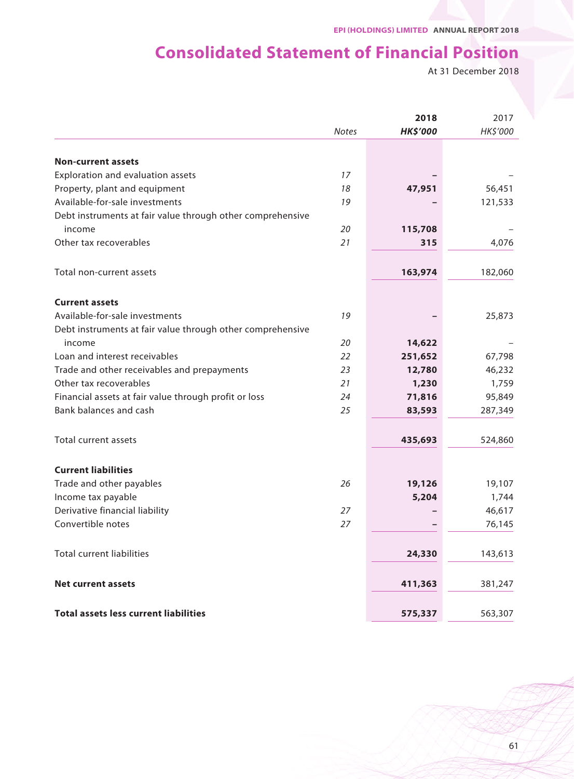# **Consolidated Statement of Financial Position**

At 31 December 2018

|                                                            |              | 2018            | 2017     |
|------------------------------------------------------------|--------------|-----------------|----------|
|                                                            | <b>Notes</b> | <b>HK\$'000</b> | HK\$'000 |
|                                                            |              |                 |          |
| <b>Non-current assets</b>                                  |              |                 |          |
| Exploration and evaluation assets                          | 17           |                 |          |
| Property, plant and equipment                              | 18           | 47,951          | 56,451   |
| Available-for-sale investments                             | 19           |                 | 121,533  |
| Debt instruments at fair value through other comprehensive |              |                 |          |
| income                                                     | 20           | 115,708         |          |
| Other tax recoverables                                     | 21           | 315             | 4,076    |
|                                                            |              |                 |          |
| Total non-current assets                                   |              | 163,974         | 182,060  |
|                                                            |              |                 |          |
| <b>Current assets</b>                                      |              |                 |          |
| Available-for-sale investments                             | 19           |                 | 25,873   |
| Debt instruments at fair value through other comprehensive |              |                 |          |
| income                                                     | 20           | 14,622          |          |
| Loan and interest receivables                              | 22           | 251,652         | 67,798   |
| Trade and other receivables and prepayments                | 23           | 12,780          | 46,232   |
| Other tax recoverables                                     | 21           | 1,230           | 1,759    |
| Financial assets at fair value through profit or loss      | 24           | 71,816          | 95,849   |
| Bank balances and cash                                     | 25           | 83,593          | 287,349  |
|                                                            |              |                 |          |
| Total current assets                                       |              | 435,693         | 524,860  |
|                                                            |              |                 |          |
| <b>Current liabilities</b>                                 |              |                 |          |
| Trade and other payables                                   | 26           | 19,126          | 19,107   |
| Income tax payable                                         |              | 5,204           | 1,744    |
| Derivative financial liability                             | 27           |                 | 46,617   |
| Convertible notes                                          | 27           |                 | 76,145   |
|                                                            |              |                 |          |
| <b>Total current liabilities</b>                           |              | 24,330          | 143,613  |
|                                                            |              |                 |          |
|                                                            |              |                 |          |
| <b>Net current assets</b>                                  |              | 411,363         | 381,247  |
|                                                            |              |                 |          |
| <b>Total assets less current liabilities</b>               |              | 575,337         | 563,307  |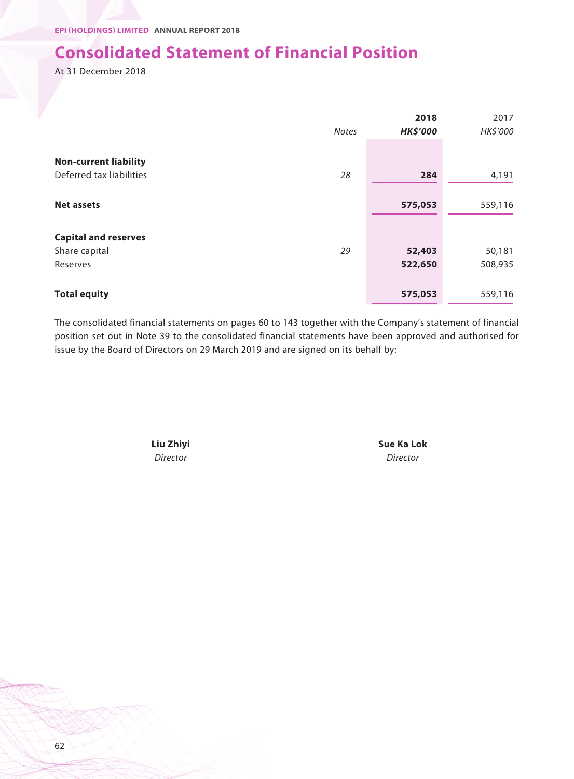# **Consolidated Statement of Financial Position**

At 31 December 2018

|                              |              | 2018            | 2017            |
|------------------------------|--------------|-----------------|-----------------|
|                              | <b>Notes</b> | <b>HK\$'000</b> | <b>HK\$'000</b> |
|                              |              |                 |                 |
| <b>Non-current liability</b> |              |                 |                 |
| Deferred tax liabilities     | 28           | 284             | 4,191           |
|                              |              |                 |                 |
| <b>Net assets</b>            |              | 575,053         | 559,116         |
|                              |              |                 |                 |
| <b>Capital and reserves</b>  |              |                 |                 |
| Share capital                | 29           | 52,403          | 50,181          |
| Reserves                     |              | 522,650         | 508,935         |
|                              |              |                 |                 |
| <b>Total equity</b>          |              | 575,053         | 559,116         |

The consolidated financial statements on pages 60 to 143 together with the Company's statement of financial position set out in Note 39 to the consolidated financial statements have been approved and authorised for issue by the Board of Directors on 29 March 2019 and are signed on its behalf by:

**Liu Zhiyi Sue Ka Lok** *Director Director*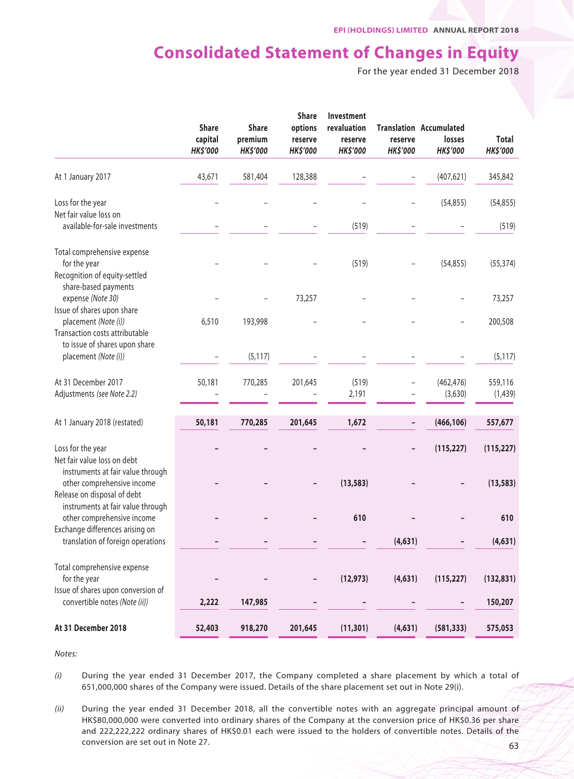# **Consolidated Statement of Changes in Equity**

For the year ended 31 December 2018

|                                                                                                                       | <b>Share</b><br>capital<br><b>HK\$'000</b> | <b>Share</b><br>premium<br><b>HK\$'000</b> | <b>Share</b><br>options<br>reserve<br><b>HK\$'000</b> | Investment<br>revaluation<br>reserve<br><b>HK\$'000</b> | reserve<br><b>HK\$'000</b> | <b>Translation Accumulated</b><br>losses<br><b>HK\$'000</b> | <b>Total</b><br><b>HK\$'000</b> |
|-----------------------------------------------------------------------------------------------------------------------|--------------------------------------------|--------------------------------------------|-------------------------------------------------------|---------------------------------------------------------|----------------------------|-------------------------------------------------------------|---------------------------------|
| At 1 January 2017                                                                                                     | 43,671                                     | 581,404                                    | 128,388                                               |                                                         |                            | (407, 621)                                                  | 345,842                         |
| Loss for the year<br>Net fair value loss on                                                                           |                                            |                                            |                                                       |                                                         |                            | (54, 855)                                                   | (54, 855)                       |
| available-for-sale investments                                                                                        |                                            |                                            |                                                       | (519)                                                   |                            |                                                             | (519)                           |
| Total comprehensive expense<br>for the year<br>Recognition of equity-settled                                          |                                            |                                            |                                                       | (519)                                                   |                            | (54, 855)                                                   | (55, 374)                       |
| share-based payments<br>expense (Note 30)                                                                             |                                            |                                            | 73,257                                                |                                                         |                            |                                                             | 73,257                          |
| Issue of shares upon share<br>placement (Note (i))<br>Transaction costs attributable<br>to issue of shares upon share | 6,510                                      | 193,998                                    |                                                       |                                                         |                            |                                                             | 200,508                         |
| placement (Note (i))                                                                                                  |                                            | (5, 117)                                   |                                                       |                                                         |                            |                                                             | (5, 117)                        |
| At 31 December 2017<br>Adjustments (see Note 2.2)                                                                     | 50,181                                     | 770,285                                    | 201,645                                               | (519)<br>2,191                                          |                            | (462, 476)<br>(3,630)                                       | 559,116<br>(1,439)              |
| At 1 January 2018 (restated)                                                                                          | 50,181                                     | 770,285                                    | 201,645                                               | 1,672                                                   |                            | (466, 106)                                                  | 557,677                         |
| Loss for the year<br>Net fair value loss on debt                                                                      |                                            |                                            |                                                       |                                                         |                            | (115, 227)                                                  | (115, 227)                      |
| instruments at fair value through<br>other comprehensive income<br>Release on disposal of debt                        |                                            |                                            |                                                       | (13, 583)                                               |                            |                                                             | (13, 583)                       |
| instruments at fair value through<br>other comprehensive income                                                       |                                            |                                            |                                                       | 610                                                     |                            |                                                             | 610                             |
| Exchange differences arising on<br>translation of foreign operations                                                  |                                            |                                            |                                                       |                                                         | (4, 631)                   |                                                             | (4, 631)                        |
| Total comprehensive expense<br>for the year                                                                           |                                            |                                            |                                                       | (12, 973)                                               | (4, 631)                   | (115, 227)                                                  | (132, 831)                      |
| Issue of shares upon conversion of<br>convertible notes (Note (ii))                                                   | 2,222                                      | 147,985                                    |                                                       |                                                         |                            |                                                             | 150,207                         |
| At 31 December 2018                                                                                                   | 52,403                                     | 918,270                                    | 201,645                                               | (11, 301)                                               | (4, 631)                   | (581, 333)                                                  | 575,053                         |

*Notes:*

- *(i)* During the year ended 31 December 2017, the Company completed a share placement by which a total of 651,000,000 shares of the Company were issued. Details of the share placement set out in Note 29(i).
- 63 *(ii)* During the year ended 31 December 2018, all the convertible notes with an aggregate principal amount of HK\$80,000,000 were converted into ordinary shares of the Company at the conversion price of HK\$0.36 per share and 222,222,222 ordinary shares of HK\$0.01 each were issued to the holders of convertible notes. Details of the conversion are set out in Note 27.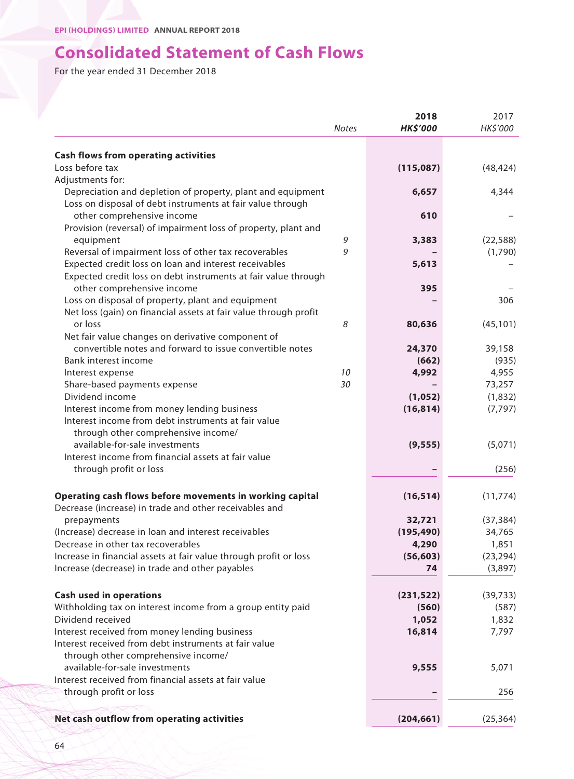# **Consolidated Statement of Cash Flows**

For the year ended 31 December 2018

|                                                                                                    | 2018         |                 | 2017            |
|----------------------------------------------------------------------------------------------------|--------------|-----------------|-----------------|
|                                                                                                    | <b>Notes</b> | <b>HK\$'000</b> | <b>HK\$'000</b> |
| <b>Cash flows from operating activities</b>                                                        |              |                 |                 |
| Loss before tax                                                                                    |              | (115,087)       | (48, 424)       |
| Adjustments for:                                                                                   |              |                 |                 |
| Depreciation and depletion of property, plant and equipment                                        |              | 6,657           | 4,344           |
| Loss on disposal of debt instruments at fair value through                                         |              |                 |                 |
| other comprehensive income                                                                         |              | 610             |                 |
| Provision (reversal) of impairment loss of property, plant and                                     |              |                 |                 |
| equipment                                                                                          | 9            | 3,383           | (22, 588)       |
| Reversal of impairment loss of other tax recoverables                                              | 9            |                 | (1,790)         |
| Expected credit loss on loan and interest receivables                                              |              | 5,613           |                 |
| Expected credit loss on debt instruments at fair value through                                     |              |                 |                 |
| other comprehensive income                                                                         |              | 395             |                 |
| Loss on disposal of property, plant and equipment                                                  |              |                 | 306             |
| Net loss (gain) on financial assets at fair value through profit                                   |              |                 |                 |
| or loss                                                                                            | 8            | 80,636          | (45, 101)       |
| Net fair value changes on derivative component of                                                  |              |                 |                 |
| convertible notes and forward to issue convertible notes                                           |              | 24,370          | 39,158          |
| Bank interest income                                                                               |              | (662)           | (935)           |
| Interest expense                                                                                   | 10           | 4,992           | 4,955           |
| Share-based payments expense                                                                       | 30           |                 | 73,257          |
| Dividend income                                                                                    |              | (1,052)         | (1,832)         |
| Interest income from money lending business<br>Interest income from debt instruments at fair value |              | (16, 814)       | (7, 797)        |
| through other comprehensive income/                                                                |              |                 |                 |
| available-for-sale investments                                                                     |              | (9, 555)        | (5,071)         |
| Interest income from financial assets at fair value                                                |              |                 |                 |
| through profit or loss                                                                             |              |                 | (256)           |
|                                                                                                    |              |                 |                 |
| Operating cash flows before movements in working capital                                           |              | (16, 514)       | (11, 774)       |
| Decrease (increase) in trade and other receivables and                                             |              |                 |                 |
| prepayments                                                                                        |              | 32,721          | (37, 384)       |
| (Increase) decrease in loan and interest receivables                                               |              | (195, 490)      | 34,765          |
| Decrease in other tax recoverables                                                                 |              | 4,290           | 1,851           |
| Increase in financial assets at fair value through profit or loss                                  |              | (56, 603)       | (23, 294)       |
| Increase (decrease) in trade and other payables                                                    |              | 74              | (3,897)         |
|                                                                                                    |              |                 |                 |
| <b>Cash used in operations</b>                                                                     |              | (231, 522)      | (39, 733)       |
| Withholding tax on interest income from a group entity paid                                        |              | (560)           | (587)           |
| Dividend received                                                                                  |              | 1,052           | 1,832           |
| Interest received from money lending business                                                      |              | 16,814          | 7,797           |
| Interest received from debt instruments at fair value                                              |              |                 |                 |
| through other comprehensive income/                                                                |              |                 |                 |
| available-for-sale investments<br>Interest received from financial assets at fair value            |              | 9,555           | 5,071           |
| through profit or loss                                                                             |              |                 | 256             |
|                                                                                                    |              |                 |                 |
| Net cash outflow from operating activities                                                         |              | (204, 661)      | (25, 364)       |
|                                                                                                    |              |                 |                 |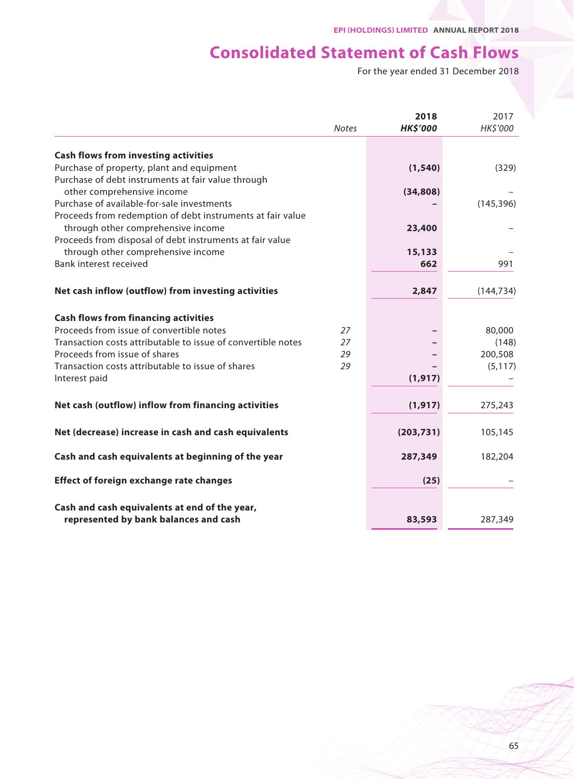# **Consolidated Statement of Cash Flows**

For the year ended 31 December 2018

|                                                              |              | 2018            | 2017       |
|--------------------------------------------------------------|--------------|-----------------|------------|
|                                                              | <b>Notes</b> | <b>HK\$'000</b> | HK\$'000   |
|                                                              |              |                 |            |
| <b>Cash flows from investing activities</b>                  |              |                 |            |
| Purchase of property, plant and equipment                    |              | (1, 540)        | (329)      |
| Purchase of debt instruments at fair value through           |              |                 |            |
| other comprehensive income                                   |              | (34, 808)       |            |
| Purchase of available-for-sale investments                   |              |                 | (145, 396) |
| Proceeds from redemption of debt instruments at fair value   |              |                 |            |
| through other comprehensive income                           |              | 23,400          |            |
| Proceeds from disposal of debt instruments at fair value     |              |                 |            |
| through other comprehensive income                           |              | 15,133          |            |
| Bank interest received                                       |              | 662             | 991        |
|                                                              |              |                 |            |
| Net cash inflow (outflow) from investing activities          |              | 2,847           | (144, 734) |
|                                                              |              |                 |            |
| <b>Cash flows from financing activities</b>                  |              |                 |            |
| Proceeds from issue of convertible notes                     | 27           |                 | 80,000     |
| Transaction costs attributable to issue of convertible notes | 27           |                 | (148)      |
| Proceeds from issue of shares                                | 29           |                 | 200,508    |
| Transaction costs attributable to issue of shares            | 29           |                 | (5, 117)   |
| Interest paid                                                |              | (1, 917)        |            |
|                                                              |              |                 |            |
| Net cash (outflow) inflow from financing activities          |              | (1, 917)        | 275,243    |
|                                                              |              |                 |            |
| Net (decrease) increase in cash and cash equivalents         |              | (203, 731)      | 105,145    |
|                                                              |              |                 |            |
| Cash and cash equivalents at beginning of the year           |              | 287,349         | 182,204    |
| <b>Effect of foreign exchange rate changes</b>               |              | (25)            |            |
|                                                              |              |                 |            |
| Cash and cash equivalents at end of the year,                |              |                 |            |
| represented by bank balances and cash                        |              | 83,593          | 287,349    |
|                                                              |              |                 |            |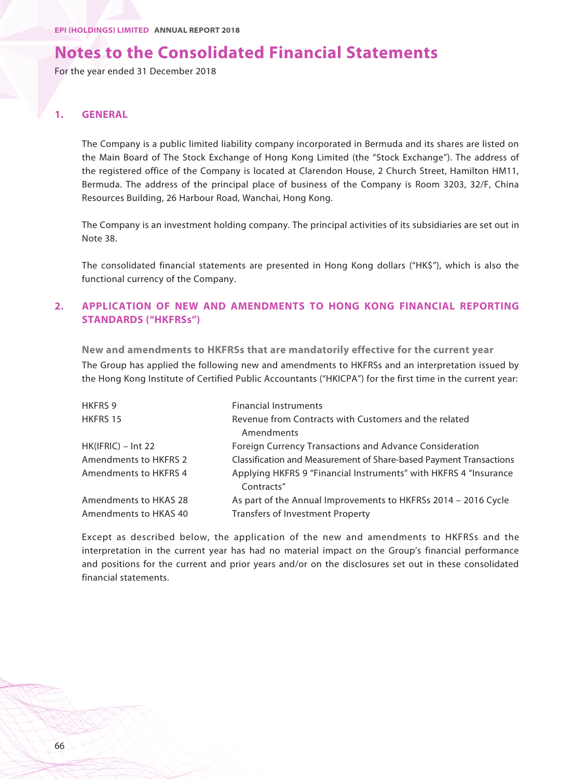For the year ended 31 December 2018

### **1. GENERAL**

The Company is a public limited liability company incorporated in Bermuda and its shares are listed on the Main Board of The Stock Exchange of Hong Kong Limited (the "Stock Exchange"). The address of the registered office of the Company is located at Clarendon House, 2 Church Street, Hamilton HM11, Bermuda. The address of the principal place of business of the Company is Room 3203, 32/F, China Resources Building, 26 Harbour Road, Wanchai, Hong Kong.

The Company is an investment holding company. The principal activities of its subsidiaries are set out in Note 38.

The consolidated financial statements are presented in Hong Kong dollars ("HK\$"), which is also the functional currency of the Company.

### **2. APPLICATION OF NEW AND AMENDMENTS TO HONG KONG FINANCIAL REPORTING STANDARDS ("HKFRSs")**

**New and amendments to HKFRSs that are mandatorily effective for the current year** The Group has applied the following new and amendments to HKFRSs and an interpretation issued by the Hong Kong Institute of Certified Public Accountants ("HKICPA") for the first time in the current year:

| <b>HKFRS 9</b>        | <b>Financial Instruments</b>                                                   |
|-----------------------|--------------------------------------------------------------------------------|
| HKFRS 15              | Revenue from Contracts with Customers and the related<br>Amendments            |
| $HK(IFRIC) - Int 22$  | Foreign Currency Transactions and Advance Consideration                        |
| Amendments to HKFRS 2 | Classification and Measurement of Share-based Payment Transactions             |
| Amendments to HKFRS 4 | Applying HKFRS 9 "Financial Instruments" with HKFRS 4 "Insurance<br>Contracts" |
| Amendments to HKAS 28 | As part of the Annual Improvements to HKFRSs 2014 - 2016 Cycle                 |
| Amendments to HKAS 40 | Transfers of Investment Property                                               |

Except as described below, the application of the new and amendments to HKFRSs and the interpretation in the current year has had no material impact on the Group's financial performance and positions for the current and prior years and/or on the disclosures set out in these consolidated financial statements.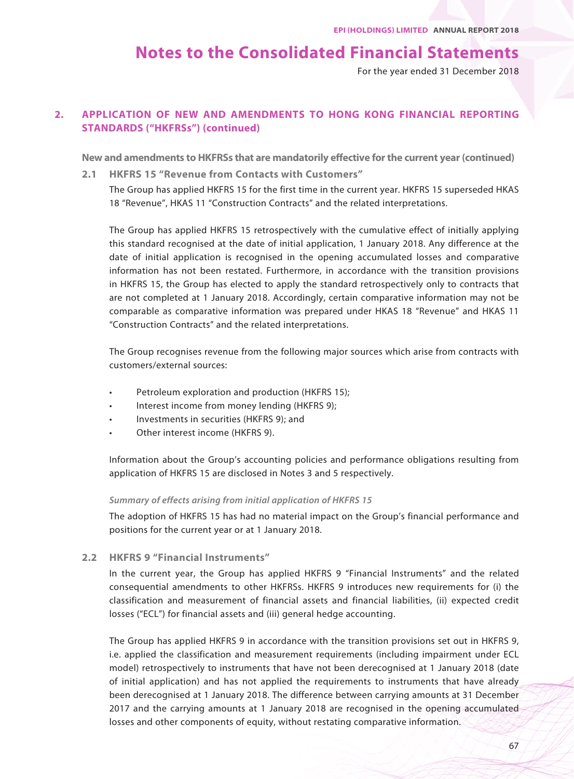For the year ended 31 December 2018

### **2. APPLICATION OF NEW AND AMENDMENTS TO HONG KONG FINANCIAL REPORTING STANDARDS ("HKFRSs") (continued)**

**New and amendments to HKFRSs that are mandatorily effective for the current year (continued)**

**2.1 HKFRS 15 "Revenue from Contacts with Customers"**

The Group has applied HKFRS 15 for the first time in the current year. HKFRS 15 superseded HKAS 18 "Revenue", HKAS 11 "Construction Contracts" and the related interpretations.

The Group has applied HKFRS 15 retrospectively with the cumulative effect of initially applying this standard recognised at the date of initial application, 1 January 2018. Any difference at the date of initial application is recognised in the opening accumulated losses and comparative information has not been restated. Furthermore, in accordance with the transition provisions in HKFRS 15, the Group has elected to apply the standard retrospectively only to contracts that are not completed at 1 January 2018. Accordingly, certain comparative information may not be comparable as comparative information was prepared under HKAS 18 "Revenue" and HKAS 11 "Construction Contracts" and the related interpretations.

The Group recognises revenue from the following major sources which arise from contracts with customers/external sources:

- Petroleum exploration and production (HKFRS 15);
- Interest income from money lending (HKFRS 9);
- Investments in securities (HKFRS 9); and
- Other interest income (HKFRS 9).

Information about the Group's accounting policies and performance obligations resulting from application of HKFRS 15 are disclosed in Notes 3 and 5 respectively.

#### *Summary of effects arising from initial application of HKFRS 15*

The adoption of HKFRS 15 has had no material impact on the Group's financial performance and positions for the current year or at 1 January 2018.

### **2.2 HKFRS 9 "Financial Instruments"**

In the current year, the Group has applied HKFRS 9 "Financial Instruments" and the related consequential amendments to other HKFRSs. HKFRS 9 introduces new requirements for (i) the classification and measurement of financial assets and financial liabilities, (ii) expected credit losses ("ECL") for financial assets and (iii) general hedge accounting.

The Group has applied HKFRS 9 in accordance with the transition provisions set out in HKFRS 9, i.e. applied the classification and measurement requirements (including impairment under ECL model) retrospectively to instruments that have not been derecognised at 1 January 2018 (date of initial application) and has not applied the requirements to instruments that have already been derecognised at 1 January 2018. The difference between carrying amounts at 31 December 2017 and the carrying amounts at 1 January 2018 are recognised in the opening accumulated losses and other components of equity, without restating comparative information.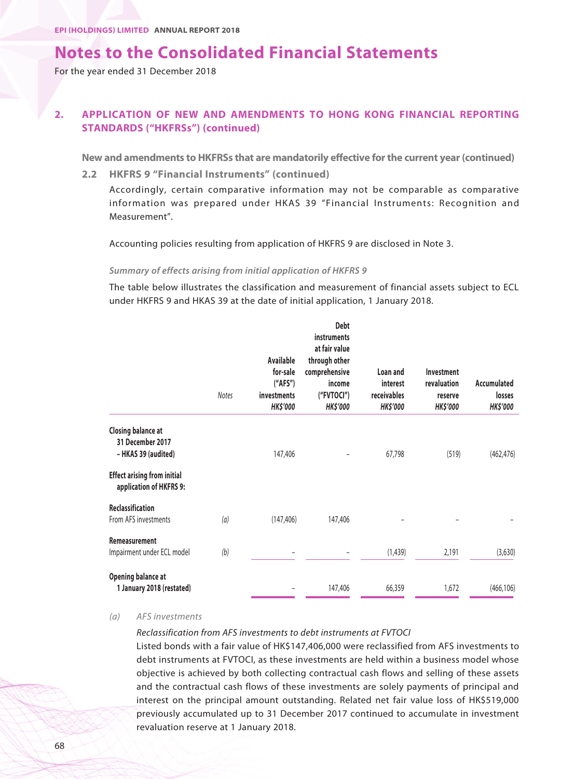For the year ended 31 December 2018

### **2. APPLICATION OF NEW AND AMENDMENTS TO HONG KONG FINANCIAL REPORTING STANDARDS ("HKFRSs") (continued)**

**New and amendments to HKFRSs that are mandatorily effective for the current year (continued)**

**2.2 HKFRS 9 "Financial Instruments" (continued)**

Accordingly, certain comparative information may not be comparable as comparative information was prepared under HKAS 39 "Financial Instruments: Recognition and Measurement".

Accounting policies resulting from application of HKFRS 9 are disclosed in Note 3.

#### *Summary of effects arising from initial application of HKFRS 9*

The table below illustrates the classification and measurement of financial assets subject to ECL under HKFRS 9 and HKAS 39 at the date of initial application, 1 January 2018.

|                                                                      | <b>Notes</b> | Available<br>for-sale<br>("AFS")<br>investments<br><b>HK\$'000</b> | <b>Debt</b><br>instruments<br>at fair value<br>through other<br>comprehensive<br>income<br>("FVTOCI")<br><b>HK\$'000</b> | Loan and<br>interest<br>receivables<br><b>HK\$'000</b> | Investment<br>revaluation<br>reserve<br><b>HK\$'000</b> | Accumulated<br>losses<br><b>HK\$'000</b> |
|----------------------------------------------------------------------|--------------|--------------------------------------------------------------------|--------------------------------------------------------------------------------------------------------------------------|--------------------------------------------------------|---------------------------------------------------------|------------------------------------------|
| <b>Closing balance at</b><br>31 December 2017<br>- HKAS 39 (audited) |              | 147,406                                                            |                                                                                                                          | 67,798                                                 | (519)                                                   | (462, 476)                               |
| <b>Effect arising from initial</b><br>application of HKFRS 9:        |              |                                                                    |                                                                                                                          |                                                        |                                                         |                                          |
| <b>Reclassification</b><br>From AFS investments                      | (a)          | (147, 406)                                                         | 147,406                                                                                                                  |                                                        |                                                         |                                          |
| Remeasurement<br>Impairment under ECL model                          | (b)          |                                                                    |                                                                                                                          | (1,439)                                                | 2,191                                                   | (3,630)                                  |
| Opening balance at<br>1 January 2018 (restated)                      |              |                                                                    | 147,406                                                                                                                  | 66,359                                                 | 1,672                                                   | (466, 106)                               |

### *(a) AFS investments*

*Reclassification from AFS investments to debt instruments at FVTOCI*

Listed bonds with a fair value of HK\$147,406,000 were reclassified from AFS investments to debt instruments at FVTOCI, as these investments are held within a business model whose objective is achieved by both collecting contractual cash flows and selling of these assets and the contractual cash flows of these investments are solely payments of principal and interest on the principal amount outstanding. Related net fair value loss of HK\$519,000 previously accumulated up to 31 December 2017 continued to accumulate in investment revaluation reserve at 1 January 2018.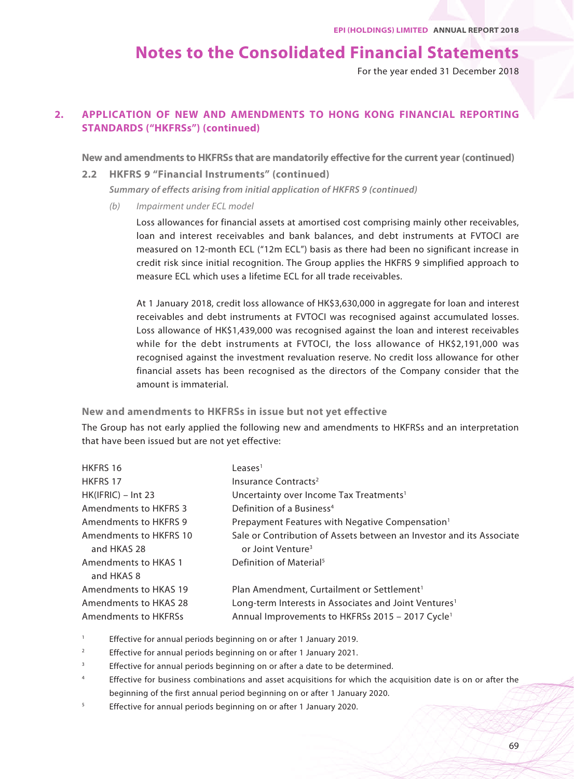For the year ended 31 December 2018

### **2. APPLICATION OF NEW AND AMENDMENTS TO HONG KONG FINANCIAL REPORTING STANDARDS ("HKFRSs") (continued)**

**New and amendments to HKFRSs that are mandatorily effective for the current year (continued)**

**2.2 HKFRS 9 "Financial Instruments" (continued)**

*Summary of effects arising from initial application of HKFRS 9 (continued)*

*(b) Impairment under ECL model*

Loss allowances for financial assets at amortised cost comprising mainly other receivables, loan and interest receivables and bank balances, and debt instruments at FVTOCI are measured on 12-month ECL ("12m ECL") basis as there had been no significant increase in credit risk since initial recognition. The Group applies the HKFRS 9 simplified approach to measure ECL which uses a lifetime ECL for all trade receivables.

At 1 January 2018, credit loss allowance of HK\$3,630,000 in aggregate for loan and interest receivables and debt instruments at FVTOCI was recognised against accumulated losses. Loss allowance of HK\$1,439,000 was recognised against the loan and interest receivables while for the debt instruments at FVTOCI, the loss allowance of HK\$2,191,000 was recognised against the investment revaluation reserve. No credit loss allowance for other financial assets has been recognised as the directors of the Company consider that the amount is immaterial.

#### **New and amendments to HKFRSs in issue but not yet effective**

The Group has not early applied the following new and amendments to HKFRSs and an interpretation that have been issued but are not yet effective:

| Leases <sup>1</sup>                                                                                   |
|-------------------------------------------------------------------------------------------------------|
| Insurance Contracts <sup>2</sup>                                                                      |
| Uncertainty over Income Tax Treatments <sup>1</sup>                                                   |
| Definition of a Business <sup>4</sup>                                                                 |
| Prepayment Features with Negative Compensation <sup>1</sup>                                           |
| Sale or Contribution of Assets between an Investor and its Associate<br>or Joint Venture <sup>3</sup> |
| Definition of Material <sup>5</sup>                                                                   |
| Plan Amendment, Curtailment or Settlement <sup>1</sup>                                                |
| Long-term Interests in Associates and Joint Ventures <sup>1</sup>                                     |
| Annual Improvements to HKFRSs 2015 - 2017 Cycle <sup>1</sup>                                          |
|                                                                                                       |

<sup>1</sup> Effective for annual periods beginning on or after 1 January 2019.

- <sup>2</sup> Effective for annual periods beginning on or after 1 January 2021.
- Effective for annual periods beginning on or after a date to be determined.
- <sup>4</sup> Effective for business combinations and asset acquisitions for which the acquisition date is on or after the beginning of the first annual period beginning on or after 1 January 2020.
- <sup>5</sup> Effective for annual periods beginning on or after 1 January 2020.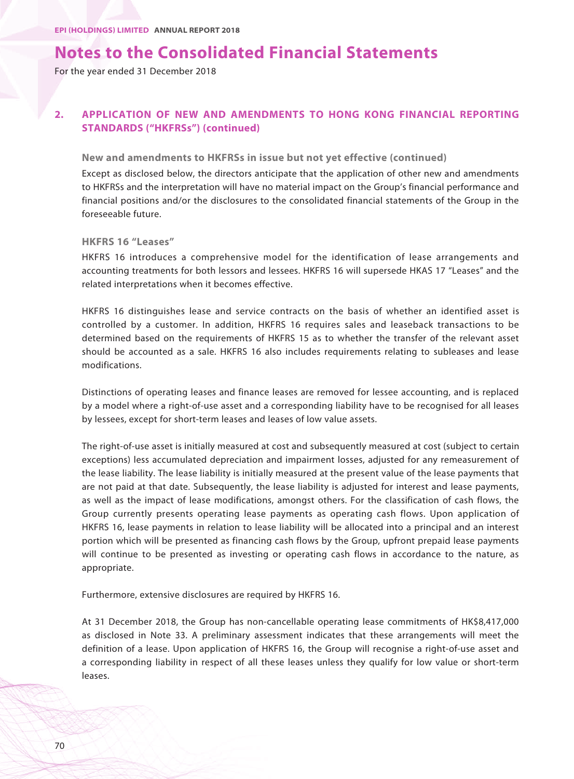For the year ended 31 December 2018

### **2. APPLICATION OF NEW AND AMENDMENTS TO HONG KONG FINANCIAL REPORTING STANDARDS ("HKFRSs") (continued)**

#### **New and amendments to HKFRSs in issue but not yet effective (continued)**

Except as disclosed below, the directors anticipate that the application of other new and amendments to HKFRSs and the interpretation will have no material impact on the Group's financial performance and financial positions and/or the disclosures to the consolidated financial statements of the Group in the foreseeable future.

### **HKFRS 16 "Leases"**

HKFRS 16 introduces a comprehensive model for the identification of lease arrangements and accounting treatments for both lessors and lessees. HKFRS 16 will supersede HKAS 17 "Leases" and the related interpretations when it becomes effective.

HKFRS 16 distinguishes lease and service contracts on the basis of whether an identified asset is controlled by a customer. In addition, HKFRS 16 requires sales and leaseback transactions to be determined based on the requirements of HKFRS 15 as to whether the transfer of the relevant asset should be accounted as a sale. HKFRS 16 also includes requirements relating to subleases and lease modifications.

Distinctions of operating leases and finance leases are removed for lessee accounting, and is replaced by a model where a right-of-use asset and a corresponding liability have to be recognised for all leases by lessees, except for short-term leases and leases of low value assets.

The right-of-use asset is initially measured at cost and subsequently measured at cost (subject to certain exceptions) less accumulated depreciation and impairment losses, adjusted for any remeasurement of the lease liability. The lease liability is initially measured at the present value of the lease payments that are not paid at that date. Subsequently, the lease liability is adjusted for interest and lease payments, as well as the impact of lease modifications, amongst others. For the classification of cash flows, the Group currently presents operating lease payments as operating cash flows. Upon application of HKFRS 16, lease payments in relation to lease liability will be allocated into a principal and an interest portion which will be presented as financing cash flows by the Group, upfront prepaid lease payments will continue to be presented as investing or operating cash flows in accordance to the nature, as appropriate.

Furthermore, extensive disclosures are required by HKFRS 16.

At 31 December 2018, the Group has non-cancellable operating lease commitments of HK\$8,417,000 as disclosed in Note 33. A preliminary assessment indicates that these arrangements will meet the definition of a lease. Upon application of HKFRS 16, the Group will recognise a right-of-use asset and a corresponding liability in respect of all these leases unless they qualify for low value or short-term leases.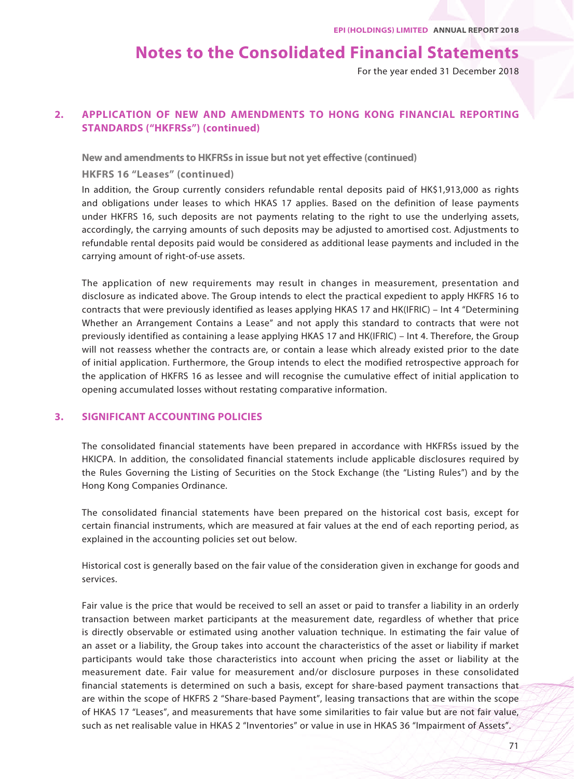For the year ended 31 December 2018

### **2. APPLICATION OF NEW AND AMENDMENTS TO HONG KONG FINANCIAL REPORTING STANDARDS ("HKFRSs") (continued)**

**New and amendments to HKFRSs in issue but not yet effective (continued)**

**HKFRS 16 "Leases" (continued)**

In addition, the Group currently considers refundable rental deposits paid of HK\$1,913,000 as rights and obligations under leases to which HKAS 17 applies. Based on the definition of lease payments under HKFRS 16, such deposits are not payments relating to the right to use the underlying assets, accordingly, the carrying amounts of such deposits may be adjusted to amortised cost. Adjustments to refundable rental deposits paid would be considered as additional lease payments and included in the carrying amount of right-of-use assets.

The application of new requirements may result in changes in measurement, presentation and disclosure as indicated above. The Group intends to elect the practical expedient to apply HKFRS 16 to contracts that were previously identified as leases applying HKAS 17 and HK(IFRIC) – Int 4 "Determining Whether an Arrangement Contains a Lease" and not apply this standard to contracts that were not previously identified as containing a lease applying HKAS 17 and HK(IFRIC) – Int 4. Therefore, the Group will not reassess whether the contracts are, or contain a lease which already existed prior to the date of initial application. Furthermore, the Group intends to elect the modified retrospective approach for the application of HKFRS 16 as lessee and will recognise the cumulative effect of initial application to opening accumulated losses without restating comparative information.

### **3. SIGNIFICANT ACCOUNTING POLICIES**

The consolidated financial statements have been prepared in accordance with HKFRSs issued by the HKICPA. In addition, the consolidated financial statements include applicable disclosures required by the Rules Governing the Listing of Securities on the Stock Exchange (the "Listing Rules") and by the Hong Kong Companies Ordinance.

The consolidated financial statements have been prepared on the historical cost basis, except for certain financial instruments, which are measured at fair values at the end of each reporting period, as explained in the accounting policies set out below.

Historical cost is generally based on the fair value of the consideration given in exchange for goods and services.

Fair value is the price that would be received to sell an asset or paid to transfer a liability in an orderly transaction between market participants at the measurement date, regardless of whether that price is directly observable or estimated using another valuation technique. In estimating the fair value of an asset or a liability, the Group takes into account the characteristics of the asset or liability if market participants would take those characteristics into account when pricing the asset or liability at the measurement date. Fair value for measurement and/or disclosure purposes in these consolidated financial statements is determined on such a basis, except for share-based payment transactions that are within the scope of HKFRS 2 "Share-based Payment", leasing transactions that are within the scope of HKAS 17 "Leases", and measurements that have some similarities to fair value but are not fair value, such as net realisable value in HKAS 2 "Inventories" or value in use in HKAS 36 "Impairment of Assets".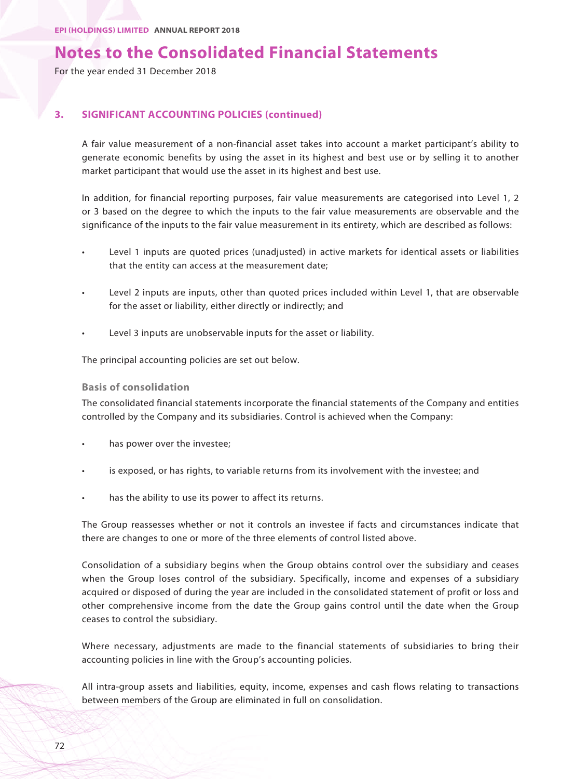For the year ended 31 December 2018

# **3. SIGNIFICANT ACCOUNTING POLICIES (continued)**

A fair value measurement of a non-financial asset takes into account a market participant's ability to generate economic benefits by using the asset in its highest and best use or by selling it to another market participant that would use the asset in its highest and best use.

In addition, for financial reporting purposes, fair value measurements are categorised into Level 1, 2 or 3 based on the degree to which the inputs to the fair value measurements are observable and the significance of the inputs to the fair value measurement in its entirety, which are described as follows:

- Level 1 inputs are quoted prices (unadjusted) in active markets for identical assets or liabilities that the entity can access at the measurement date;
- Level 2 inputs are inputs, other than quoted prices included within Level 1, that are observable for the asset or liability, either directly or indirectly; and
- Level 3 inputs are unobservable inputs for the asset or liability.

The principal accounting policies are set out below.

#### **Basis of consolidation**

The consolidated financial statements incorporate the financial statements of the Company and entities controlled by the Company and its subsidiaries. Control is achieved when the Company:

- has power over the investee;
- is exposed, or has rights, to variable returns from its involvement with the investee; and
- has the ability to use its power to affect its returns.

The Group reassesses whether or not it controls an investee if facts and circumstances indicate that there are changes to one or more of the three elements of control listed above.

Consolidation of a subsidiary begins when the Group obtains control over the subsidiary and ceases when the Group loses control of the subsidiary. Specifically, income and expenses of a subsidiary acquired or disposed of during the year are included in the consolidated statement of profit or loss and other comprehensive income from the date the Group gains control until the date when the Group ceases to control the subsidiary.

Where necessary, adjustments are made to the financial statements of subsidiaries to bring their accounting policies in line with the Group's accounting policies.

All intra-group assets and liabilities, equity, income, expenses and cash flows relating to transactions between members of the Group are eliminated in full on consolidation.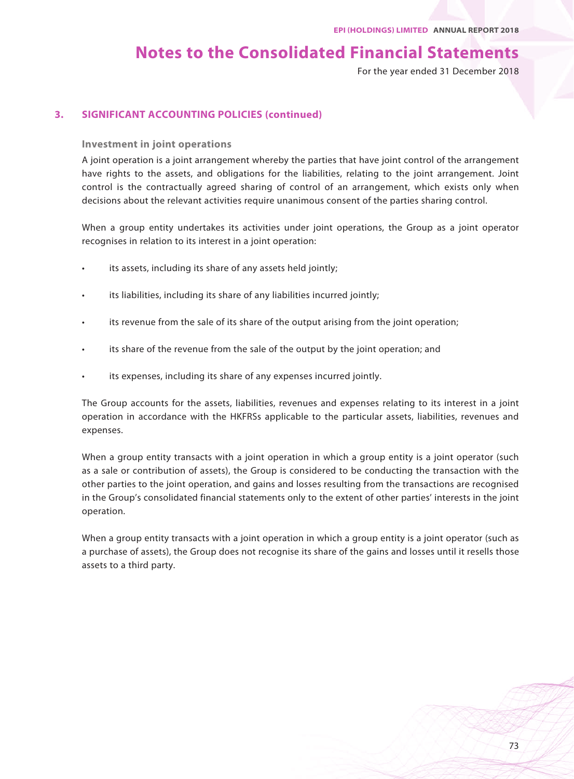For the year ended 31 December 2018

# **3. SIGNIFICANT ACCOUNTING POLICIES (continued)**

#### **Investment in joint operations**

A joint operation is a joint arrangement whereby the parties that have joint control of the arrangement have rights to the assets, and obligations for the liabilities, relating to the joint arrangement. Joint control is the contractually agreed sharing of control of an arrangement, which exists only when decisions about the relevant activities require unanimous consent of the parties sharing control.

When a group entity undertakes its activities under joint operations, the Group as a joint operator recognises in relation to its interest in a joint operation:

- its assets, including its share of any assets held jointly;
- its liabilities, including its share of any liabilities incurred jointly;
- its revenue from the sale of its share of the output arising from the joint operation;
- its share of the revenue from the sale of the output by the joint operation; and
- its expenses, including its share of any expenses incurred jointly.

The Group accounts for the assets, liabilities, revenues and expenses relating to its interest in a joint operation in accordance with the HKFRSs applicable to the particular assets, liabilities, revenues and expenses.

When a group entity transacts with a joint operation in which a group entity is a joint operator (such as a sale or contribution of assets), the Group is considered to be conducting the transaction with the other parties to the joint operation, and gains and losses resulting from the transactions are recognised in the Group's consolidated financial statements only to the extent of other parties' interests in the joint operation.

When a group entity transacts with a joint operation in which a group entity is a joint operator (such as a purchase of assets), the Group does not recognise its share of the gains and losses until it resells those assets to a third party.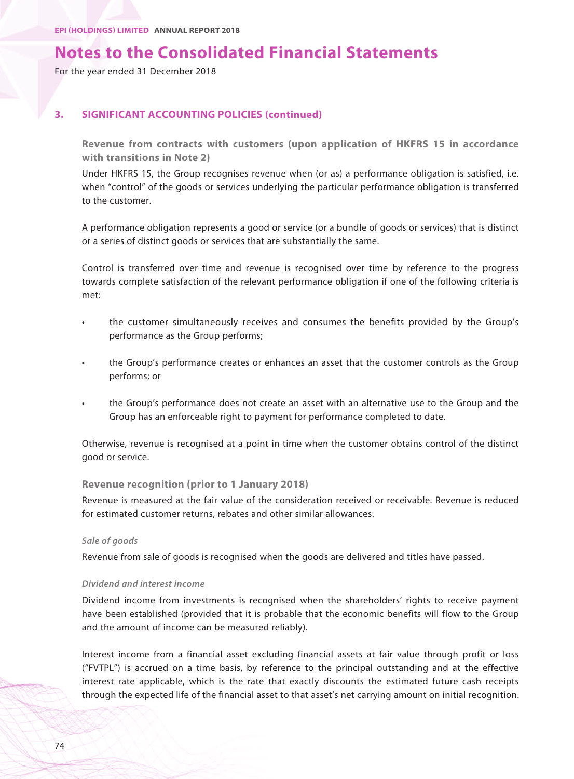For the year ended 31 December 2018

### **3. SIGNIFICANT ACCOUNTING POLICIES (continued)**

**Revenue from contracts with customers (upon application of HKFRS 15 in accordance with transitions in Note 2)**

Under HKFRS 15, the Group recognises revenue when (or as) a performance obligation is satisfied, i.e. when "control" of the goods or services underlying the particular performance obligation is transferred to the customer.

A performance obligation represents a good or service (or a bundle of goods or services) that is distinct or a series of distinct goods or services that are substantially the same.

Control is transferred over time and revenue is recognised over time by reference to the progress towards complete satisfaction of the relevant performance obligation if one of the following criteria is met:

- the customer simultaneously receives and consumes the benefits provided by the Group's performance as the Group performs;
- the Group's performance creates or enhances an asset that the customer controls as the Group performs; or
- the Group's performance does not create an asset with an alternative use to the Group and the Group has an enforceable right to payment for performance completed to date.

Otherwise, revenue is recognised at a point in time when the customer obtains control of the distinct good or service.

#### **Revenue recognition (prior to 1 January 2018)**

Revenue is measured at the fair value of the consideration received or receivable. Revenue is reduced for estimated customer returns, rebates and other similar allowances.

### *Sale of goods*

Revenue from sale of goods is recognised when the goods are delivered and titles have passed.

#### *Dividend and interest income*

Dividend income from investments is recognised when the shareholders' rights to receive payment have been established (provided that it is probable that the economic benefits will flow to the Group and the amount of income can be measured reliably).

Interest income from a financial asset excluding financial assets at fair value through profit or loss ("FVTPL") is accrued on a time basis, by reference to the principal outstanding and at the effective interest rate applicable, which is the rate that exactly discounts the estimated future cash receipts through the expected life of the financial asset to that asset's net carrying amount on initial recognition.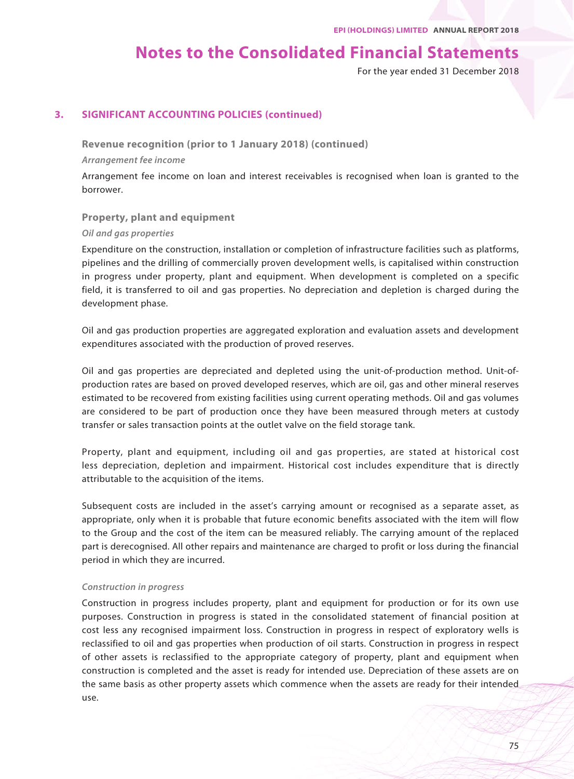For the year ended 31 December 2018

### **3. SIGNIFICANT ACCOUNTING POLICIES (continued)**

**Revenue recognition (prior to 1 January 2018) (continued)**

#### *Arrangement fee income*

Arrangement fee income on loan and interest receivables is recognised when loan is granted to the borrower.

#### **Property, plant and equipment**

#### *Oil and gas properties*

Expenditure on the construction, installation or completion of infrastructure facilities such as platforms, pipelines and the drilling of commercially proven development wells, is capitalised within construction in progress under property, plant and equipment. When development is completed on a specific field, it is transferred to oil and gas properties. No depreciation and depletion is charged during the development phase.

Oil and gas production properties are aggregated exploration and evaluation assets and development expenditures associated with the production of proved reserves.

Oil and gas properties are depreciated and depleted using the unit-of-production method. Unit-ofproduction rates are based on proved developed reserves, which are oil, gas and other mineral reserves estimated to be recovered from existing facilities using current operating methods. Oil and gas volumes are considered to be part of production once they have been measured through meters at custody transfer or sales transaction points at the outlet valve on the field storage tank.

Property, plant and equipment, including oil and gas properties, are stated at historical cost less depreciation, depletion and impairment. Historical cost includes expenditure that is directly attributable to the acquisition of the items.

Subsequent costs are included in the asset's carrying amount or recognised as a separate asset, as appropriate, only when it is probable that future economic benefits associated with the item will flow to the Group and the cost of the item can be measured reliably. The carrying amount of the replaced part is derecognised. All other repairs and maintenance are charged to profit or loss during the financial period in which they are incurred.

#### *Construction in progress*

Construction in progress includes property, plant and equipment for production or for its own use purposes. Construction in progress is stated in the consolidated statement of financial position at cost less any recognised impairment loss. Construction in progress in respect of exploratory wells is reclassified to oil and gas properties when production of oil starts. Construction in progress in respect of other assets is reclassified to the appropriate category of property, plant and equipment when construction is completed and the asset is ready for intended use. Depreciation of these assets are on the same basis as other property assets which commence when the assets are ready for their intended use.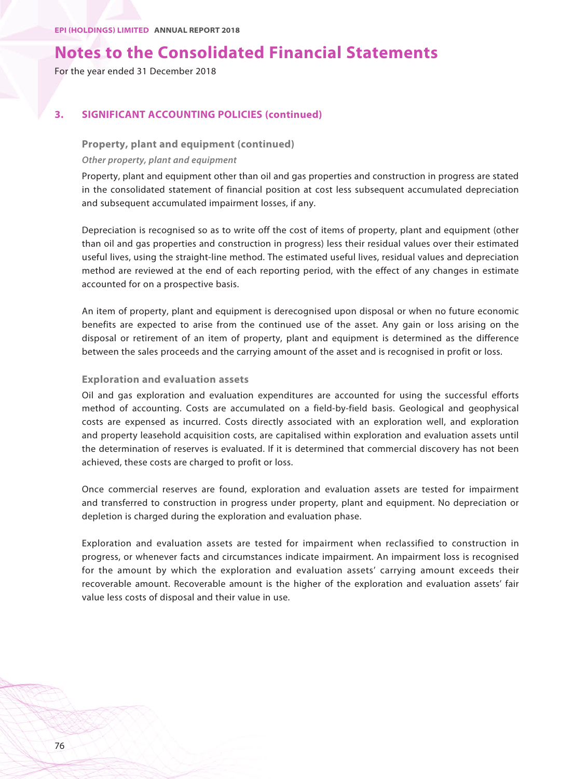For the year ended 31 December 2018

# **3. SIGNIFICANT ACCOUNTING POLICIES (continued)**

### **Property, plant and equipment (continued)**

#### *Other property, plant and equipment*

Property, plant and equipment other than oil and gas properties and construction in progress are stated in the consolidated statement of financial position at cost less subsequent accumulated depreciation and subsequent accumulated impairment losses, if any.

Depreciation is recognised so as to write off the cost of items of property, plant and equipment (other than oil and gas properties and construction in progress) less their residual values over their estimated useful lives, using the straight-line method. The estimated useful lives, residual values and depreciation method are reviewed at the end of each reporting period, with the effect of any changes in estimate accounted for on a prospective basis.

An item of property, plant and equipment is derecognised upon disposal or when no future economic benefits are expected to arise from the continued use of the asset. Any gain or loss arising on the disposal or retirement of an item of property, plant and equipment is determined as the difference between the sales proceeds and the carrying amount of the asset and is recognised in profit or loss.

### **Exploration and evaluation assets**

Oil and gas exploration and evaluation expenditures are accounted for using the successful efforts method of accounting. Costs are accumulated on a field-by-field basis. Geological and geophysical costs are expensed as incurred. Costs directly associated with an exploration well, and exploration and property leasehold acquisition costs, are capitalised within exploration and evaluation assets until the determination of reserves is evaluated. If it is determined that commercial discovery has not been achieved, these costs are charged to profit or loss.

Once commercial reserves are found, exploration and evaluation assets are tested for impairment and transferred to construction in progress under property, plant and equipment. No depreciation or depletion is charged during the exploration and evaluation phase.

Exploration and evaluation assets are tested for impairment when reclassified to construction in progress, or whenever facts and circumstances indicate impairment. An impairment loss is recognised for the amount by which the exploration and evaluation assets' carrying amount exceeds their recoverable amount. Recoverable amount is the higher of the exploration and evaluation assets' fair value less costs of disposal and their value in use.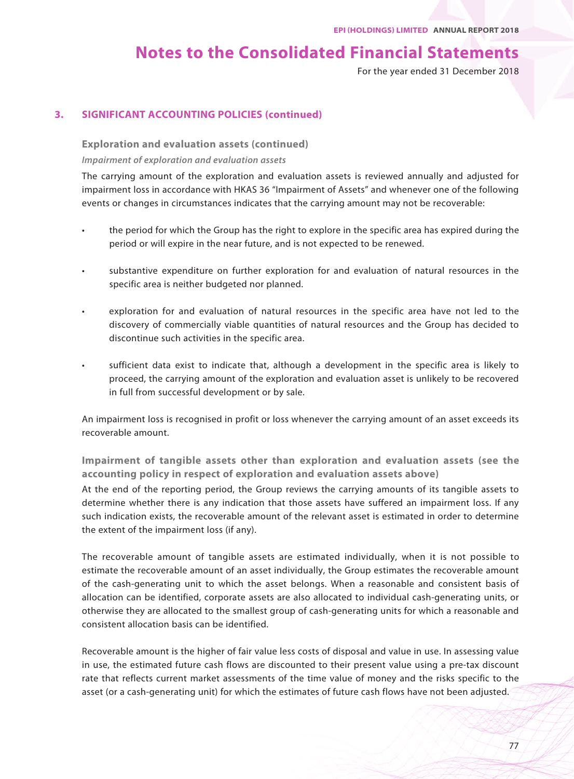For the year ended 31 December 2018

# **3. SIGNIFICANT ACCOUNTING POLICIES (continued)**

# **Exploration and evaluation assets (continued)**

### *Impairment of exploration and evaluation assets*

The carrying amount of the exploration and evaluation assets is reviewed annually and adjusted for impairment loss in accordance with HKAS 36 "Impairment of Assets" and whenever one of the following events or changes in circumstances indicates that the carrying amount may not be recoverable:

- the period for which the Group has the right to explore in the specific area has expired during the period or will expire in the near future, and is not expected to be renewed.
- substantive expenditure on further exploration for and evaluation of natural resources in the specific area is neither budgeted nor planned.
- exploration for and evaluation of natural resources in the specific area have not led to the discovery of commercially viable quantities of natural resources and the Group has decided to discontinue such activities in the specific area.
- sufficient data exist to indicate that, although a development in the specific area is likely to proceed, the carrying amount of the exploration and evaluation asset is unlikely to be recovered in full from successful development or by sale.

An impairment loss is recognised in profit or loss whenever the carrying amount of an asset exceeds its recoverable amount.

**Impairment of tangible assets other than exploration and evaluation assets (see the accounting policy in respect of exploration and evaluation assets above)**

At the end of the reporting period, the Group reviews the carrying amounts of its tangible assets to determine whether there is any indication that those assets have suffered an impairment loss. If any such indication exists, the recoverable amount of the relevant asset is estimated in order to determine the extent of the impairment loss (if any).

The recoverable amount of tangible assets are estimated individually, when it is not possible to estimate the recoverable amount of an asset individually, the Group estimates the recoverable amount of the cash-generating unit to which the asset belongs. When a reasonable and consistent basis of allocation can be identified, corporate assets are also allocated to individual cash-generating units, or otherwise they are allocated to the smallest group of cash-generating units for which a reasonable and consistent allocation basis can be identified.

Recoverable amount is the higher of fair value less costs of disposal and value in use. In assessing value in use, the estimated future cash flows are discounted to their present value using a pre-tax discount rate that reflects current market assessments of the time value of money and the risks specific to the asset (or a cash-generating unit) for which the estimates of future cash flows have not been adjusted.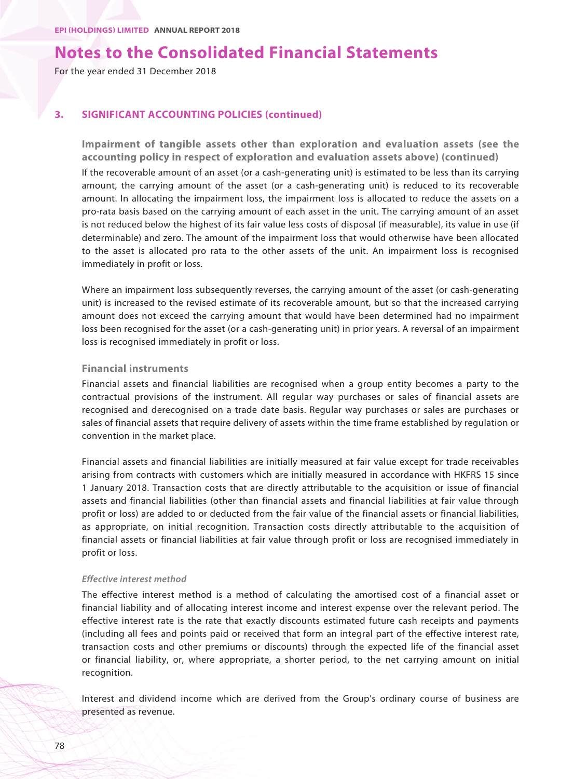For the year ended 31 December 2018

# **3. SIGNIFICANT ACCOUNTING POLICIES (continued)**

**Impairment of tangible assets other than exploration and evaluation assets (see the accounting policy in respect of exploration and evaluation assets above) (continued)** If the recoverable amount of an asset (or a cash-generating unit) is estimated to be less than its carrying amount, the carrying amount of the asset (or a cash-generating unit) is reduced to its recoverable amount. In allocating the impairment loss, the impairment loss is allocated to reduce the assets on a pro-rata basis based on the carrying amount of each asset in the unit. The carrying amount of an asset is not reduced below the highest of its fair value less costs of disposal (if measurable), its value in use (if determinable) and zero. The amount of the impairment loss that would otherwise have been allocated to the asset is allocated pro rata to the other assets of the unit. An impairment loss is recognised immediately in profit or loss.

Where an impairment loss subsequently reverses, the carrying amount of the asset (or cash-generating unit) is increased to the revised estimate of its recoverable amount, but so that the increased carrying amount does not exceed the carrying amount that would have been determined had no impairment loss been recognised for the asset (or a cash-generating unit) in prior years. A reversal of an impairment loss is recognised immediately in profit or loss.

### **Financial instruments**

Financial assets and financial liabilities are recognised when a group entity becomes a party to the contractual provisions of the instrument. All regular way purchases or sales of financial assets are recognised and derecognised on a trade date basis. Regular way purchases or sales are purchases or sales of financial assets that require delivery of assets within the time frame established by regulation or convention in the market place.

Financial assets and financial liabilities are initially measured at fair value except for trade receivables arising from contracts with customers which are initially measured in accordance with HKFRS 15 since 1 January 2018. Transaction costs that are directly attributable to the acquisition or issue of financial assets and financial liabilities (other than financial assets and financial liabilities at fair value through profit or loss) are added to or deducted from the fair value of the financial assets or financial liabilities, as appropriate, on initial recognition. Transaction costs directly attributable to the acquisition of financial assets or financial liabilities at fair value through profit or loss are recognised immediately in profit or loss.

#### *Effective interest method*

The effective interest method is a method of calculating the amortised cost of a financial asset or financial liability and of allocating interest income and interest expense over the relevant period. The effective interest rate is the rate that exactly discounts estimated future cash receipts and payments (including all fees and points paid or received that form an integral part of the effective interest rate, transaction costs and other premiums or discounts) through the expected life of the financial asset or financial liability, or, where appropriate, a shorter period, to the net carrying amount on initial recognition.

Interest and dividend income which are derived from the Group's ordinary course of business are presented as revenue.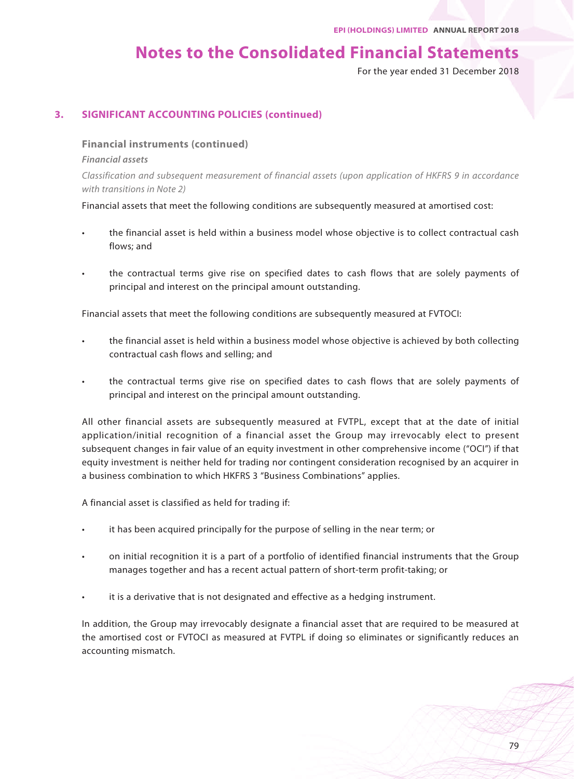For the year ended 31 December 2018

# **3. SIGNIFICANT ACCOUNTING POLICIES (continued)**

## **Financial instruments (continued)**

### *Financial assets*

*Classification and subsequent measurement of financial assets (upon application of HKFRS 9 in accordance with transitions in Note 2)*

Financial assets that meet the following conditions are subsequently measured at amortised cost:

- the financial asset is held within a business model whose objective is to collect contractual cash flows; and
- the contractual terms give rise on specified dates to cash flows that are solely payments of principal and interest on the principal amount outstanding.

Financial assets that meet the following conditions are subsequently measured at FVTOCI:

- the financial asset is held within a business model whose objective is achieved by both collecting contractual cash flows and selling; and
- the contractual terms give rise on specified dates to cash flows that are solely payments of principal and interest on the principal amount outstanding.

All other financial assets are subsequently measured at FVTPL, except that at the date of initial application/initial recognition of a financial asset the Group may irrevocably elect to present subsequent changes in fair value of an equity investment in other comprehensive income ("OCI") if that equity investment is neither held for trading nor contingent consideration recognised by an acquirer in a business combination to which HKFRS 3 "Business Combinations" applies.

A financial asset is classified as held for trading if:

- it has been acquired principally for the purpose of selling in the near term; or
- on initial recognition it is a part of a portfolio of identified financial instruments that the Group manages together and has a recent actual pattern of short-term profit-taking; or
- it is a derivative that is not designated and effective as a hedging instrument.

In addition, the Group may irrevocably designate a financial asset that are required to be measured at the amortised cost or FVTOCI as measured at FVTPL if doing so eliminates or significantly reduces an accounting mismatch.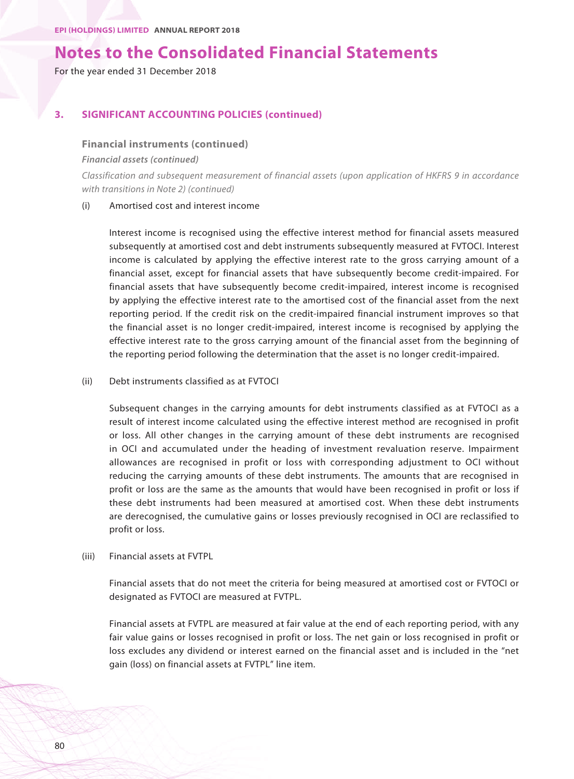For the year ended 31 December 2018

# **3. SIGNIFICANT ACCOUNTING POLICIES (continued)**

### **Financial instruments (continued)**

### *Financial assets (continued)*

*Classification and subsequent measurement of financial assets (upon application of HKFRS 9 in accordance with transitions in Note 2) (continued)*

### (i) Amortised cost and interest income

Interest income is recognised using the effective interest method for financial assets measured subsequently at amortised cost and debt instruments subsequently measured at FVTOCI. Interest income is calculated by applying the effective interest rate to the gross carrying amount of a financial asset, except for financial assets that have subsequently become credit-impaired. For financial assets that have subsequently become credit-impaired, interest income is recognised by applying the effective interest rate to the amortised cost of the financial asset from the next reporting period. If the credit risk on the credit-impaired financial instrument improves so that the financial asset is no longer credit-impaired, interest income is recognised by applying the effective interest rate to the gross carrying amount of the financial asset from the beginning of the reporting period following the determination that the asset is no longer credit-impaired.

#### (ii) Debt instruments classified as at FVTOCI

Subsequent changes in the carrying amounts for debt instruments classified as at FVTOCI as a result of interest income calculated using the effective interest method are recognised in profit or loss. All other changes in the carrying amount of these debt instruments are recognised in OCI and accumulated under the heading of investment revaluation reserve. Impairment allowances are recognised in profit or loss with corresponding adjustment to OCI without reducing the carrying amounts of these debt instruments. The amounts that are recognised in profit or loss are the same as the amounts that would have been recognised in profit or loss if these debt instruments had been measured at amortised cost. When these debt instruments are derecognised, the cumulative gains or losses previously recognised in OCI are reclassified to profit or loss.

### (iii) Financial assets at FVTPL

Financial assets that do not meet the criteria for being measured at amortised cost or FVTOCI or designated as FVTOCI are measured at FVTPL.

Financial assets at FVTPL are measured at fair value at the end of each reporting period, with any fair value gains or losses recognised in profit or loss. The net gain or loss recognised in profit or loss excludes any dividend or interest earned on the financial asset and is included in the "net gain (loss) on financial assets at FVTPL" line item.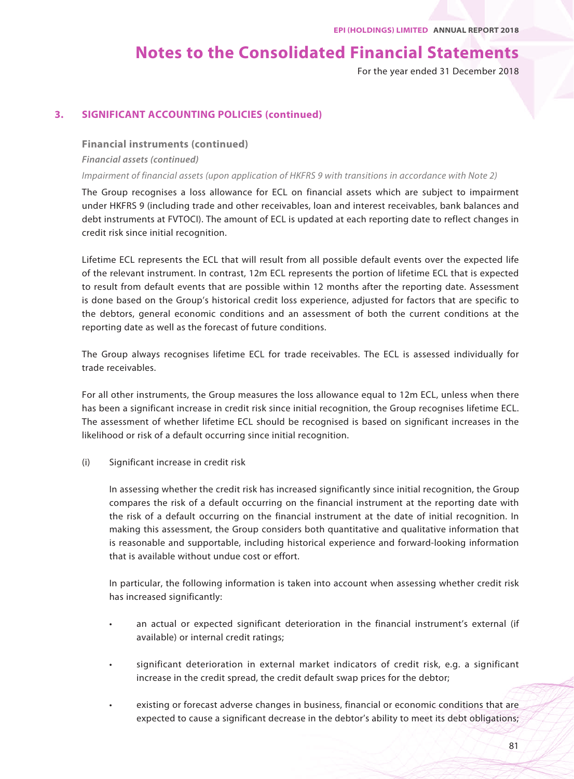For the year ended 31 December 2018

### **3. SIGNIFICANT ACCOUNTING POLICIES (continued)**

### **Financial instruments (continued)**

## *Financial assets (continued)*

*Impairment of financial assets (upon application of HKFRS 9 with transitions in accordance with Note 2)*

The Group recognises a loss allowance for ECL on financial assets which are subject to impairment under HKFRS 9 (including trade and other receivables, loan and interest receivables, bank balances and debt instruments at FVTOCI). The amount of ECL is updated at each reporting date to reflect changes in credit risk since initial recognition.

Lifetime ECL represents the ECL that will result from all possible default events over the expected life of the relevant instrument. In contrast, 12m ECL represents the portion of lifetime ECL that is expected to result from default events that are possible within 12 months after the reporting date. Assessment is done based on the Group's historical credit loss experience, adjusted for factors that are specific to the debtors, general economic conditions and an assessment of both the current conditions at the reporting date as well as the forecast of future conditions.

The Group always recognises lifetime ECL for trade receivables. The ECL is assessed individually for trade receivables.

For all other instruments, the Group measures the loss allowance equal to 12m ECL, unless when there has been a significant increase in credit risk since initial recognition, the Group recognises lifetime ECL. The assessment of whether lifetime ECL should be recognised is based on significant increases in the likelihood or risk of a default occurring since initial recognition.

#### (i) Significant increase in credit risk

In assessing whether the credit risk has increased significantly since initial recognition, the Group compares the risk of a default occurring on the financial instrument at the reporting date with the risk of a default occurring on the financial instrument at the date of initial recognition. In making this assessment, the Group considers both quantitative and qualitative information that is reasonable and supportable, including historical experience and forward-looking information that is available without undue cost or effort.

In particular, the following information is taken into account when assessing whether credit risk has increased significantly:

- an actual or expected significant deterioration in the financial instrument's external (if available) or internal credit ratings;
- significant deterioration in external market indicators of credit risk, e.g. a significant increase in the credit spread, the credit default swap prices for the debtor;
- existing or forecast adverse changes in business, financial or economic conditions that are expected to cause a significant decrease in the debtor's ability to meet its debt obligations;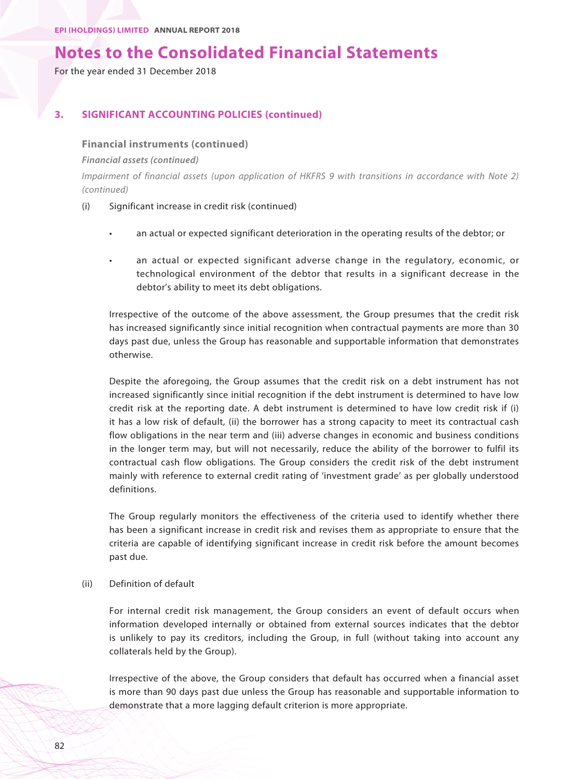For the year ended 31 December 2018

# **3. SIGNIFICANT ACCOUNTING POLICIES (continued)**

**Financial instruments (continued)**

#### *Financial assets (continued)*

*Impairment of financial assets (upon application of HKFRS 9 with transitions in accordance with Note 2) (continued)*

#### (i) Significant increase in credit risk (continued)

- an actual or expected significant deterioration in the operating results of the debtor; or
- an actual or expected significant adverse change in the regulatory, economic, or technological environment of the debtor that results in a significant decrease in the debtor's ability to meet its debt obligations.

Irrespective of the outcome of the above assessment, the Group presumes that the credit risk has increased significantly since initial recognition when contractual payments are more than 30 days past due, unless the Group has reasonable and supportable information that demonstrates otherwise.

Despite the aforegoing, the Group assumes that the credit risk on a debt instrument has not increased significantly since initial recognition if the debt instrument is determined to have low credit risk at the reporting date. A debt instrument is determined to have low credit risk if (i) it has a low risk of default, (ii) the borrower has a strong capacity to meet its contractual cash flow obligations in the near term and (iii) adverse changes in economic and business conditions in the longer term may, but will not necessarily, reduce the ability of the borrower to fulfil its contractual cash flow obligations. The Group considers the credit risk of the debt instrument mainly with reference to external credit rating of 'investment grade' as per globally understood definitions.

The Group regularly monitors the effectiveness of the criteria used to identify whether there has been a significant increase in credit risk and revises them as appropriate to ensure that the criteria are capable of identifying significant increase in credit risk before the amount becomes past due.

### (ii) Definition of default

For internal credit risk management, the Group considers an event of default occurs when information developed internally or obtained from external sources indicates that the debtor is unlikely to pay its creditors, including the Group, in full (without taking into account any collaterals held by the Group).

Irrespective of the above, the Group considers that default has occurred when a financial asset is more than 90 days past due unless the Group has reasonable and supportable information to demonstrate that a more lagging default criterion is more appropriate.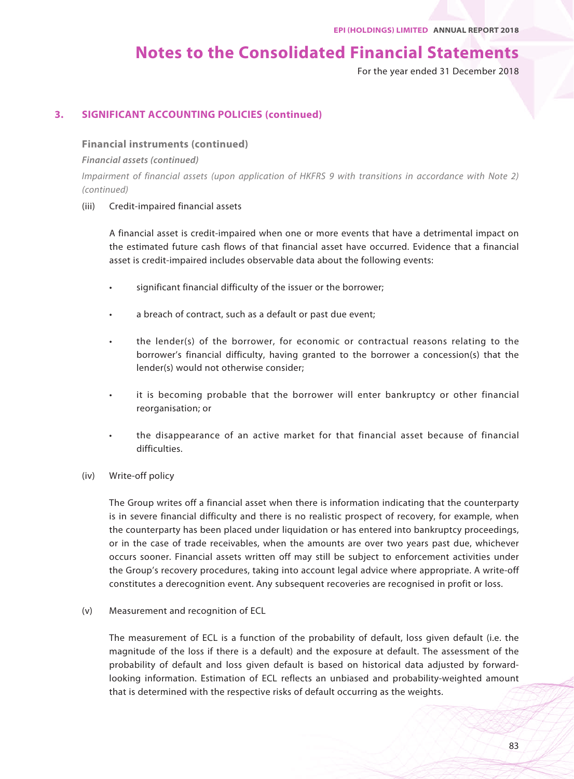For the year ended 31 December 2018

# **3. SIGNIFICANT ACCOUNTING POLICIES (continued)**

## **Financial instruments (continued)**

### *Financial assets (continued)*

*Impairment of financial assets (upon application of HKFRS 9 with transitions in accordance with Note 2) (continued)*

### (iii) Credit-impaired financial assets

A financial asset is credit-impaired when one or more events that have a detrimental impact on the estimated future cash flows of that financial asset have occurred. Evidence that a financial asset is credit-impaired includes observable data about the following events:

- significant financial difficulty of the issuer or the borrower;
- a breach of contract, such as a default or past due event;
- the lender(s) of the borrower, for economic or contractual reasons relating to the borrower's financial difficulty, having granted to the borrower a concession(s) that the lender(s) would not otherwise consider;
- it is becoming probable that the borrower will enter bankruptcy or other financial reorganisation; or
- the disappearance of an active market for that financial asset because of financial difficulties.

## (iv) Write-off policy

The Group writes off a financial asset when there is information indicating that the counterparty is in severe financial difficulty and there is no realistic prospect of recovery, for example, when the counterparty has been placed under liquidation or has entered into bankruptcy proceedings, or in the case of trade receivables, when the amounts are over two years past due, whichever occurs sooner. Financial assets written off may still be subject to enforcement activities under the Group's recovery procedures, taking into account legal advice where appropriate. A write-off constitutes a derecognition event. Any subsequent recoveries are recognised in profit or loss.

## (v) Measurement and recognition of ECL

The measurement of ECL is a function of the probability of default, loss given default (i.e. the magnitude of the loss if there is a default) and the exposure at default. The assessment of the probability of default and loss given default is based on historical data adjusted by forwardlooking information. Estimation of ECL reflects an unbiased and probability-weighted amount that is determined with the respective risks of default occurring as the weights.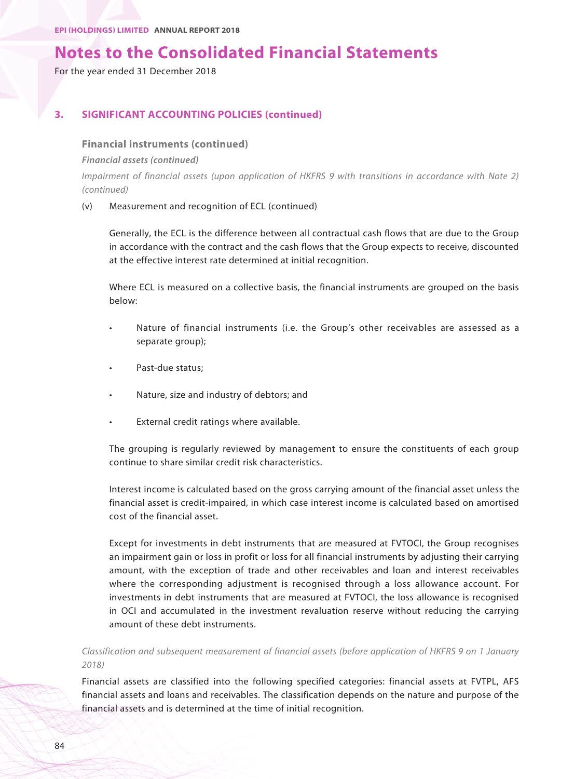For the year ended 31 December 2018

# **3. SIGNIFICANT ACCOUNTING POLICIES (continued)**

### **Financial instruments (continued)**

#### *Financial assets (continued)*

*Impairment of financial assets (upon application of HKFRS 9 with transitions in accordance with Note 2) (continued)*

(v) Measurement and recognition of ECL (continued)

Generally, the ECL is the difference between all contractual cash flows that are due to the Group in accordance with the contract and the cash flows that the Group expects to receive, discounted at the effective interest rate determined at initial recognition.

Where ECL is measured on a collective basis, the financial instruments are grouped on the basis below:

- Nature of financial instruments (i.e. the Group's other receivables are assessed as a separate group);
- Past-due status;
- Nature, size and industry of debtors; and
- External credit ratings where available.

The grouping is regularly reviewed by management to ensure the constituents of each group continue to share similar credit risk characteristics.

Interest income is calculated based on the gross carrying amount of the financial asset unless the financial asset is credit-impaired, in which case interest income is calculated based on amortised cost of the financial asset.

Except for investments in debt instruments that are measured at FVTOCI, the Group recognises an impairment gain or loss in profit or loss for all financial instruments by adjusting their carrying amount, with the exception of trade and other receivables and loan and interest receivables where the corresponding adjustment is recognised through a loss allowance account. For investments in debt instruments that are measured at FVTOCI, the loss allowance is recognised in OCI and accumulated in the investment revaluation reserve without reducing the carrying amount of these debt instruments.

# *Classification and subsequent measurement of financial assets (before application of HKFRS 9 on 1 January 2018)*

Financial assets are classified into the following specified categories: financial assets at FVTPL, AFS financial assets and loans and receivables. The classification depends on the nature and purpose of the financial assets and is determined at the time of initial recognition.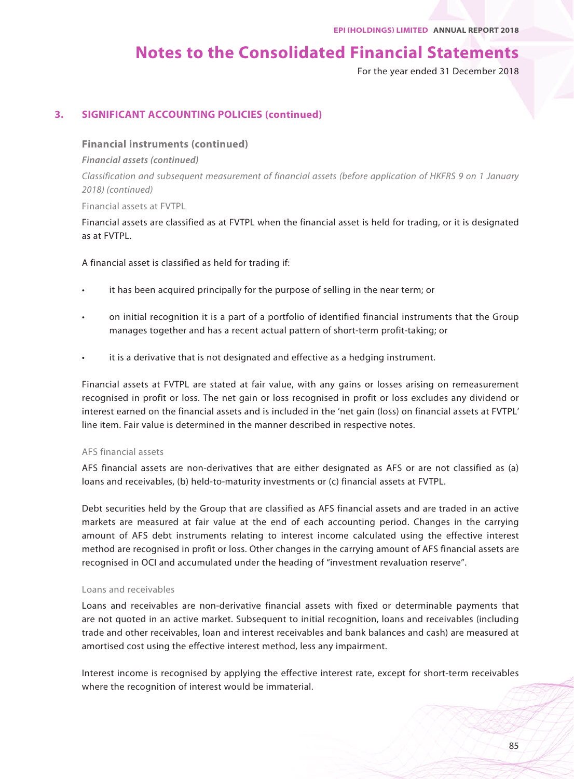For the year ended 31 December 2018

# **3. SIGNIFICANT ACCOUNTING POLICIES (continued)**

## **Financial instruments (continued)**

### *Financial assets (continued)*

*Classification and subsequent measurement of financial assets (before application of HKFRS 9 on 1 January 2018) (continued)*

### Financial assets at FVTPL

Financial assets are classified as at FVTPL when the financial asset is held for trading, or it is designated as at FVTPL.

A financial asset is classified as held for trading if:

- it has been acquired principally for the purpose of selling in the near term; or
- on initial recognition it is a part of a portfolio of identified financial instruments that the Group manages together and has a recent actual pattern of short-term profit-taking; or
- it is a derivative that is not designated and effective as a hedging instrument.

Financial assets at FVTPL are stated at fair value, with any gains or losses arising on remeasurement recognised in profit or loss. The net gain or loss recognised in profit or loss excludes any dividend or interest earned on the financial assets and is included in the 'net gain (loss) on financial assets at FVTPL' line item. Fair value is determined in the manner described in respective notes.

## AFS financial assets

AFS financial assets are non-derivatives that are either designated as AFS or are not classified as (a) loans and receivables, (b) held-to-maturity investments or (c) financial assets at FVTPL.

Debt securities held by the Group that are classified as AFS financial assets and are traded in an active markets are measured at fair value at the end of each accounting period. Changes in the carrying amount of AFS debt instruments relating to interest income calculated using the effective interest method are recognised in profit or loss. Other changes in the carrying amount of AFS financial assets are recognised in OCI and accumulated under the heading of "investment revaluation reserve".

#### Loans and receivables

Loans and receivables are non-derivative financial assets with fixed or determinable payments that are not quoted in an active market. Subsequent to initial recognition, loans and receivables (including trade and other receivables, loan and interest receivables and bank balances and cash) are measured at amortised cost using the effective interest method, less any impairment.

Interest income is recognised by applying the effective interest rate, except for short-term receivables where the recognition of interest would be immaterial.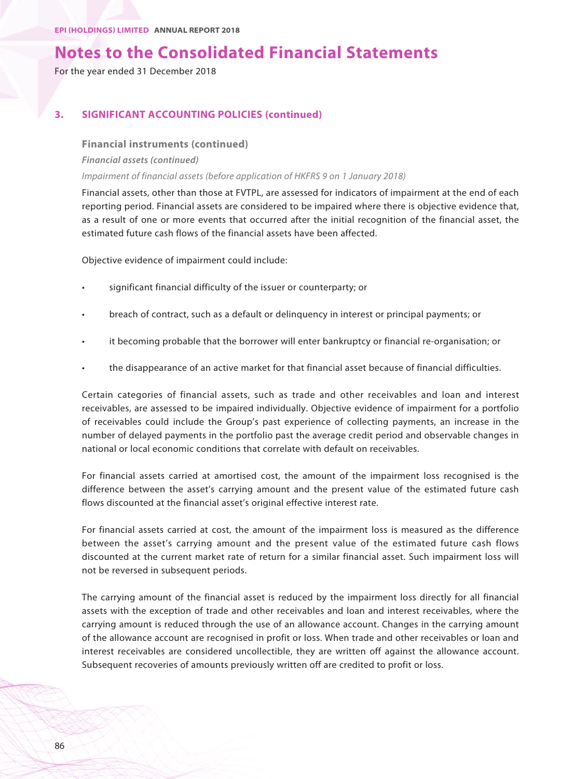For the year ended 31 December 2018

# **3. SIGNIFICANT ACCOUNTING POLICIES (continued)**

### **Financial instruments (continued)**

### *Financial assets (continued)*

*Impairment of financial assets (before application of HKFRS 9 on 1 January 2018)*

Financial assets, other than those at FVTPL, are assessed for indicators of impairment at the end of each reporting period. Financial assets are considered to be impaired where there is objective evidence that, as a result of one or more events that occurred after the initial recognition of the financial asset, the estimated future cash flows of the financial assets have been affected.

Objective evidence of impairment could include:

- significant financial difficulty of the issuer or counterparty; or
- breach of contract, such as a default or delinquency in interest or principal payments; or
- it becoming probable that the borrower will enter bankruptcy or financial re-organisation; or
- the disappearance of an active market for that financial asset because of financial difficulties.

Certain categories of financial assets, such as trade and other receivables and loan and interest receivables, are assessed to be impaired individually. Objective evidence of impairment for a portfolio of receivables could include the Group's past experience of collecting payments, an increase in the number of delayed payments in the portfolio past the average credit period and observable changes in national or local economic conditions that correlate with default on receivables.

For financial assets carried at amortised cost, the amount of the impairment loss recognised is the difference between the asset's carrying amount and the present value of the estimated future cash flows discounted at the financial asset's original effective interest rate.

For financial assets carried at cost, the amount of the impairment loss is measured as the difference between the asset's carrying amount and the present value of the estimated future cash flows discounted at the current market rate of return for a similar financial asset. Such impairment loss will not be reversed in subsequent periods.

The carrying amount of the financial asset is reduced by the impairment loss directly for all financial assets with the exception of trade and other receivables and loan and interest receivables, where the carrying amount is reduced through the use of an allowance account. Changes in the carrying amount of the allowance account are recognised in profit or loss. When trade and other receivables or loan and interest receivables are considered uncollectible, they are written off against the allowance account. Subsequent recoveries of amounts previously written off are credited to profit or loss.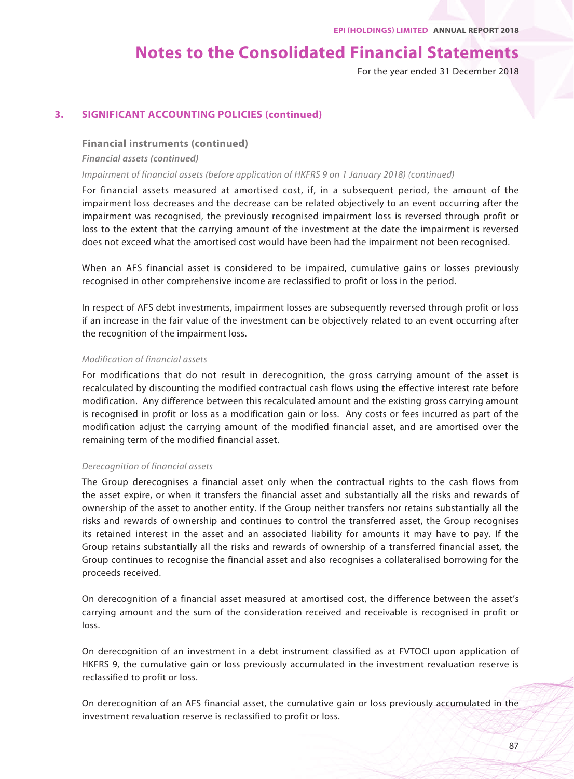For the year ended 31 December 2018

### **3. SIGNIFICANT ACCOUNTING POLICIES (continued)**

#### **Financial instruments (continued)**

### *Financial assets (continued)*

*Impairment of financial assets (before application of HKFRS 9 on 1 January 2018) (continued)*

For financial assets measured at amortised cost, if, in a subsequent period, the amount of the impairment loss decreases and the decrease can be related objectively to an event occurring after the impairment was recognised, the previously recognised impairment loss is reversed through profit or loss to the extent that the carrying amount of the investment at the date the impairment is reversed does not exceed what the amortised cost would have been had the impairment not been recognised.

When an AFS financial asset is considered to be impaired, cumulative gains or losses previously recognised in other comprehensive income are reclassified to profit or loss in the period.

In respect of AFS debt investments, impairment losses are subsequently reversed through profit or loss if an increase in the fair value of the investment can be objectively related to an event occurring after the recognition of the impairment loss.

### *Modification of financial assets*

For modifications that do not result in derecognition, the gross carrying amount of the asset is recalculated by discounting the modified contractual cash flows using the effective interest rate before modification. Any difference between this recalculated amount and the existing gross carrying amount is recognised in profit or loss as a modification gain or loss. Any costs or fees incurred as part of the modification adjust the carrying amount of the modified financial asset, and are amortised over the remaining term of the modified financial asset.

#### *Derecognition of financial assets*

The Group derecognises a financial asset only when the contractual rights to the cash flows from the asset expire, or when it transfers the financial asset and substantially all the risks and rewards of ownership of the asset to another entity. If the Group neither transfers nor retains substantially all the risks and rewards of ownership and continues to control the transferred asset, the Group recognises its retained interest in the asset and an associated liability for amounts it may have to pay. If the Group retains substantially all the risks and rewards of ownership of a transferred financial asset, the Group continues to recognise the financial asset and also recognises a collateralised borrowing for the proceeds received.

On derecognition of a financial asset measured at amortised cost, the difference between the asset's carrying amount and the sum of the consideration received and receivable is recognised in profit or loss.

On derecognition of an investment in a debt instrument classified as at FVTOCI upon application of HKFRS 9, the cumulative gain or loss previously accumulated in the investment revaluation reserve is reclassified to profit or loss.

On derecognition of an AFS financial asset, the cumulative gain or loss previously accumulated in the investment revaluation reserve is reclassified to profit or loss.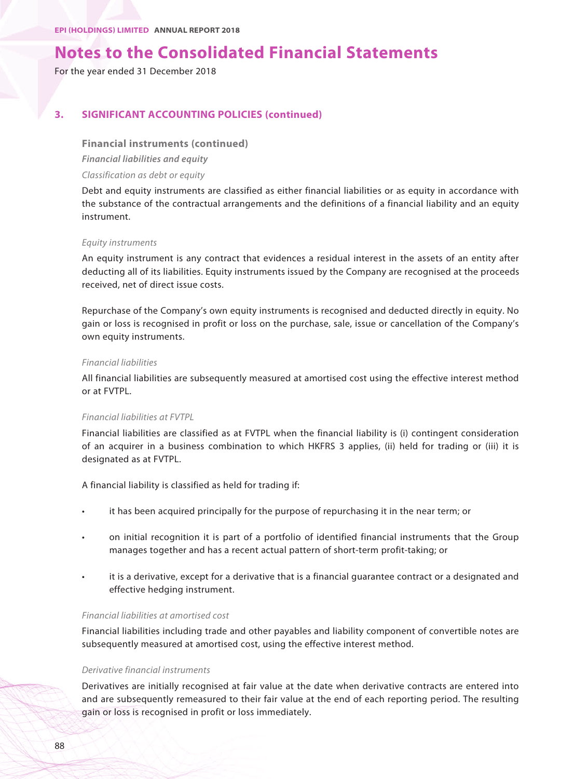For the year ended 31 December 2018

# **3. SIGNIFICANT ACCOUNTING POLICIES (continued)**

**Financial instruments (continued)** *Financial liabilities and equity*

# *Classification as debt or equity*

Debt and equity instruments are classified as either financial liabilities or as equity in accordance with the substance of the contractual arrangements and the definitions of a financial liability and an equity instrument.

#### *Equity instruments*

An equity instrument is any contract that evidences a residual interest in the assets of an entity after deducting all of its liabilities. Equity instruments issued by the Company are recognised at the proceeds received, net of direct issue costs.

Repurchase of the Company's own equity instruments is recognised and deducted directly in equity. No gain or loss is recognised in profit or loss on the purchase, sale, issue or cancellation of the Company's own equity instruments.

### *Financial liabilities*

All financial liabilities are subsequently measured at amortised cost using the effective interest method or at FVTPL.

#### *Financial liabilities at FVTPL*

Financial liabilities are classified as at FVTPL when the financial liability is (i) contingent consideration of an acquirer in a business combination to which HKFRS 3 applies, (ii) held for trading or (iii) it is designated as at FVTPL.

A financial liability is classified as held for trading if:

- it has been acquired principally for the purpose of repurchasing it in the near term; or
- on initial recognition it is part of a portfolio of identified financial instruments that the Group manages together and has a recent actual pattern of short-term profit-taking; or
- it is a derivative, except for a derivative that is a financial guarantee contract or a designated and effective hedging instrument.

#### *Financial liabilities at amortised cost*

Financial liabilities including trade and other payables and liability component of convertible notes are subsequently measured at amortised cost, using the effective interest method.

### *Derivative financial instruments*

Derivatives are initially recognised at fair value at the date when derivative contracts are entered into and are subsequently remeasured to their fair value at the end of each reporting period. The resulting gain or loss is recognised in profit or loss immediately.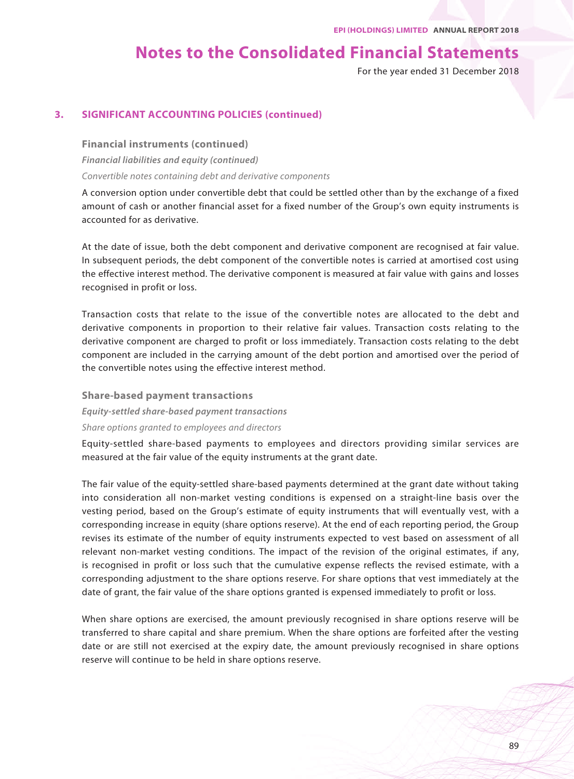For the year ended 31 December 2018

# **3. SIGNIFICANT ACCOUNTING POLICIES (continued)**

### **Financial instruments (continued)**

*Financial liabilities and equity (continued)*

*Convertible notes containing debt and derivative components*

A conversion option under convertible debt that could be settled other than by the exchange of a fixed amount of cash or another financial asset for a fixed number of the Group's own equity instruments is accounted for as derivative.

At the date of issue, both the debt component and derivative component are recognised at fair value. In subsequent periods, the debt component of the convertible notes is carried at amortised cost using the effective interest method. The derivative component is measured at fair value with gains and losses recognised in profit or loss.

Transaction costs that relate to the issue of the convertible notes are allocated to the debt and derivative components in proportion to their relative fair values. Transaction costs relating to the derivative component are charged to profit or loss immediately. Transaction costs relating to the debt component are included in the carrying amount of the debt portion and amortised over the period of the convertible notes using the effective interest method.

**Share-based payment transactions** *Equity-settled share-based payment transactions Share options granted to employees and directors*

Equity-settled share-based payments to employees and directors providing similar services are measured at the fair value of the equity instruments at the grant date.

The fair value of the equity-settled share-based payments determined at the grant date without taking into consideration all non-market vesting conditions is expensed on a straight-line basis over the vesting period, based on the Group's estimate of equity instruments that will eventually vest, with a corresponding increase in equity (share options reserve). At the end of each reporting period, the Group revises its estimate of the number of equity instruments expected to vest based on assessment of all relevant non-market vesting conditions. The impact of the revision of the original estimates, if any, is recognised in profit or loss such that the cumulative expense reflects the revised estimate, with a corresponding adjustment to the share options reserve. For share options that vest immediately at the date of grant, the fair value of the share options granted is expensed immediately to profit or loss.

When share options are exercised, the amount previously recognised in share options reserve will be transferred to share capital and share premium. When the share options are forfeited after the vesting date or are still not exercised at the expiry date, the amount previously recognised in share options reserve will continue to be held in share options reserve.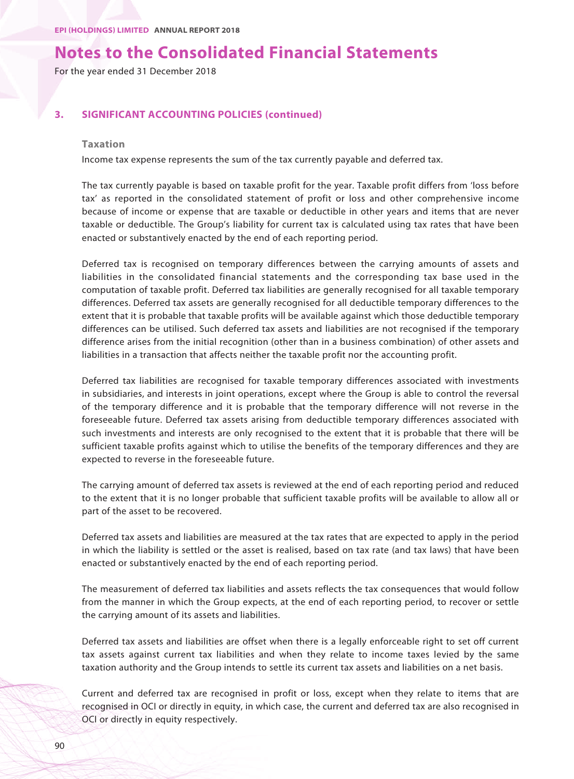For the year ended 31 December 2018

## **3. SIGNIFICANT ACCOUNTING POLICIES (continued)**

### **Taxation**

Income tax expense represents the sum of the tax currently payable and deferred tax.

The tax currently payable is based on taxable profit for the year. Taxable profit differs from 'loss before tax' as reported in the consolidated statement of profit or loss and other comprehensive income because of income or expense that are taxable or deductible in other years and items that are never taxable or deductible. The Group's liability for current tax is calculated using tax rates that have been enacted or substantively enacted by the end of each reporting period.

Deferred tax is recognised on temporary differences between the carrying amounts of assets and liabilities in the consolidated financial statements and the corresponding tax base used in the computation of taxable profit. Deferred tax liabilities are generally recognised for all taxable temporary differences. Deferred tax assets are generally recognised for all deductible temporary differences to the extent that it is probable that taxable profits will be available against which those deductible temporary differences can be utilised. Such deferred tax assets and liabilities are not recognised if the temporary difference arises from the initial recognition (other than in a business combination) of other assets and liabilities in a transaction that affects neither the taxable profit nor the accounting profit.

Deferred tax liabilities are recognised for taxable temporary differences associated with investments in subsidiaries, and interests in joint operations, except where the Group is able to control the reversal of the temporary difference and it is probable that the temporary difference will not reverse in the foreseeable future. Deferred tax assets arising from deductible temporary differences associated with such investments and interests are only recognised to the extent that it is probable that there will be sufficient taxable profits against which to utilise the benefits of the temporary differences and they are expected to reverse in the foreseeable future.

The carrying amount of deferred tax assets is reviewed at the end of each reporting period and reduced to the extent that it is no longer probable that sufficient taxable profits will be available to allow all or part of the asset to be recovered.

Deferred tax assets and liabilities are measured at the tax rates that are expected to apply in the period in which the liability is settled or the asset is realised, based on tax rate (and tax laws) that have been enacted or substantively enacted by the end of each reporting period.

The measurement of deferred tax liabilities and assets reflects the tax consequences that would follow from the manner in which the Group expects, at the end of each reporting period, to recover or settle the carrying amount of its assets and liabilities.

Deferred tax assets and liabilities are offset when there is a legally enforceable right to set off current tax assets against current tax liabilities and when they relate to income taxes levied by the same taxation authority and the Group intends to settle its current tax assets and liabilities on a net basis.

Current and deferred tax are recognised in profit or loss, except when they relate to items that are recognised in OCI or directly in equity, in which case, the current and deferred tax are also recognised in OCI or directly in equity respectively.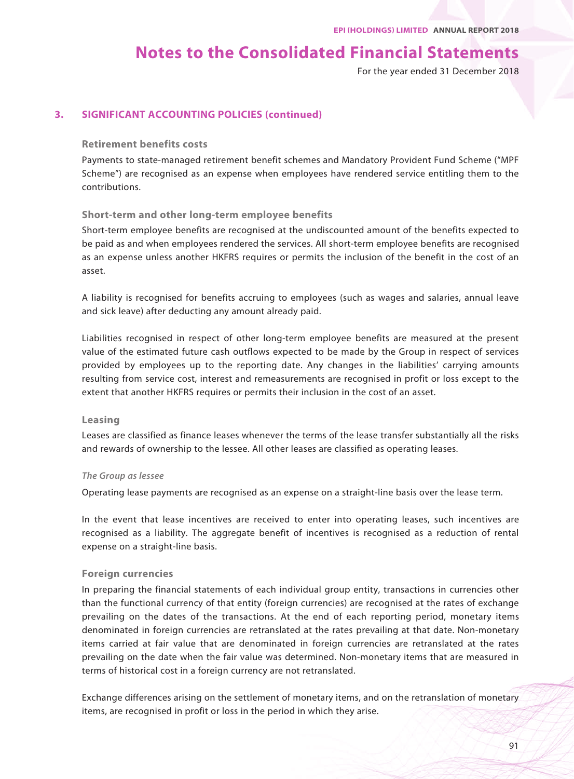For the year ended 31 December 2018

### **3. SIGNIFICANT ACCOUNTING POLICIES (continued)**

#### **Retirement benefits costs**

Payments to state-managed retirement benefit schemes and Mandatory Provident Fund Scheme ("MPF Scheme") are recognised as an expense when employees have rendered service entitling them to the contributions.

#### **Short-term and other long-term employee benefits**

Short-term employee benefits are recognised at the undiscounted amount of the benefits expected to be paid as and when employees rendered the services. All short-term employee benefits are recognised as an expense unless another HKFRS requires or permits the inclusion of the benefit in the cost of an asset.

A liability is recognised for benefits accruing to employees (such as wages and salaries, annual leave and sick leave) after deducting any amount already paid.

Liabilities recognised in respect of other long-term employee benefits are measured at the present value of the estimated future cash outflows expected to be made by the Group in respect of services provided by employees up to the reporting date. Any changes in the liabilities' carrying amounts resulting from service cost, interest and remeasurements are recognised in profit or loss except to the extent that another HKFRS requires or permits their inclusion in the cost of an asset.

#### **Leasing**

Leases are classified as finance leases whenever the terms of the lease transfer substantially all the risks and rewards of ownership to the lessee. All other leases are classified as operating leases.

#### *The Group as lessee*

Operating lease payments are recognised as an expense on a straight-line basis over the lease term.

In the event that lease incentives are received to enter into operating leases, such incentives are recognised as a liability. The aggregate benefit of incentives is recognised as a reduction of rental expense on a straight-line basis.

### **Foreign currencies**

In preparing the financial statements of each individual group entity, transactions in currencies other than the functional currency of that entity (foreign currencies) are recognised at the rates of exchange prevailing on the dates of the transactions. At the end of each reporting period, monetary items denominated in foreign currencies are retranslated at the rates prevailing at that date. Non-monetary items carried at fair value that are denominated in foreign currencies are retranslated at the rates prevailing on the date when the fair value was determined. Non-monetary items that are measured in terms of historical cost in a foreign currency are not retranslated.

Exchange differences arising on the settlement of monetary items, and on the retranslation of monetary items, are recognised in profit or loss in the period in which they arise.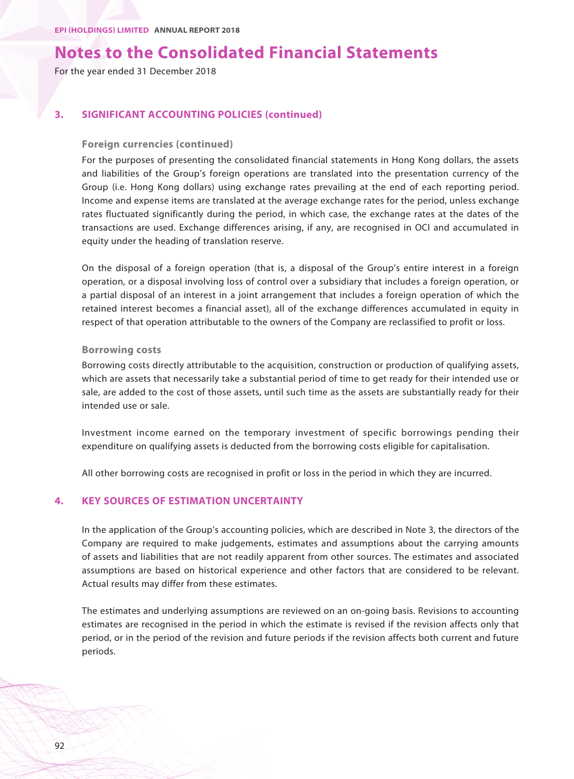For the year ended 31 December 2018

## **3. SIGNIFICANT ACCOUNTING POLICIES (continued)**

#### **Foreign currencies (continued)**

For the purposes of presenting the consolidated financial statements in Hong Kong dollars, the assets and liabilities of the Group's foreign operations are translated into the presentation currency of the Group (i.e. Hong Kong dollars) using exchange rates prevailing at the end of each reporting period. Income and expense items are translated at the average exchange rates for the period, unless exchange rates fluctuated significantly during the period, in which case, the exchange rates at the dates of the transactions are used. Exchange differences arising, if any, are recognised in OCI and accumulated in equity under the heading of translation reserve.

On the disposal of a foreign operation (that is, a disposal of the Group's entire interest in a foreign operation, or a disposal involving loss of control over a subsidiary that includes a foreign operation, or a partial disposal of an interest in a joint arrangement that includes a foreign operation of which the retained interest becomes a financial asset), all of the exchange differences accumulated in equity in respect of that operation attributable to the owners of the Company are reclassified to profit or loss.

#### **Borrowing costs**

Borrowing costs directly attributable to the acquisition, construction or production of qualifying assets, which are assets that necessarily take a substantial period of time to get ready for their intended use or sale, are added to the cost of those assets, until such time as the assets are substantially ready for their intended use or sale.

Investment income earned on the temporary investment of specific borrowings pending their expenditure on qualifying assets is deducted from the borrowing costs eligible for capitalisation.

All other borrowing costs are recognised in profit or loss in the period in which they are incurred.

### **4. KEY SOURCES OF ESTIMATION UNCERTAINTY**

In the application of the Group's accounting policies, which are described in Note 3, the directors of the Company are required to make judgements, estimates and assumptions about the carrying amounts of assets and liabilities that are not readily apparent from other sources. The estimates and associated assumptions are based on historical experience and other factors that are considered to be relevant. Actual results may differ from these estimates.

The estimates and underlying assumptions are reviewed on an on-going basis. Revisions to accounting estimates are recognised in the period in which the estimate is revised if the revision affects only that period, or in the period of the revision and future periods if the revision affects both current and future periods.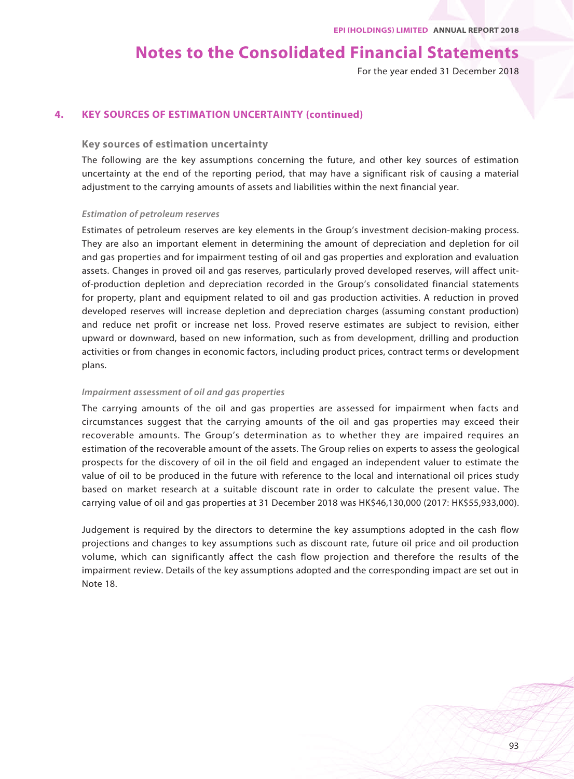For the year ended 31 December 2018

## **4. KEY SOURCES OF ESTIMATION UNCERTAINTY (continued)**

#### **Key sources of estimation uncertainty**

The following are the key assumptions concerning the future, and other key sources of estimation uncertainty at the end of the reporting period, that may have a significant risk of causing a material adjustment to the carrying amounts of assets and liabilities within the next financial year.

#### *Estimation of petroleum reserves*

Estimates of petroleum reserves are key elements in the Group's investment decision-making process. They are also an important element in determining the amount of depreciation and depletion for oil and gas properties and for impairment testing of oil and gas properties and exploration and evaluation assets. Changes in proved oil and gas reserves, particularly proved developed reserves, will affect unitof-production depletion and depreciation recorded in the Group's consolidated financial statements for property, plant and equipment related to oil and gas production activities. A reduction in proved developed reserves will increase depletion and depreciation charges (assuming constant production) and reduce net profit or increase net loss. Proved reserve estimates are subject to revision, either upward or downward, based on new information, such as from development, drilling and production activities or from changes in economic factors, including product prices, contract terms or development plans.

#### *Impairment assessment of oil and gas properties*

The carrying amounts of the oil and gas properties are assessed for impairment when facts and circumstances suggest that the carrying amounts of the oil and gas properties may exceed their recoverable amounts. The Group's determination as to whether they are impaired requires an estimation of the recoverable amount of the assets. The Group relies on experts to assess the geological prospects for the discovery of oil in the oil field and engaged an independent valuer to estimate the value of oil to be produced in the future with reference to the local and international oil prices study based on market research at a suitable discount rate in order to calculate the present value. The carrying value of oil and gas properties at 31 December 2018 was HK\$46,130,000 (2017: HK\$55,933,000).

Judgement is required by the directors to determine the key assumptions adopted in the cash flow projections and changes to key assumptions such as discount rate, future oil price and oil production volume, which can significantly affect the cash flow projection and therefore the results of the impairment review. Details of the key assumptions adopted and the corresponding impact are set out in Note 18.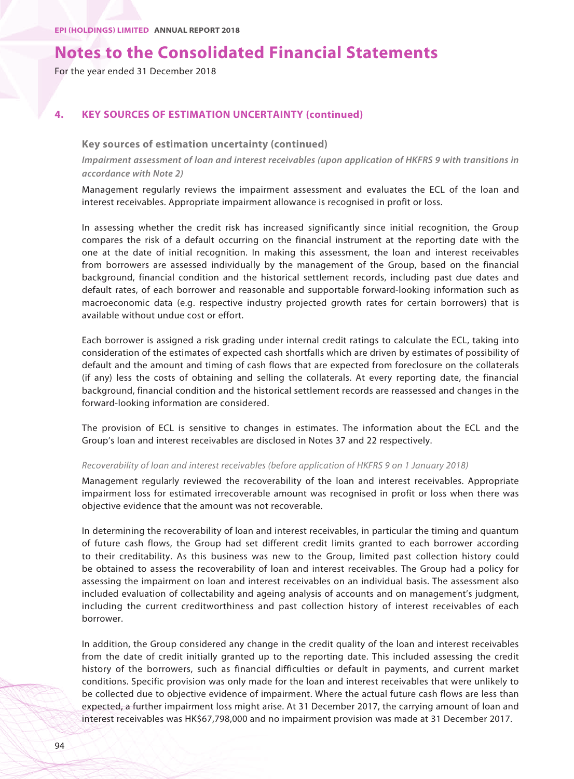For the year ended 31 December 2018

# **4. KEY SOURCES OF ESTIMATION UNCERTAINTY (continued)**

**Key sources of estimation uncertainty (continued)**

*Impairment assessment of loan and interest receivables (upon application of HKFRS 9 with transitions in accordance with Note 2)*

Management regularly reviews the impairment assessment and evaluates the ECL of the loan and interest receivables. Appropriate impairment allowance is recognised in profit or loss.

In assessing whether the credit risk has increased significantly since initial recognition, the Group compares the risk of a default occurring on the financial instrument at the reporting date with the one at the date of initial recognition. In making this assessment, the loan and interest receivables from borrowers are assessed individually by the management of the Group, based on the financial background, financial condition and the historical settlement records, including past due dates and default rates, of each borrower and reasonable and supportable forward-looking information such as macroeconomic data (e.g. respective industry projected growth rates for certain borrowers) that is available without undue cost or effort.

Each borrower is assigned a risk grading under internal credit ratings to calculate the ECL, taking into consideration of the estimates of expected cash shortfalls which are driven by estimates of possibility of default and the amount and timing of cash flows that are expected from foreclosure on the collaterals (if any) less the costs of obtaining and selling the collaterals. At every reporting date, the financial background, financial condition and the historical settlement records are reassessed and changes in the forward-looking information are considered.

The provision of ECL is sensitive to changes in estimates. The information about the ECL and the Group's loan and interest receivables are disclosed in Notes 37 and 22 respectively.

#### *Recoverability of loan and interest receivables (before application of HKFRS 9 on 1 January 2018)*

Management regularly reviewed the recoverability of the loan and interest receivables. Appropriate impairment loss for estimated irrecoverable amount was recognised in profit or loss when there was objective evidence that the amount was not recoverable.

In determining the recoverability of loan and interest receivables, in particular the timing and quantum of future cash flows, the Group had set different credit limits granted to each borrower according to their creditability. As this business was new to the Group, limited past collection history could be obtained to assess the recoverability of loan and interest receivables. The Group had a policy for assessing the impairment on loan and interest receivables on an individual basis. The assessment also included evaluation of collectability and ageing analysis of accounts and on management's judgment, including the current creditworthiness and past collection history of interest receivables of each borrower.

In addition, the Group considered any change in the credit quality of the loan and interest receivables from the date of credit initially granted up to the reporting date. This included assessing the credit history of the borrowers, such as financial difficulties or default in payments, and current market conditions. Specific provision was only made for the loan and interest receivables that were unlikely to be collected due to objective evidence of impairment. Where the actual future cash flows are less than expected, a further impairment loss might arise. At 31 December 2017, the carrying amount of loan and interest receivables was HK\$67,798,000 and no impairment provision was made at 31 December 2017.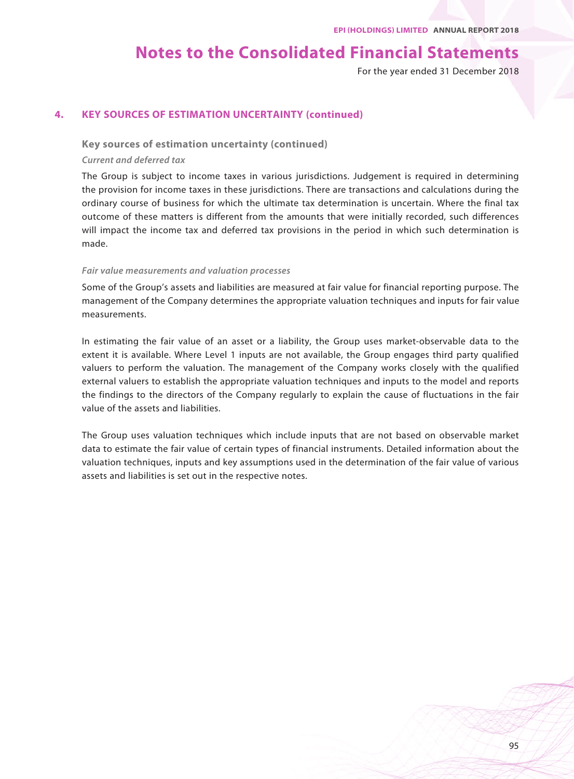For the year ended 31 December 2018

## **4. KEY SOURCES OF ESTIMATION UNCERTAINTY (continued)**

#### **Key sources of estimation uncertainty (continued)**

### *Current and deferred tax*

The Group is subject to income taxes in various jurisdictions. Judgement is required in determining the provision for income taxes in these jurisdictions. There are transactions and calculations during the ordinary course of business for which the ultimate tax determination is uncertain. Where the final tax outcome of these matters is different from the amounts that were initially recorded, such differences will impact the income tax and deferred tax provisions in the period in which such determination is made.

#### *Fair value measurements and valuation processes*

Some of the Group's assets and liabilities are measured at fair value for financial reporting purpose. The management of the Company determines the appropriate valuation techniques and inputs for fair value measurements.

In estimating the fair value of an asset or a liability, the Group uses market-observable data to the extent it is available. Where Level 1 inputs are not available, the Group engages third party qualified valuers to perform the valuation. The management of the Company works closely with the qualified external valuers to establish the appropriate valuation techniques and inputs to the model and reports the findings to the directors of the Company regularly to explain the cause of fluctuations in the fair value of the assets and liabilities.

The Group uses valuation techniques which include inputs that are not based on observable market data to estimate the fair value of certain types of financial instruments. Detailed information about the valuation techniques, inputs and key assumptions used in the determination of the fair value of various assets and liabilities is set out in the respective notes.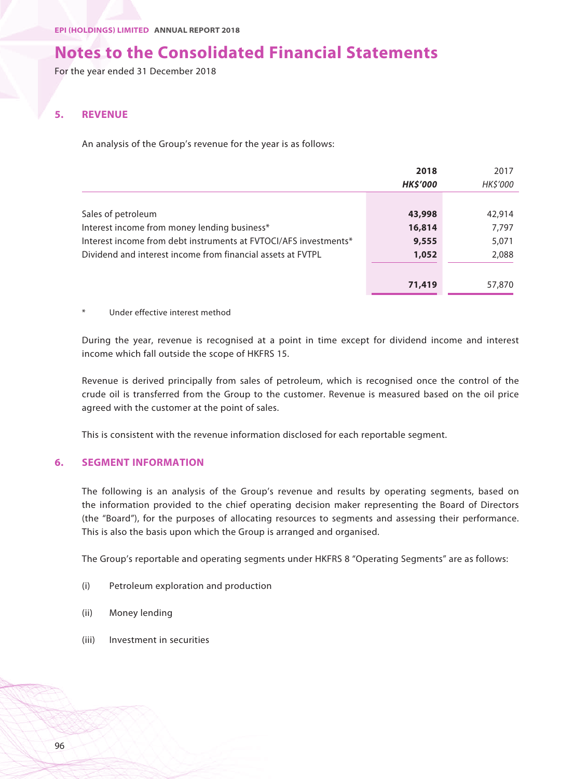For the year ended 31 December 2018

# **5. REVENUE**

An analysis of the Group's revenue for the year is as follows:

|                                                                  | 2018            | 2017           |
|------------------------------------------------------------------|-----------------|----------------|
|                                                                  | <b>HK\$'000</b> | <b>HKS'000</b> |
|                                                                  |                 |                |
| Sales of petroleum                                               | 43,998          | 42,914         |
| Interest income from money lending business*                     | 16,814          | 7,797          |
| Interest income from debt instruments at FVTOCI/AFS investments* | 9,555           | 5,071          |
| Dividend and interest income from financial assets at FVTPL      | 1,052           | 2,088          |
|                                                                  |                 |                |
|                                                                  | 71,419          | 57,870         |

#### Under effective interest method

During the year, revenue is recognised at a point in time except for dividend income and interest income which fall outside the scope of HKFRS 15.

Revenue is derived principally from sales of petroleum, which is recognised once the control of the crude oil is transferred from the Group to the customer. Revenue is measured based on the oil price agreed with the customer at the point of sales.

This is consistent with the revenue information disclosed for each reportable segment.

## **6. SEGMENT INFORMATION**

The following is an analysis of the Group's revenue and results by operating segments, based on the information provided to the chief operating decision maker representing the Board of Directors (the "Board"), for the purposes of allocating resources to segments and assessing their performance. This is also the basis upon which the Group is arranged and organised.

The Group's reportable and operating segments under HKFRS 8 "Operating Segments" are as follows:

- (i) Petroleum exploration and production
- (ii) Money lending
- (iii) Investment in securities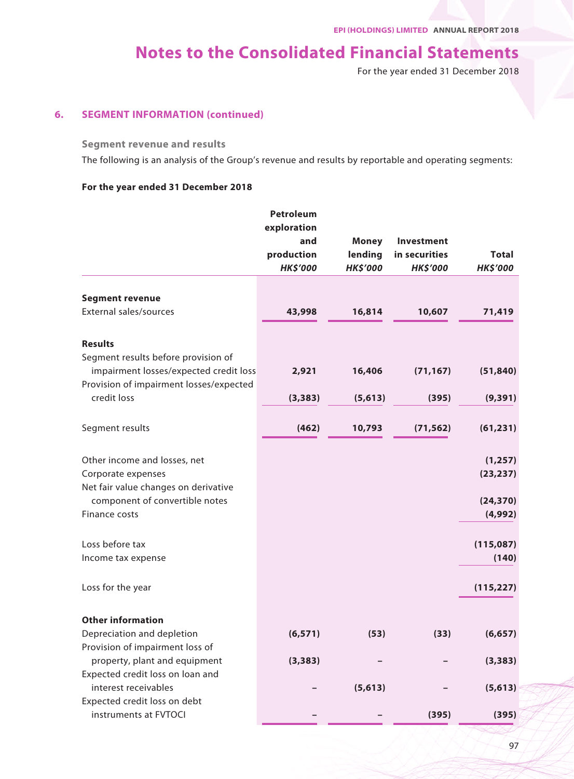For the year ended 31 December 2018

# **6. SEGMENT INFORMATION (continued)**

# **Segment revenue and results**

The following is an analysis of the Group's revenue and results by reportable and operating segments:

# **For the year ended 31 December 2018**

|                                         | Petroleum<br>exploration<br>and<br>production<br><b>HK\$'000</b> | <b>Money</b><br>lending<br><b>HK\$'000</b> | Investment<br>in securities<br><b>HK\$'000</b> | <b>Total</b><br><b>HK\$'000</b> |
|-----------------------------------------|------------------------------------------------------------------|--------------------------------------------|------------------------------------------------|---------------------------------|
|                                         |                                                                  |                                            |                                                |                                 |
| <b>Segment revenue</b>                  |                                                                  |                                            |                                                |                                 |
| External sales/sources                  | 43,998                                                           | 16,814                                     | 10,607                                         | 71,419                          |
| <b>Results</b>                          |                                                                  |                                            |                                                |                                 |
| Segment results before provision of     |                                                                  |                                            |                                                |                                 |
| impairment losses/expected credit loss  | 2,921                                                            | 16,406                                     | (71, 167)                                      | (51, 840)                       |
| Provision of impairment losses/expected |                                                                  |                                            |                                                |                                 |
| credit loss                             | (3, 383)                                                         | (5,613)                                    | (395)                                          | (9, 391)                        |
| Segment results                         | (462)                                                            | 10,793                                     | (71, 562)                                      | (61, 231)                       |
| Other income and losses, net            |                                                                  |                                            |                                                | (1, 257)                        |
| Corporate expenses                      |                                                                  |                                            |                                                | (23, 237)                       |
| Net fair value changes on derivative    |                                                                  |                                            |                                                |                                 |
| component of convertible notes          |                                                                  |                                            |                                                | (24, 370)                       |
| Finance costs                           |                                                                  |                                            |                                                | (4,992)                         |
| Loss before tax                         |                                                                  |                                            |                                                | (115,087)                       |
| Income tax expense                      |                                                                  |                                            |                                                | (140)                           |
| Loss for the year                       |                                                                  |                                            |                                                | (115, 227)                      |
| <b>Other information</b>                |                                                                  |                                            |                                                |                                 |
| Depreciation and depletion              | (6, 571)                                                         | (53)                                       | (33)                                           | (6, 657)                        |
| Provision of impairment loss of         |                                                                  |                                            |                                                |                                 |
| property, plant and equipment           | (3, 383)                                                         |                                            |                                                | (3, 383)                        |
| Expected credit loss on loan and        |                                                                  |                                            |                                                |                                 |
| interest receivables                    |                                                                  | (5, 613)                                   |                                                | (5, 613)                        |
| Expected credit loss on debt            |                                                                  |                                            |                                                |                                 |
| instruments at FVTOCI                   |                                                                  |                                            | (395)                                          | (395)                           |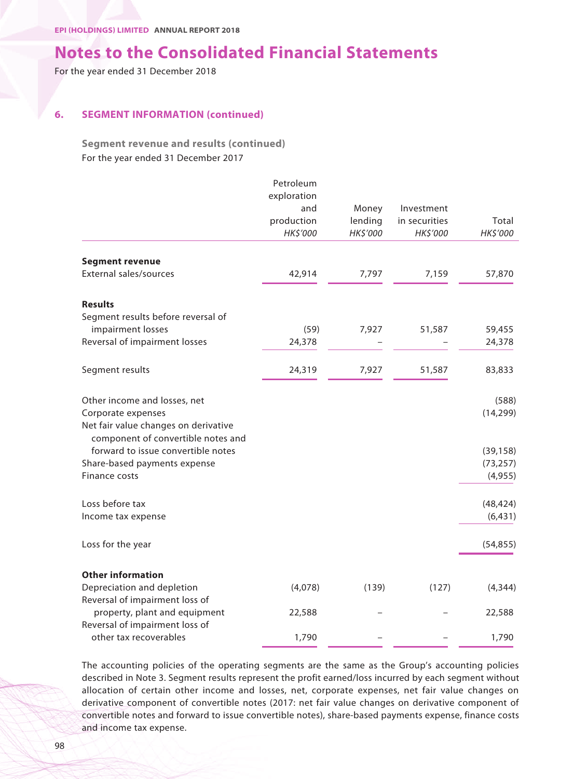For the year ended 31 December 2018

# **6. SEGMENT INFORMATION (continued)**

**Segment revenue and results (continued)** For the year ended 31 December 2017

|                                                                            | Petroleum              |                     |                             |           |
|----------------------------------------------------------------------------|------------------------|---------------------|-----------------------------|-----------|
|                                                                            | exploration            |                     |                             |           |
|                                                                            | and                    | Money               | Investment<br>in securities | Total     |
|                                                                            | production<br>HK\$'000 | lending<br>HK\$'000 | HK\$'000                    | HK\$'000  |
|                                                                            |                        |                     |                             |           |
| <b>Segment revenue</b>                                                     |                        |                     |                             |           |
| External sales/sources                                                     | 42,914                 | 7,797               | 7,159                       | 57,870    |
| <b>Results</b>                                                             |                        |                     |                             |           |
| Segment results before reversal of                                         |                        |                     |                             |           |
| impairment losses                                                          | (59)                   | 7,927               | 51,587                      | 59,455    |
| Reversal of impairment losses                                              | 24,378                 |                     |                             | 24,378    |
| Segment results                                                            | 24,319                 | 7,927               | 51,587                      | 83,833    |
|                                                                            |                        |                     |                             |           |
| Other income and losses, net                                               |                        |                     |                             | (588)     |
| Corporate expenses                                                         |                        |                     |                             | (14, 299) |
| Net fair value changes on derivative<br>component of convertible notes and |                        |                     |                             |           |
| forward to issue convertible notes                                         |                        |                     |                             | (39, 158) |
| Share-based payments expense                                               |                        |                     |                             | (73, 257) |
| Finance costs                                                              |                        |                     |                             | (4, 955)  |
| Loss before tax                                                            |                        |                     |                             | (48, 424) |
| Income tax expense                                                         |                        |                     |                             | (6, 431)  |
| Loss for the year                                                          |                        |                     |                             | (54, 855) |
| <b>Other information</b>                                                   |                        |                     |                             |           |
| Depreciation and depletion                                                 | (4,078)                | (139)               | (127)                       | (4, 344)  |
| Reversal of impairment loss of                                             |                        |                     |                             |           |
| property, plant and equipment                                              | 22,588                 |                     |                             | 22,588    |
| Reversal of impairment loss of                                             |                        |                     |                             |           |
| other tax recoverables                                                     | 1,790                  |                     |                             | 1,790     |

The accounting policies of the operating segments are the same as the Group's accounting policies described in Note 3. Segment results represent the profit earned/loss incurred by each segment without allocation of certain other income and losses, net, corporate expenses, net fair value changes on derivative component of convertible notes (2017: net fair value changes on derivative component of convertible notes and forward to issue convertible notes), share-based payments expense, finance costs and income tax expense.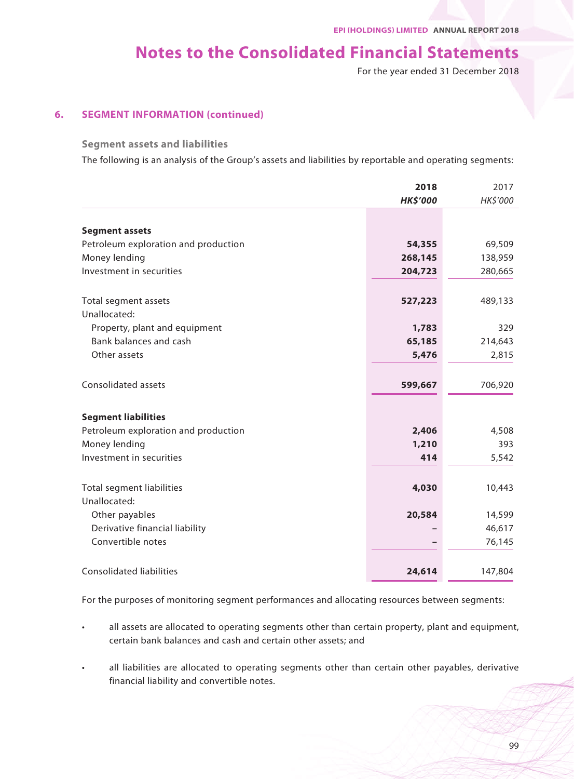For the year ended 31 December 2018

# **6. SEGMENT INFORMATION (continued)**

## **Segment assets and liabilities**

The following is an analysis of the Group's assets and liabilities by reportable and operating segments:

|                                      | 2018            | 2017     |
|--------------------------------------|-----------------|----------|
|                                      | <b>HK\$'000</b> | HK\$'000 |
|                                      |                 |          |
| <b>Segment assets</b>                |                 |          |
| Petroleum exploration and production | 54,355          | 69,509   |
| Money lending                        | 268,145         | 138,959  |
| Investment in securities             | 204,723         | 280,665  |
| Total segment assets                 | 527,223         | 489,133  |
| Unallocated:                         |                 |          |
| Property, plant and equipment        | 1,783           | 329      |
| Bank balances and cash               | 65,185          | 214,643  |
| Other assets                         | 5,476           | 2,815    |
| <b>Consolidated assets</b>           | 599,667         | 706,920  |
|                                      |                 |          |
| <b>Segment liabilities</b>           |                 |          |
| Petroleum exploration and production | 2,406           | 4,508    |
| Money lending                        | 1,210           | 393      |
| Investment in securities             | 414             | 5,542    |
| <b>Total segment liabilities</b>     | 4,030           | 10,443   |
| Unallocated:                         |                 |          |
| Other payables                       | 20,584          | 14,599   |
| Derivative financial liability       |                 | 46,617   |
| Convertible notes                    |                 | 76,145   |
|                                      |                 |          |
| <b>Consolidated liabilities</b>      | 24,614          | 147,804  |

For the purposes of monitoring segment performances and allocating resources between segments:

- all assets are allocated to operating segments other than certain property, plant and equipment, certain bank balances and cash and certain other assets; and
- all liabilities are allocated to operating segments other than certain other payables, derivative financial liability and convertible notes.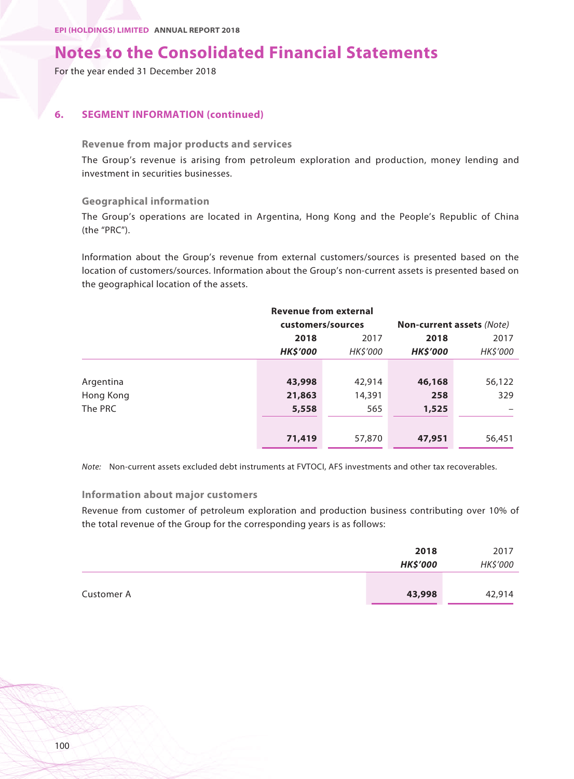For the year ended 31 December 2018

# **6. SEGMENT INFORMATION (continued)**

### **Revenue from major products and services**

The Group's revenue is arising from petroleum exploration and production, money lending and investment in securities businesses.

### **Geographical information**

The Group's operations are located in Argentina, Hong Kong and the People's Republic of China (the "PRC").

Information about the Group's revenue from external customers/sources is presented based on the location of customers/sources. Information about the Group's non-current assets is presented based on the geographical location of the assets.

|           |                   | <b>Revenue from external</b> |                           |                 |
|-----------|-------------------|------------------------------|---------------------------|-----------------|
|           | customers/sources |                              | Non-current assets (Note) |                 |
|           | 2018              | 2017                         | 2018                      | 2017            |
|           | <b>HK\$'000</b>   | HK\$'000                     | <b>HK\$'000</b>           | <b>HK\$'000</b> |
|           |                   |                              |                           |                 |
| Argentina | 43,998            | 42,914                       | 46,168                    | 56,122          |
| Hong Kong | 21,863            | 14,391                       | 258                       | 329             |
| The PRC   | 5,558             | 565                          | 1,525                     |                 |
|           |                   |                              |                           |                 |
|           | 71,419            | 57,870                       | 47,951                    | 56,451          |

*Note:* Non-current assets excluded debt instruments at FVTOCI, AFS investments and other tax recoverables.

### **Information about major customers**

Revenue from customer of petroleum exploration and production business contributing over 10% of the total revenue of the Group for the corresponding years is as follows:

|            | 2018            | 2017     |
|------------|-----------------|----------|
|            | <b>HK\$'000</b> | HK\$'000 |
|            |                 |          |
| Customer A | 43,998          | 42,914   |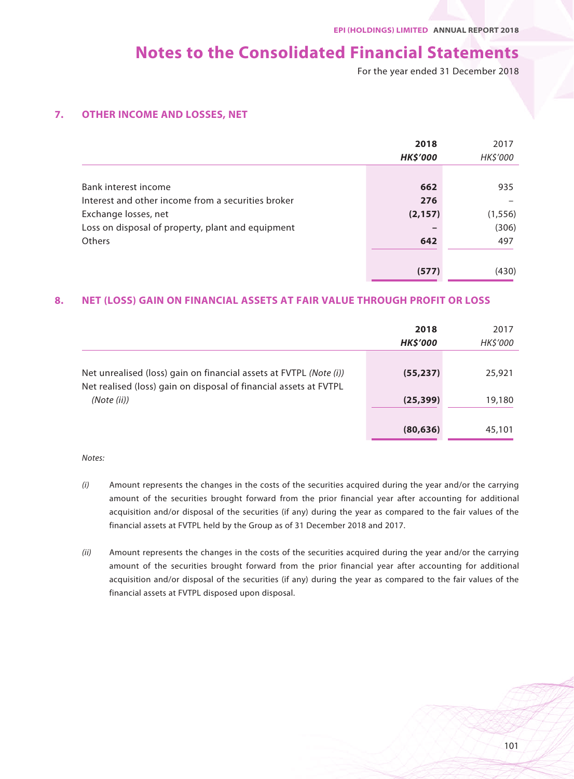For the year ended 31 December 2018

# **7. OTHER INCOME AND LOSSES, NET**

|                                                    | 2018            | 2017     |
|----------------------------------------------------|-----------------|----------|
|                                                    | <b>HK\$'000</b> | HK\$'000 |
|                                                    |                 |          |
| Bank interest income                               | 662             | 935      |
| Interest and other income from a securities broker | 276             |          |
| Exchange losses, net                               | (2, 157)        | (1, 556) |
| Loss on disposal of property, plant and equipment  |                 | (306)    |
| <b>Others</b>                                      | 642             | 497      |
|                                                    |                 |          |
|                                                    | (577)           | (430)    |

## **8. NET (LOSS) GAIN ON FINANCIAL ASSETS AT FAIR VALUE THROUGH PROFIT OR LOSS**

|                                                                                                                                         | 2018<br><b>HK\$'000</b> | 2017<br>HK\$'000 |
|-----------------------------------------------------------------------------------------------------------------------------------------|-------------------------|------------------|
| Net unrealised (loss) gain on financial assets at FVTPL (Note (i))<br>Net realised (loss) gain on disposal of financial assets at FVTPL | (55, 237)               | 25,921           |
| (Note (ii))                                                                                                                             | (25, 399)               | 19,180           |
|                                                                                                                                         | (80, 636)               | 45,101           |

#### *Notes:*

- *(i)* Amount represents the changes in the costs of the securities acquired during the year and/or the carrying amount of the securities brought forward from the prior financial year after accounting for additional acquisition and/or disposal of the securities (if any) during the year as compared to the fair values of the financial assets at FVTPL held by the Group as of 31 December 2018 and 2017.
- *(ii)* Amount represents the changes in the costs of the securities acquired during the year and/or the carrying amount of the securities brought forward from the prior financial year after accounting for additional acquisition and/or disposal of the securities (if any) during the year as compared to the fair values of the financial assets at FVTPL disposed upon disposal.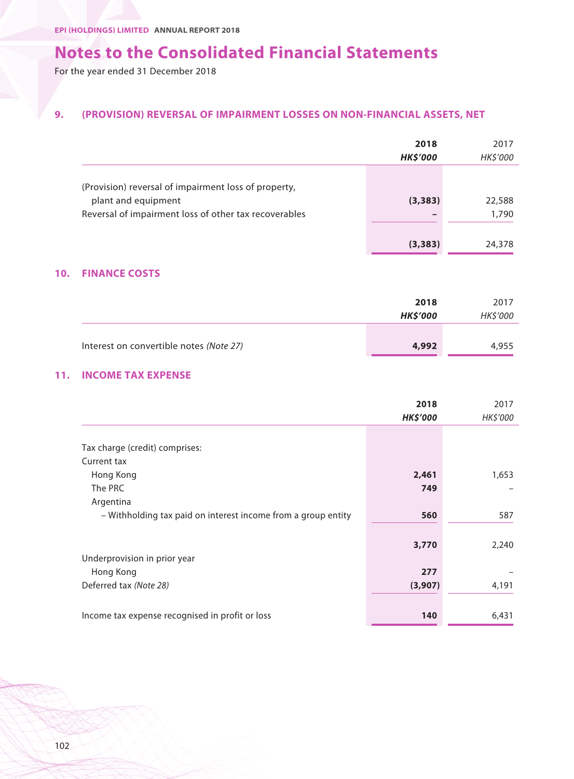For the year ended 31 December 2018

# **9. (PROVISION) REVERSAL OF IMPAIRMENT LOSSES ON NON-FINANCIAL ASSETS, NET**

|                                                                                                                                      | 2018<br><b>HK\$'000</b> | 2017<br>HK\$'000 |
|--------------------------------------------------------------------------------------------------------------------------------------|-------------------------|------------------|
| (Provision) reversal of impairment loss of property,<br>plant and equipment<br>Reversal of impairment loss of other tax recoverables | (3, 383)<br>-           | 22,588<br>1,790  |
|                                                                                                                                      | (3, 383)                | 24,378           |

# **10. FINANCE COSTS**

|                                         | 2018            | 2017            |
|-----------------------------------------|-----------------|-----------------|
|                                         | <b>HK\$'000</b> | <b>HK\$'000</b> |
|                                         |                 |                 |
| Interest on convertible notes (Note 27) | 4,992           | 4,955           |

# **11. INCOME TAX EXPENSE**

|                                                               | 2018            | 2017            |
|---------------------------------------------------------------|-----------------|-----------------|
|                                                               | <b>HK\$'000</b> | <b>HK\$'000</b> |
|                                                               |                 |                 |
| Tax charge (credit) comprises:                                |                 |                 |
| Current tax                                                   |                 |                 |
| Hong Kong                                                     | 2,461           | 1,653           |
| The PRC                                                       | 749             |                 |
| Argentina                                                     |                 |                 |
| - Withholding tax paid on interest income from a group entity | 560             | 587             |
|                                                               |                 |                 |
|                                                               | 3,770           | 2,240           |
| Underprovision in prior year                                  |                 |                 |
| Hong Kong                                                     | 277             |                 |
| Deferred tax (Note 28)                                        | (3,907)         | 4,191           |
|                                                               |                 |                 |
| Income tax expense recognised in profit or loss               | 140             | 6,431           |
|                                                               |                 |                 |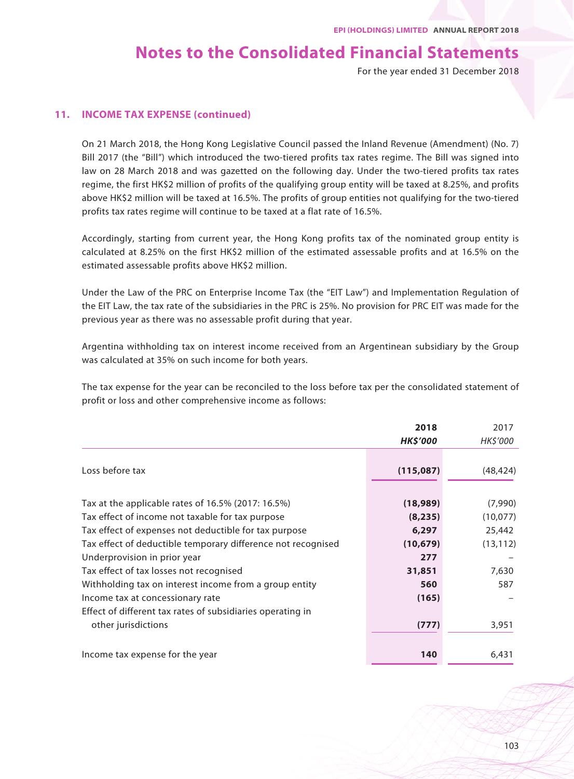For the year ended 31 December 2018

### **11. INCOME TAX EXPENSE (continued)**

On 21 March 2018, the Hong Kong Legislative Council passed the Inland Revenue (Amendment) (No. 7) Bill 2017 (the "Bill") which introduced the two-tiered profits tax rates regime. The Bill was signed into law on 28 March 2018 and was gazetted on the following day. Under the two-tiered profits tax rates regime, the first HK\$2 million of profits of the qualifying group entity will be taxed at 8.25%, and profits above HK\$2 million will be taxed at 16.5%. The profits of group entities not qualifying for the two-tiered profits tax rates regime will continue to be taxed at a flat rate of 16.5%.

Accordingly, starting from current year, the Hong Kong profits tax of the nominated group entity is calculated at 8.25% on the first HK\$2 million of the estimated assessable profits and at 16.5% on the estimated assessable profits above HK\$2 million.

Under the Law of the PRC on Enterprise Income Tax (the "EIT Law") and Implementation Regulation of the EIT Law, the tax rate of the subsidiaries in the PRC is 25%. No provision for PRC EIT was made for the previous year as there was no assessable profit during that year.

Argentina withholding tax on interest income received from an Argentinean subsidiary by the Group was calculated at 35% on such income for both years.

The tax expense for the year can be reconciled to the loss before tax per the consolidated statement of profit or loss and other comprehensive income as follows:

|                                                              | 2018            | 2017            |
|--------------------------------------------------------------|-----------------|-----------------|
|                                                              | <b>HK\$'000</b> | <b>HK\$'000</b> |
|                                                              |                 |                 |
| Loss before tax                                              | (115,087)       | (48, 424)       |
|                                                              |                 |                 |
| Tax at the applicable rates of $16.5\%$ (2017: 16.5%)        | (18,989)        | (7,990)         |
| Tax effect of income not taxable for tax purpose             | (8, 235)        | (10,077)        |
| Tax effect of expenses not deductible for tax purpose        | 6,297           | 25,442          |
| Tax effect of deductible temporary difference not recognised | (10, 679)       | (13, 112)       |
| Underprovision in prior year                                 | 277             |                 |
| Tax effect of tax losses not recognised                      | 31,851          | 7,630           |
| Withholding tax on interest income from a group entity       | 560             | 587             |
| Income tax at concessionary rate                             | (165)           |                 |
| Effect of different tax rates of subsidiaries operating in   |                 |                 |
| other jurisdictions                                          | (777)           | 3,951           |
|                                                              |                 |                 |
| Income tax expense for the year                              | 140             | 6,431           |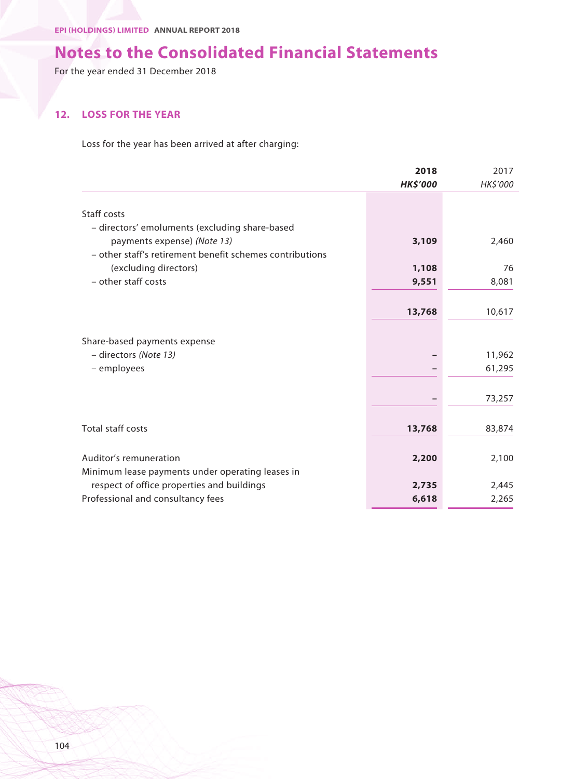For the year ended 31 December 2018

# **12. LOSS FOR THE YEAR**

Loss for the year has been arrived at after charging:

|                                                                                         | 2018            | 2017     |
|-----------------------------------------------------------------------------------------|-----------------|----------|
|                                                                                         | <b>HK\$'000</b> | HK\$'000 |
| Staff costs<br>- directors' emoluments (excluding share-based                           |                 |          |
| payments expense) (Note 13)<br>- other staff's retirement benefit schemes contributions | 3,109           | 2,460    |
| (excluding directors)                                                                   | 1,108           | 76       |
| - other staff costs                                                                     | 9,551           | 8,081    |
|                                                                                         |                 |          |
|                                                                                         | 13,768          | 10,617   |
| Share-based payments expense                                                            |                 |          |
| - directors (Note 13)                                                                   |                 | 11,962   |
| - employees                                                                             |                 | 61,295   |
|                                                                                         |                 | 73,257   |
| <b>Total staff costs</b>                                                                | 13,768          | 83,874   |
| Auditor's remuneration<br>Minimum lease payments under operating leases in              | 2,200           | 2,100    |
| respect of office properties and buildings                                              | 2,735           | 2,445    |
| Professional and consultancy fees                                                       | 6,618           | 2,265    |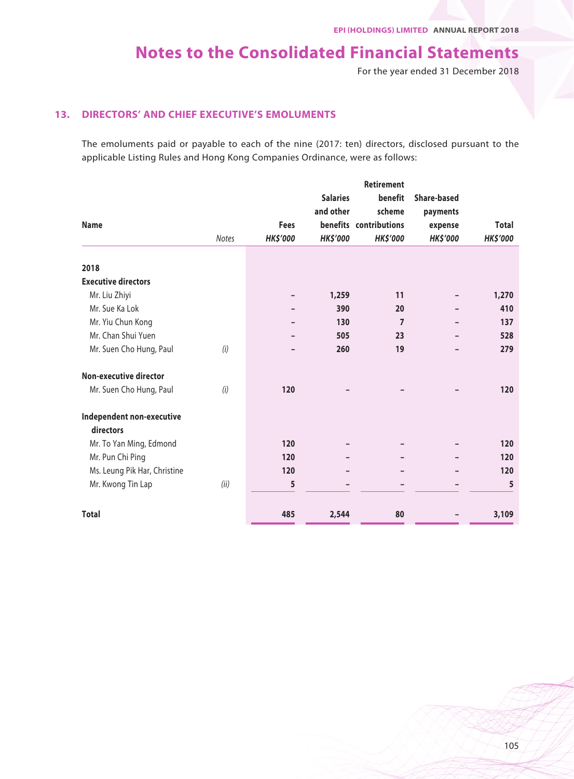For the year ended 31 December 2018

# **13. DIRECTORS' AND CHIEF EXECUTIVE'S EMOLUMENTS**

The emoluments paid or payable to each of the nine (2017: ten) directors, disclosed pursuant to the applicable Listing Rules and Hong Kong Companies Ordinance, were as follows:

|                                        |              |                 |                 | <b>Retirement</b>      |                    |                 |
|----------------------------------------|--------------|-----------------|-----------------|------------------------|--------------------|-----------------|
|                                        |              |                 | <b>Salaries</b> | benefit                | <b>Share-based</b> |                 |
|                                        |              |                 | and other       | scheme                 | payments           |                 |
| <b>Name</b>                            |              | Fees            |                 | benefits contributions | expense            | <b>Total</b>    |
|                                        | <b>Notes</b> | <b>HK\$'000</b> | <b>HK\$'000</b> | <b>HK\$'000</b>        | <b>HK\$'000</b>    | <b>HK\$'000</b> |
| 2018                                   |              |                 |                 |                        |                    |                 |
| <b>Executive directors</b>             |              |                 |                 |                        |                    |                 |
| Mr. Liu Zhiyi                          |              |                 | 1,259           | 11                     |                    | 1,270           |
| Mr. Sue Ka Lok                         |              |                 | 390             | 20                     |                    | 410             |
| Mr. Yiu Chun Kong                      |              |                 | 130             | $\overline{7}$         |                    | 137             |
| Mr. Chan Shui Yuen                     |              |                 | 505             | 23                     |                    | 528             |
| Mr. Suen Cho Hung, Paul                | (i)          |                 | 260             | 19                     |                    | 279             |
| Non-executive director                 |              |                 |                 |                        |                    |                 |
| Mr. Suen Cho Hung, Paul                | (i)          | 120             |                 |                        |                    | 120             |
| Independent non-executive<br>directors |              |                 |                 |                        |                    |                 |
| Mr. To Yan Ming, Edmond                |              | 120             |                 |                        |                    | 120             |
| Mr. Pun Chi Ping                       |              | 120             |                 |                        |                    | 120             |
| Ms. Leung Pik Har, Christine           |              | 120             |                 |                        |                    | 120             |
| Mr. Kwong Tin Lap                      | (ii)         | 5               |                 |                        |                    | 5               |
| <b>Total</b>                           |              | 485             | 2,544           | 80                     |                    | 3,109           |
|                                        |              |                 |                 |                        |                    |                 |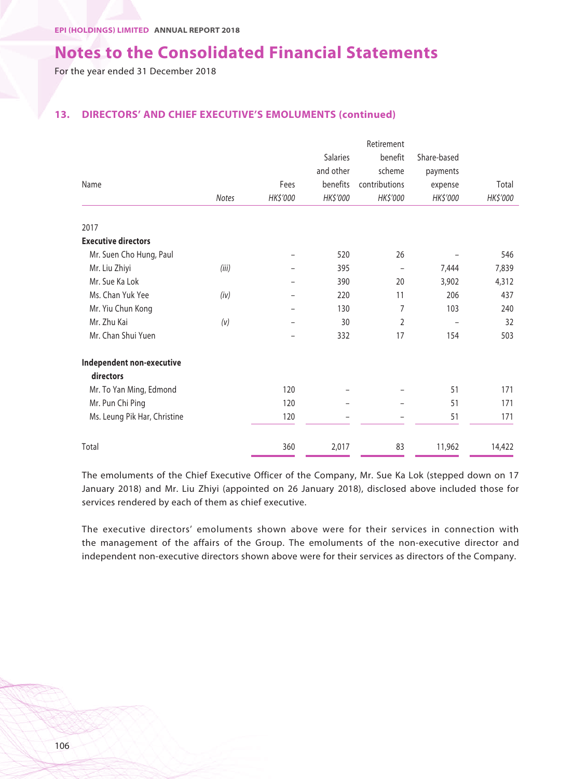For the year ended 31 December 2018

# **13. DIRECTORS' AND CHIEF EXECUTIVE'S EMOLUMENTS (continued)**

|                              |              |          |                 | Retirement     |             |          |
|------------------------------|--------------|----------|-----------------|----------------|-------------|----------|
|                              |              |          | <b>Salaries</b> | benefit        | Share-based |          |
|                              |              |          | and other       | scheme         | payments    |          |
| Name                         |              | Fees     | benefits        | contributions  | expense     | Total    |
|                              | <b>Notes</b> | HK\$'000 | HK\$'000        | HK\$'000       | HK\$'000    | HK\$'000 |
| 2017                         |              |          |                 |                |             |          |
| <b>Executive directors</b>   |              |          |                 |                |             |          |
| Mr. Suen Cho Hung, Paul      |              |          | 520             | 26             |             | 546      |
| Mr. Liu Zhiyi                | (iii)        |          | 395             |                | 7,444       | 7,839    |
| Mr. Sue Ka Lok               |              |          | 390             | 20             | 3,902       | 4,312    |
| Ms. Chan Yuk Yee             | (iv)         |          | 220             | 11             | 206         | 437      |
| Mr. Yiu Chun Kong            |              |          | 130             | 7              | 103         | 240      |
| Mr. Zhu Kai                  | (V)          |          | 30              | $\overline{2}$ |             | 32       |
| Mr. Chan Shui Yuen           |              |          | 332             | 17             | 154         | 503      |
| Independent non-executive    |              |          |                 |                |             |          |
| directors                    |              |          |                 |                |             |          |
| Mr. To Yan Ming, Edmond      |              | 120      |                 |                | 51          | 171      |
| Mr. Pun Chi Ping             |              | 120      |                 |                | 51          | 171      |
| Ms. Leung Pik Har, Christine |              | 120      |                 |                | 51          | 171      |
| Total                        |              | 360      | 2,017           | 83             | 11,962      | 14,422   |

The emoluments of the Chief Executive Officer of the Company, Mr. Sue Ka Lok (stepped down on 17 January 2018) and Mr. Liu Zhiyi (appointed on 26 January 2018), disclosed above included those for services rendered by each of them as chief executive.

The executive directors' emoluments shown above were for their services in connection with the management of the affairs of the Group. The emoluments of the non-executive director and independent non-executive directors shown above were for their services as directors of the Company.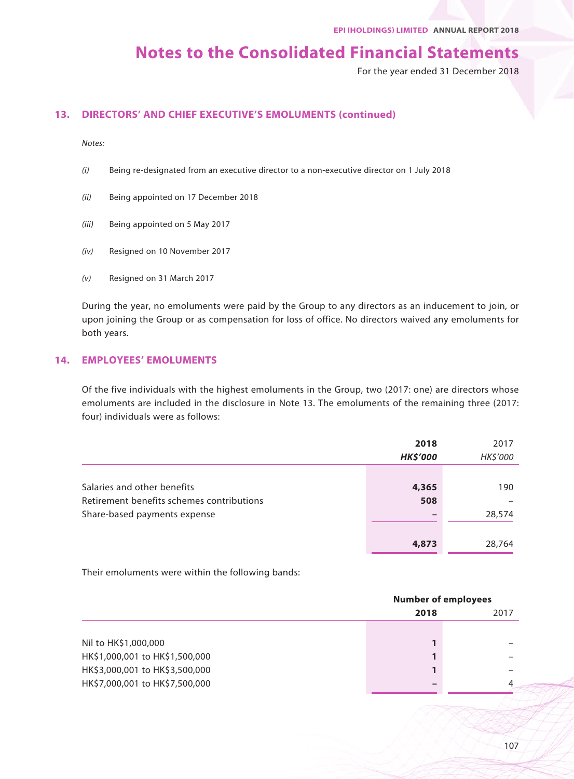For the year ended 31 December 2018

# **13. DIRECTORS' AND CHIEF EXECUTIVE'S EMOLUMENTS (continued)**

*Notes:*

- *(i)* Being re-designated from an executive director to a non-executive director on 1 July 2018
- *(ii)* Being appointed on 17 December 2018
- *(iii)* Being appointed on 5 May 2017
- *(iv)* Resigned on 10 November 2017
- *(v)* Resigned on 31 March 2017

During the year, no emoluments were paid by the Group to any directors as an inducement to join, or upon joining the Group or as compensation for loss of office. No directors waived any emoluments for both years.

#### **14. EMPLOYEES' EMOLUMENTS**

Of the five individuals with the highest emoluments in the Group, two (2017: one) are directors whose emoluments are included in the disclosure in Note 13. The emoluments of the remaining three (2017: four) individuals were as follows:

|                                           | 2018            | 2017            |
|-------------------------------------------|-----------------|-----------------|
|                                           | <b>HK\$'000</b> | <b>HK\$'000</b> |
|                                           |                 |                 |
| Salaries and other benefits               | 4,365           | 190             |
| Retirement benefits schemes contributions | 508             |                 |
| Share-based payments expense              | -               | 28,574          |
|                                           |                 |                 |
|                                           | 4,873           | 28,764          |

Their emoluments were within the following bands:

|                                |                          | <b>Number of employees</b> |  |  |
|--------------------------------|--------------------------|----------------------------|--|--|
|                                | 2018                     | 2017                       |  |  |
|                                |                          |                            |  |  |
| Nil to HK\$1,000,000           |                          |                            |  |  |
| HK\$1,000,001 to HK\$1,500,000 |                          |                            |  |  |
| HK\$3,000,001 to HK\$3,500,000 | 1                        |                            |  |  |
| HK\$7,000,001 to HK\$7,500,000 | $\overline{\phantom{0}}$ |                            |  |  |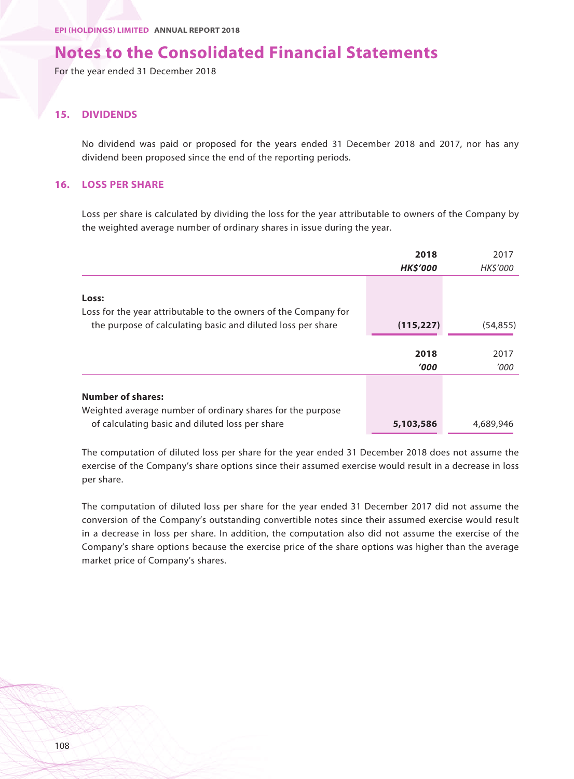For the year ended 31 December 2018

### **15. DIVIDENDS**

No dividend was paid or proposed for the years ended 31 December 2018 and 2017, nor has any dividend been proposed since the end of the reporting periods.

### **16. LOSS PER SHARE**

Loss per share is calculated by dividing the loss for the year attributable to owners of the Company by the weighted average number of ordinary shares in issue during the year.

|                                                                 | 2018            | 2017      |
|-----------------------------------------------------------------|-----------------|-----------|
|                                                                 | <b>HK\$'000</b> | HK\$'000  |
|                                                                 |                 |           |
| Loss:                                                           |                 |           |
| Loss for the year attributable to the owners of the Company for |                 |           |
| the purpose of calculating basic and diluted loss per share     | (115, 227)      | (54, 855) |
|                                                                 |                 |           |
|                                                                 | 2018            | 2017      |
|                                                                 | '000            | '000      |
|                                                                 |                 |           |
| <b>Number of shares:</b>                                        |                 |           |
| Weighted average number of ordinary shares for the purpose      |                 |           |
| of calculating basic and diluted loss per share                 | 5,103,586       | 4,689,946 |

The computation of diluted loss per share for the year ended 31 December 2018 does not assume the exercise of the Company's share options since their assumed exercise would result in a decrease in loss per share.

The computation of diluted loss per share for the year ended 31 December 2017 did not assume the conversion of the Company's outstanding convertible notes since their assumed exercise would result in a decrease in loss per share. In addition, the computation also did not assume the exercise of the Company's share options because the exercise price of the share options was higher than the average market price of Company's shares.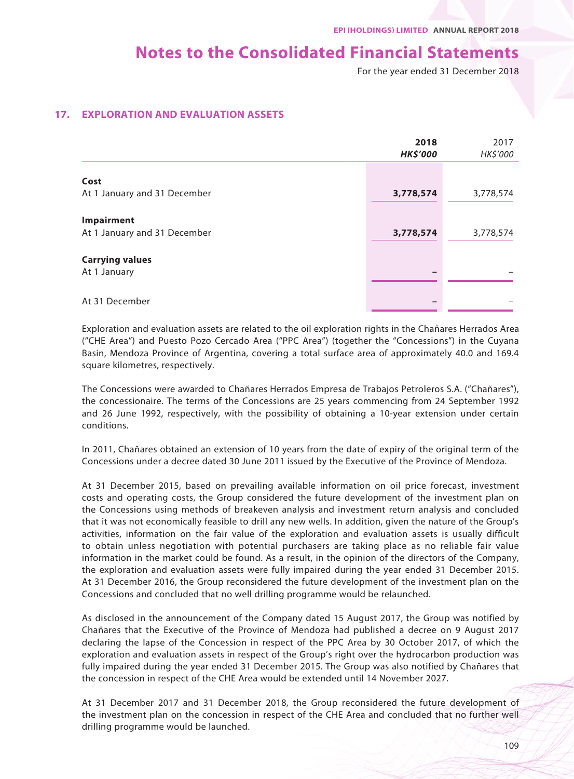For the year ended 31 December 2018

### **17. EXPLORATION AND EVALUATION ASSETS**

|                                            | 2018<br><b>HK\$'000</b> | 2017<br><b>HK\$'000</b> |
|--------------------------------------------|-------------------------|-------------------------|
| Cost                                       |                         |                         |
| At 1 January and 31 December               | 3,778,574               | 3,778,574               |
| Impairment<br>At 1 January and 31 December | 3,778,574               | 3,778,574               |
| <b>Carrying values</b><br>At 1 January     |                         |                         |
| At 31 December                             |                         |                         |

Exploration and evaluation assets are related to the oil exploration rights in the Chañares Herrados Area ("CHE Area") and Puesto Pozo Cercado Area ("PPC Area") (together the "Concessions") in the Cuyana Basin, Mendoza Province of Argentina, covering a total surface area of approximately 40.0 and 169.4 square kilometres, respectively.

The Concessions were awarded to Chañares Herrados Empresa de Trabajos Petroleros S.A. ("Chañares"), the concessionaire. The terms of the Concessions are 25 years commencing from 24 September 1992 and 26 June 1992, respectively, with the possibility of obtaining a 10-year extension under certain conditions.

In 2011, Chañares obtained an extension of 10 years from the date of expiry of the original term of the Concessions under a decree dated 30 June 2011 issued by the Executive of the Province of Mendoza.

At 31 December 2015, based on prevailing available information on oil price forecast, investment costs and operating costs, the Group considered the future development of the investment plan on the Concessions using methods of breakeven analysis and investment return analysis and concluded that it was not economically feasible to drill any new wells. In addition, given the nature of the Group's activities, information on the fair value of the exploration and evaluation assets is usually difficult to obtain unless negotiation with potential purchasers are taking place as no reliable fair value information in the market could be found. As a result, in the opinion of the directors of the Company, the exploration and evaluation assets were fully impaired during the year ended 31 December 2015. At 31 December 2016, the Group reconsidered the future development of the investment plan on the Concessions and concluded that no well drilling programme would be relaunched.

As disclosed in the announcement of the Company dated 15 August 2017, the Group was notified by Chañares that the Executive of the Province of Mendoza had published a decree on 9 August 2017 declaring the lapse of the Concession in respect of the PPC Area by 30 October 2017, of which the exploration and evaluation assets in respect of the Group's right over the hydrocarbon production was fully impaired during the year ended 31 December 2015. The Group was also notified by Chañares that the concession in respect of the CHE Area would be extended until 14 November 2027.

At 31 December 2017 and 31 December 2018, the Group reconsidered the future development of the investment plan on the concession in respect of the CHE Area and concluded that no further well drilling programme would be launched.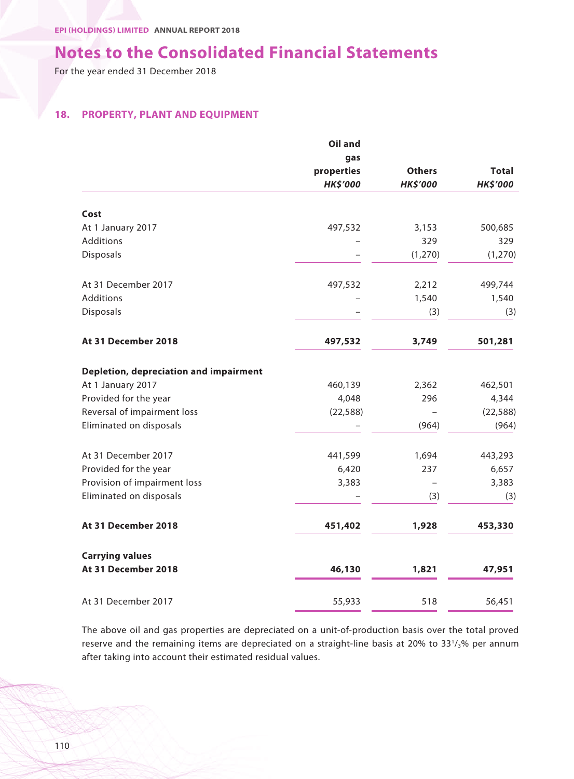For the year ended 31 December 2018

### **18. PROPERTY, PLANT AND EQUIPMENT**

|                                               | Oil and         |                          |                 |
|-----------------------------------------------|-----------------|--------------------------|-----------------|
|                                               | gas             |                          |                 |
|                                               | properties      | <b>Others</b>            | Total           |
|                                               | <b>HK\$'000</b> | <b>HK\$'000</b>          | <b>HK\$'000</b> |
| Cost                                          |                 |                          |                 |
| At 1 January 2017                             | 497,532         | 3,153                    | 500,685         |
| <b>Additions</b>                              |                 | 329                      | 329             |
| <b>Disposals</b>                              |                 | (1,270)                  | (1, 270)        |
| At 31 December 2017                           | 497,532         | 2,212                    | 499,744         |
| <b>Additions</b>                              |                 | 1,540                    | 1,540           |
| <b>Disposals</b>                              |                 | (3)                      | (3)             |
| At 31 December 2018                           | 497,532         | 3,749                    | 501,281         |
| <b>Depletion, depreciation and impairment</b> |                 |                          |                 |
| At 1 January 2017                             | 460,139         | 2,362                    | 462,501         |
| Provided for the year                         | 4,048           | 296                      | 4,344           |
| Reversal of impairment loss                   | (22, 588)       |                          | (22, 588)       |
| Eliminated on disposals                       |                 | (964)                    | (964)           |
| At 31 December 2017                           | 441,599         | 1,694                    | 443,293         |
| Provided for the year                         | 6,420           | 237                      | 6,657           |
| Provision of impairment loss                  | 3,383           | $\overline{\phantom{0}}$ | 3,383           |
| Eliminated on disposals                       |                 | (3)                      | (3)             |
| At 31 December 2018                           | 451,402         | 1,928                    | 453,330         |
| <b>Carrying values</b>                        |                 |                          |                 |
| At 31 December 2018                           | 46,130          | 1,821                    | 47,951          |
| At 31 December 2017                           | 55,933          | 518                      | 56,451          |

The above oil and gas properties are depreciated on a unit-of-production basis over the total proved reserve and the remaining items are depreciated on a straight-line basis at 20% to 33<sup>1</sup>/<sub>3</sub>% per annum after taking into account their estimated residual values.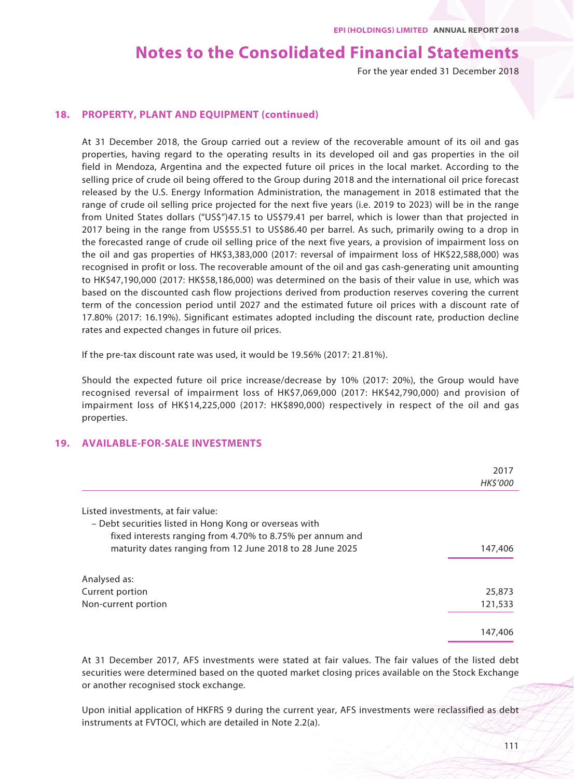For the year ended 31 December 2018

#### **18. PROPERTY, PLANT AND EQUIPMENT (continued)**

At 31 December 2018, the Group carried out a review of the recoverable amount of its oil and gas properties, having regard to the operating results in its developed oil and gas properties in the oil field in Mendoza, Argentina and the expected future oil prices in the local market. According to the selling price of crude oil being offered to the Group during 2018 and the international oil price forecast released by the U.S. Energy Information Administration, the management in 2018 estimated that the range of crude oil selling price projected for the next five years (i.e. 2019 to 2023) will be in the range from United States dollars ("US\$")47.15 to US\$79.41 per barrel, which is lower than that projected in 2017 being in the range from US\$55.51 to US\$86.40 per barrel. As such, primarily owing to a drop in the forecasted range of crude oil selling price of the next five years, a provision of impairment loss on the oil and gas properties of HK\$3,383,000 (2017: reversal of impairment loss of HK\$22,588,000) was recognised in profit or loss. The recoverable amount of the oil and gas cash-generating unit amounting to HK\$47,190,000 (2017: HK\$58,186,000) was determined on the basis of their value in use, which was based on the discounted cash flow projections derived from production reserves covering the current term of the concession period until 2027 and the estimated future oil prices with a discount rate of 17.80% (2017: 16.19%). Significant estimates adopted including the discount rate, production decline rates and expected changes in future oil prices.

If the pre-tax discount rate was used, it would be 19.56% (2017: 21.81%).

Should the expected future oil price increase/decrease by 10% (2017: 20%), the Group would have recognised reversal of impairment loss of HK\$7,069,000 (2017: HK\$42,790,000) and provision of impairment loss of HK\$14,225,000 (2017: HK\$890,000) respectively in respect of the oil and gas properties.

### **19. AVAILABLE-FOR-SALE INVESTMENTS**

|                                                           | 2017<br>HK\$'000 |
|-----------------------------------------------------------|------------------|
| Listed investments, at fair value:                        |                  |
| - Debt securities listed in Hong Kong or overseas with    |                  |
| fixed interests ranging from 4.70% to 8.75% per annum and |                  |
| maturity dates ranging from 12 June 2018 to 28 June 2025  | 147,406          |
| Analysed as:                                              |                  |
| Current portion                                           | 25,873           |
| Non-current portion                                       | 121,533          |
|                                                           | 147,406          |

At 31 December 2017, AFS investments were stated at fair values. The fair values of the listed debt securities were determined based on the quoted market closing prices available on the Stock Exchange or another recognised stock exchange.

Upon initial application of HKFRS 9 during the current year, AFS investments were reclassified as debt instruments at FVTOCI, which are detailed in Note 2.2(a).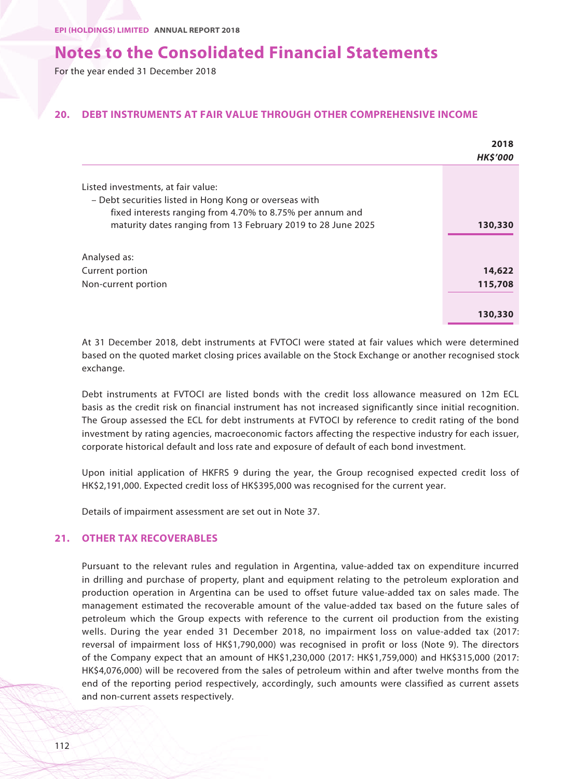For the year ended 31 December 2018

### **20. DEBT INSTRUMENTS AT FAIR VALUE THROUGH OTHER COMPREHENSIVE INCOME**

|                                                                                                                                                                                                                           | 2018<br><b>HK\$'000</b> |
|---------------------------------------------------------------------------------------------------------------------------------------------------------------------------------------------------------------------------|-------------------------|
| Listed investments, at fair value:<br>- Debt securities listed in Hong Kong or overseas with<br>fixed interests ranging from 4.70% to 8.75% per annum and<br>maturity dates ranging from 13 February 2019 to 28 June 2025 | 130,330                 |
| Analysed as:<br>Current portion<br>Non-current portion                                                                                                                                                                    | 14,622<br>115,708       |
|                                                                                                                                                                                                                           | 130,330                 |

At 31 December 2018, debt instruments at FVTOCI were stated at fair values which were determined based on the quoted market closing prices available on the Stock Exchange or another recognised stock exchange.

Debt instruments at FVTOCI are listed bonds with the credit loss allowance measured on 12m ECL basis as the credit risk on financial instrument has not increased significantly since initial recognition. The Group assessed the ECL for debt instruments at FVTOCI by reference to credit rating of the bond investment by rating agencies, macroeconomic factors affecting the respective industry for each issuer, corporate historical default and loss rate and exposure of default of each bond investment.

Upon initial application of HKFRS 9 during the year, the Group recognised expected credit loss of HK\$2,191,000. Expected credit loss of HK\$395,000 was recognised for the current year.

Details of impairment assessment are set out in Note 37.

### **21. OTHER TAX RECOVERABLES**

Pursuant to the relevant rules and regulation in Argentina, value-added tax on expenditure incurred in drilling and purchase of property, plant and equipment relating to the petroleum exploration and production operation in Argentina can be used to offset future value-added tax on sales made. The management estimated the recoverable amount of the value-added tax based on the future sales of petroleum which the Group expects with reference to the current oil production from the existing wells. During the year ended 31 December 2018, no impairment loss on value-added tax (2017: reversal of impairment loss of HK\$1,790,000) was recognised in profit or loss (Note 9). The directors of the Company expect that an amount of HK\$1,230,000 (2017: HK\$1,759,000) and HK\$315,000 (2017: HK\$4,076,000) will be recovered from the sales of petroleum within and after twelve months from the end of the reporting period respectively, accordingly, such amounts were classified as current assets and non-current assets respectively.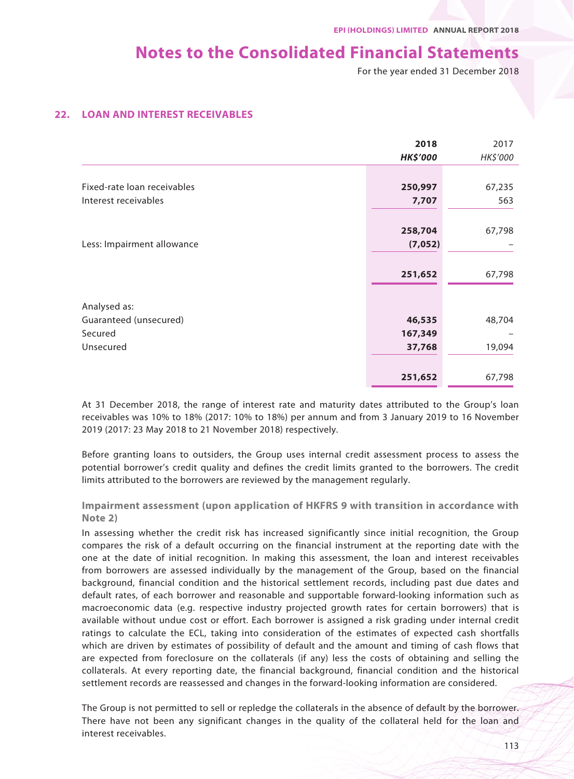For the year ended 31 December 2018

### **22. LOAN AND INTEREST RECEIVABLES**

|                             | 2018            | 2017     |
|-----------------------------|-----------------|----------|
|                             | <b>HK\$'000</b> | HK\$'000 |
|                             |                 |          |
| Fixed-rate loan receivables | 250,997         | 67,235   |
| Interest receivables        | 7,707           | 563      |
|                             |                 |          |
|                             | 258,704         | 67,798   |
| Less: Impairment allowance  | (7,052)         |          |
|                             |                 |          |
|                             | 251,652         | 67,798   |
|                             |                 |          |
| Analysed as:                |                 |          |
| Guaranteed (unsecured)      | 46,535          | 48,704   |
| Secured                     | 167,349         |          |
| Unsecured                   | 37,768          | 19,094   |
|                             |                 |          |
|                             | 251,652         | 67,798   |

At 31 December 2018, the range of interest rate and maturity dates attributed to the Group's loan receivables was 10% to 18% (2017: 10% to 18%) per annum and from 3 January 2019 to 16 November 2019 (2017: 23 May 2018 to 21 November 2018) respectively.

Before granting loans to outsiders, the Group uses internal credit assessment process to assess the potential borrower's credit quality and defines the credit limits granted to the borrowers. The credit limits attributed to the borrowers are reviewed by the management regularly.

### **Impairment assessment (upon application of HKFRS 9 with transition in accordance with Note 2)**

In assessing whether the credit risk has increased significantly since initial recognition, the Group compares the risk of a default occurring on the financial instrument at the reporting date with the one at the date of initial recognition. In making this assessment, the loan and interest receivables from borrowers are assessed individually by the management of the Group, based on the financial background, financial condition and the historical settlement records, including past due dates and default rates, of each borrower and reasonable and supportable forward-looking information such as macroeconomic data (e.g. respective industry projected growth rates for certain borrowers) that is available without undue cost or effort. Each borrower is assigned a risk grading under internal credit ratings to calculate the ECL, taking into consideration of the estimates of expected cash shortfalls which are driven by estimates of possibility of default and the amount and timing of cash flows that are expected from foreclosure on the collaterals (if any) less the costs of obtaining and selling the collaterals. At every reporting date, the financial background, financial condition and the historical settlement records are reassessed and changes in the forward-looking information are considered.

The Group is not permitted to sell or repledge the collaterals in the absence of default by the borrower. There have not been any significant changes in the quality of the collateral held for the loan and interest receivables.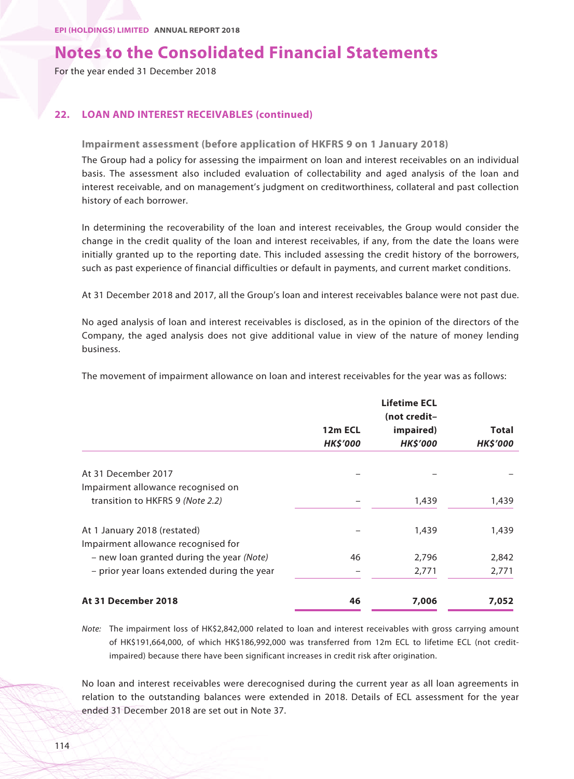For the year ended 31 December 2018

#### **22. LOAN AND INTEREST RECEIVABLES (continued)**

#### **Impairment assessment (before application of HKFRS 9 on 1 January 2018)**

The Group had a policy for assessing the impairment on loan and interest receivables on an individual basis. The assessment also included evaluation of collectability and aged analysis of the loan and interest receivable, and on management's judgment on creditworthiness, collateral and past collection history of each borrower.

In determining the recoverability of the loan and interest receivables, the Group would consider the change in the credit quality of the loan and interest receivables, if any, from the date the loans were initially granted up to the reporting date. This included assessing the credit history of the borrowers, such as past experience of financial difficulties or default in payments, and current market conditions.

At 31 December 2018 and 2017, all the Group's loan and interest receivables balance were not past due.

No aged analysis of loan and interest receivables is disclosed, as in the opinion of the directors of the Company, the aged analysis does not give additional value in view of the nature of money lending business.

The movement of impairment allowance on loan and interest receivables for the year was as follows:

|                                             | <b>Lifetime ECL</b><br>(not credit- |                              |                          |
|---------------------------------------------|-------------------------------------|------------------------------|--------------------------|
|                                             | 12m ECL<br><b>HK\$'000</b>          | impaired)<br><b>HK\$'000</b> | Total<br><b>HK\$'000</b> |
| At 31 December 2017                         |                                     |                              |                          |
| Impairment allowance recognised on          |                                     |                              |                          |
| transition to HKFRS 9 (Note 2.2)            |                                     | 1,439                        | 1,439                    |
| At 1 January 2018 (restated)                |                                     | 1,439                        | 1,439                    |
| Impairment allowance recognised for         |                                     |                              |                          |
| - new loan granted during the year (Note)   | 46                                  | 2,796                        | 2,842                    |
| - prior year loans extended during the year |                                     | 2,771                        | 2,771                    |
| At 31 December 2018                         | 46                                  | 7,006                        | 7,052                    |

*Note:* The impairment loss of HK\$2,842,000 related to loan and interest receivables with gross carrying amount of HK\$191,664,000, of which HK\$186,992,000 was transferred from 12m ECL to lifetime ECL (not creditimpaired) because there have been significant increases in credit risk after origination.

No loan and interest receivables were derecognised during the current year as all loan agreements in relation to the outstanding balances were extended in 2018. Details of ECL assessment for the year ended 31 December 2018 are set out in Note 37.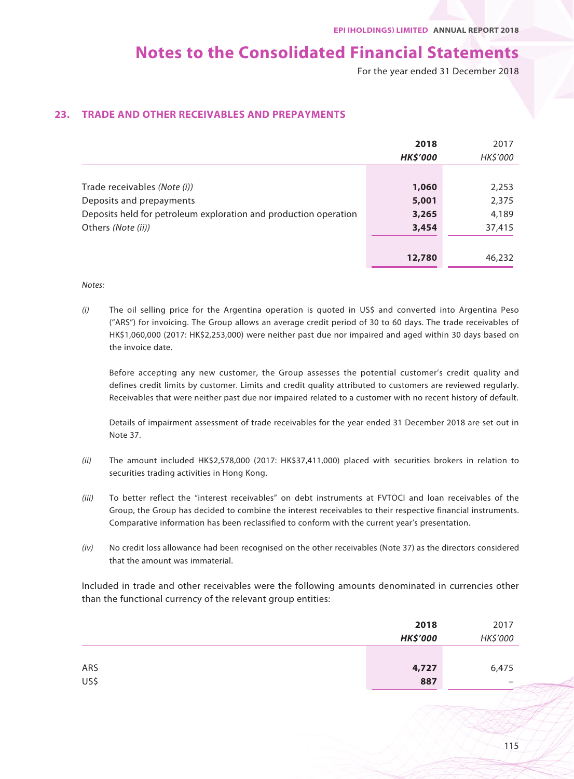For the year ended 31 December 2018

### **23. TRADE AND OTHER RECEIVABLES AND PREPAYMENTS**

|                                                                  | 2018            | 2017            |
|------------------------------------------------------------------|-----------------|-----------------|
|                                                                  | <b>HK\$'000</b> | <b>HK\$'000</b> |
|                                                                  |                 |                 |
| Trade receivables (Note (i))                                     | 1,060           | 2,253           |
| Deposits and prepayments                                         | 5,001           | 2,375           |
| Deposits held for petroleum exploration and production operation | 3,265           | 4,189           |
| Others (Note (ii))                                               | 3,454           | 37,415          |
|                                                                  |                 |                 |
|                                                                  | 12,780          | 46,232          |

#### *Notes:*

*(i)* The oil selling price for the Argentina operation is quoted in US\$ and converted into Argentina Peso ("ARS") for invoicing. The Group allows an average credit period of 30 to 60 days. The trade receivables of HK\$1,060,000 (2017: HK\$2,253,000) were neither past due nor impaired and aged within 30 days based on the invoice date.

Before accepting any new customer, the Group assesses the potential customer's credit quality and defines credit limits by customer. Limits and credit quality attributed to customers are reviewed regularly. Receivables that were neither past due nor impaired related to a customer with no recent history of default.

Details of impairment assessment of trade receivables for the year ended 31 December 2018 are set out in Note 37.

- *(ii)* The amount included HK\$2,578,000 (2017: HK\$37,411,000) placed with securities brokers in relation to securities trading activities in Hong Kong.
- *(iii)* To better reflect the "interest receivables" on debt instruments at FVTOCI and loan receivables of the Group, the Group has decided to combine the interest receivables to their respective financial instruments. Comparative information has been reclassified to conform with the current year's presentation.
- *(iv)* No credit loss allowance had been recognised on the other receivables (Note 37) as the directors considered that the amount was immaterial.

Included in trade and other receivables were the following amounts denominated in currencies other than the functional currency of the relevant group entities:

|      | 2018            | 2017     |
|------|-----------------|----------|
|      | <b>HK\$'000</b> | HK\$'000 |
|      |                 |          |
| ARS  | 4,727           | 6,475    |
| US\$ | 887             | -        |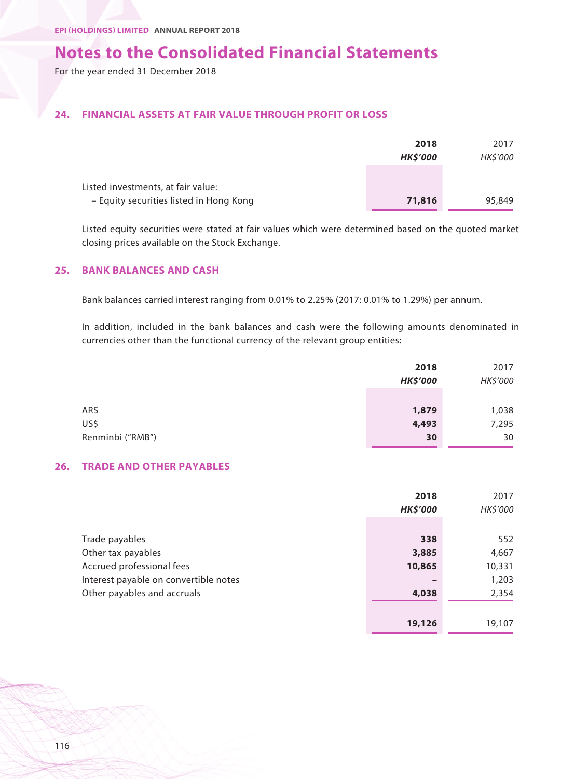For the year ended 31 December 2018

### **24. FINANCIAL ASSETS AT FAIR VALUE THROUGH PROFIT OR LOSS**

|                                                                               | 2018<br><b>HK\$'000</b> | 2017<br><b>HK\$'000</b> |
|-------------------------------------------------------------------------------|-------------------------|-------------------------|
| Listed investments, at fair value:<br>- Equity securities listed in Hong Kong | 71,816                  | 95,849                  |

Listed equity securities were stated at fair values which were determined based on the quoted market closing prices available on the Stock Exchange.

### **25. BANK BALANCES AND CASH**

Bank balances carried interest ranging from 0.01% to 2.25% (2017: 0.01% to 1.29%) per annum.

In addition, included in the bank balances and cash were the following amounts denominated in currencies other than the functional currency of the relevant group entities:

|                  | 2018            | 2017            |
|------------------|-----------------|-----------------|
|                  | <b>HK\$'000</b> | <b>HK\$'000</b> |
|                  |                 |                 |
| ARS              | 1,879           | 1,038           |
| US\$             | 4,493           | 7,295           |
| Renminbi ("RMB") | 30              | 30              |

### **26. TRADE AND OTHER PAYABLES**

|                                       | 2018<br><b>HK\$'000</b> | 2017<br><b>HK\$'000</b> |
|---------------------------------------|-------------------------|-------------------------|
|                                       |                         |                         |
| Trade payables                        | 338                     | 552                     |
| Other tax payables                    | 3,885                   | 4,667                   |
| Accrued professional fees             | 10,865                  | 10,331                  |
| Interest payable on convertible notes |                         | 1,203                   |
| Other payables and accruals           | 4,038                   | 2,354                   |
|                                       |                         |                         |
|                                       | 19,126                  | 19,107                  |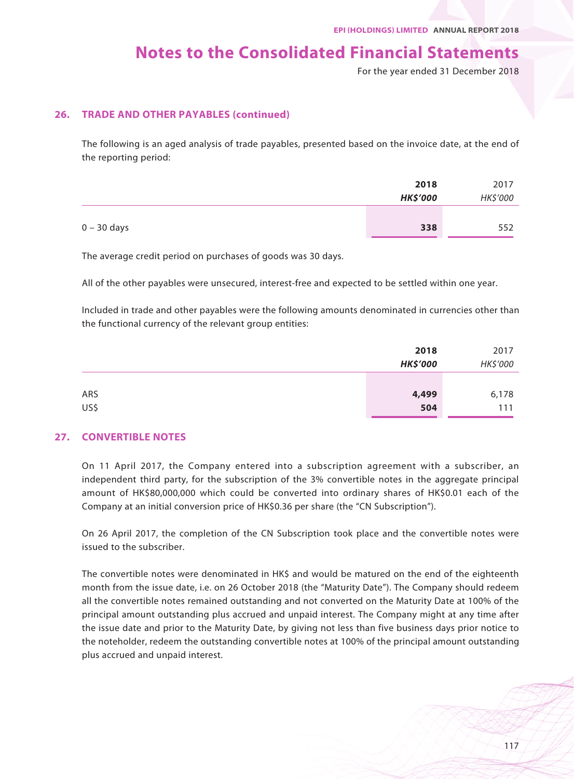For the year ended 31 December 2018

#### **26. TRADE AND OTHER PAYABLES (continued)**

The following is an aged analysis of trade payables, presented based on the invoice date, at the end of the reporting period:

|               | 2018            | 2017     |
|---------------|-----------------|----------|
|               | <b>HK\$'000</b> | HK\$'000 |
|               |                 |          |
| $0 - 30$ days | 338             | 552      |

The average credit period on purchases of goods was 30 days.

All of the other payables were unsecured, interest-free and expected to be settled within one year.

Included in trade and other payables were the following amounts denominated in currencies other than the functional currency of the relevant group entities:

|      | 2018            | 2017     |
|------|-----------------|----------|
|      | <b>HK\$'000</b> | HK\$'000 |
|      |                 |          |
| ARS  | 4,499           | 6,178    |
| US\$ | 504             | 111      |

### **27. CONVERTIBLE NOTES**

On 11 April 2017, the Company entered into a subscription agreement with a subscriber, an independent third party, for the subscription of the 3% convertible notes in the aggregate principal amount of HK\$80,000,000 which could be converted into ordinary shares of HK\$0.01 each of the Company at an initial conversion price of HK\$0.36 per share (the "CN Subscription").

On 26 April 2017, the completion of the CN Subscription took place and the convertible notes were issued to the subscriber.

The convertible notes were denominated in HK\$ and would be matured on the end of the eighteenth month from the issue date, i.e. on 26 October 2018 (the "Maturity Date"). The Company should redeem all the convertible notes remained outstanding and not converted on the Maturity Date at 100% of the principal amount outstanding plus accrued and unpaid interest. The Company might at any time after the issue date and prior to the Maturity Date, by giving not less than five business days prior notice to the noteholder, redeem the outstanding convertible notes at 100% of the principal amount outstanding plus accrued and unpaid interest.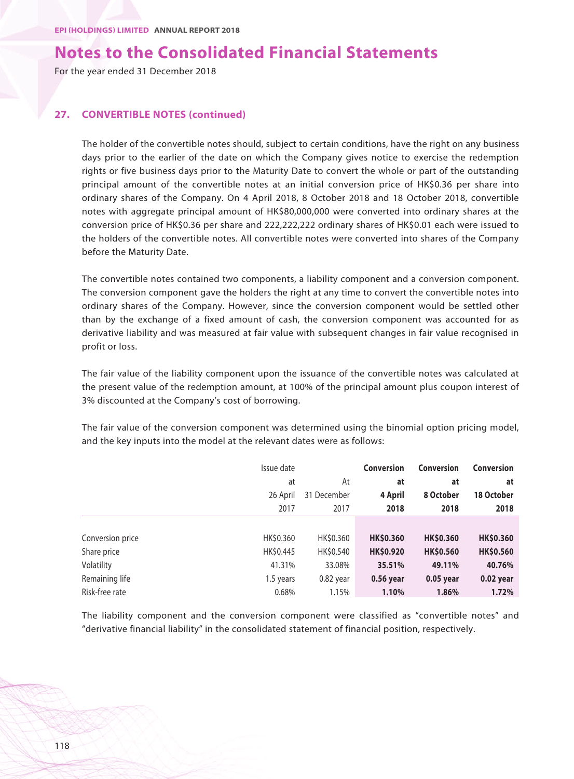For the year ended 31 December 2018

#### **27. CONVERTIBLE NOTES (continued)**

The holder of the convertible notes should, subject to certain conditions, have the right on any business days prior to the earlier of the date on which the Company gives notice to exercise the redemption rights or five business days prior to the Maturity Date to convert the whole or part of the outstanding principal amount of the convertible notes at an initial conversion price of HK\$0.36 per share into ordinary shares of the Company. On 4 April 2018, 8 October 2018 and 18 October 2018, convertible notes with aggregate principal amount of HK\$80,000,000 were converted into ordinary shares at the conversion price of HK\$0.36 per share and 222,222,222 ordinary shares of HK\$0.01 each were issued to the holders of the convertible notes. All convertible notes were converted into shares of the Company before the Maturity Date.

The convertible notes contained two components, a liability component and a conversion component. The conversion component gave the holders the right at any time to convert the convertible notes into ordinary shares of the Company. However, since the conversion component would be settled other than by the exchange of a fixed amount of cash, the conversion component was accounted for as derivative liability and was measured at fair value with subsequent changes in fair value recognised in profit or loss.

The fair value of the liability component upon the issuance of the convertible notes was calculated at the present value of the redemption amount, at 100% of the principal amount plus coupon interest of 3% discounted at the Company's cost of borrowing.

The fair value of the conversion component was determined using the binomial option pricing model, and the key inputs into the model at the relevant dates were as follows:

|                  | Issue date |             | <b>Conversion</b> | Conversion       | <b>Conversion</b> |
|------------------|------------|-------------|-------------------|------------------|-------------------|
|                  | at         | At          | at                | at               | at                |
|                  | 26 April   | 31 December | 4 April           | 8 October        | 18 October        |
|                  | 2017       | 2017        | 2018              | 2018             | 2018              |
|                  |            |             |                   |                  |                   |
| Conversion price | HK\$0.360  | HK\$0.360   | HK\$0.360         | <b>HK\$0.360</b> | HK\$0.360         |
| Share price      | HK\$0.445  | HK\$0.540   | HK\$0.920         | HK\$0.560        | HK\$0.560         |
| Volatility       | 41.31%     | 33.08%      | 35.51%            | 49.11%           | 40.76%            |
| Remaining life   | 1.5 years  | $0.82$ year | 0.56 year         | $0.05$ year      | $0.02$ year       |
| Risk-free rate   | 0.68%      | 1.15%       | 1.10%             | 1.86%            | 1.72%             |

The liability component and the conversion component were classified as "convertible notes" and "derivative financial liability" in the consolidated statement of financial position, respectively.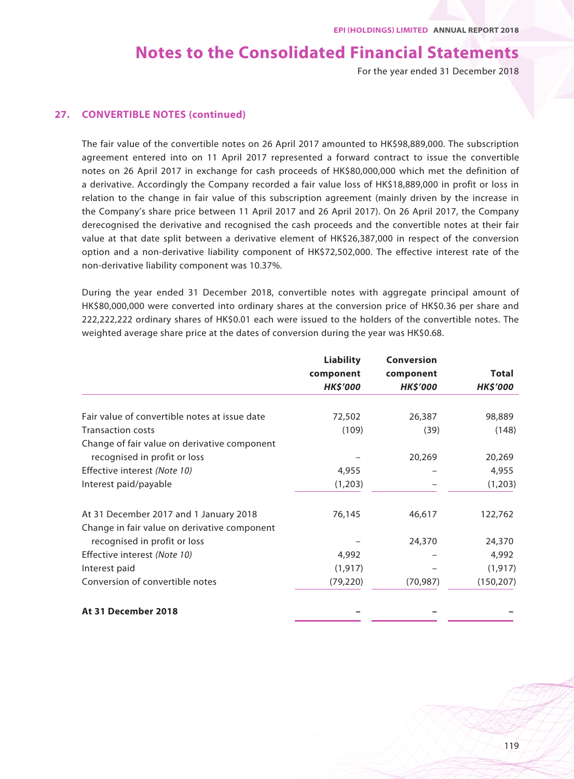For the year ended 31 December 2018

### **27. CONVERTIBLE NOTES (continued)**

The fair value of the convertible notes on 26 April 2017 amounted to HK\$98,889,000. The subscription agreement entered into on 11 April 2017 represented a forward contract to issue the convertible notes on 26 April 2017 in exchange for cash proceeds of HK\$80,000,000 which met the definition of a derivative. Accordingly the Company recorded a fair value loss of HK\$18,889,000 in profit or loss in relation to the change in fair value of this subscription agreement (mainly driven by the increase in the Company's share price between 11 April 2017 and 26 April 2017). On 26 April 2017, the Company derecognised the derivative and recognised the cash proceeds and the convertible notes at their fair value at that date split between a derivative element of HK\$26,387,000 in respect of the conversion option and a non-derivative liability component of HK\$72,502,000. The effective interest rate of the non-derivative liability component was 10.37%.

During the year ended 31 December 2018, convertible notes with aggregate principal amount of HK\$80,000,000 were converted into ordinary shares at the conversion price of HK\$0.36 per share and 222,222,222 ordinary shares of HK\$0.01 each were issued to the holders of the convertible notes. The weighted average share price at the dates of conversion during the year was HK\$0.68.

|                                               | <b>Liability</b>             | <b>Conversion</b>            | Total           |
|-----------------------------------------------|------------------------------|------------------------------|-----------------|
|                                               | component<br><b>HK\$'000</b> | component<br><b>HK\$'000</b> | <b>HK\$'000</b> |
|                                               |                              |                              |                 |
| Fair value of convertible notes at issue date | 72,502                       | 26,387                       | 98,889          |
| <b>Transaction costs</b>                      | (109)                        | (39)                         | (148)           |
| Change of fair value on derivative component  |                              |                              |                 |
| recognised in profit or loss                  |                              | 20,269                       | 20,269          |
| Effective interest (Note 10)                  | 4,955                        |                              | 4,955           |
| Interest paid/payable                         | (1,203)                      |                              | (1,203)         |
| At 31 December 2017 and 1 January 2018        | 76,145                       | 46,617                       | 122,762         |
| Change in fair value on derivative component  |                              |                              |                 |
| recognised in profit or loss                  |                              | 24,370                       | 24,370          |
| Effective interest (Note 10)                  | 4,992                        |                              | 4,992           |
| Interest paid                                 | (1, 917)                     |                              | (1, 917)        |
| Conversion of convertible notes               | (79, 220)                    | (70, 987)                    | (150, 207)      |
| At 31 December 2018                           |                              |                              |                 |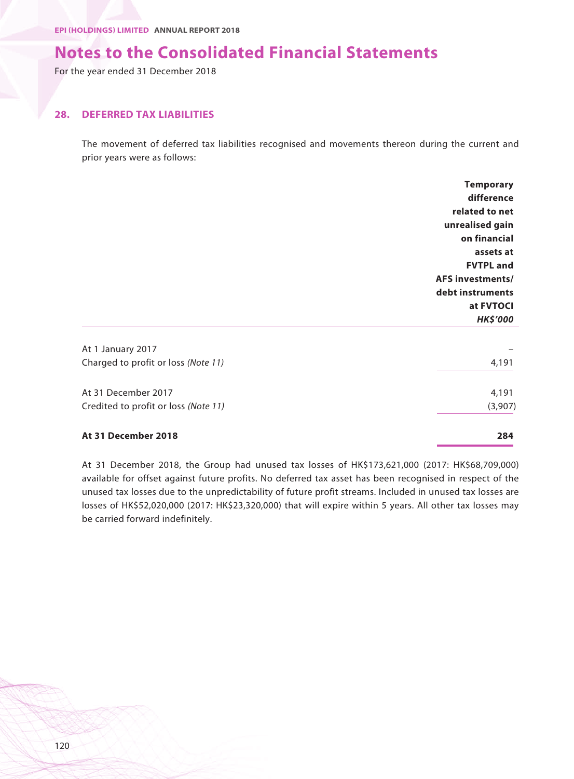For the year ended 31 December 2018

### **28. DEFERRED TAX LIABILITIES**

The movement of deferred tax liabilities recognised and movements thereon during the current and prior years were as follows:

|                                      | <b>Temporary</b>        |
|--------------------------------------|-------------------------|
|                                      | difference              |
|                                      | related to net          |
|                                      | unrealised gain         |
|                                      | on financial            |
|                                      | assets at               |
|                                      | <b>FVTPL and</b>        |
|                                      | <b>AFS investments/</b> |
|                                      | debt instruments        |
|                                      | at FVTOCI               |
|                                      | <b>HK\$'000</b>         |
|                                      |                         |
| At 1 January 2017                    |                         |
| Charged to profit or loss (Note 11)  | 4,191                   |
| At 31 December 2017                  | 4,191                   |
| Credited to profit or loss (Note 11) | (3,907)                 |
| At 31 December 2018                  | 284                     |

At 31 December 2018, the Group had unused tax losses of HK\$173,621,000 (2017: HK\$68,709,000) available for offset against future profits. No deferred tax asset has been recognised in respect of the unused tax losses due to the unpredictability of future profit streams. Included in unused tax losses are losses of HK\$52,020,000 (2017: HK\$23,320,000) that will expire within 5 years. All other tax losses may be carried forward indefinitely.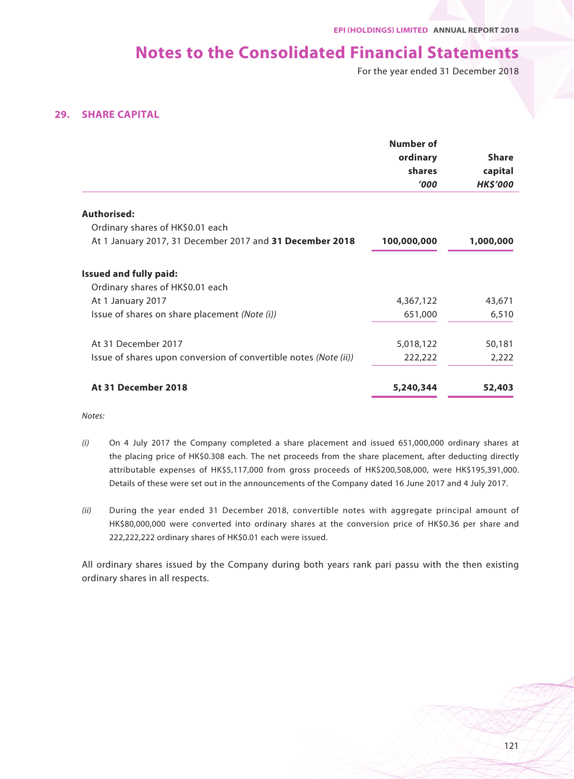For the year ended 31 December 2018

### **29. SHARE CAPITAL**

|                                                                  | Number of   |                 |
|------------------------------------------------------------------|-------------|-----------------|
|                                                                  | ordinary    | <b>Share</b>    |
|                                                                  | shares      | capital         |
|                                                                  | '000        | <b>HK\$'000</b> |
| Authorised:                                                      |             |                 |
| Ordinary shares of HK\$0.01 each                                 |             |                 |
| At 1 January 2017, 31 December 2017 and 31 December 2018         | 100,000,000 | 1,000,000       |
| <b>Issued and fully paid:</b>                                    |             |                 |
| Ordinary shares of HK\$0.01 each                                 |             |                 |
| At 1 January 2017                                                | 4,367,122   | 43,671          |
| Issue of shares on share placement (Note (i))                    | 651,000     | 6,510           |
| At 31 December 2017                                              | 5,018,122   | 50,181          |
| Issue of shares upon conversion of convertible notes (Note (ii)) | 222,222     | 2,222           |
| At 31 December 2018                                              | 5,240,344   | 52,403          |

*Notes:*

- *(i)* On 4 July 2017 the Company completed a share placement and issued 651,000,000 ordinary shares at the placing price of HK\$0.308 each. The net proceeds from the share placement, after deducting directly attributable expenses of HK\$5,117,000 from gross proceeds of HK\$200,508,000, were HK\$195,391,000. Details of these were set out in the announcements of the Company dated 16 June 2017 and 4 July 2017.
- *(ii)* During the year ended 31 December 2018, convertible notes with aggregate principal amount of HK\$80,000,000 were converted into ordinary shares at the conversion price of HK\$0.36 per share and 222,222,222 ordinary shares of HK\$0.01 each were issued.

All ordinary shares issued by the Company during both years rank pari passu with the then existing ordinary shares in all respects.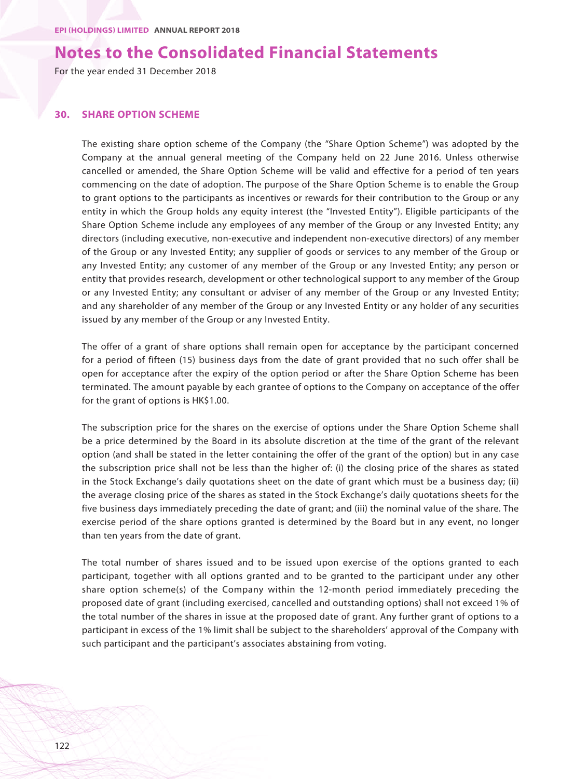For the year ended 31 December 2018

#### **30. SHARE OPTION SCHEME**

The existing share option scheme of the Company (the "Share Option Scheme") was adopted by the Company at the annual general meeting of the Company held on 22 June 2016. Unless otherwise cancelled or amended, the Share Option Scheme will be valid and effective for a period of ten years commencing on the date of adoption. The purpose of the Share Option Scheme is to enable the Group to grant options to the participants as incentives or rewards for their contribution to the Group or any entity in which the Group holds any equity interest (the "Invested Entity"). Eligible participants of the Share Option Scheme include any employees of any member of the Group or any Invested Entity; any directors (including executive, non-executive and independent non-executive directors) of any member of the Group or any Invested Entity; any supplier of goods or services to any member of the Group or any Invested Entity; any customer of any member of the Group or any Invested Entity; any person or entity that provides research, development or other technological support to any member of the Group or any Invested Entity; any consultant or adviser of any member of the Group or any Invested Entity; and any shareholder of any member of the Group or any Invested Entity or any holder of any securities issued by any member of the Group or any Invested Entity.

The offer of a grant of share options shall remain open for acceptance by the participant concerned for a period of fifteen (15) business days from the date of grant provided that no such offer shall be open for acceptance after the expiry of the option period or after the Share Option Scheme has been terminated. The amount payable by each grantee of options to the Company on acceptance of the offer for the grant of options is HK\$1.00.

The subscription price for the shares on the exercise of options under the Share Option Scheme shall be a price determined by the Board in its absolute discretion at the time of the grant of the relevant option (and shall be stated in the letter containing the offer of the grant of the option) but in any case the subscription price shall not be less than the higher of: (i) the closing price of the shares as stated in the Stock Exchange's daily quotations sheet on the date of grant which must be a business day; (ii) the average closing price of the shares as stated in the Stock Exchange's daily quotations sheets for the five business days immediately preceding the date of grant; and (iii) the nominal value of the share. The exercise period of the share options granted is determined by the Board but in any event, no longer than ten years from the date of grant.

The total number of shares issued and to be issued upon exercise of the options granted to each participant, together with all options granted and to be granted to the participant under any other share option scheme(s) of the Company within the 12-month period immediately preceding the proposed date of grant (including exercised, cancelled and outstanding options) shall not exceed 1% of the total number of the shares in issue at the proposed date of grant. Any further grant of options to a participant in excess of the 1% limit shall be subject to the shareholders' approval of the Company with such participant and the participant's associates abstaining from voting.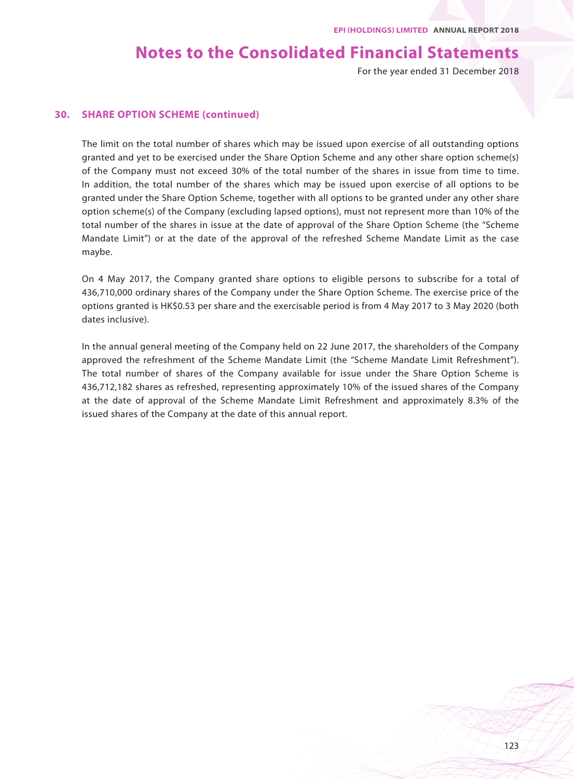For the year ended 31 December 2018

#### **30. SHARE OPTION SCHEME (continued)**

The limit on the total number of shares which may be issued upon exercise of all outstanding options granted and yet to be exercised under the Share Option Scheme and any other share option scheme(s) of the Company must not exceed 30% of the total number of the shares in issue from time to time. In addition, the total number of the shares which may be issued upon exercise of all options to be granted under the Share Option Scheme, together with all options to be granted under any other share option scheme(s) of the Company (excluding lapsed options), must not represent more than 10% of the total number of the shares in issue at the date of approval of the Share Option Scheme (the "Scheme Mandate Limit") or at the date of the approval of the refreshed Scheme Mandate Limit as the case maybe.

On 4 May 2017, the Company granted share options to eligible persons to subscribe for a total of 436,710,000 ordinary shares of the Company under the Share Option Scheme. The exercise price of the options granted is HK\$0.53 per share and the exercisable period is from 4 May 2017 to 3 May 2020 (both dates inclusive).

In the annual general meeting of the Company held on 22 June 2017, the shareholders of the Company approved the refreshment of the Scheme Mandate Limit (the "Scheme Mandate Limit Refreshment"). The total number of shares of the Company available for issue under the Share Option Scheme is 436,712,182 shares as refreshed, representing approximately 10% of the issued shares of the Company at the date of approval of the Scheme Mandate Limit Refreshment and approximately 8.3% of the issued shares of the Company at the date of this annual report.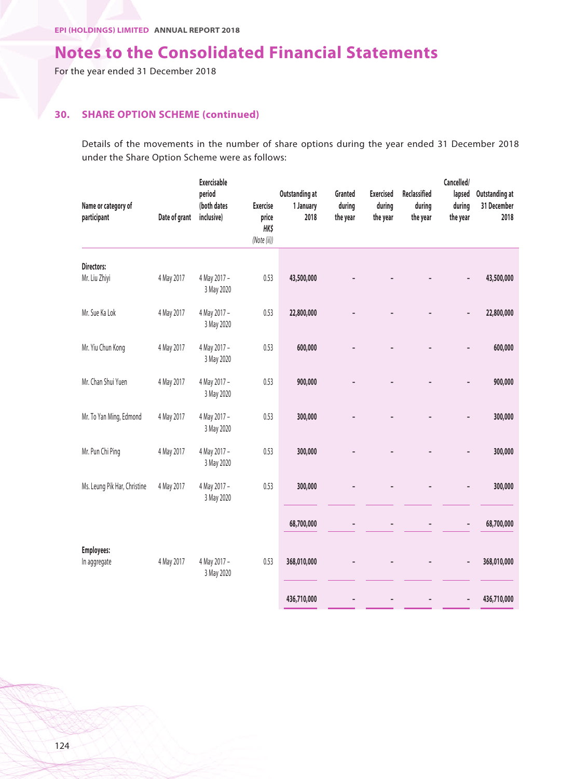For the year ended 31 December 2018

### **30. SHARE OPTION SCHEME (continued)**

Details of the movements in the number of share options during the year ended 31 December 2018 under the Share Option Scheme were as follows:

| Name or category of<br>participant | Date of grant | <b>Exercisable</b><br>period<br>(both dates<br>inclusive) | <b>Exercise</b><br>price<br>HK\$<br>(Note (ii)) | <b>Outstanding at</b><br>1 January<br>2018 | Granted<br>during<br>the year | <b>Exercised</b><br>during<br>the year | Reclassified<br>during<br>the year | Cancelled/<br>lapsed<br>during<br>the year | Outstanding at<br>31 December<br>2018 |
|------------------------------------|---------------|-----------------------------------------------------------|-------------------------------------------------|--------------------------------------------|-------------------------------|----------------------------------------|------------------------------------|--------------------------------------------|---------------------------------------|
| <b>Directors:</b>                  |               |                                                           |                                                 |                                            |                               |                                        |                                    |                                            |                                       |
| Mr. Liu Zhiyi                      | 4 May 2017    | 4 May 2017 -<br>3 May 2020                                | 0.53                                            | 43,500,000                                 |                               |                                        |                                    |                                            | 43,500,000                            |
| Mr. Sue Ka Lok                     | 4 May 2017    | 4 May 2017 -<br>3 May 2020                                | 0.53                                            | 22,800,000                                 |                               |                                        |                                    |                                            | 22,800,000                            |
| Mr. Yiu Chun Kong                  | 4 May 2017    | 4 May 2017 -<br>3 May 2020                                | 0.53                                            | 600,000                                    |                               |                                        |                                    |                                            | 600,000                               |
| Mr. Chan Shui Yuen                 | 4 May 2017    | 4 May 2017 -<br>3 May 2020                                | 0.53                                            | 900,000                                    |                               |                                        |                                    |                                            | 900,000                               |
| Mr. To Yan Ming, Edmond            | 4 May 2017    | 4 May 2017 -<br>3 May 2020                                | 0.53                                            | 300,000                                    |                               |                                        |                                    |                                            | 300,000                               |
| Mr. Pun Chi Ping                   | 4 May 2017    | 4 May 2017 -<br>3 May 2020                                | 0.53                                            | 300,000                                    |                               |                                        |                                    |                                            | 300,000                               |
| Ms. Leung Pik Har, Christine       | 4 May 2017    | 4 May 2017 -<br>3 May 2020                                | 0.53                                            | 300,000                                    |                               |                                        |                                    |                                            | 300,000                               |
|                                    |               |                                                           |                                                 | 68,700,000                                 |                               |                                        |                                    | $\overline{\phantom{0}}$                   | 68,700,000                            |
| <b>Employees:</b><br>In aggregate  | 4 May 2017    | 4 May 2017 -<br>3 May 2020                                | 0.53                                            | 368,010,000                                |                               |                                        |                                    | -                                          | 368,010,000                           |
|                                    |               |                                                           |                                                 | 436,710,000                                |                               |                                        |                                    | -                                          | 436,710,000                           |

124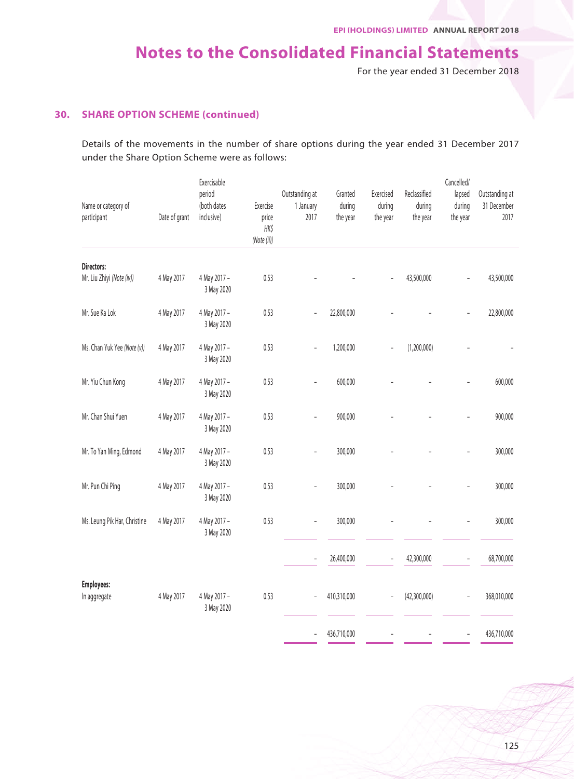For the year ended 31 December 2018

### **30. SHARE OPTION SCHEME (continued)**

Details of the movements in the number of share options during the year ended 31 December 2017 under the Share Option Scheme were as follows:

| Name or category of<br>participant | Date of grant | Exercisable<br>period<br>(both dates<br>inclusive) | Exercise<br>price<br>HK\$<br>(Note (ii)) | Outstanding at<br>1 January<br>2017 | Granted<br>during<br>the year | Exercised<br>during<br>the year | Reclassified<br>during<br>the year | Cancelled/<br>lapsed<br>during<br>the year | Outstanding at<br>31 December<br>2017 |
|------------------------------------|---------------|----------------------------------------------------|------------------------------------------|-------------------------------------|-------------------------------|---------------------------------|------------------------------------|--------------------------------------------|---------------------------------------|
| <b>Directors:</b>                  |               |                                                    |                                          |                                     |                               |                                 |                                    |                                            |                                       |
| Mr. Liu Zhiyi (Note (iv))          | 4 May 2017    | 4 May 2017 -<br>3 May 2020                         | 0.53                                     |                                     |                               | $\overline{\phantom{a}}$        | 43,500,000                         |                                            | 43,500,000                            |
| Mr. Sue Ka Lok                     | 4 May 2017    | 4 May 2017 -<br>3 May 2020                         | 0.53                                     | $\overline{\phantom{0}}$            | 22,800,000                    |                                 |                                    |                                            | 22,800,000                            |
| Ms. Chan Yuk Yee (Note (v))        | 4 May 2017    | 4 May 2017 -<br>3 May 2020                         | 0.53                                     | $\overline{\phantom{0}}$            | 1,200,000                     | $\overline{a}$                  | (1,200,000)                        |                                            |                                       |
| Mr. Yiu Chun Kong                  | 4 May 2017    | 4 May 2017 -<br>3 May 2020                         | 0.53                                     | $\overline{\phantom{0}}$            | 600,000                       |                                 |                                    |                                            | 600,000                               |
| Mr. Chan Shui Yuen                 | 4 May 2017    | 4 May 2017 -<br>3 May 2020                         | 0.53                                     | $\overline{a}$                      | 900,000                       |                                 |                                    |                                            | 900,000                               |
| Mr. To Yan Ming, Edmond            | 4 May 2017    | 4 May 2017 -<br>3 May 2020                         | 0.53                                     |                                     | 300,000                       |                                 |                                    |                                            | 300,000                               |
| Mr. Pun Chi Ping                   | 4 May 2017    | 4 May 2017 -<br>3 May 2020                         | 0.53                                     | $\overline{a}$                      | 300,000                       |                                 |                                    |                                            | 300,000                               |
| Ms. Leung Pik Har, Christine       | 4 May 2017    | 4 May 2017 -<br>3 May 2020                         | 0.53                                     | $\overline{a}$                      | 300,000                       |                                 |                                    |                                            | 300,000                               |
|                                    |               |                                                    |                                          | $\qquad \qquad \blacksquare$        | 26,400,000                    |                                 | 42,300,000                         | $\overline{\phantom{0}}$                   | 68,700,000                            |
| <b>Employees:</b><br>In aggregate  | 4 May 2017    | 4 May 2017 -<br>3 May 2020                         | 0.53                                     | $\qquad \qquad -$                   | 410,310,000                   | $\overline{\phantom{0}}$        | (42,300,000)                       | ÷                                          | 368,010,000                           |
|                                    |               |                                                    |                                          | $\qquad \qquad \blacksquare$        | 436,710,000                   |                                 |                                    | L,                                         | 436,710,000                           |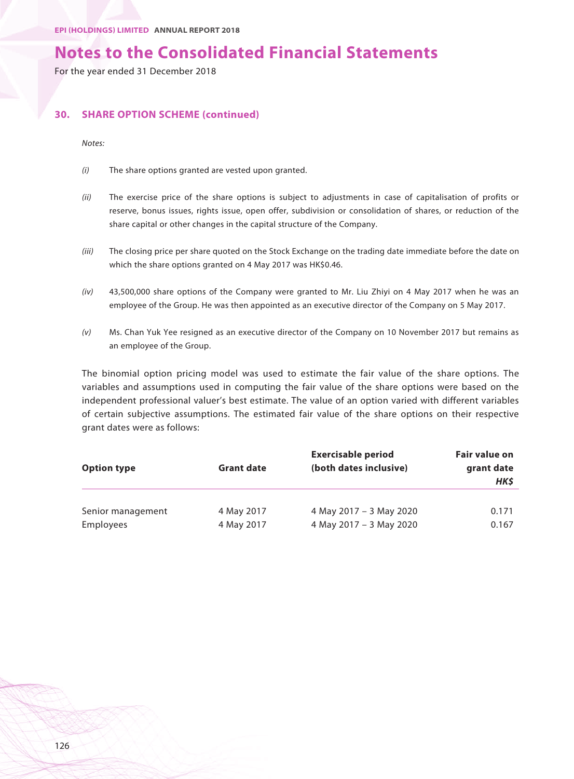For the year ended 31 December 2018

### **30. SHARE OPTION SCHEME (continued)**

*Notes:*

- *(i)* The share options granted are vested upon granted.
- *(ii)* The exercise price of the share options is subject to adjustments in case of capitalisation of profits or reserve, bonus issues, rights issue, open offer, subdivision or consolidation of shares, or reduction of the share capital or other changes in the capital structure of the Company.
- *(iii)* The closing price per share quoted on the Stock Exchange on the trading date immediate before the date on which the share options granted on 4 May 2017 was HK\$0.46.
- *(iv)* 43,500,000 share options of the Company were granted to Mr. Liu Zhiyi on 4 May 2017 when he was an employee of the Group. He was then appointed as an executive director of the Company on 5 May 2017.
- *(v)* Ms. Chan Yuk Yee resigned as an executive director of the Company on 10 November 2017 but remains as an employee of the Group.

The binomial option pricing model was used to estimate the fair value of the share options. The variables and assumptions used in computing the fair value of the share options were based on the independent professional valuer's best estimate. The value of an option varied with different variables of certain subjective assumptions. The estimated fair value of the share options on their respective grant dates were as follows:

| <b>Option type</b> | <b>Grant date</b> | <b>Exercisable period</b><br>(both dates inclusive) | <b>Fair value on</b><br>grant date<br>HK\$ |
|--------------------|-------------------|-----------------------------------------------------|--------------------------------------------|
| Senior management  | 4 May 2017        | 4 May 2017 - 3 May 2020                             | 0.171                                      |
| Employees          | 4 May 2017        | 4 May 2017 - 3 May 2020                             | 0.167                                      |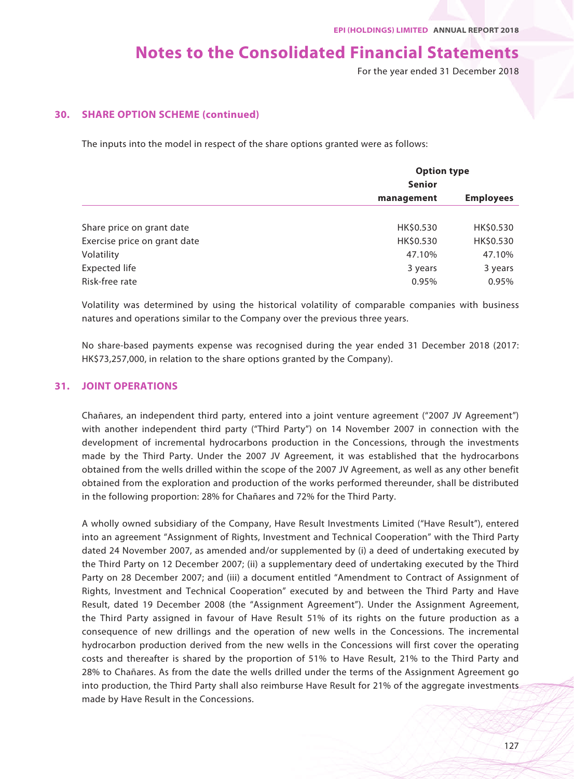For the year ended 31 December 2018

#### **30. SHARE OPTION SCHEME (continued)**

The inputs into the model in respect of the share options granted were as follows:

|                              | <b>Option type</b><br><b>Senior</b> |           |  |
|------------------------------|-------------------------------------|-----------|--|
|                              | <b>Employees</b><br>management      |           |  |
|                              |                                     |           |  |
| Share price on grant date    | HK\$0.530                           | HK\$0.530 |  |
| Exercise price on grant date | HK\$0.530                           | HK\$0.530 |  |
| Volatility                   | 47.10%                              | 47.10%    |  |
| <b>Expected life</b>         | 3 years                             | 3 years   |  |
| Risk-free rate               | 0.95%                               | 0.95%     |  |

Volatility was determined by using the historical volatility of comparable companies with business natures and operations similar to the Company over the previous three years.

No share-based payments expense was recognised during the year ended 31 December 2018 (2017: HK\$73,257,000, in relation to the share options granted by the Company).

### **31. JOINT OPERATIONS**

Chañares, an independent third party, entered into a joint venture agreement ("2007 JV Agreement") with another independent third party ("Third Party") on 14 November 2007 in connection with the development of incremental hydrocarbons production in the Concessions, through the investments made by the Third Party. Under the 2007 JV Agreement, it was established that the hydrocarbons obtained from the wells drilled within the scope of the 2007 JV Agreement, as well as any other benefit obtained from the exploration and production of the works performed thereunder, shall be distributed in the following proportion: 28% for Chañares and 72% for the Third Party.

A wholly owned subsidiary of the Company, Have Result Investments Limited ("Have Result"), entered into an agreement "Assignment of Rights, Investment and Technical Cooperation" with the Third Party dated 24 November 2007, as amended and/or supplemented by (i) a deed of undertaking executed by the Third Party on 12 December 2007; (ii) a supplementary deed of undertaking executed by the Third Party on 28 December 2007; and (iii) a document entitled "Amendment to Contract of Assignment of Rights, Investment and Technical Cooperation" executed by and between the Third Party and Have Result, dated 19 December 2008 (the "Assignment Agreement"). Under the Assignment Agreement, the Third Party assigned in favour of Have Result 51% of its rights on the future production as a consequence of new drillings and the operation of new wells in the Concessions. The incremental hydrocarbon production derived from the new wells in the Concessions will first cover the operating costs and thereafter is shared by the proportion of 51% to Have Result, 21% to the Third Party and 28% to Chañares. As from the date the wells drilled under the terms of the Assignment Agreement go into production, the Third Party shall also reimburse Have Result for 21% of the aggregate investments made by Have Result in the Concessions.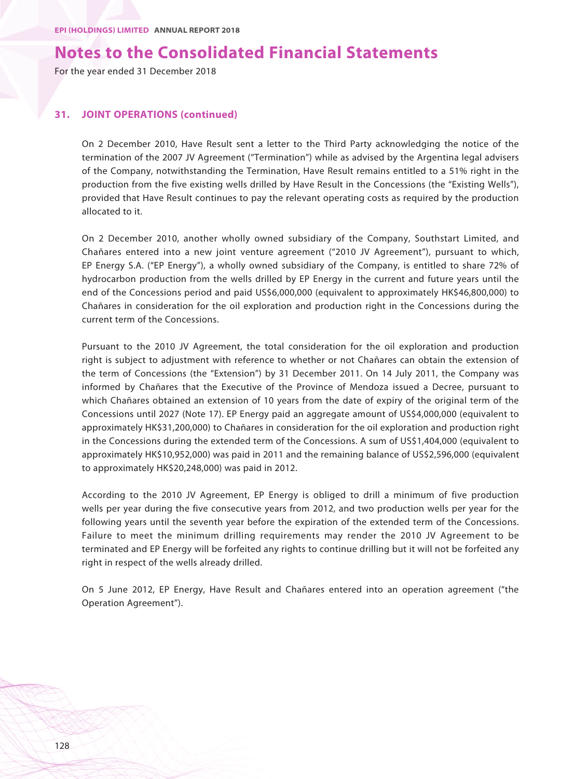For the year ended 31 December 2018

#### **31. JOINT OPERATIONS (continued)**

On 2 December 2010, Have Result sent a letter to the Third Party acknowledging the notice of the termination of the 2007 JV Agreement ("Termination") while as advised by the Argentina legal advisers of the Company, notwithstanding the Termination, Have Result remains entitled to a 51% right in the production from the five existing wells drilled by Have Result in the Concessions (the "Existing Wells"), provided that Have Result continues to pay the relevant operating costs as required by the production allocated to it.

On 2 December 2010, another wholly owned subsidiary of the Company, Southstart Limited, and Chañares entered into a new joint venture agreement ("2010 JV Agreement"), pursuant to which, EP Energy S.A. ("EP Energy"), a wholly owned subsidiary of the Company, is entitled to share 72% of hydrocarbon production from the wells drilled by EP Energy in the current and future years until the end of the Concessions period and paid US\$6,000,000 (equivalent to approximately HK\$46,800,000) to Chañares in consideration for the oil exploration and production right in the Concessions during the current term of the Concessions.

Pursuant to the 2010 JV Agreement, the total consideration for the oil exploration and production right is subject to adjustment with reference to whether or not Chañares can obtain the extension of the term of Concessions (the "Extension") by 31 December 2011. On 14 July 2011, the Company was informed by Chañares that the Executive of the Province of Mendoza issued a Decree, pursuant to which Chañares obtained an extension of 10 years from the date of expiry of the original term of the Concessions until 2027 (Note 17). EP Energy paid an aggregate amount of US\$4,000,000 (equivalent to approximately HK\$31,200,000) to Chañares in consideration for the oil exploration and production right in the Concessions during the extended term of the Concessions. A sum of US\$1,404,000 (equivalent to approximately HK\$10,952,000) was paid in 2011 and the remaining balance of US\$2,596,000 (equivalent to approximately HK\$20,248,000) was paid in 2012.

According to the 2010 JV Agreement, EP Energy is obliged to drill a minimum of five production wells per year during the five consecutive years from 2012, and two production wells per year for the following years until the seventh year before the expiration of the extended term of the Concessions. Failure to meet the minimum drilling requirements may render the 2010 JV Agreement to be terminated and EP Energy will be forfeited any rights to continue drilling but it will not be forfeited any right in respect of the wells already drilled.

On 5 June 2012, EP Energy, Have Result and Chañares entered into an operation agreement ("the Operation Agreement").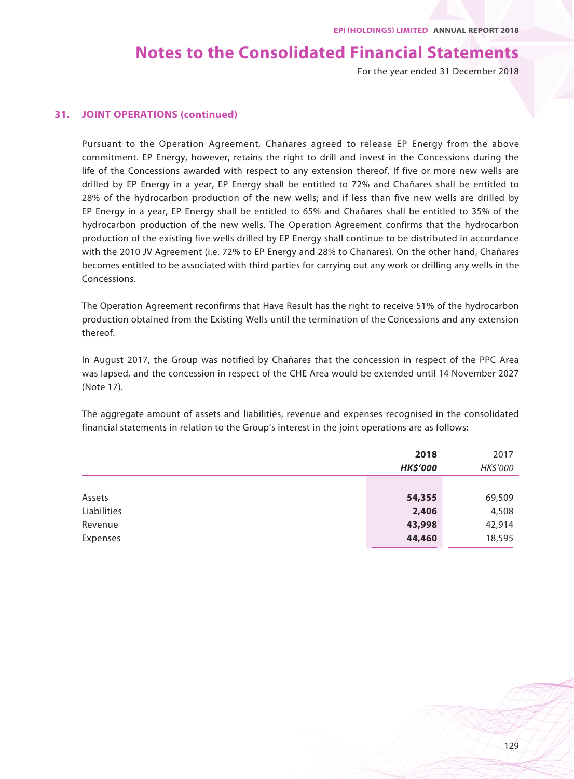For the year ended 31 December 2018

### **31. JOINT OPERATIONS (continued)**

Pursuant to the Operation Agreement, Chañares agreed to release EP Energy from the above commitment. EP Energy, however, retains the right to drill and invest in the Concessions during the life of the Concessions awarded with respect to any extension thereof. If five or more new wells are drilled by EP Energy in a year, EP Energy shall be entitled to 72% and Chañares shall be entitled to 28% of the hydrocarbon production of the new wells; and if less than five new wells are drilled by EP Energy in a year, EP Energy shall be entitled to 65% and Chañares shall be entitled to 35% of the hydrocarbon production of the new wells. The Operation Agreement confirms that the hydrocarbon production of the existing five wells drilled by EP Energy shall continue to be distributed in accordance with the 2010 JV Agreement (i.e. 72% to EP Energy and 28% to Chañares). On the other hand, Chañares becomes entitled to be associated with third parties for carrying out any work or drilling any wells in the Concessions.

The Operation Agreement reconfirms that Have Result has the right to receive 51% of the hydrocarbon production obtained from the Existing Wells until the termination of the Concessions and any extension thereof.

In August 2017, the Group was notified by Chañares that the concession in respect of the PPC Area was lapsed, and the concession in respect of the CHE Area would be extended until 14 November 2027 (Note 17).

The aggregate amount of assets and liabilities, revenue and expenses recognised in the consolidated financial statements in relation to the Group's interest in the joint operations are as follows:

|             | 2018            | 2017            |
|-------------|-----------------|-----------------|
|             | <b>HK\$'000</b> | <b>HK\$'000</b> |
|             |                 |                 |
| Assets      | 54,355          | 69,509          |
| Liabilities | 2,406           | 4,508           |
| Revenue     | 43,998          | 42,914          |
| Expenses    | 44,460          | 18,595          |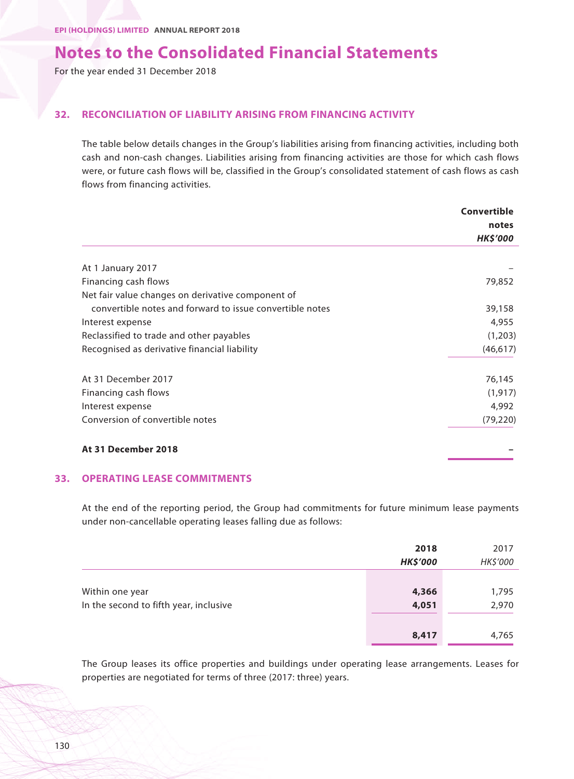For the year ended 31 December 2018

#### **32. RECONCILIATION OF LIABILITY ARISING FROM FINANCING ACTIVITY**

The table below details changes in the Group's liabilities arising from financing activities, including both cash and non-cash changes. Liabilities arising from financing activities are those for which cash flows were, or future cash flows will be, classified in the Group's consolidated statement of cash flows as cash flows from financing activities.

|                                                          | Convertible     |
|----------------------------------------------------------|-----------------|
|                                                          | notes           |
|                                                          | <b>HK\$'000</b> |
|                                                          |                 |
| At 1 January 2017                                        |                 |
| Financing cash flows                                     | 79,852          |
| Net fair value changes on derivative component of        |                 |
| convertible notes and forward to issue convertible notes | 39,158          |
| Interest expense                                         | 4,955           |
| Reclassified to trade and other payables                 | (1,203)         |
| Recognised as derivative financial liability             | (46, 617)       |
| At 31 December 2017                                      | 76,145          |
| Financing cash flows                                     | (1, 917)        |
| Interest expense                                         | 4,992           |
| Conversion of convertible notes                          | (79, 220)       |
| At 31 December 2018                                      |                 |

#### **33. OPERATING LEASE COMMITMENTS**

At the end of the reporting period, the Group had commitments for future minimum lease payments under non-cancellable operating leases falling due as follows:

|                                                           | 2018<br><b>HK\$'000</b> | 2017<br>HK\$'000 |
|-----------------------------------------------------------|-------------------------|------------------|
| Within one year<br>In the second to fifth year, inclusive | 4,366<br>4,051          | 1,795<br>2,970   |
|                                                           | 8,417                   | 4,765            |

The Group leases its office properties and buildings under operating lease arrangements. Leases for properties are negotiated for terms of three (2017: three) years.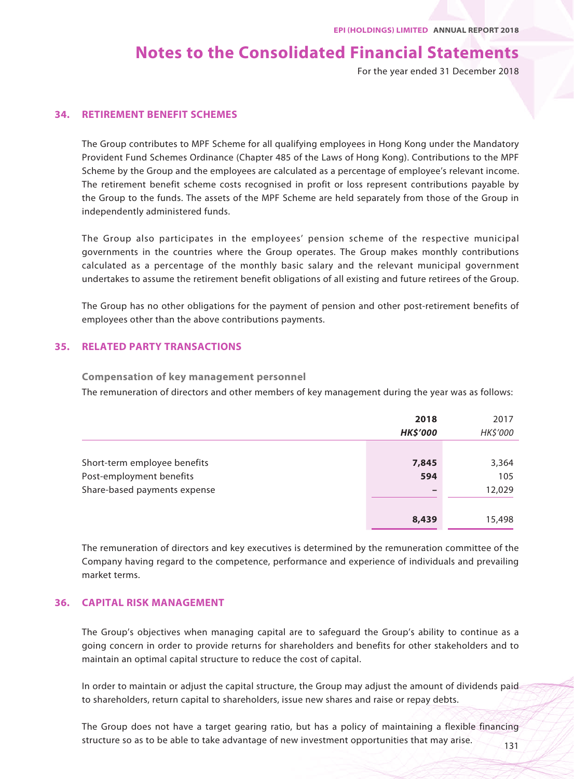For the year ended 31 December 2018

### **34. RETIREMENT BENEFIT SCHEMES**

The Group contributes to MPF Scheme for all qualifying employees in Hong Kong under the Mandatory Provident Fund Schemes Ordinance (Chapter 485 of the Laws of Hong Kong). Contributions to the MPF Scheme by the Group and the employees are calculated as a percentage of employee's relevant income. The retirement benefit scheme costs recognised in profit or loss represent contributions payable by the Group to the funds. The assets of the MPF Scheme are held separately from those of the Group in independently administered funds.

The Group also participates in the employees' pension scheme of the respective municipal governments in the countries where the Group operates. The Group makes monthly contributions calculated as a percentage of the monthly basic salary and the relevant municipal government undertakes to assume the retirement benefit obligations of all existing and future retirees of the Group.

The Group has no other obligations for the payment of pension and other post-retirement benefits of employees other than the above contributions payments.

### **35. RELATED PARTY TRANSACTIONS**

**Compensation of key management personnel** The remuneration of directors and other members of key management during the year was as follows:

|                              | 2018<br><b>HK\$'000</b> | 2017<br>HK\$'000 |
|------------------------------|-------------------------|------------------|
|                              |                         |                  |
| Short-term employee benefits | 7,845                   | 3,364            |
| Post-employment benefits     | 594                     | 105              |
| Share-based payments expense | -                       | 12,029           |
|                              |                         |                  |
|                              | 8,439                   | 15,498           |

The remuneration of directors and key executives is determined by the remuneration committee of the Company having regard to the competence, performance and experience of individuals and prevailing market terms.

#### **36. CAPITAL RISK MANAGEMENT**

The Group's objectives when managing capital are to safeguard the Group's ability to continue as a going concern in order to provide returns for shareholders and benefits for other stakeholders and to maintain an optimal capital structure to reduce the cost of capital.

In order to maintain or adjust the capital structure, the Group may adjust the amount of dividends paid to shareholders, return capital to shareholders, issue new shares and raise or repay debts.

The Group does not have a target gearing ratio, but has a policy of maintaining a flexible financing structure so as to be able to take advantage of new investment opportunities that may arise.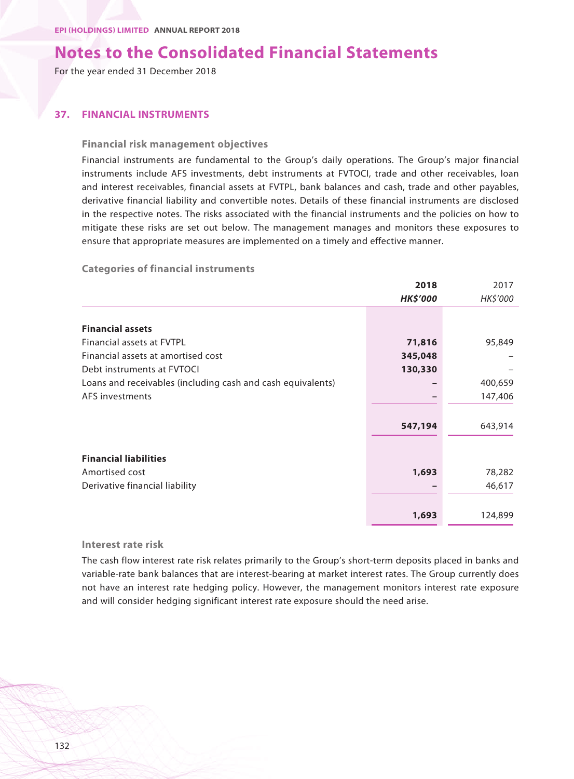For the year ended 31 December 2018

### **37. FINANCIAL INSTRUMENTS**

#### **Financial risk management objectives**

Financial instruments are fundamental to the Group's daily operations. The Group's major financial instruments include AFS investments, debt instruments at FVTOCI, trade and other receivables, loan and interest receivables, financial assets at FVTPL, bank balances and cash, trade and other payables, derivative financial liability and convertible notes. Details of these financial instruments are disclosed in the respective notes. The risks associated with the financial instruments and the policies on how to mitigate these risks are set out below. The management manages and monitors these exposures to ensure that appropriate measures are implemented on a timely and effective manner.

#### **Categories of financial instruments**

|                                                             | 2018            | 2017            |
|-------------------------------------------------------------|-----------------|-----------------|
|                                                             | <b>HK\$'000</b> | <b>HK\$'000</b> |
|                                                             |                 |                 |
| <b>Financial assets</b>                                     |                 |                 |
| Financial assets at FVTPL                                   | 71,816          | 95,849          |
| Financial assets at amortised cost                          | 345,048         |                 |
| Debt instruments at FVTOCI                                  | 130,330         |                 |
| Loans and receivables (including cash and cash equivalents) |                 | 400,659         |
| AFS investments                                             |                 | 147,406         |
|                                                             |                 |                 |
|                                                             | 547,194         | 643,914         |
|                                                             |                 |                 |
| <b>Financial liabilities</b>                                |                 |                 |
| Amortised cost                                              | 1,693           | 78,282          |
| Derivative financial liability                              |                 | 46,617          |
|                                                             |                 |                 |
|                                                             | 1,693           | 124,899         |

#### **Interest rate risk**

The cash flow interest rate risk relates primarily to the Group's short-term deposits placed in banks and variable-rate bank balances that are interest-bearing at market interest rates. The Group currently does not have an interest rate hedging policy. However, the management monitors interest rate exposure and will consider hedging significant interest rate exposure should the need arise.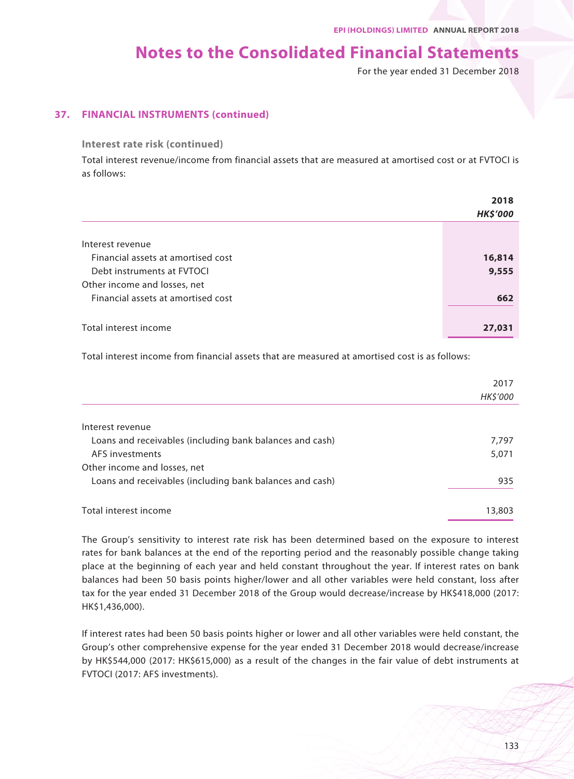For the year ended 31 December 2018

### **37. FINANCIAL INSTRUMENTS (continued)**

**Interest rate risk (continued)**

Total interest revenue/income from financial assets that are measured at amortised cost or at FVTOCI is as follows:

|                                    | 2018<br><b>HK\$'000</b> |
|------------------------------------|-------------------------|
|                                    |                         |
| Interest revenue                   |                         |
| Financial assets at amortised cost | 16,814                  |
| Debt instruments at FVTOCI         | 9,555                   |
| Other income and losses, net       |                         |
| Financial assets at amortised cost | 662                     |
| Total interest income              | 27,031                  |

Total interest income from financial assets that are measured at amortised cost is as follows:

|                                                          | 2017            |
|----------------------------------------------------------|-----------------|
|                                                          | <b>HK\$'000</b> |
|                                                          |                 |
| Interest revenue                                         |                 |
| Loans and receivables (including bank balances and cash) | 7,797           |
| AFS investments                                          | 5,071           |
| Other income and losses, net                             |                 |
| Loans and receivables (including bank balances and cash) | 935             |
|                                                          |                 |
| Total interest income                                    | 13,803          |

The Group's sensitivity to interest rate risk has been determined based on the exposure to interest rates for bank balances at the end of the reporting period and the reasonably possible change taking place at the beginning of each year and held constant throughout the year. If interest rates on bank balances had been 50 basis points higher/lower and all other variables were held constant, loss after tax for the year ended 31 December 2018 of the Group would decrease/increase by HK\$418,000 (2017: HK\$1,436,000).

If interest rates had been 50 basis points higher or lower and all other variables were held constant, the Group's other comprehensive expense for the year ended 31 December 2018 would decrease/increase by HK\$544,000 (2017: HK\$615,000) as a result of the changes in the fair value of debt instruments at FVTOCI (2017: AFS investments).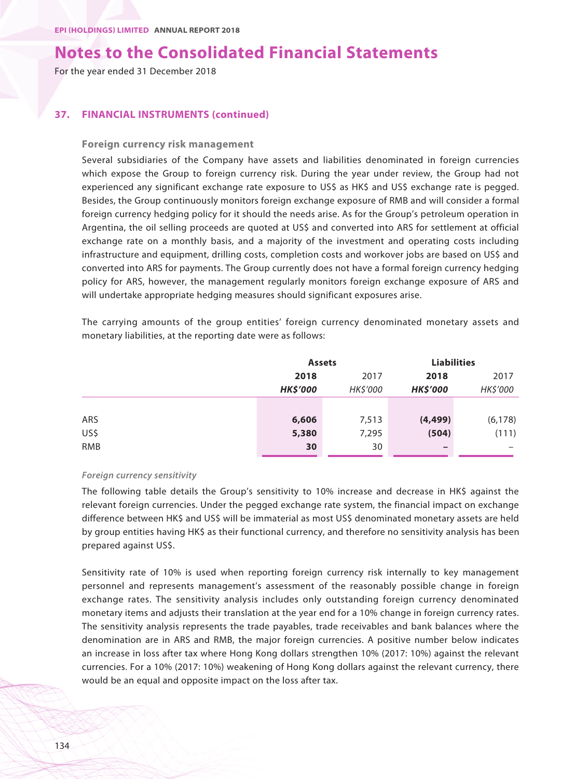For the year ended 31 December 2018

### **37. FINANCIAL INSTRUMENTS (continued)**

#### **Foreign currency risk management**

Several subsidiaries of the Company have assets and liabilities denominated in foreign currencies which expose the Group to foreign currency risk. During the year under review, the Group had not experienced any significant exchange rate exposure to US\$ as HK\$ and US\$ exchange rate is pegged. Besides, the Group continuously monitors foreign exchange exposure of RMB and will consider a formal foreign currency hedging policy for it should the needs arise. As for the Group's petroleum operation in Argentina, the oil selling proceeds are quoted at US\$ and converted into ARS for settlement at official exchange rate on a monthly basis, and a majority of the investment and operating costs including infrastructure and equipment, drilling costs, completion costs and workover jobs are based on US\$ and converted into ARS for payments. The Group currently does not have a formal foreign currency hedging policy for ARS, however, the management regularly monitors foreign exchange exposure of ARS and will undertake appropriate hedging measures should significant exposures arise.

The carrying amounts of the group entities' foreign currency denominated monetary assets and monetary liabilities, at the reporting date were as follows:

| <b>Liabilities</b> |  |  |
|--------------------|--|--|
| 2017               |  |  |
| HK\$'000           |  |  |
|                    |  |  |
| (6, 178)           |  |  |
| (111)              |  |  |
| -                  |  |  |
|                    |  |  |

#### *Foreign currency sensitivity*

The following table details the Group's sensitivity to 10% increase and decrease in HK\$ against the relevant foreign currencies. Under the pegged exchange rate system, the financial impact on exchange difference between HK\$ and US\$ will be immaterial as most US\$ denominated monetary assets are held by group entities having HK\$ as their functional currency, and therefore no sensitivity analysis has been prepared against US\$.

Sensitivity rate of 10% is used when reporting foreign currency risk internally to key management personnel and represents management's assessment of the reasonably possible change in foreign exchange rates. The sensitivity analysis includes only outstanding foreign currency denominated monetary items and adjusts their translation at the year end for a 10% change in foreign currency rates. The sensitivity analysis represents the trade payables, trade receivables and bank balances where the denomination are in ARS and RMB, the major foreign currencies. A positive number below indicates an increase in loss after tax where Hong Kong dollars strengthen 10% (2017: 10%) against the relevant currencies. For a 10% (2017: 10%) weakening of Hong Kong dollars against the relevant currency, there would be an equal and opposite impact on the loss after tax.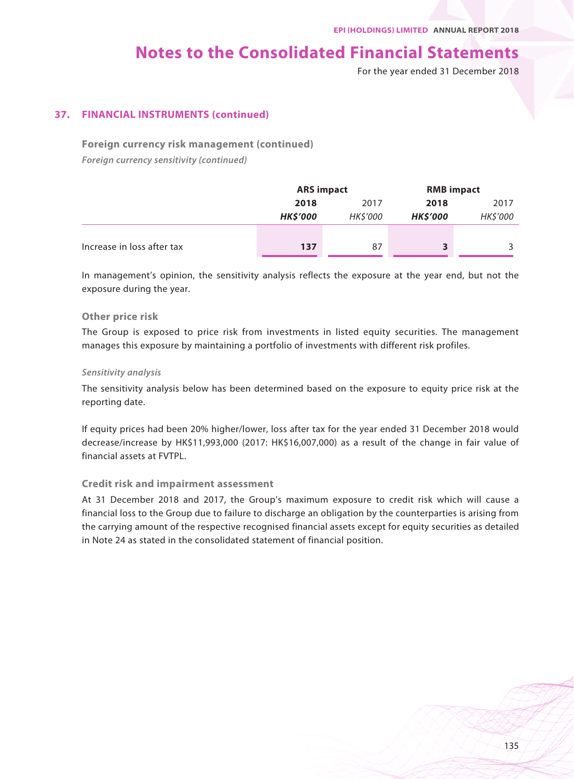For the year ended 31 December 2018

### **37. FINANCIAL INSTRUMENTS (continued)**

#### **Foreign currency risk management (continued)**

*Foreign currency sensitivity (continued)*

|                            |                                                    | <b>ARS</b> impact | <b>RMB</b> impact |                 |  |
|----------------------------|----------------------------------------------------|-------------------|-------------------|-----------------|--|
|                            | 2018<br>2017<br><b>HK\$'000</b><br><b>HK\$'000</b> |                   | 2018              | 2017            |  |
|                            |                                                    |                   | <b>HK\$'000</b>   | <b>HK\$'000</b> |  |
|                            |                                                    |                   |                   |                 |  |
| Increase in loss after tax | 137                                                | 87                | 3                 |                 |  |

In management's opinion, the sensitivity analysis reflects the exposure at the year end, but not the exposure during the year.

#### **Other price risk**

The Group is exposed to price risk from investments in listed equity securities. The management manages this exposure by maintaining a portfolio of investments with different risk profiles.

#### *Sensitivity analysis*

The sensitivity analysis below has been determined based on the exposure to equity price risk at the reporting date.

If equity prices had been 20% higher/lower, loss after tax for the year ended 31 December 2018 would decrease/increase by HK\$11,993,000 (2017: HK\$16,007,000) as a result of the change in fair value of financial assets at FVTPL.

#### **Credit risk and impairment assessment**

At 31 December 2018 and 2017, the Group's maximum exposure to credit risk which will cause a financial loss to the Group due to failure to discharge an obligation by the counterparties is arising from the carrying amount of the respective recognised financial assets except for equity securities as detailed in Note 24 as stated in the consolidated statement of financial position.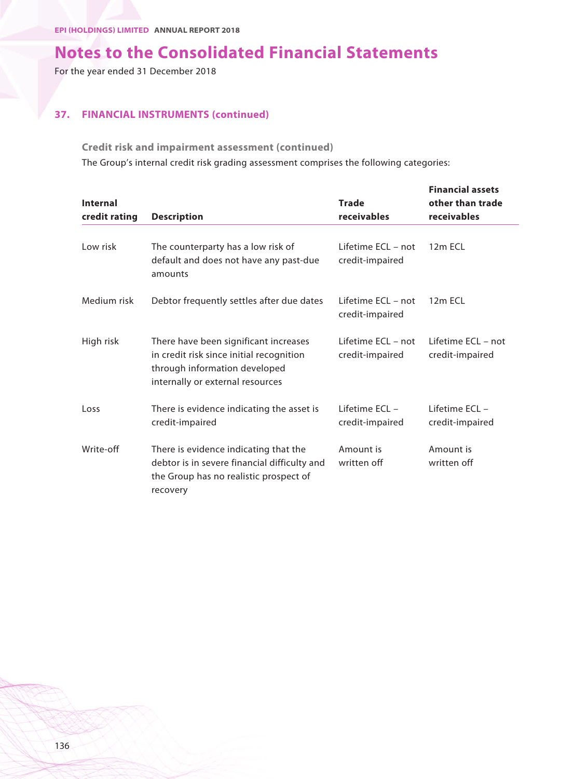For the year ended 31 December 2018

### **37. FINANCIAL INSTRUMENTS (continued)**

**Credit risk and impairment assessment (continued)** The Group's internal credit risk grading assessment comprises the following categories:

| <b>Internal</b><br>credit rating | <b>Description</b>                                                                                                                                     | <b>Trade</b><br>receivables           | <b>Financial assets</b><br>other than trade<br>receivables |
|----------------------------------|--------------------------------------------------------------------------------------------------------------------------------------------------------|---------------------------------------|------------------------------------------------------------|
| Low risk                         | The counterparty has a low risk of<br>default and does not have any past-due<br>amounts                                                                | Lifetime ECL - not<br>credit-impaired | 12m ECL                                                    |
| Medium risk                      | Debtor frequently settles after due dates                                                                                                              | Lifetime ECL - not<br>credit-impaired | 12m ECL                                                    |
| High risk                        | There have been significant increases<br>in credit risk since initial recognition<br>through information developed<br>internally or external resources | Lifetime ECL - not<br>credit-impaired | Lifetime ECL - not<br>credit-impaired                      |
| Loss                             | There is evidence indicating the asset is<br>credit-impaired                                                                                           | Lifetime ECL -<br>credit-impaired     | Lifetime ECL -<br>credit-impaired                          |
| Write-off                        | There is evidence indicating that the<br>debtor is in severe financial difficulty and<br>the Group has no realistic prospect of<br>recovery            | Amount is<br>written off              | Amount is<br>written off                                   |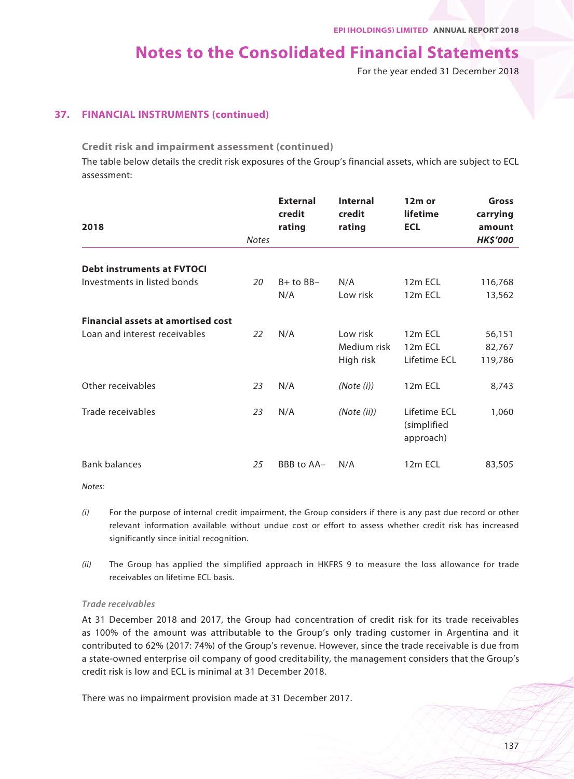For the year ended 31 December 2018

### **37. FINANCIAL INSTRUMENTS (continued)**

**Credit risk and impairment assessment (continued)**

The table below details the credit risk exposures of the Group's financial assets, which are subject to ECL assessment:

| 2018                                      | <b>Notes</b> | <b>External</b><br>credit<br>rating | <b>Internal</b><br>credit<br>rating | 12m or<br>lifetime<br><b>ECL</b>         | <b>Gross</b><br>carrying<br>amount<br><b>HK\$'000</b> |
|-------------------------------------------|--------------|-------------------------------------|-------------------------------------|------------------------------------------|-------------------------------------------------------|
|                                           |              |                                     |                                     |                                          |                                                       |
| <b>Debt instruments at FVTOCI</b>         |              |                                     |                                     |                                          |                                                       |
| Investments in listed bonds               | 20           | $B+$ to $BB-$                       | N/A                                 | 12m ECL                                  | 116,768                                               |
|                                           |              | N/A                                 | Low risk                            | 12m ECL                                  | 13,562                                                |
| <b>Financial assets at amortised cost</b> |              |                                     |                                     |                                          |                                                       |
| Loan and interest receivables             | 22           | N/A                                 | Low risk                            | 12m ECL                                  | 56,151                                                |
|                                           |              |                                     | Medium risk                         | 12m ECL                                  | 82,767                                                |
|                                           |              |                                     | High risk                           | Lifetime ECL                             | 119,786                                               |
| Other receivables                         | 23           | N/A                                 | (Note (i))                          | 12m ECL                                  | 8,743                                                 |
|                                           |              |                                     |                                     |                                          |                                                       |
| Trade receivables                         | 23           | N/A                                 | (Note (ii))                         | Lifetime ECL<br>(simplified<br>approach) | 1,060                                                 |
| <b>Bank balances</b>                      | 25           | BBB to AA-                          | N/A                                 | 12m ECL                                  | 83,505                                                |

*Notes:*

- *(i)* For the purpose of internal credit impairment, the Group considers if there is any past due record or other relevant information available without undue cost or effort to assess whether credit risk has increased significantly since initial recognition.
- *(ii)* The Group has applied the simplified approach in HKFRS 9 to measure the loss allowance for trade receivables on lifetime ECL basis.

#### *Trade receivables*

At 31 December 2018 and 2017, the Group had concentration of credit risk for its trade receivables as 100% of the amount was attributable to the Group's only trading customer in Argentina and it contributed to 62% (2017: 74%) of the Group's revenue. However, since the trade receivable is due from a state-owned enterprise oil company of good creditability, the management considers that the Group's credit risk is low and ECL is minimal at 31 December 2018.

There was no impairment provision made at 31 December 2017.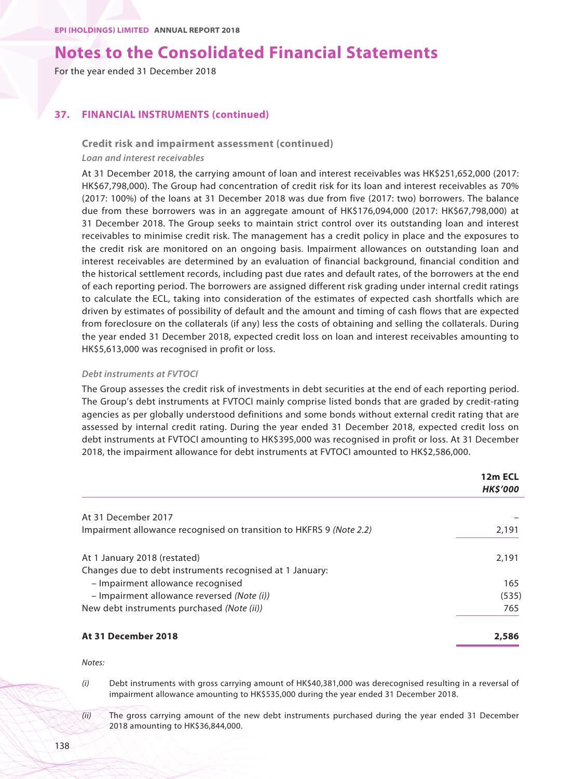For the year ended 31 December 2018

### **37. FINANCIAL INSTRUMENTS (continued)**

### **Credit risk and impairment assessment (continued)** *Loan and interest receivables*

At 31 December 2018, the carrying amount of loan and interest receivables was HK\$251,652,000 (2017: HK\$67,798,000). The Group had concentration of credit risk for its loan and interest receivables as 70% (2017: 100%) of the loans at 31 December 2018 was due from five (2017: two) borrowers. The balance due from these borrowers was in an aggregate amount of HK\$176,094,000 (2017: HK\$67,798,000) at 31 December 2018. The Group seeks to maintain strict control over its outstanding loan and interest receivables to minimise credit risk. The management has a credit policy in place and the exposures to the credit risk are monitored on an ongoing basis. Impairment allowances on outstanding loan and interest receivables are determined by an evaluation of financial background, financial condition and the historical settlement records, including past due rates and default rates, of the borrowers at the end of each reporting period. The borrowers are assigned different risk grading under internal credit ratings to calculate the ECL, taking into consideration of the estimates of expected cash shortfalls which are driven by estimates of possibility of default and the amount and timing of cash flows that are expected from foreclosure on the collaterals (if any) less the costs of obtaining and selling the collaterals. During the year ended 31 December 2018, expected credit loss on loan and interest receivables amounting to HK\$5,613,000 was recognised in profit or loss.

#### *Debt instruments at FVTOCI*

The Group assesses the credit risk of investments in debt securities at the end of each reporting period. The Group's debt instruments at FVTOCI mainly comprise listed bonds that are graded by credit-rating agencies as per globally understood definitions and some bonds without external credit rating that are assessed by internal credit rating. During the year ended 31 December 2018, expected credit loss on debt instruments at FVTOCI amounting to HK\$395,000 was recognised in profit or loss. At 31 December 2018, the impairment allowance for debt instruments at FVTOCI amounted to HK\$2,586,000.

|                                                                     | 12m ECL<br><b>HK\$'000</b> |
|---------------------------------------------------------------------|----------------------------|
| At 31 December 2017                                                 |                            |
| Impairment allowance recognised on transition to HKFRS 9 (Note 2.2) | 2,191                      |
| At 1 January 2018 (restated)                                        | 2,191                      |
| Changes due to debt instruments recognised at 1 January:            |                            |
| - Impairment allowance recognised                                   | 165                        |
| - Impairment allowance reversed (Note (i))                          | (535)                      |
| New debt instruments purchased (Note (ii))                          | 765                        |
| At 31 December 2018                                                 | 2,586                      |

*Notes:*

- *(i)* Debt instruments with gross carrying amount of HK\$40,381,000 was derecognised resulting in a reversal of impairment allowance amounting to HK\$535,000 during the year ended 31 December 2018.
- *(ii)* The gross carrying amount of the new debt instruments purchased during the year ended 31 December 2018 amounting to HK\$36,844,000.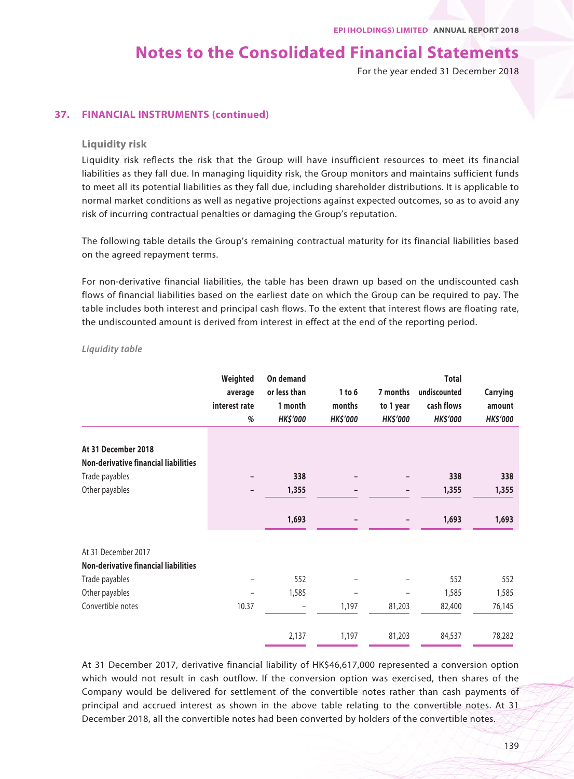For the year ended 31 December 2018

### **37. FINANCIAL INSTRUMENTS (continued)**

#### **Liquidity risk**

Liquidity risk reflects the risk that the Group will have insufficient resources to meet its financial liabilities as they fall due. In managing liquidity risk, the Group monitors and maintains sufficient funds to meet all its potential liabilities as they fall due, including shareholder distributions. It is applicable to normal market conditions as well as negative projections against expected outcomes, so as to avoid any risk of incurring contractual penalties or damaging the Group's reputation.

The following table details the Group's remaining contractual maturity for its financial liabilities based on the agreed repayment terms.

For non-derivative financial liabilities, the table has been drawn up based on the undiscounted cash flows of financial liabilities based on the earliest date on which the Group can be required to pay. The table includes both interest and principal cash flows. To the extent that interest flows are floating rate, the undiscounted amount is derived from interest in effect at the end of the reporting period.

|                                                                    | Weighted<br>average<br>interest rate<br>$\%$ | On demand<br>or less than<br>1 month<br><b>HK\$'000</b> | 1 to 6<br>months<br><b>HK\$'000</b> | 7 months<br>to 1 year<br><b>HK\$'000</b> | <b>Total</b><br>undiscounted<br>cash flows<br><b>HK\$'000</b> | <b>Carrying</b><br>amount<br><b>HK\$'000</b> |
|--------------------------------------------------------------------|----------------------------------------------|---------------------------------------------------------|-------------------------------------|------------------------------------------|---------------------------------------------------------------|----------------------------------------------|
| At 31 December 2018<br><b>Non-derivative financial liabilities</b> |                                              |                                                         |                                     |                                          |                                                               |                                              |
| Trade payables                                                     |                                              | 338                                                     |                                     |                                          | 338                                                           | 338                                          |
| Other payables                                                     | -                                            | 1,355                                                   |                                     |                                          | 1,355                                                         | 1,355                                        |
|                                                                    |                                              | 1,693                                                   |                                     |                                          | 1,693                                                         | 1,693                                        |
| At 31 December 2017                                                |                                              |                                                         |                                     |                                          |                                                               |                                              |
| <b>Non-derivative financial liabilities</b>                        |                                              |                                                         |                                     |                                          |                                                               |                                              |
| Trade payables                                                     |                                              | 552                                                     |                                     |                                          | 552                                                           | 552                                          |
| Other payables                                                     | $\overline{a}$                               | 1,585                                                   |                                     |                                          | 1,585                                                         | 1,585                                        |
| Convertible notes                                                  | 10.37                                        |                                                         | 1,197                               | 81,203                                   | 82,400                                                        | 76,145                                       |
|                                                                    |                                              | 2,137                                                   | 1,197                               | 81,203                                   | 84,537                                                        | 78,282                                       |

*Liquidity table*

At 31 December 2017, derivative financial liability of HK\$46,617,000 represented a conversion option which would not result in cash outflow. If the conversion option was exercised, then shares of the Company would be delivered for settlement of the convertible notes rather than cash payments of principal and accrued interest as shown in the above table relating to the convertible notes. At 31 December 2018, all the convertible notes had been converted by holders of the convertible notes.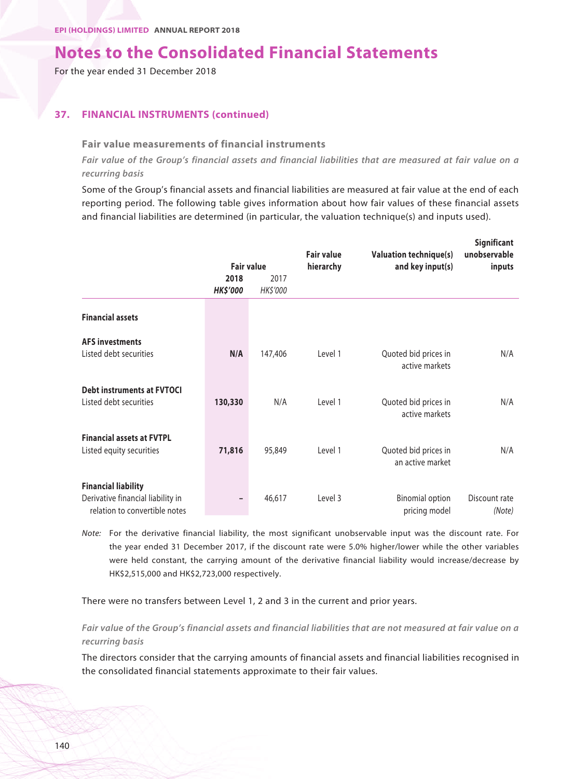For the year ended 31 December 2018

#### **37. FINANCIAL INSTRUMENTS (continued)**

#### **Fair value measurements of financial instruments**

*Fair value of the Group's financial assets and financial liabilities that are measured at fair value on a recurring basis*

Some of the Group's financial assets and financial liabilities are measured at fair value at the end of each reporting period. The following table gives information about how fair values of these financial assets and financial liabilities are determined (in particular, the valuation technique(s) and inputs used).

|                                                                    | <b>Fair value</b>       |                  | <b>Fair value</b><br>hierarchy | <b>Valuation technique(s)</b><br>and key input(s) | Significant<br>unobservable<br>inputs |
|--------------------------------------------------------------------|-------------------------|------------------|--------------------------------|---------------------------------------------------|---------------------------------------|
|                                                                    | 2018<br><b>HK\$'000</b> | 2017<br>HK\$'000 |                                |                                                   |                                       |
| <b>Financial assets</b>                                            |                         |                  |                                |                                                   |                                       |
| <b>AFS investments</b>                                             |                         |                  |                                |                                                   |                                       |
| Listed debt securities                                             | N/A                     | 147,406          | Level 1                        | Quoted bid prices in<br>active markets            | N/A                                   |
| <b>Debt instruments at FVTOCI</b>                                  |                         |                  |                                |                                                   |                                       |
| Listed debt securities                                             | 130,330                 | N/A              | Level 1                        | Quoted bid prices in<br>active markets            | N/A                                   |
| <b>Financial assets at FVTPL</b>                                   |                         |                  |                                |                                                   |                                       |
| Listed equity securities                                           | 71,816                  | 95,849           | Level 1                        | Quoted bid prices in<br>an active market          | N/A                                   |
| <b>Financial liability</b>                                         |                         |                  |                                |                                                   |                                       |
| Derivative financial liability in<br>relation to convertible notes |                         | 46,617           | Level 3                        | <b>Binomial option</b><br>pricing model           | Discount rate<br>(Note)               |

*Note:* For the derivative financial liability, the most significant unobservable input was the discount rate. For the year ended 31 December 2017, if the discount rate were 5.0% higher/lower while the other variables were held constant, the carrying amount of the derivative financial liability would increase/decrease by HK\$2,515,000 and HK\$2,723,000 respectively.

There were no transfers between Level 1, 2 and 3 in the current and prior years.

*Fair value of the Group's financial assets and financial liabilities that are not measured at fair value on a recurring basis*

The directors consider that the carrying amounts of financial assets and financial liabilities recognised in the consolidated financial statements approximate to their fair values.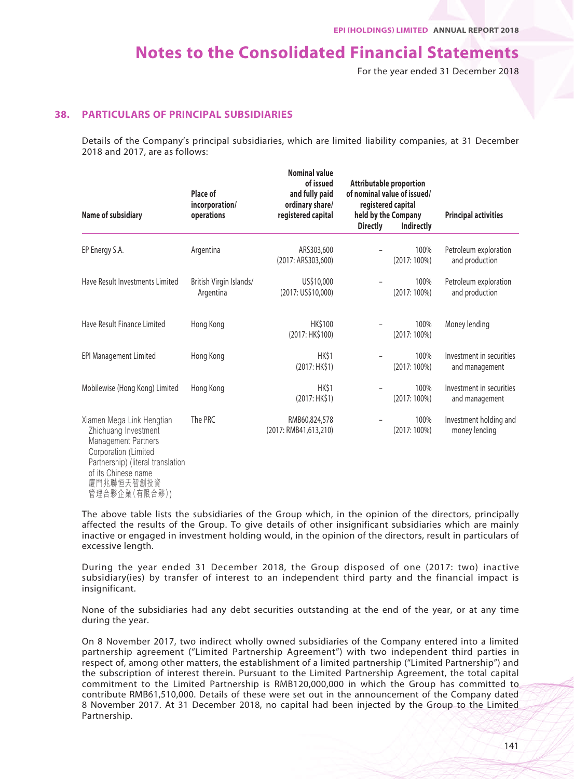For the year ended 31 December 2018

### **38. PARTICULARS OF PRINCIPAL SUBSIDIARIES**

Details of the Company's principal subsidiaries, which are limited liability companies, at 31 December 2018 and 2017, are as follows:

| Name of subsidiary                                                                                                                                                                          | Place of<br>incorporation/<br>operations | Nominal value<br>of issued<br>and fully paid<br>ordinary share/<br>registered capital | <b>Attributable proportion</b><br>of nominal value of issued/<br>registered capital<br>held by the Company<br><b>Directly</b><br>Indirectly |                        | <b>Principal activities</b>                |
|---------------------------------------------------------------------------------------------------------------------------------------------------------------------------------------------|------------------------------------------|---------------------------------------------------------------------------------------|---------------------------------------------------------------------------------------------------------------------------------------------|------------------------|--------------------------------------------|
| EP Energy S.A.                                                                                                                                                                              | Argentina                                | ARS303,600<br>(2017: ARS303,600)                                                      |                                                                                                                                             | 100%<br>$(2017:100\%)$ | Petroleum exploration<br>and production    |
| Have Result Investments Limited                                                                                                                                                             | British Virgin Islands/<br>Argentina     | US\$10,000<br>(2017: US\$10,000)                                                      |                                                                                                                                             | 100%<br>$(2017:100\%)$ | Petroleum exploration<br>and production    |
| Have Result Finance Limited                                                                                                                                                                 | Hong Kong                                | <b>HK\$100</b><br>(2017: HK\$100)                                                     |                                                                                                                                             | 100%<br>$(2017:100\%)$ | Money lending                              |
| <b>EPI Management Limited</b>                                                                                                                                                               | Hong Kong                                | HK\$1<br>(2017:HK\$1)                                                                 |                                                                                                                                             | 100%<br>$(2017:100\%)$ | Investment in securities<br>and management |
| Mobilewise (Hong Kong) Limited                                                                                                                                                              | Hong Kong                                | HK\$1<br>(2017: HK\$1)                                                                |                                                                                                                                             | 100%<br>$(2017:100\%)$ | Investment in securities<br>and management |
| Xiamen Mega Link Hengtian<br>Zhichuang Investment<br>Management Partners<br>Corporation (Limited<br>Partnership) (literal translation<br>of its Chinese name<br>廈門兆聯恒天智創投資<br>管理合夥企業(有限合夥)) | The PRC                                  | RMB60,824,578<br>(2017: RMB41,613,210)                                                |                                                                                                                                             | 100%<br>$(2017:100\%)$ | Investment holding and<br>money lending    |

The above table lists the subsidiaries of the Group which, in the opinion of the directors, principally affected the results of the Group. To give details of other insignificant subsidiaries which are mainly inactive or engaged in investment holding would, in the opinion of the directors, result in particulars of excessive length.

During the year ended 31 December 2018, the Group disposed of one (2017: two) inactive subsidiary(ies) by transfer of interest to an independent third party and the financial impact is insignificant.

None of the subsidiaries had any debt securities outstanding at the end of the year, or at any time during the year.

On 8 November 2017, two indirect wholly owned subsidiaries of the Company entered into a limited partnership agreement ("Limited Partnership Agreement") with two independent third parties in respect of, among other matters, the establishment of a limited partnership ("Limited Partnership") and the subscription of interest therein. Pursuant to the Limited Partnership Agreement, the total capital commitment to the Limited Partnership is RMB120,000,000 in which the Group has committed to contribute RMB61,510,000. Details of these were set out in the announcement of the Company dated 8 November 2017. At 31 December 2018, no capital had been injected by the Group to the Limited Partnership.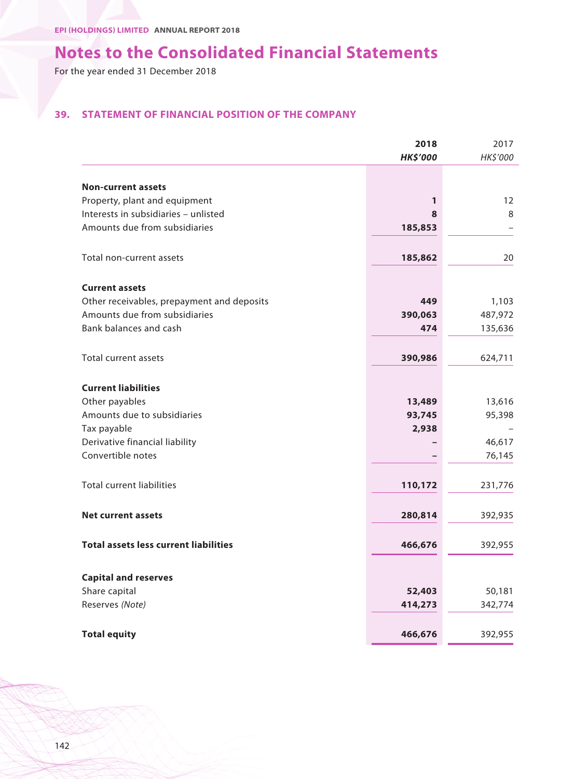For the year ended 31 December 2018

## **39. STATEMENT OF FINANCIAL POSITION OF THE COMPANY**

|                                              | 2018<br><b>HK\$'000</b> | 2017<br>HK\$'000 |
|----------------------------------------------|-------------------------|------------------|
|                                              |                         |                  |
| <b>Non-current assets</b>                    |                         |                  |
| Property, plant and equipment                | $\mathbf{1}$            | 12               |
| Interests in subsidiaries - unlisted         | 8                       | 8                |
| Amounts due from subsidiaries                | 185,853                 |                  |
| Total non-current assets                     | 185,862                 | 20               |
| <b>Current assets</b>                        |                         |                  |
| Other receivables, prepayment and deposits   | 449                     | 1,103            |
| Amounts due from subsidiaries                | 390,063                 | 487,972          |
| Bank balances and cash                       | 474                     | 135,636          |
|                                              |                         |                  |
| <b>Total current assets</b>                  | 390,986                 | 624,711          |
| <b>Current liabilities</b>                   |                         |                  |
| Other payables                               | 13,489                  | 13,616           |
| Amounts due to subsidiaries                  | 93,745                  | 95,398           |
| Tax payable                                  | 2,938                   |                  |
| Derivative financial liability               |                         | 46,617           |
| Convertible notes                            |                         | 76,145           |
| <b>Total current liabilities</b>             | 110,172                 | 231,776          |
|                                              |                         |                  |
| <b>Net current assets</b>                    | 280,814                 | 392,935          |
| <b>Total assets less current liabilities</b> | 466,676                 | 392,955          |
| <b>Capital and reserves</b>                  |                         |                  |
| Share capital                                | 52,403                  | 50,181           |
| Reserves (Note)                              | 414,273                 | 342,774          |
|                                              |                         |                  |
| <b>Total equity</b>                          | 466,676                 | 392,955          |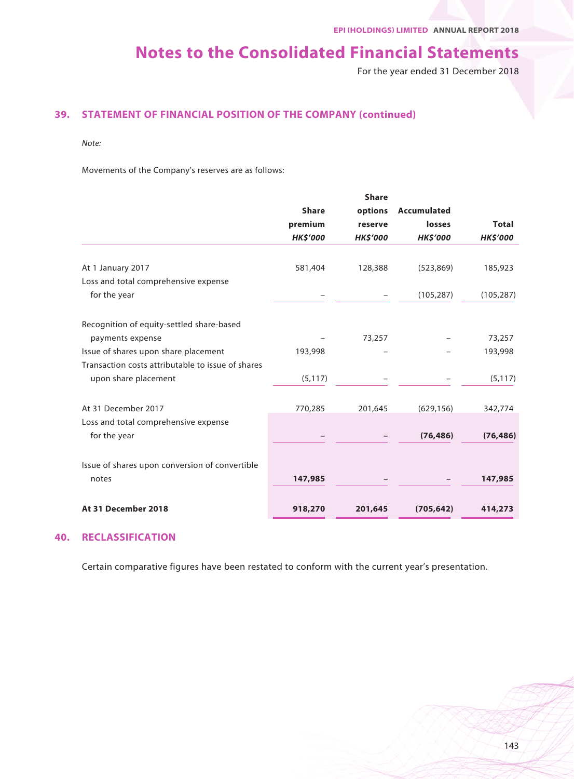For the year ended 31 December 2018

### **39. STATEMENT OF FINANCIAL POSITION OF THE COMPANY (continued)**

#### *Note:*

Movements of the Company's reserves are as follows:

|                 | <b>Share</b>    |                    |                          |
|-----------------|-----------------|--------------------|--------------------------|
| <b>Share</b>    | options         | <b>Accumulated</b> |                          |
| premium         | reserve         | losses             | <b>Total</b>             |
| <b>HK\$'000</b> | <b>HK\$'000</b> | <b>HK\$'000</b>    | <b>HK\$'000</b>          |
| 581,404         | 128,388         |                    | 185,923                  |
|                 |                 |                    |                          |
|                 |                 | (105, 287)         | (105, 287)               |
|                 |                 |                    |                          |
|                 | 73,257          |                    | 73,257                   |
| 193,998         |                 |                    | 193,998                  |
|                 |                 |                    |                          |
| (5, 117)        |                 |                    | (5, 117)                 |
|                 |                 |                    | 342,774                  |
|                 |                 |                    |                          |
|                 |                 | (76, 486)          | (76, 486)                |
|                 |                 |                    |                          |
| 147,985         |                 |                    | 147,985                  |
| 918,270         | 201,645         | (705, 642)         | 414,273                  |
|                 | 770,285         | 201,645            | (523, 869)<br>(629, 156) |

### **40. RECLASSIFICATION**

Certain comparative figures have been restated to conform with the current year's presentation.